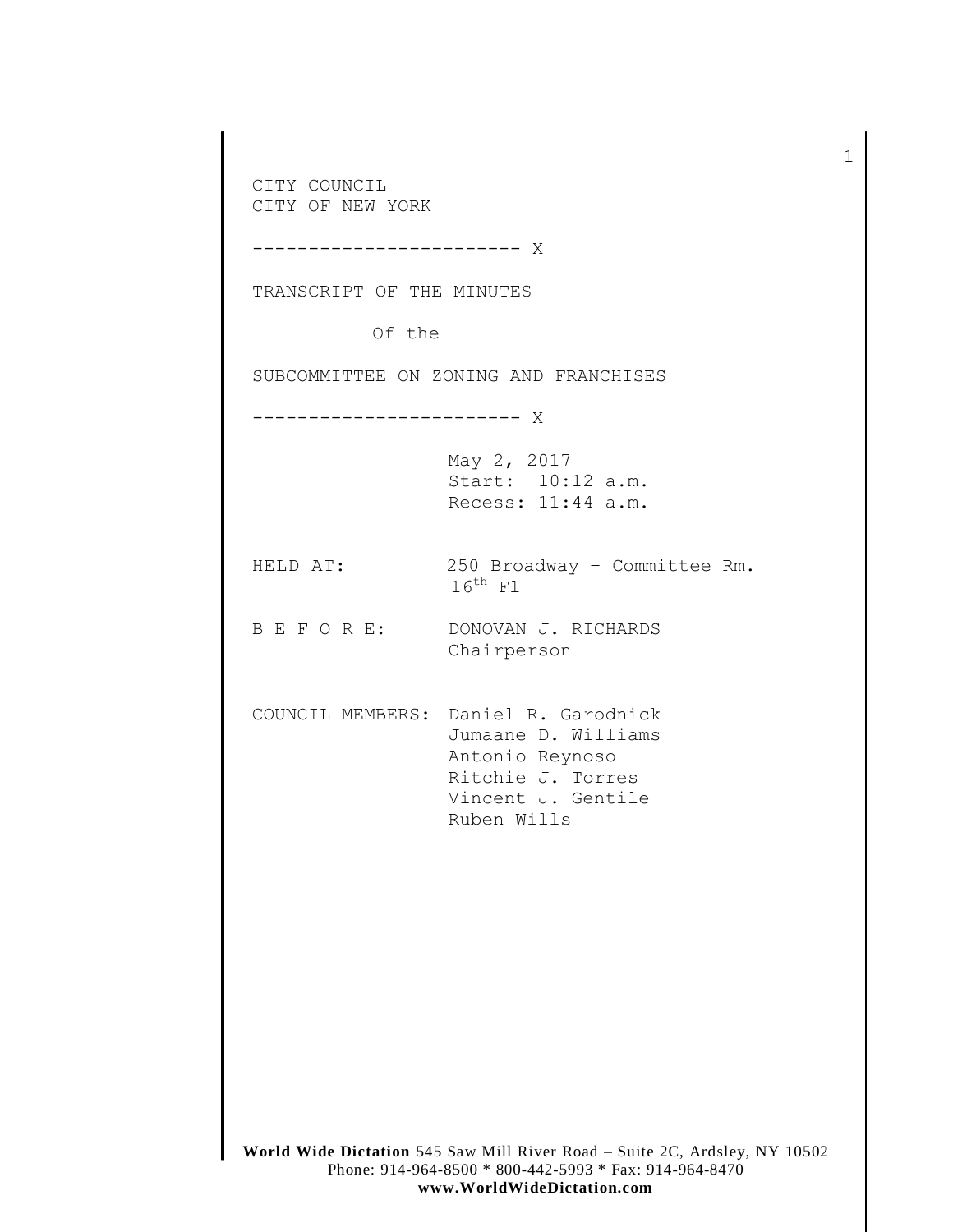**World Wide Dictation** 545 Saw Mill River Road – Suite 2C, Ardsley, NY 10502 Phone: 914-964-8500 \* 800-442-5993 \* Fax: 914-964-8470 CITY COUNCIL CITY OF NEW YORK ------------------------ X TRANSCRIPT OF THE MINUTES Of the SUBCOMMITTEE ON ZONING AND FRANCHISES ------------------------ X May 2, 2017 Start: 10:12 a.m. Recess: 11:44 a.m. HELD AT: 250 Broadway – Committee Rm.  $16^{\text{th}}$  Fl B E F O R E: DONOVAN J. RICHARDS Chairperson COUNCIL MEMBERS: Daniel R. Garodnick Jumaane D. Williams Antonio Reynoso Ritchie J. Torres Vincent J. Gentile Ruben Wills

1

**www.WorldWideDictation.com**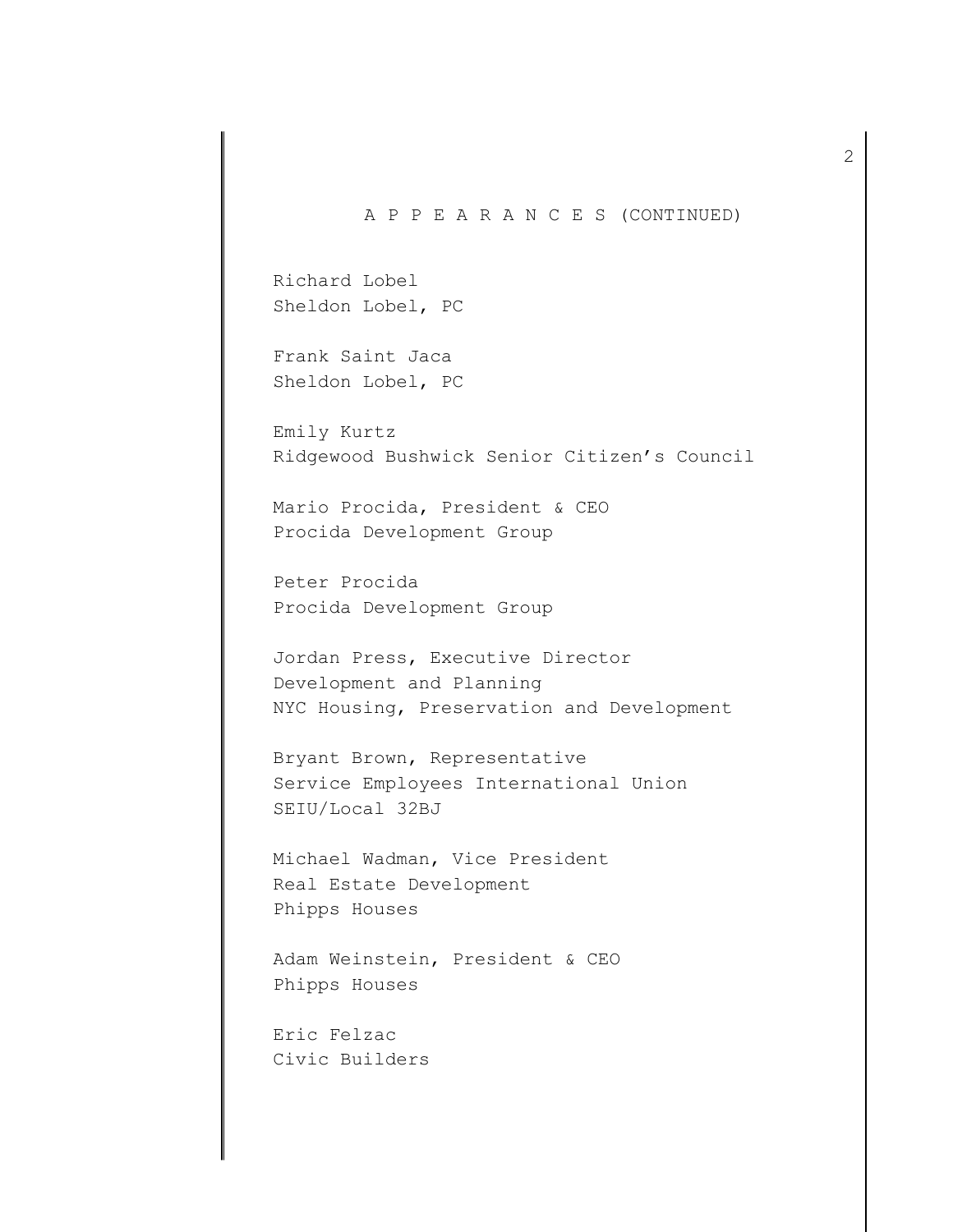## A P P E A R A N C E S (CONTINUED)

Richard Lobel Sheldon Lobel, PC

Frank Saint Jaca Sheldon Lobel, PC

Emily Kurtz Ridgewood Bushwick Senior Citizen's Council

Mario Procida, President & CEO Procida Development Group

Peter Procida Procida Development Group

Jordan Press, Executive Director Development and Planning NYC Housing, Preservation and Development

Bryant Brown, Representative Service Employees International Union SEIU/Local 32BJ

Michael Wadman, Vice President Real Estate Development Phipps Houses

Adam Weinstein, President & CEO Phipps Houses

Eric Felzac Civic Builders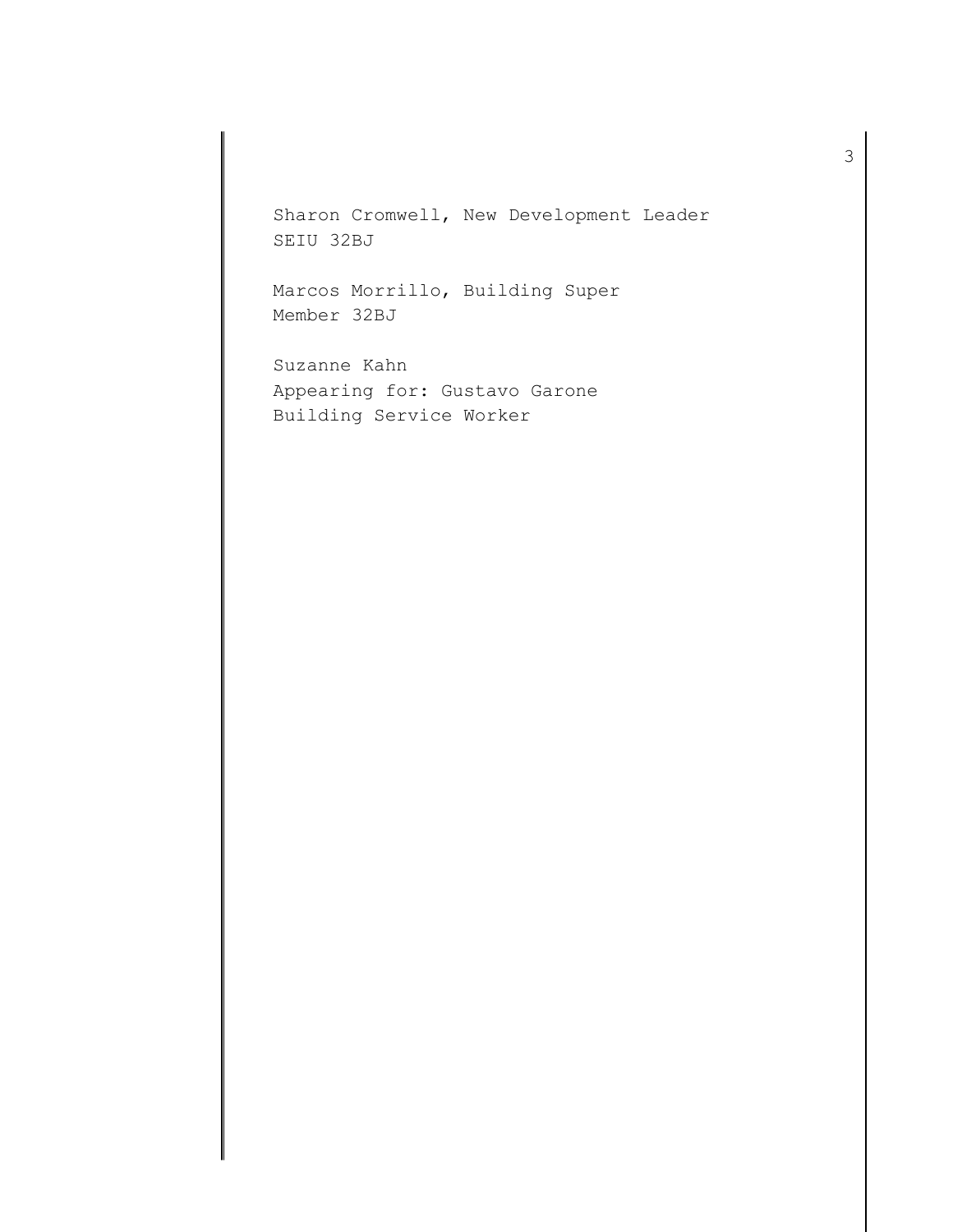Sharon Cromwell, New Development Leader SEIU 32BJ

Marcos Morrillo, Building Super Member 32BJ

Suzanne Kahn Appearing for: Gustavo Garone Building Service Worker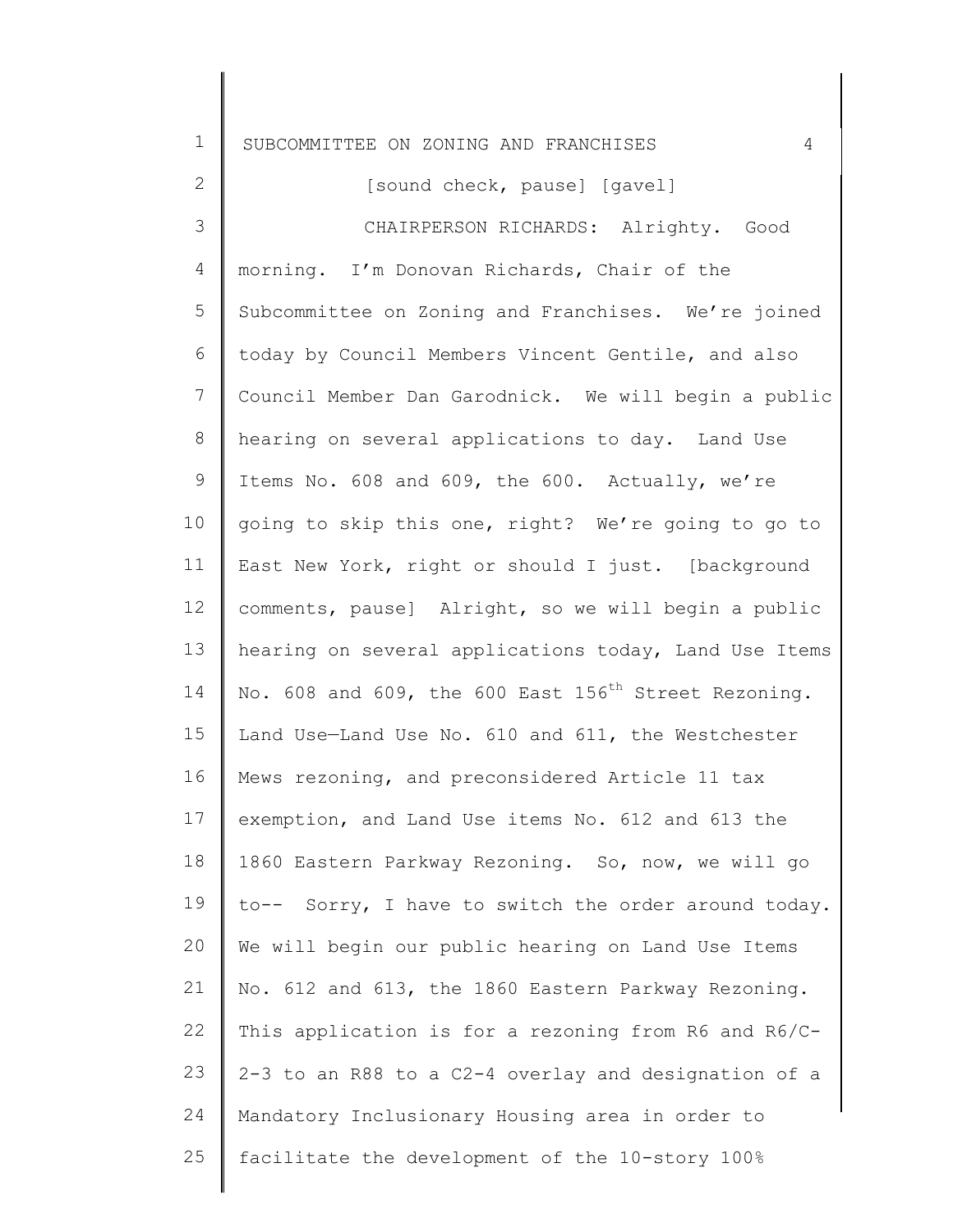| $\mathbf 1$    | 4<br>SUBCOMMITTEE ON ZONING AND FRANCHISES                       |
|----------------|------------------------------------------------------------------|
| $\mathbf{2}$   | [sound check, pause] [gavel]                                     |
| 3              | CHAIRPERSON RICHARDS: Alrighty. Good                             |
| $\overline{4}$ | morning. I'm Donovan Richards, Chair of the                      |
| 5              | Subcommittee on Zoning and Franchises. We're joined              |
| 6              | today by Council Members Vincent Gentile, and also               |
| $7\phantom{.}$ | Council Member Dan Garodnick. We will begin a public             |
| $8\,$          | hearing on several applications to day. Land Use                 |
| $\mathsf 9$    | Items No. 608 and 609, the 600. Actually, we're                  |
| 10             | going to skip this one, right? We're going to go to              |
| 11             | East New York, right or should I just. [background               |
| 12             | comments, pause] Alright, so we will begin a public              |
| 13             | hearing on several applications today, Land Use Items            |
| 14             | No. 608 and 609, the 600 East 156 <sup>th</sup> Street Rezoning. |
| 15             | Land Use-Land Use No. 610 and 611, the Westchester               |
| 16             | Mews rezoning, and preconsidered Article 11 tax                  |
| 17             | exemption, and Land Use items No. 612 and 613 the                |
| 18             | 1860 Eastern Parkway Rezoning. So, now, we will go               |
| 19             | to-- Sorry, I have to switch the order around today.             |
| 20             | We will begin our public hearing on Land Use Items               |
| 21             | No. 612 and 613, the 1860 Eastern Parkway Rezoning.              |
| 22             | This application is for a rezoning from R6 and R6/C-             |
| 23             | 2-3 to an R88 to a C2-4 overlay and designation of a             |
| 24             | Mandatory Inclusionary Housing area in order to                  |
| 25             | facilitate the development of the 10-story 100%                  |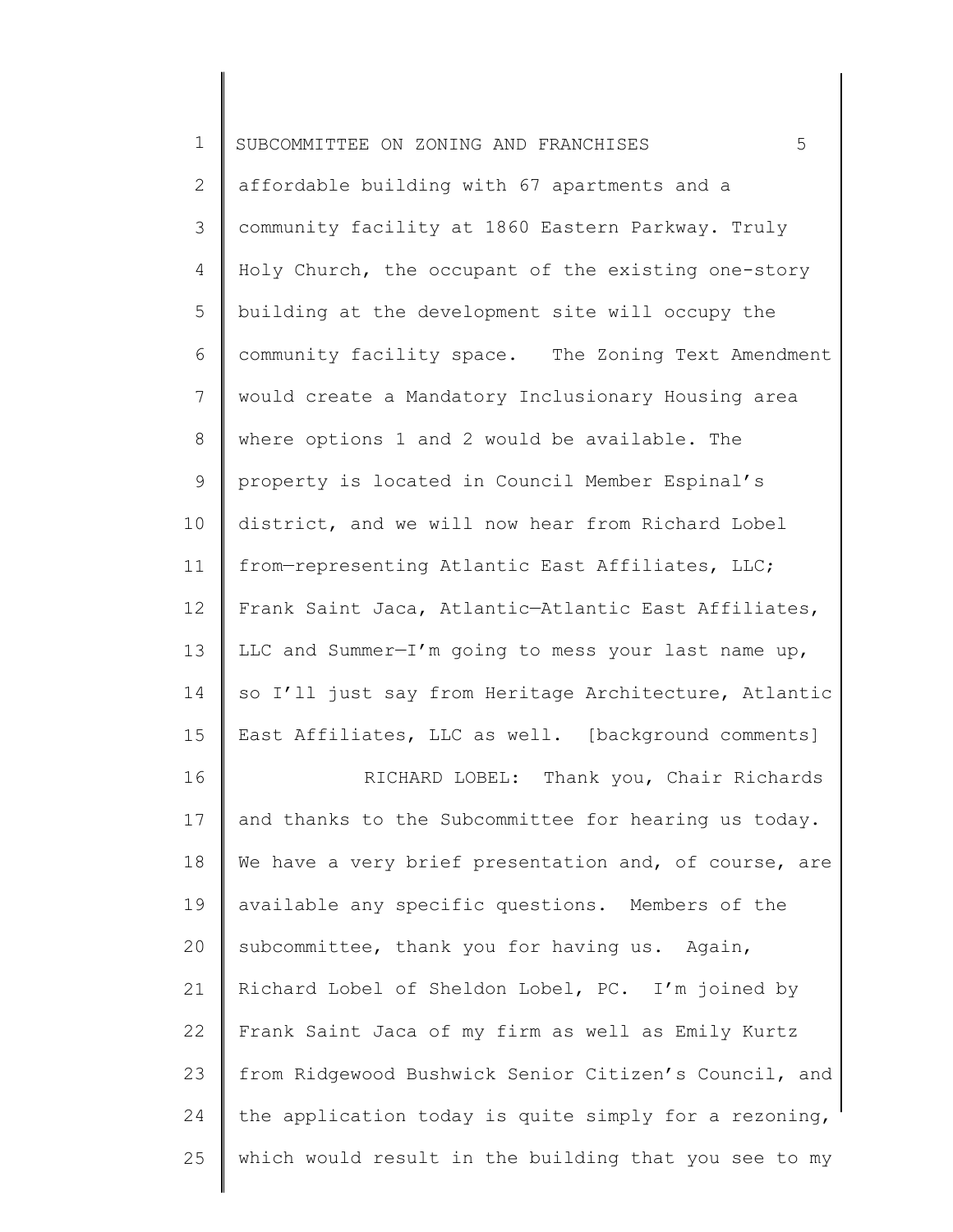| $\mathbf 1$  | 5<br>SUBCOMMITTEE ON ZONING AND FRANCHISES            |
|--------------|-------------------------------------------------------|
| $\mathbf{2}$ | affordable building with 67 apartments and a          |
| 3            | community facility at 1860 Eastern Parkway. Truly     |
| 4            | Holy Church, the occupant of the existing one-story   |
| 5            | building at the development site will occupy the      |
| 6            | community facility space. The Zoning Text Amendment   |
| 7            | would create a Mandatory Inclusionary Housing area    |
| 8            | where options 1 and 2 would be available. The         |
| 9            | property is located in Council Member Espinal's       |
| 10           | district, and we will now hear from Richard Lobel     |
| 11           | from-representing Atlantic East Affiliates, LLC;      |
| 12           | Frank Saint Jaca, Atlantic-Atlantic East Affiliates,  |
| 13           | LLC and Summer-I'm going to mess your last name up,   |
| 14           | so I'll just say from Heritage Architecture, Atlantic |
| 15           | East Affiliates, LLC as well. [background comments]   |
| 16           | RICHARD LOBEL: Thank you, Chair Richards              |
| 17           | and thanks to the Subcommittee for hearing us today.  |
| 18           | We have a very brief presentation and, of course, are |
| 19           | available any specific questions. Members of the      |
| 20           | subcommittee, thank you for having us. Again,         |
| 21           | Richard Lobel of Sheldon Lobel, PC. I'm joined by     |
| 22           | Frank Saint Jaca of my firm as well as Emily Kurtz    |
| 23           | from Ridgewood Bushwick Senior Citizen's Council, and |
| 24           | the application today is quite simply for a rezoning, |
| 25           | which would result in the building that you see to my |
|              |                                                       |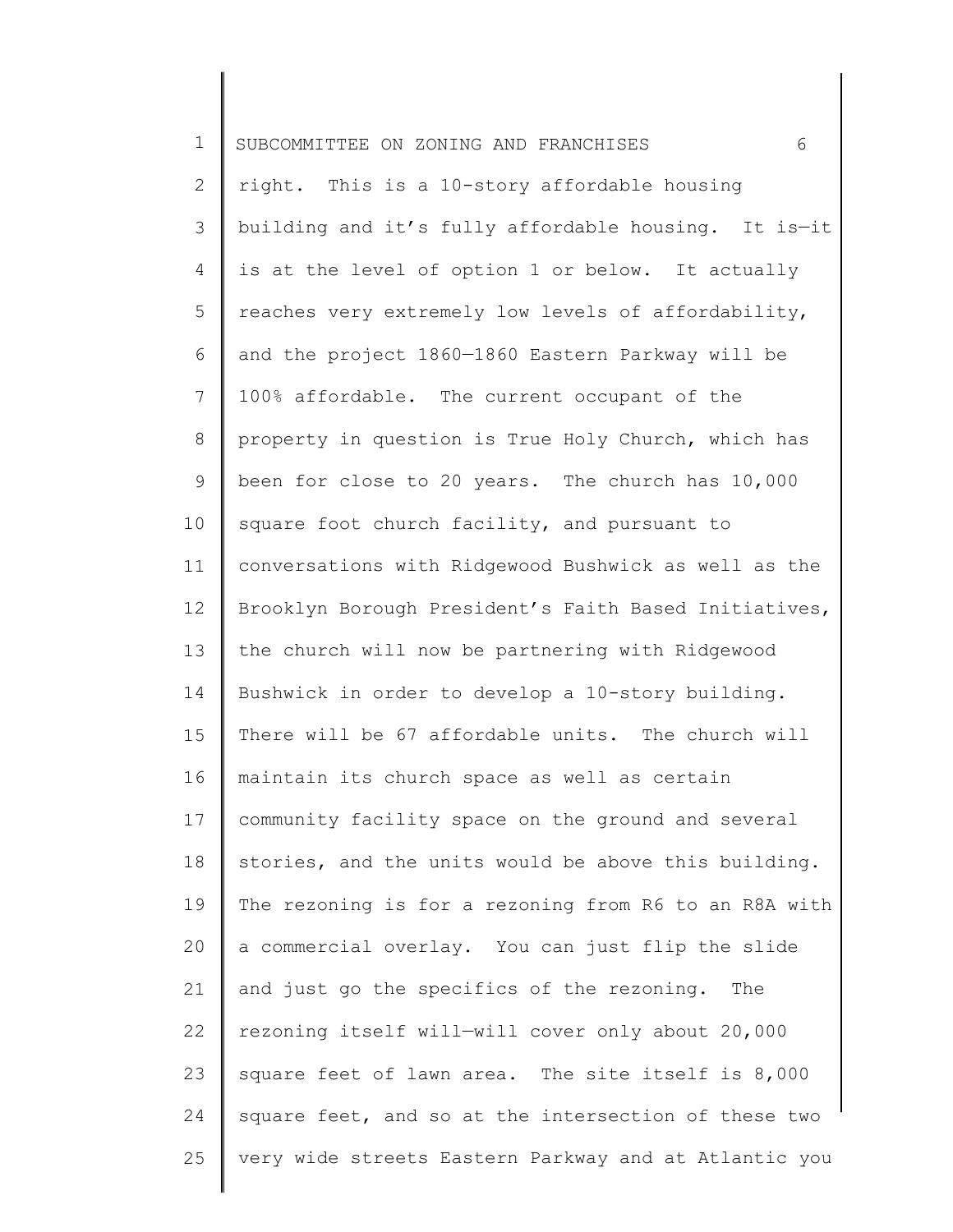| $\mathbf 1$     | SUBCOMMITTEE ON ZONING AND FRANCHISES<br>6            |
|-----------------|-------------------------------------------------------|
| $\mathbf{2}$    | right. This is a 10-story affordable housing          |
| 3               | building and it's fully affordable housing. It is-it  |
| 4               | is at the level of option 1 or below. It actually     |
| 5               | reaches very extremely low levels of affordability,   |
| 6               | and the project 1860-1860 Eastern Parkway will be     |
| $7\overline{ }$ | 100% affordable. The current occupant of the          |
| 8               | property in question is True Holy Church, which has   |
| $\mathsf 9$     | been for close to 20 years. The church has 10,000     |
| 10              | square foot church facility, and pursuant to          |
| 11              | conversations with Ridgewood Bushwick as well as the  |
| 12              | Brooklyn Borough President's Faith Based Initiatives, |
| 13              | the church will now be partnering with Ridgewood      |
| 14              | Bushwick in order to develop a 10-story building.     |
| 15              | There will be 67 affordable units. The church will    |
| 16              | maintain its church space as well as certain          |
| 17              | community facility space on the ground and several    |
| 18              | stories, and the units would be above this building.  |
| 19              | The rezoning is for a rezoning from R6 to an R8A with |
| 20              | a commercial overlay. You can just flip the slide     |
| 21              | and just go the specifics of the rezoning. The        |
| 22              | rezoning itself will-will cover only about 20,000     |
| 23              | square feet of lawn area. The site itself is 8,000    |
| 24              | square feet, and so at the intersection of these two  |
| 25              | very wide streets Eastern Parkway and at Atlantic you |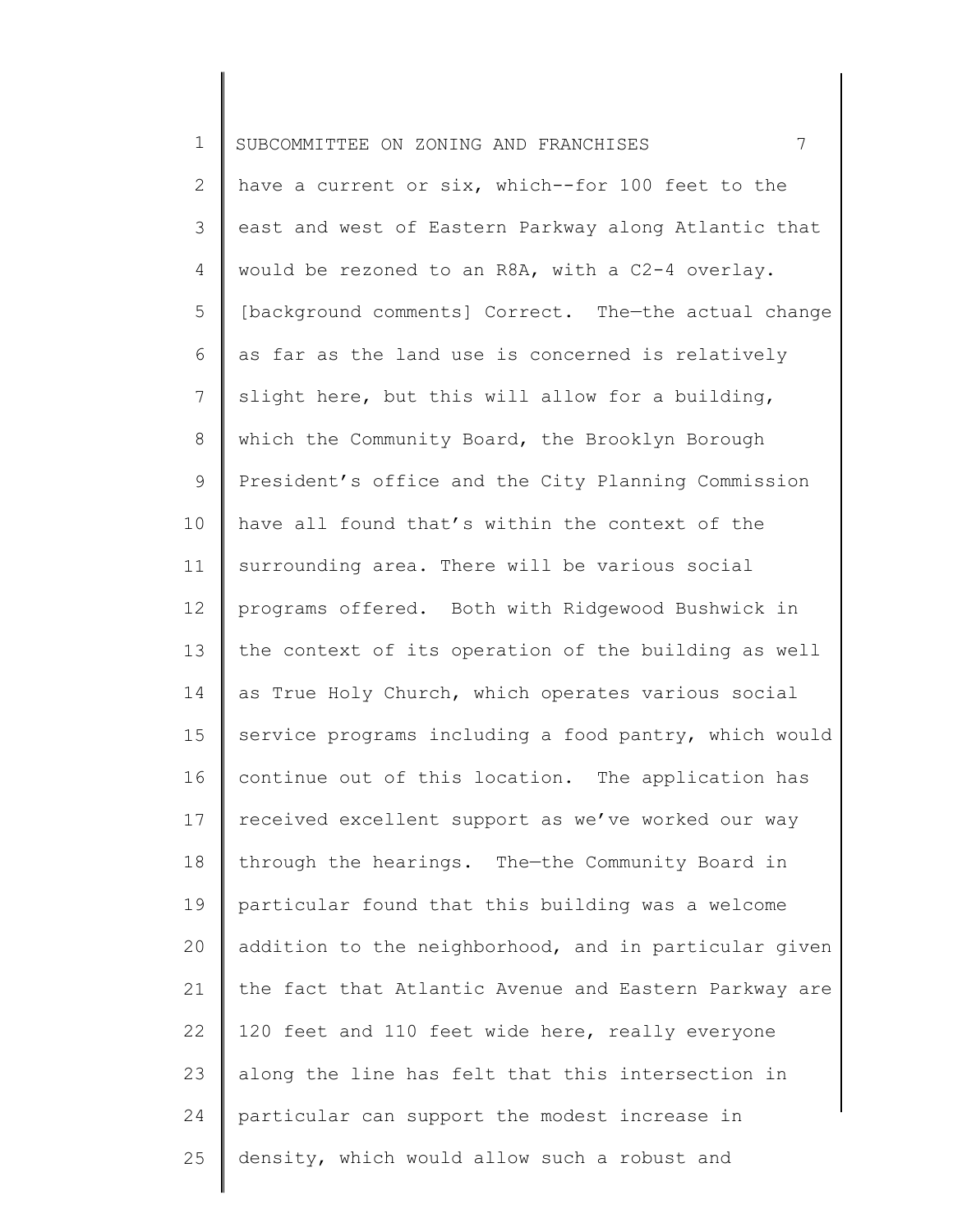| $\mathbf 1$    | 7<br>SUBCOMMITTEE ON ZONING AND FRANCHISES            |
|----------------|-------------------------------------------------------|
| $\mathbf{2}$   | have a current or six, which--for 100 feet to the     |
| 3              | east and west of Eastern Parkway along Atlantic that  |
| 4              | would be rezoned to an R8A, with a C2-4 overlay.      |
| 5              | [background comments] Correct. The-the actual change  |
| 6              | as far as the land use is concerned is relatively     |
| $7\phantom{.}$ | slight here, but this will allow for a building,      |
| $8\,$          | which the Community Board, the Brooklyn Borough       |
| 9              | President's office and the City Planning Commission   |
| 10             | have all found that's within the context of the       |
| 11             | surrounding area. There will be various social        |
| 12             | programs offered. Both with Ridgewood Bushwick in     |
| 13             | the context of its operation of the building as well  |
| 14             | as True Holy Church, which operates various social    |
| 15             | service programs including a food pantry, which would |
| 16             | continue out of this location. The application has    |
| 17             | received excellent support as we've worked our way    |
| 18             | through the hearings. The-the Community Board in      |
| 19             | particular found that this building was a welcome     |
| 20             | addition to the neighborhood, and in particular given |
| 21             | the fact that Atlantic Avenue and Eastern Parkway are |
| 22             | 120 feet and 110 feet wide here, really everyone      |
| 23             | along the line has felt that this intersection in     |
| 24             | particular can support the modest increase in         |
| 25             | density, which would allow such a robust and          |
|                |                                                       |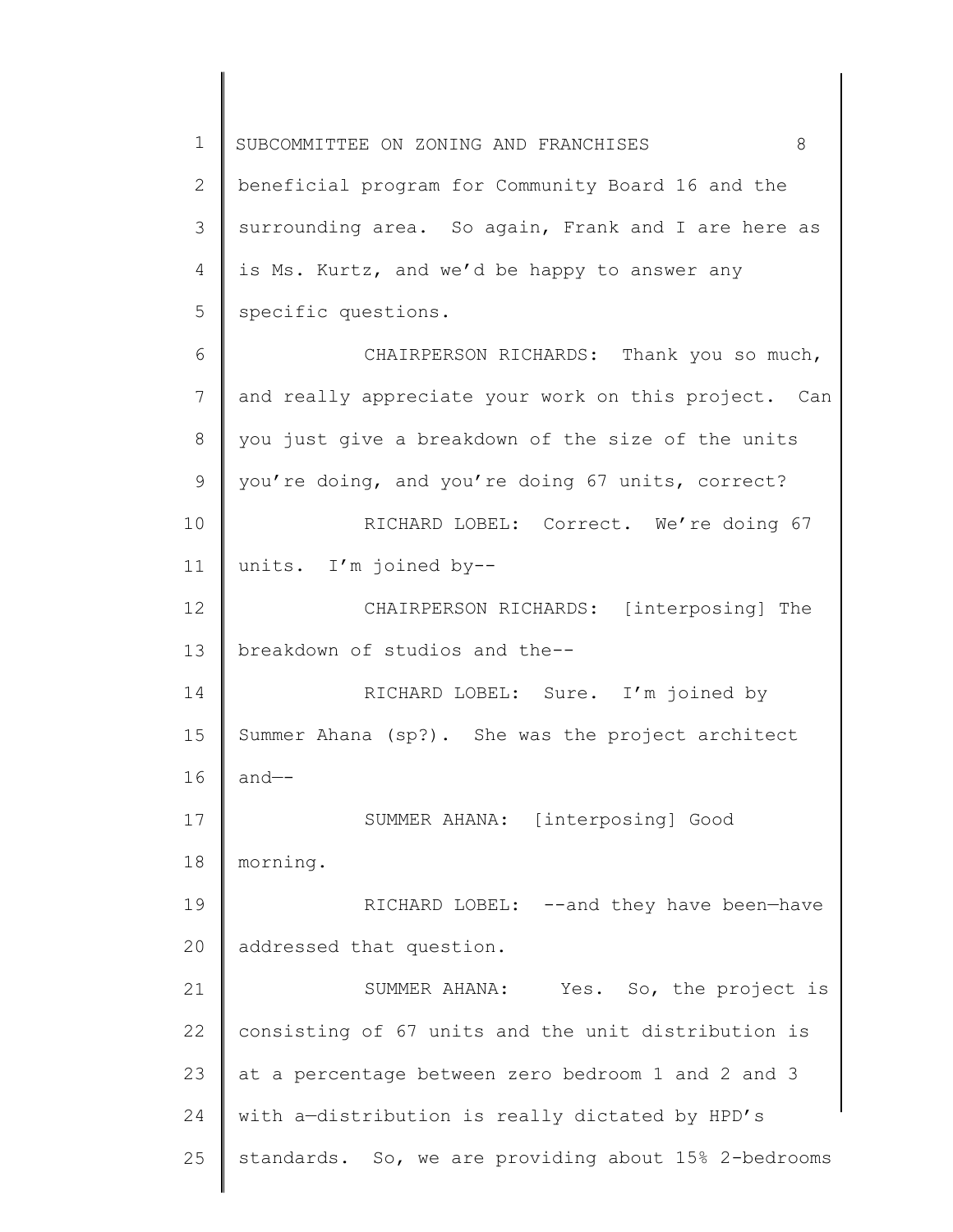1 2 3 4 5 6 7 8 9 10 11 12 13 14 15 16 17 18 19 20 21 22 23 24 25 SUBCOMMITTEE ON ZONING AND FRANCHISES 8 beneficial program for Community Board 16 and the surrounding area. So again, Frank and I are here as is Ms. Kurtz, and we'd be happy to answer any specific questions. CHAIRPERSON RICHARDS: Thank you so much, and really appreciate your work on this project. Can you just give a breakdown of the size of the units you're doing, and you're doing 67 units, correct? RICHARD LOBEL: Correct. We're doing 67 units. I'm joined by-- CHAIRPERSON RICHARDS: [interposing] The breakdown of studios and the-- RICHARD LOBEL: Sure. I'm joined by Summer Ahana (sp?). She was the project architect and—- SUMMER AHANA: [interposing] Good morning. RICHARD LOBEL: --and they have been—have addressed that question. SUMMER AHANA: Yes. So, the project is consisting of 67 units and the unit distribution is at a percentage between zero bedroom 1 and 2 and 3 with a—distribution is really dictated by HPD's standards. So, we are providing about 15% 2-bedrooms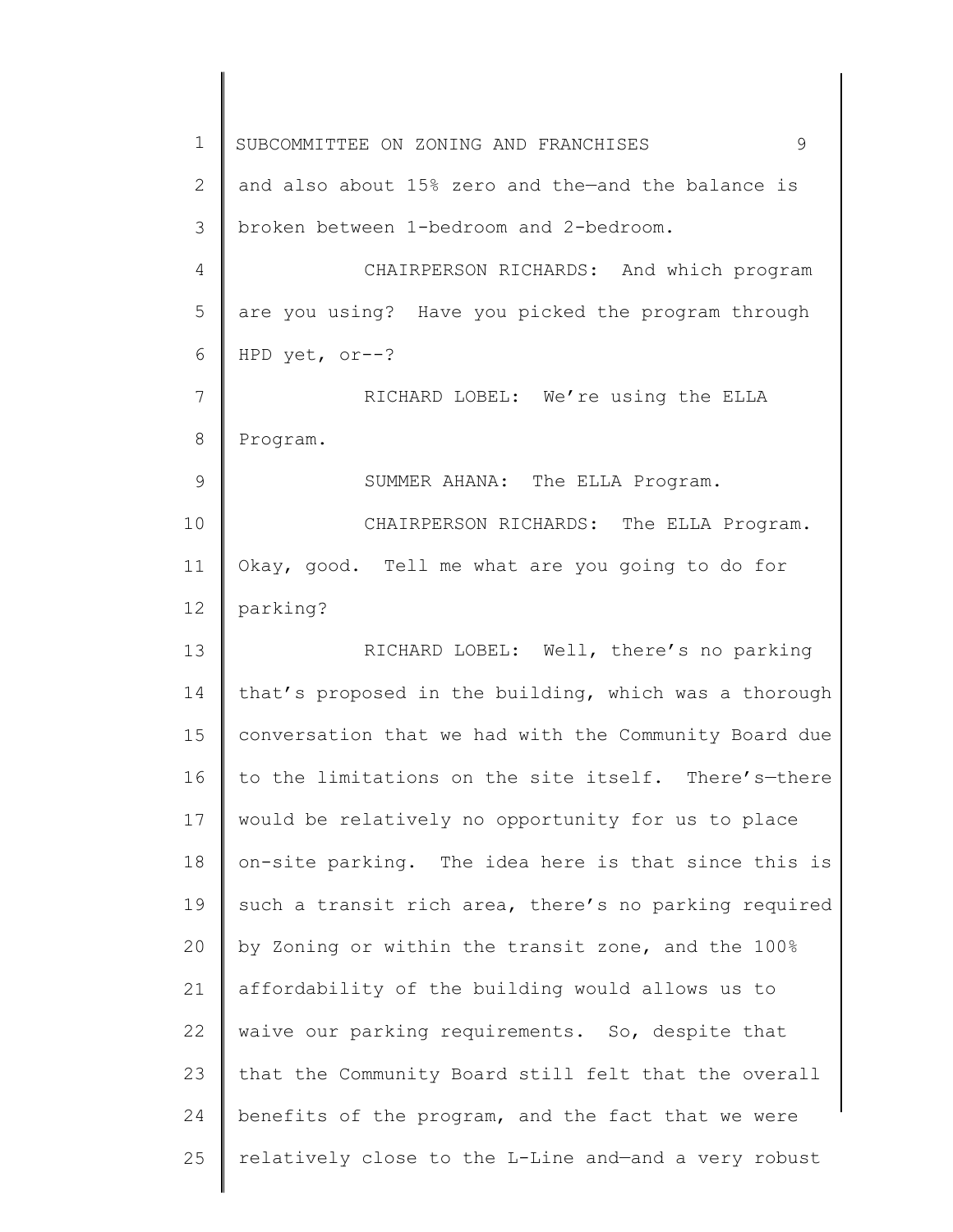| 1  | SUBCOMMITTEE ON ZONING AND FRANCHISES<br>9            |
|----|-------------------------------------------------------|
| 2  | and also about 15% zero and the-and the balance is    |
| 3  | broken between 1-bedroom and 2-bedroom.               |
| 4  | CHAIRPERSON RICHARDS: And which program               |
| 5  | are you using? Have you picked the program through    |
| 6  | HPD yet, $or--?$                                      |
| 7  | RICHARD LOBEL: We're using the ELLA                   |
| 8  | Program.                                              |
| 9  | SUMMER AHANA: The ELLA Program.                       |
| 10 | CHAIRPERSON RICHARDS: The ELLA Program.               |
| 11 | Okay, good. Tell me what are you going to do for      |
| 12 | parking?                                              |
| 13 | RICHARD LOBEL: Well, there's no parking               |
| 14 | that's proposed in the building, which was a thorough |
| 15 | conversation that we had with the Community Board due |
| 16 | to the limitations on the site itself. There's-there  |
| 17 | would be relatively no opportunity for us to place    |
| 18 | on-site parking. The idea here is that since this is  |
| 19 | such a transit rich area, there's no parking required |
| 20 | by Zoning or within the transit zone, and the 100%    |
| 21 | affordability of the building would allows us to      |
| 22 | waive our parking requirements. So, despite that      |
| 23 | that the Community Board still felt that the overall  |
| 24 | benefits of the program, and the fact that we were    |
| 25 | relatively close to the L-Line and-and a very robust  |
|    |                                                       |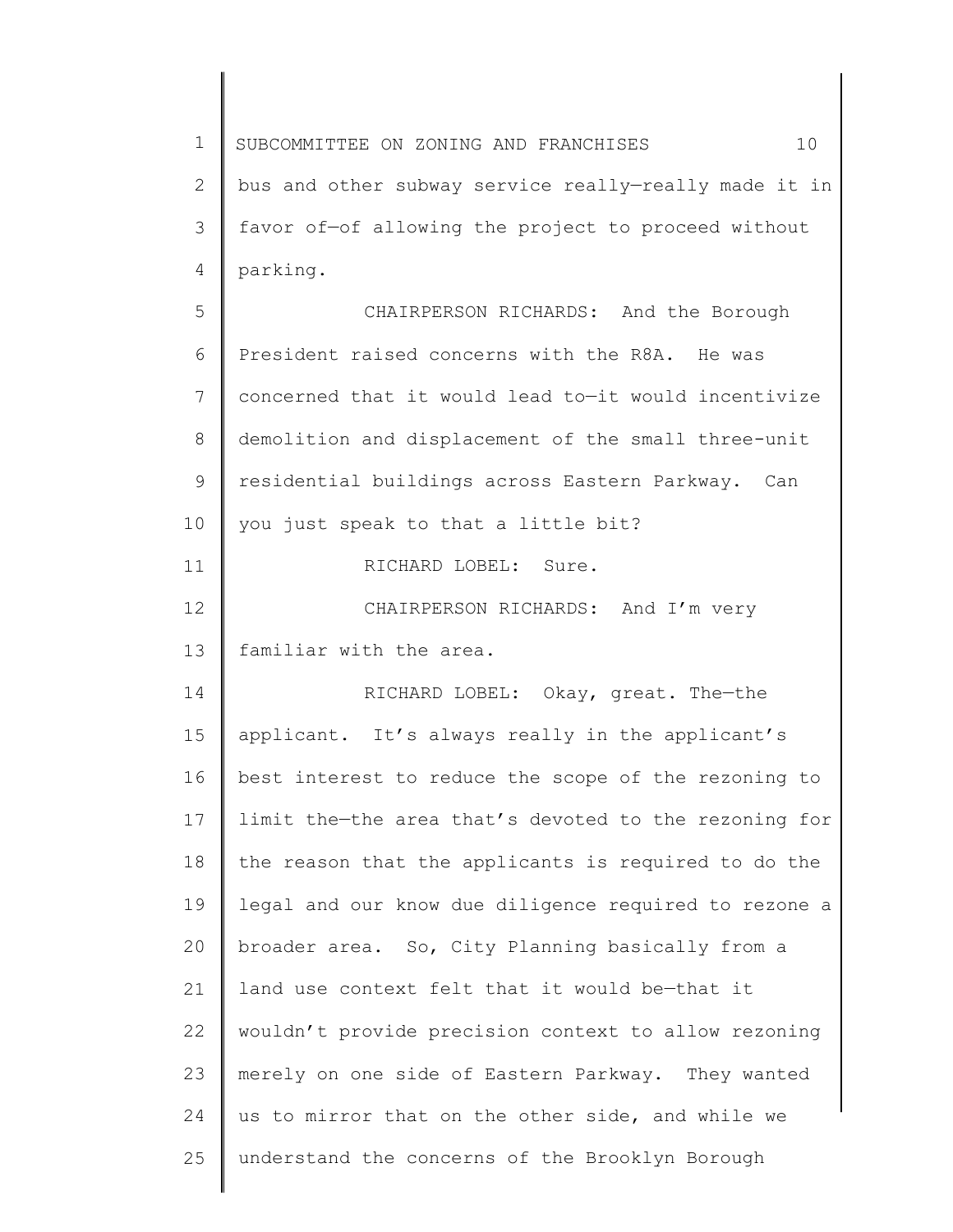1 2 3 4 5 6 7 8 9 10 11 12 13 14 15 16 17 18 19 20 21 22 23 24 25 SUBCOMMITTEE ON ZONING AND FRANCHISES  $10$ bus and other subway service really—really made it in favor of—of allowing the project to proceed without parking. CHAIRPERSON RICHARDS: And the Borough President raised concerns with the R8A. He was concerned that it would lead to—it would incentivize demolition and displacement of the small three-unit residential buildings across Eastern Parkway. Can you just speak to that a little bit? RICHARD LOBEL: Sure. CHAIRPERSON RICHARDS: And I'm very familiar with the area. RICHARD LOBEL: Okay, great. The—the applicant. It's always really in the applicant's best interest to reduce the scope of the rezoning to limit the—the area that's devoted to the rezoning for the reason that the applicants is required to do the legal and our know due diligence required to rezone a broader area. So, City Planning basically from a land use context felt that it would be—that it wouldn't provide precision context to allow rezoning merely on one side of Eastern Parkway. They wanted us to mirror that on the other side, and while we understand the concerns of the Brooklyn Borough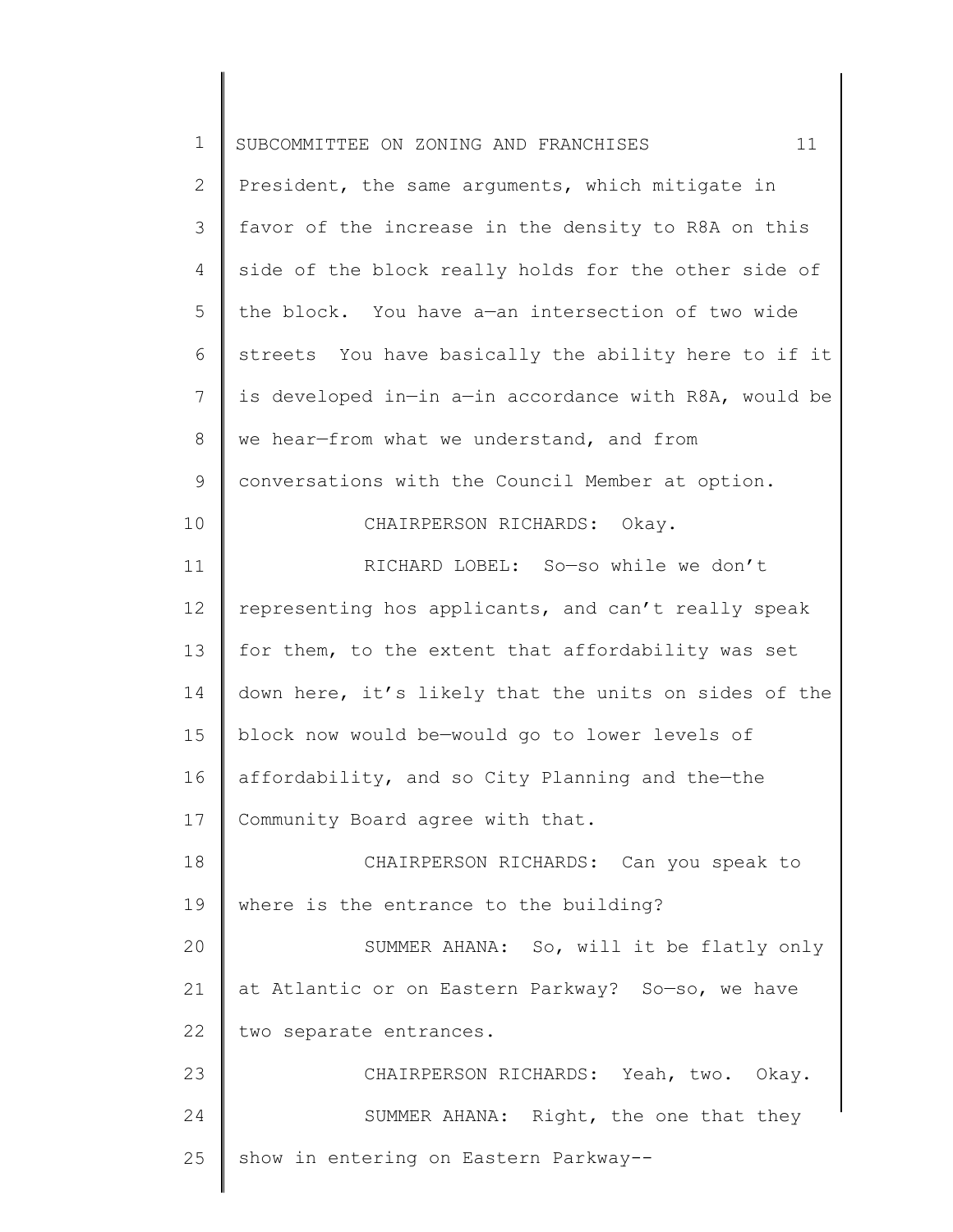| $\mathbf 1$ | 11<br>SUBCOMMITTEE ON ZONING AND FRANCHISES           |
|-------------|-------------------------------------------------------|
| 2           | President, the same arguments, which mitigate in      |
| 3           | favor of the increase in the density to R8A on this   |
| 4           | side of the block really holds for the other side of  |
| 5           | the block. You have a-an intersection of two wide     |
| 6           | streets You have basically the ability here to if it  |
| 7           | is developed in-in a-in accordance with R8A, would be |
| 8           | we hear-from what we understand, and from             |
| 9           | conversations with the Council Member at option.      |
| 10          | CHAIRPERSON RICHARDS: Okay.                           |
| 11          | RICHARD LOBEL: So-so while we don't                   |
| 12          | representing hos applicants, and can't really speak   |
| 13          | for them, to the extent that affordability was set    |
| 14          | down here, it's likely that the units on sides of the |
| 15          | block now would be-would go to lower levels of        |
| 16          | affordability, and so City Planning and the-the       |
| 17          | Community Board agree with that.                      |
| 18          | CHAIRPERSON RICHARDS: Can you speak to                |
| 19          | where is the entrance to the building?                |
| 20          | SUMMER AHANA: So, will it be flatly only              |
| 21          | at Atlantic or on Eastern Parkway? So-so, we have     |
| 22          | two separate entrances.                               |
| 23          | CHAIRPERSON RICHARDS: Yeah, two. Okay.                |
| 24          | SUMMER AHANA: Right, the one that they                |
| 25          | show in entering on Eastern Parkway--                 |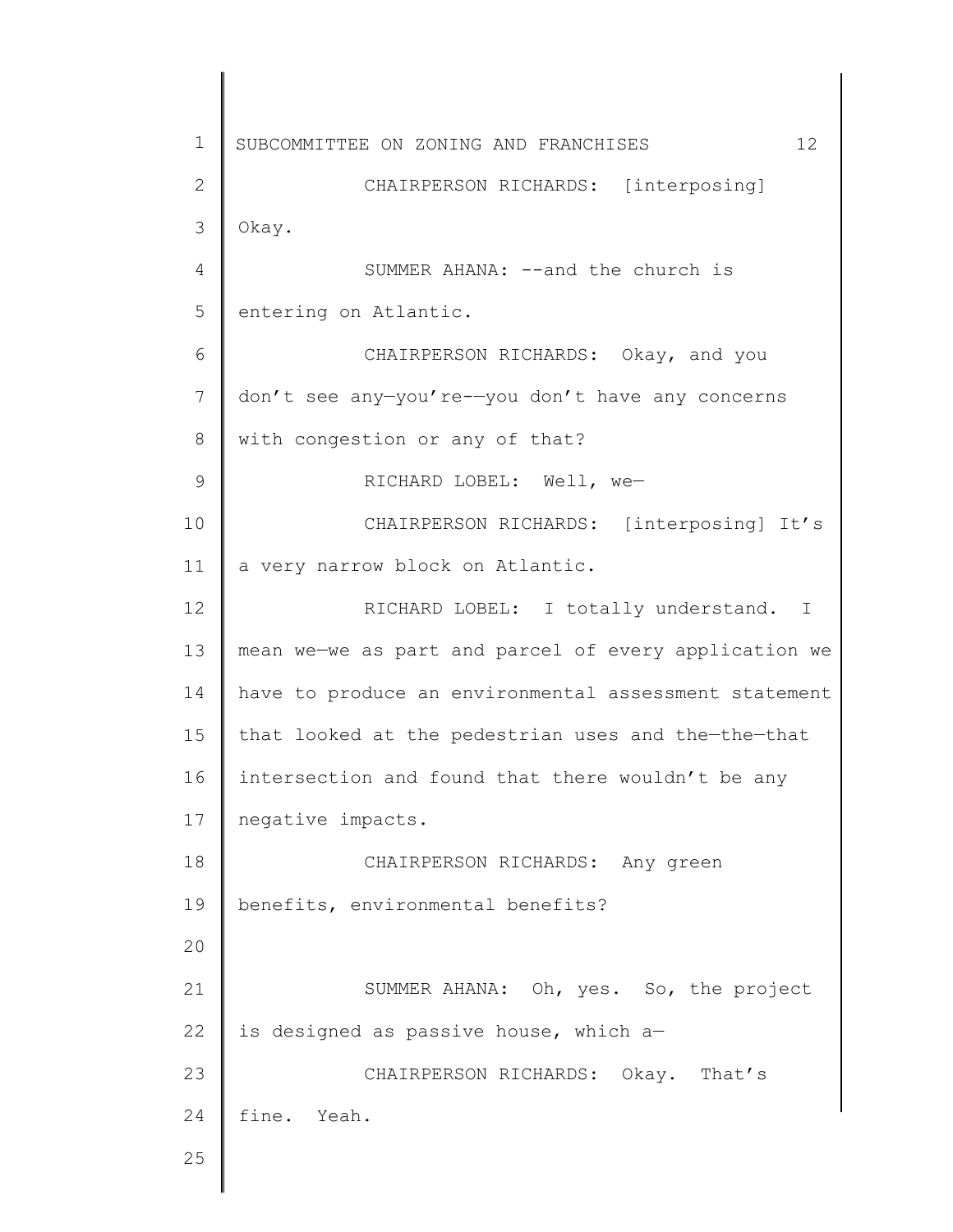1 2 3 4 5 6 7 8 9 10 11 12 13 14 15 16 17 18 19 20 21 22 23 24 25 SUBCOMMITTEE ON ZONING AND FRANCHISES 12 CHAIRPERSON RICHARDS: [interposing] Okay. SUMMER AHANA: --and the church is entering on Atlantic. CHAIRPERSON RICHARDS: Okay, and you don't see any—you're-—you don't have any concerns with congestion or any of that? RICHARD LOBEL: Well, we— CHAIRPERSON RICHARDS: [interposing] It's a very narrow block on Atlantic. RICHARD LOBEL: I totally understand. I mean we—we as part and parcel of every application we have to produce an environmental assessment statement that looked at the pedestrian uses and the—the—that intersection and found that there wouldn't be any negative impacts. CHAIRPERSON RICHARDS: Any green benefits, environmental benefits? SUMMER AHANA: Oh, yes. So, the project is designed as passive house, which a— CHAIRPERSON RICHARDS: Okay. That's fine. Yeah.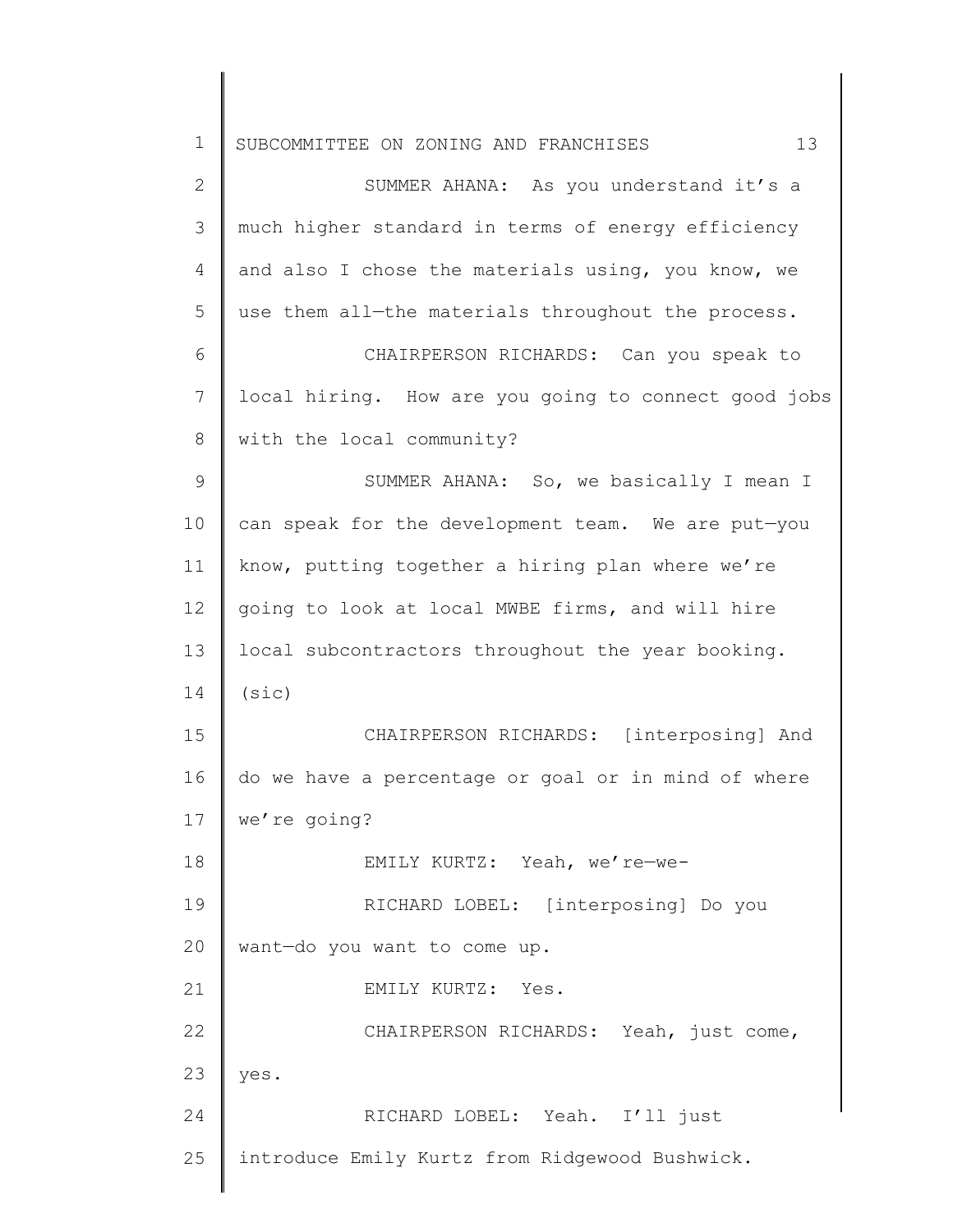| $\mathbf 1$   | 13<br>SUBCOMMITTEE ON ZONING AND FRANCHISES          |
|---------------|------------------------------------------------------|
| $\mathbf{2}$  | SUMMER AHANA: As you understand it's a               |
| 3             | much higher standard in terms of energy efficiency   |
| 4             | and also I chose the materials using, you know, we   |
| 5             | use them all-the materials throughout the process.   |
| 6             | CHAIRPERSON RICHARDS: Can you speak to               |
| 7             | local hiring. How are you going to connect good jobs |
| 8             | with the local community?                            |
| $\mathcal{G}$ | SUMMER AHANA: So, we basically I mean I              |
| 10            | can speak for the development team. We are put-you   |
| 11            | know, putting together a hiring plan where we're     |
| 12            | going to look at local MWBE firms, and will hire     |
| 13            | local subcontractors throughout the year booking.    |
| 14            | (sic)                                                |
| 15            | CHAIRPERSON RICHARDS: [interposing] And              |
| 16            | do we have a percentage or goal or in mind of where  |
| 17            | we're going?                                         |
| 18            | EMILY KURTZ: Yeah, we're-we-                         |
| 19            | RICHARD LOBEL: [interposing] Do you                  |
| 20            | want-do you want to come up.                         |
| 21            | EMILY KURTZ: Yes.                                    |
| 22            | CHAIRPERSON RICHARDS: Yeah, just come,               |
| 23            | yes.                                                 |
| 24            | RICHARD LOBEL: Yeah. I'll just                       |
| 25            | introduce Emily Kurtz from Ridgewood Bushwick.       |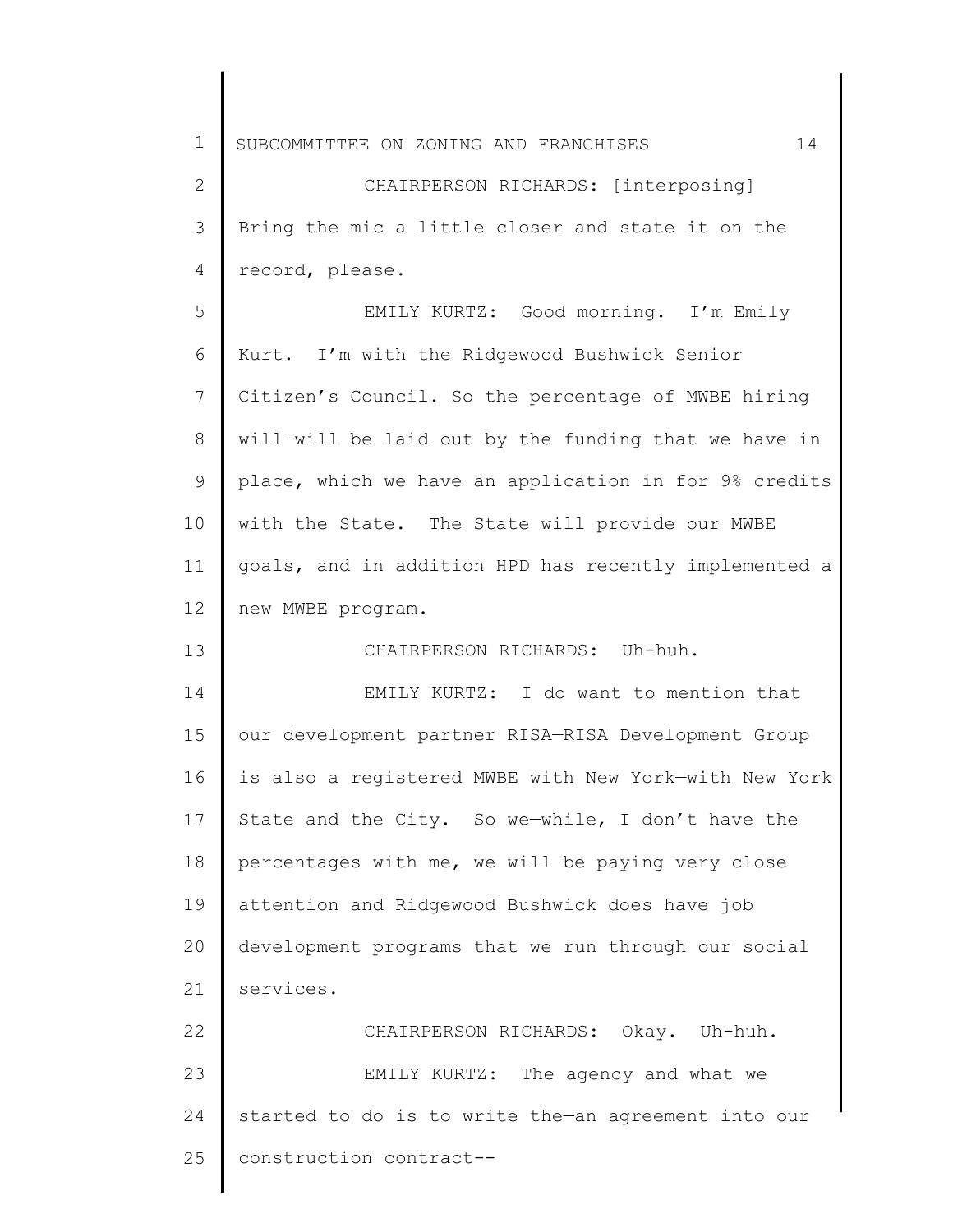1 2 3 4 5 6 7 8 9 10 11 12 13 14 15 16 17 18 19 20 21 22 23 24 25 SUBCOMMITTEE ON ZONING AND FRANCHISES 14 CHAIRPERSON RICHARDS: [interposing] Bring the mic a little closer and state it on the record, please. EMILY KURTZ: Good morning. I'm Emily Kurt. I'm with the Ridgewood Bushwick Senior Citizen's Council. So the percentage of MWBE hiring will—will be laid out by the funding that we have in place, which we have an application in for 9% credits with the State. The State will provide our MWBE goals, and in addition HPD has recently implemented a new MWBE program. CHAIRPERSON RICHARDS: Uh-huh. EMILY KURTZ: I do want to mention that our development partner RISA—RISA Development Group is also a registered MWBE with New York—with New York State and the City. So we—while, I don't have the percentages with me, we will be paying very close attention and Ridgewood Bushwick does have job development programs that we run through our social services. CHAIRPERSON RICHARDS: Okay. Uh-huh. EMILY KURTZ: The agency and what we started to do is to write the—an agreement into our construction contract--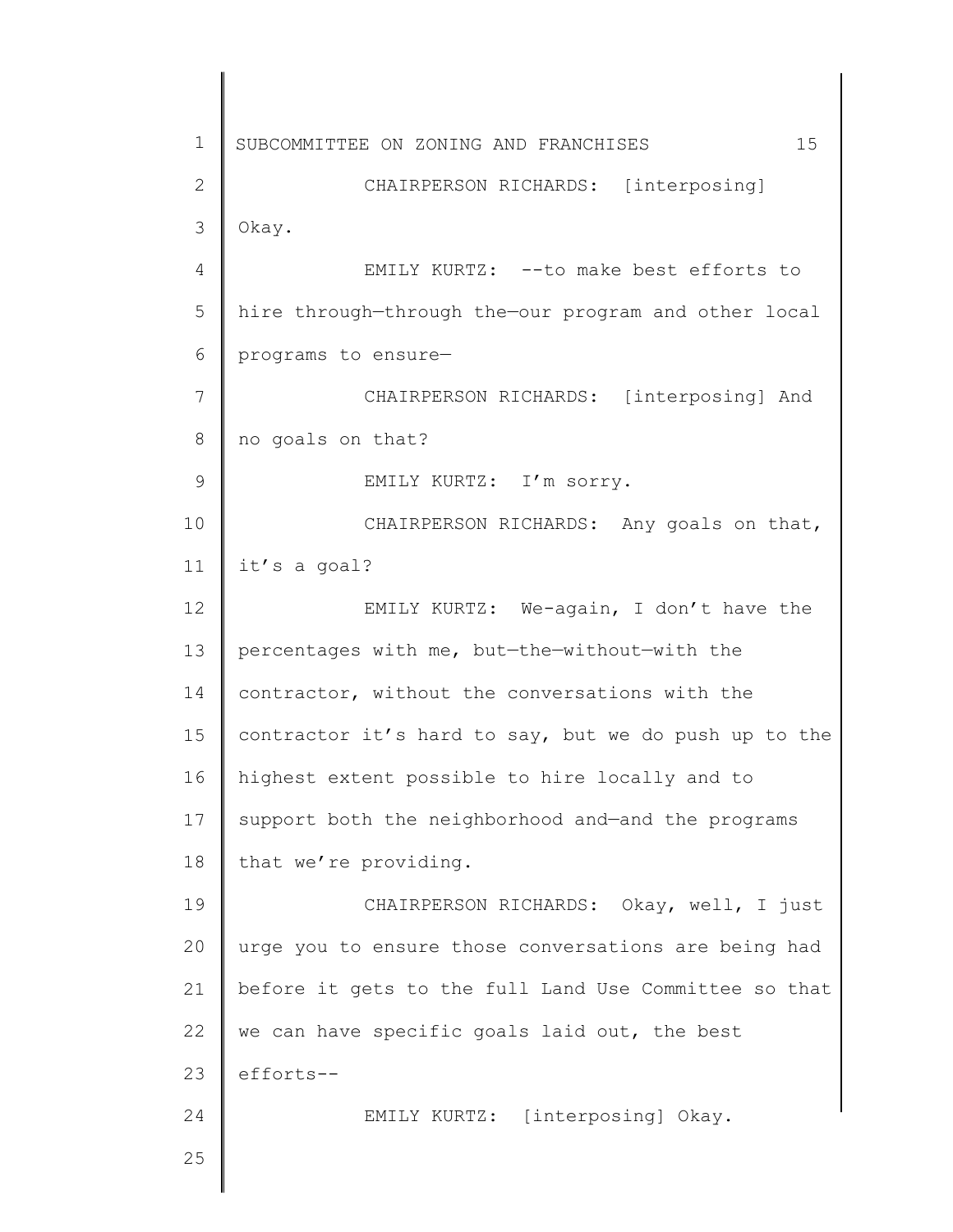1 2 3 4 5 6 7 8 9 10 11 12 13 14 15 16 17 18 19 20 21 22 23 24 25 SUBCOMMITTEE ON ZONING AND FRANCHISES 15 CHAIRPERSON RICHARDS: [interposing] Okay. EMILY KURTZ: --to make best efforts to hire through—through the—our program and other local programs to ensure— CHAIRPERSON RICHARDS: [interposing] And no goals on that? EMILY KURTZ: I'm sorry. CHAIRPERSON RICHARDS: Any goals on that, it's a goal? EMILY KURTZ: We-again, I don't have the percentages with me, but—the—without—with the contractor, without the conversations with the contractor it's hard to say, but we do push up to the highest extent possible to hire locally and to support both the neighborhood and—and the programs that we're providing. CHAIRPERSON RICHARDS: Okay, well, I just urge you to ensure those conversations are being had before it gets to the full Land Use Committee so that we can have specific goals laid out, the best efforts-- EMILY KURTZ: [interposing] Okay.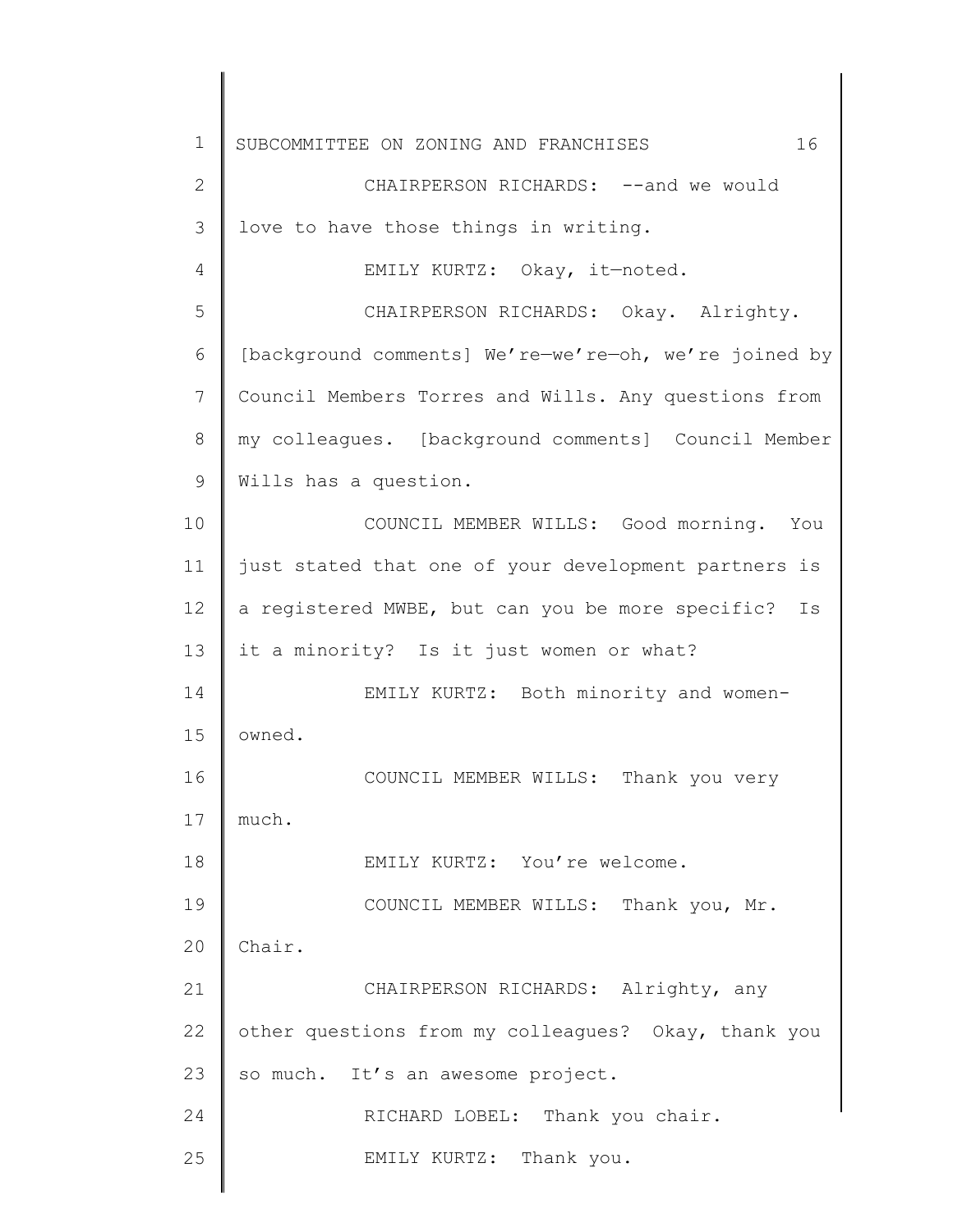1 2 3 4 5 6 7 8 9 10 11 12 13 14 15 16 17 18 19 20 21 22 23 24 25 SUBCOMMITTEE ON ZONING AND FRANCHISES 16 CHAIRPERSON RICHARDS: --and we would love to have those things in writing. EMILY KURTZ: Okay, it—noted. CHAIRPERSON RICHARDS: Okay. Alrighty. [background comments] We're—we're—oh, we're joined by Council Members Torres and Wills. Any questions from my colleagues. [background comments] Council Member Wills has a question. COUNCIL MEMBER WILLS: Good morning. You just stated that one of your development partners is a registered MWBE, but can you be more specific? Is it a minority? Is it just women or what? EMILY KURTZ: Both minority and womenowned. COUNCIL MEMBER WILLS: Thank you very much. EMILY KURTZ: You're welcome. COUNCIL MEMBER WILLS: Thank you, Mr. Chair. CHAIRPERSON RICHARDS: Alrighty, any other questions from my colleagues? Okay, thank you so much. It's an awesome project. RICHARD LOBEL: Thank you chair. EMILY KURTZ: Thank you.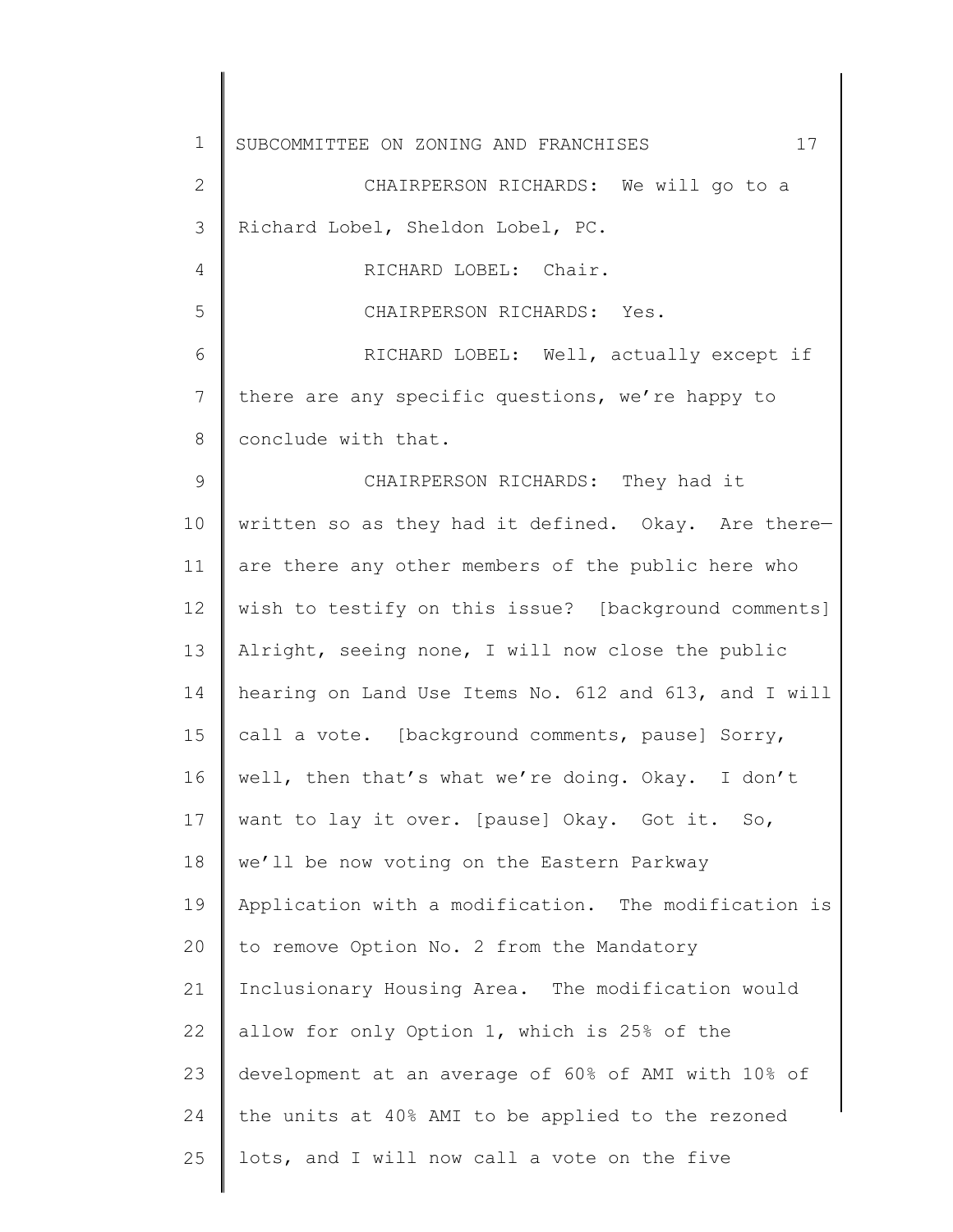| $\mathbf 1$   | 17<br>SUBCOMMITTEE ON ZONING AND FRANCHISES           |
|---------------|-------------------------------------------------------|
| $\mathbf{2}$  | CHAIRPERSON RICHARDS: We will go to a                 |
| 3             | Richard Lobel, Sheldon Lobel, PC.                     |
| 4             | RICHARD LOBEL: Chair.                                 |
| 5             | CHAIRPERSON RICHARDS: Yes.                            |
| 6             | RICHARD LOBEL: Well, actually except if               |
| 7             | there are any specific questions, we're happy to      |
| 8             | conclude with that.                                   |
| $\mathcal{G}$ | CHAIRPERSON RICHARDS: They had it                     |
| 10            | written so as they had it defined. Okay. Are there-   |
| 11            | are there any other members of the public here who    |
| 12            | wish to testify on this issue? [background comments]  |
| 13            | Alright, seeing none, I will now close the public     |
| 14            | hearing on Land Use Items No. 612 and 613, and I will |
| 15            | call a vote. [background comments, pause] Sorry,      |
| 16            | well, then that's what we're doing. Okay. I don't     |
| 17            | want to lay it over. [pause] Okay. Got it. So,        |
| 18            | we'll be now voting on the Eastern Parkway            |
| 19            | Application with a modification. The modification is  |
| 20            | to remove Option No. 2 from the Mandatory             |
| 21            | Inclusionary Housing Area. The modification would     |
| 22            | allow for only Option 1, which is 25% of the          |
| 23            | development at an average of 60% of AMI with 10% of   |
| 24            | the units at 40% AMI to be applied to the rezoned     |
| 25            | lots, and I will now call a vote on the five          |
|               |                                                       |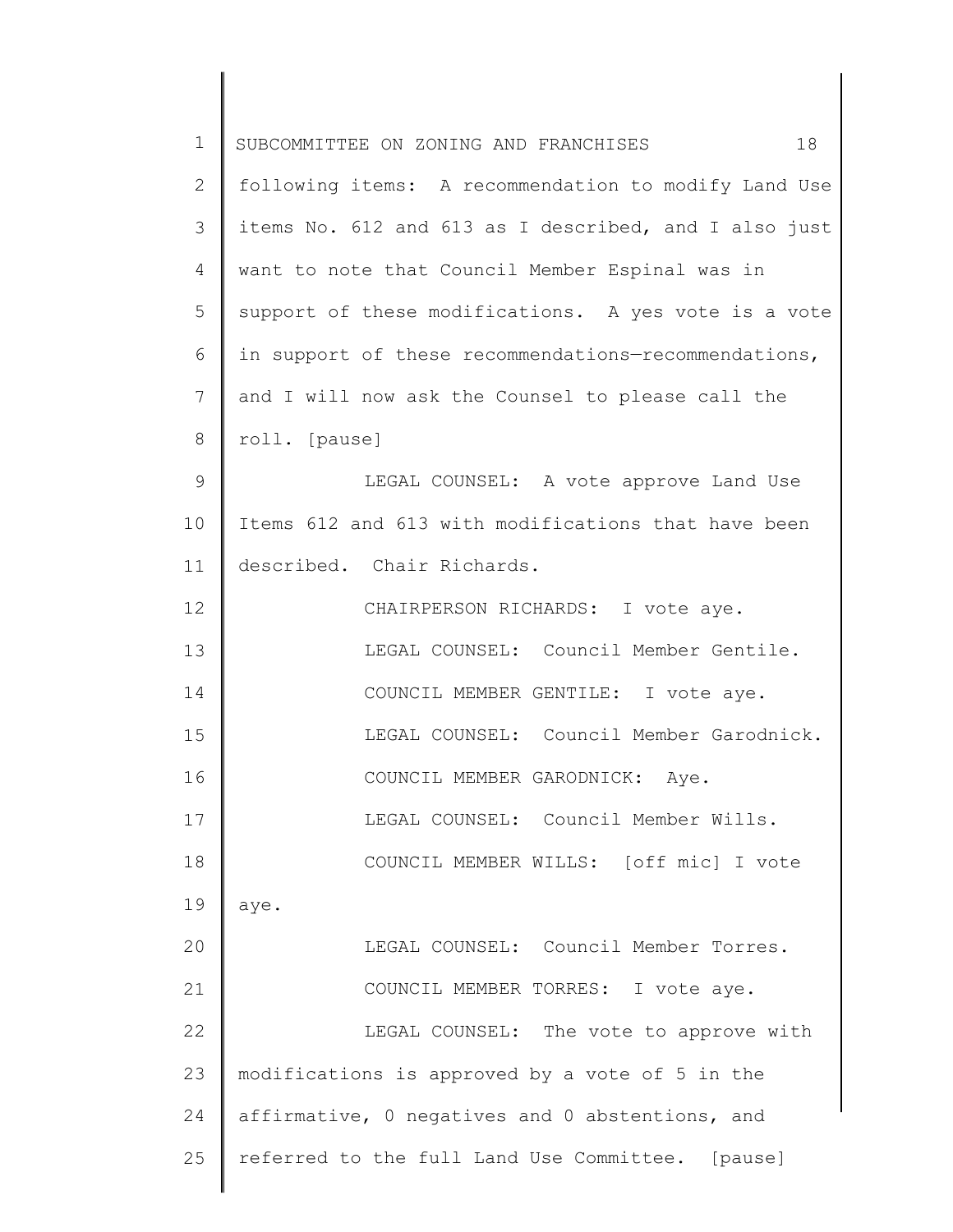| $\mathbf 1$ | 18<br>SUBCOMMITTEE ON ZONING AND FRANCHISES           |
|-------------|-------------------------------------------------------|
| 2           | following items: A recommendation to modify Land Use  |
| 3           | items No. 612 and 613 as I described, and I also just |
| 4           | want to note that Council Member Espinal was in       |
| 5           | support of these modifications. A yes vote is a vote  |
| 6           | in support of these recommendations-recommendations,  |
| 7           | and I will now ask the Counsel to please call the     |
| 8           | roll. [pause]                                         |
| 9           | LEGAL COUNSEL: A vote approve Land Use                |
| 10          | Items 612 and 613 with modifications that have been   |
| 11          | described. Chair Richards.                            |
| 12          | CHAIRPERSON RICHARDS: I vote aye.                     |
| 13          | LEGAL COUNSEL: Council Member Gentile.                |
| 14          | COUNCIL MEMBER GENTILE: I vote aye.                   |
| 15          | LEGAL COUNSEL: Council Member Garodnick.              |
| 16          | COUNCIL MEMBER GARODNICK: Aye.                        |
| 17          | LEGAL COUNSEL: Council Member Wills.                  |
| 18          | COUNCIL MEMBER WILLS: [off mic] I vote                |
| 19          | aye.                                                  |
| 20          | LEGAL COUNSEL: Council Member Torres.                 |
| 21          | COUNCIL MEMBER TORRES: I vote aye.                    |
| 22          | LEGAL COUNSEL: The vote to approve with               |
| 23          | modifications is approved by a vote of 5 in the       |
| 24          | affirmative, 0 negatives and 0 abstentions, and       |
| 25          | referred to the full Land Use Committee. [pause]      |
|             |                                                       |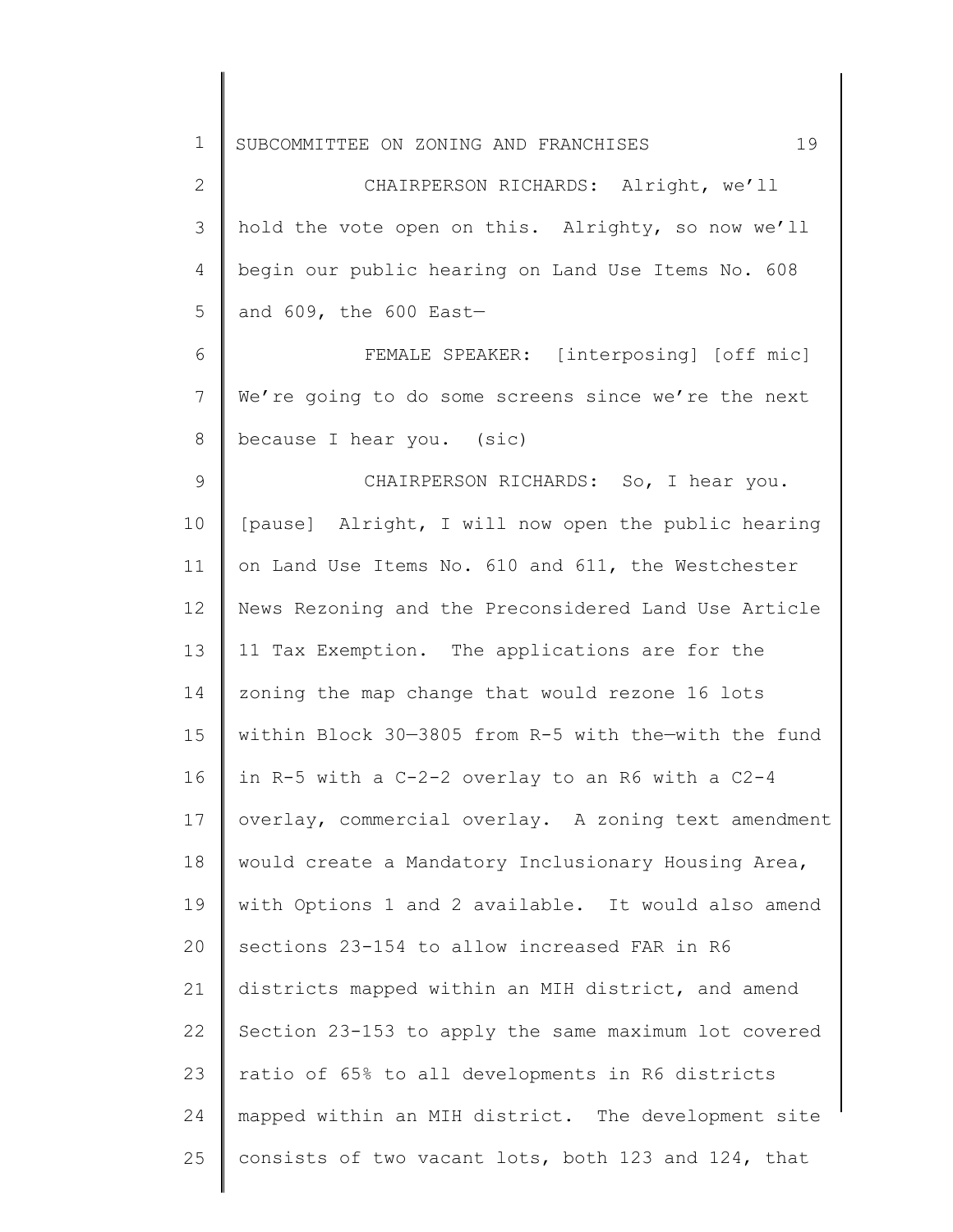2 3 4 5 CHAIRPERSON RICHARDS: Alright, we'll hold the vote open on this. Alrighty, so now we'll begin our public hearing on Land Use Items No. 608 and 609, the 600 East—

6 7 8 FEMALE SPEAKER: [interposing] [off mic] We're going to do some screens since we're the next because I hear you. (sic)

9 10 11 12 13 14 15 16 17 18 19 20 21 22 23 24 25 CHAIRPERSON RICHARDS: So, I hear you. [pause] Alright, I will now open the public hearing on Land Use Items No. 610 and 611, the Westchester News Rezoning and the Preconsidered Land Use Article 11 Tax Exemption. The applications are for the zoning the map change that would rezone 16 lots within Block 30—3805 from R-5 with the—with the fund in R-5 with a C-2-2 overlay to an R6 with a C2-4 overlay, commercial overlay. A zoning text amendment would create a Mandatory Inclusionary Housing Area, with Options 1 and 2 available. It would also amend sections 23-154 to allow increased FAR in R6 districts mapped within an MIH district, and amend Section 23-153 to apply the same maximum lot covered ratio of 65% to all developments in R6 districts mapped within an MIH district. The development site consists of two vacant lots, both 123 and 124, that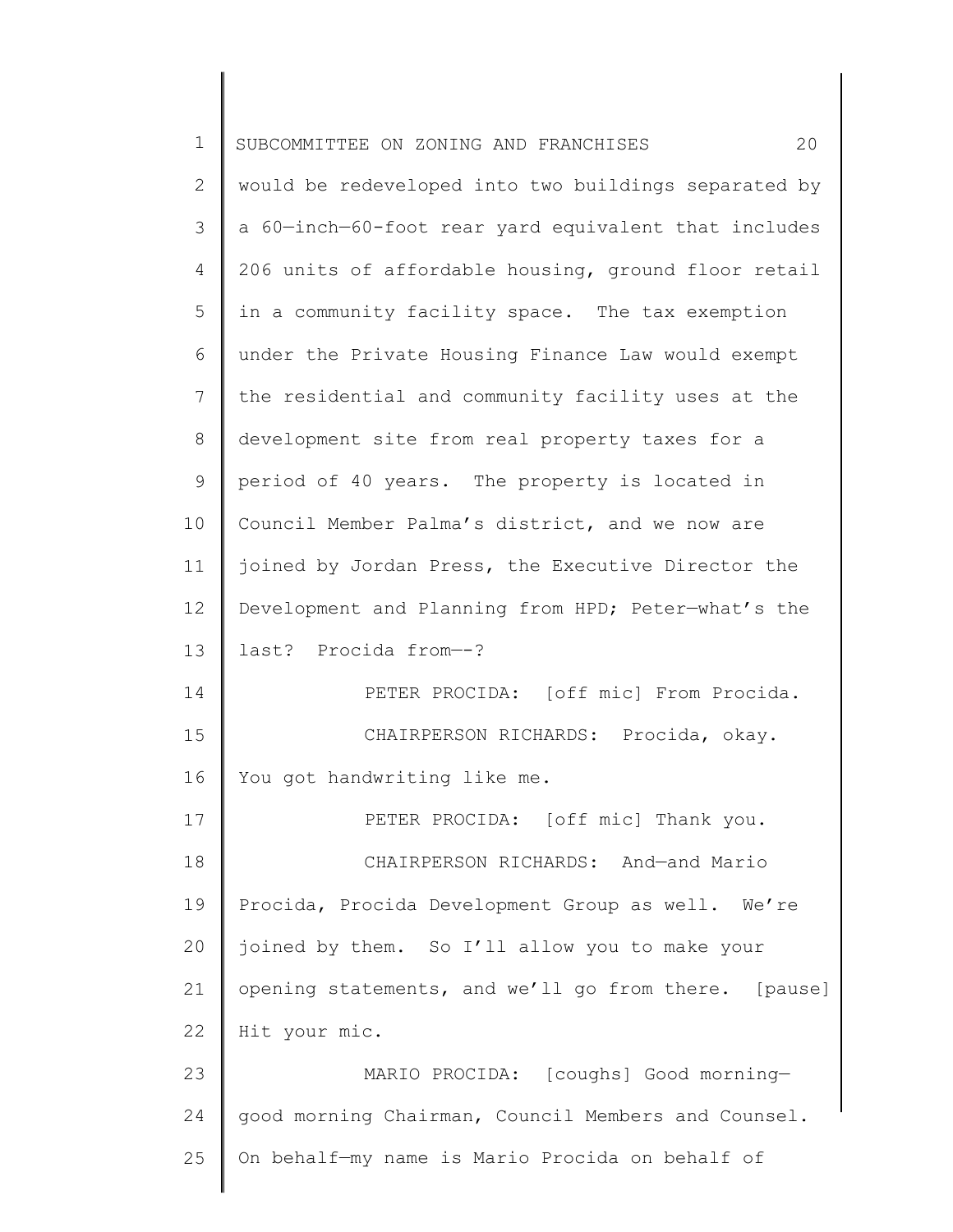| $\mathbf 1$     | SUBCOMMITTEE ON ZONING AND FRANCHISES<br>20          |
|-----------------|------------------------------------------------------|
| 2               | would be redeveloped into two buildings separated by |
| 3               | a 60-inch-60-foot rear yard equivalent that includes |
| $\overline{4}$  | 206 units of affordable housing, ground floor retail |
| 5               | in a community facility space. The tax exemption     |
| 6               | under the Private Housing Finance Law would exempt   |
| 7               | the residential and community facility uses at the   |
| 8               | development site from real property taxes for a      |
| 9               | period of 40 years. The property is located in       |
| 10              | Council Member Palma's district, and we now are      |
| 11              | joined by Jordan Press, the Executive Director the   |
| 12 <sup>°</sup> | Development and Planning from HPD; Peter-what's the  |
| 13              | last? Procida from--?                                |
| 14              | PETER PROCIDA: [off mic] From Procida.               |
| 15              | CHAIRPERSON RICHARDS: Procida, okay.                 |
| 16              | You got handwriting like me.                         |
| 17              | PETER PROCIDA: [off mic] Thank you.                  |
| 18              | CHAIRPERSON RICHARDS: And-and Mario                  |
| 19              | Procida, Procida Development Group as well. We're    |
| 20              | joined by them. So I'll allow you to make your       |
| 21              | opening statements, and we'll go from there. [pause] |
| 22              | Hit your mic.                                        |
| 23              | MARIO PROCIDA: [coughs] Good morning-                |
| 24              | good morning Chairman, Council Members and Counsel.  |
| 25              | On behalf-my name is Mario Procida on behalf of      |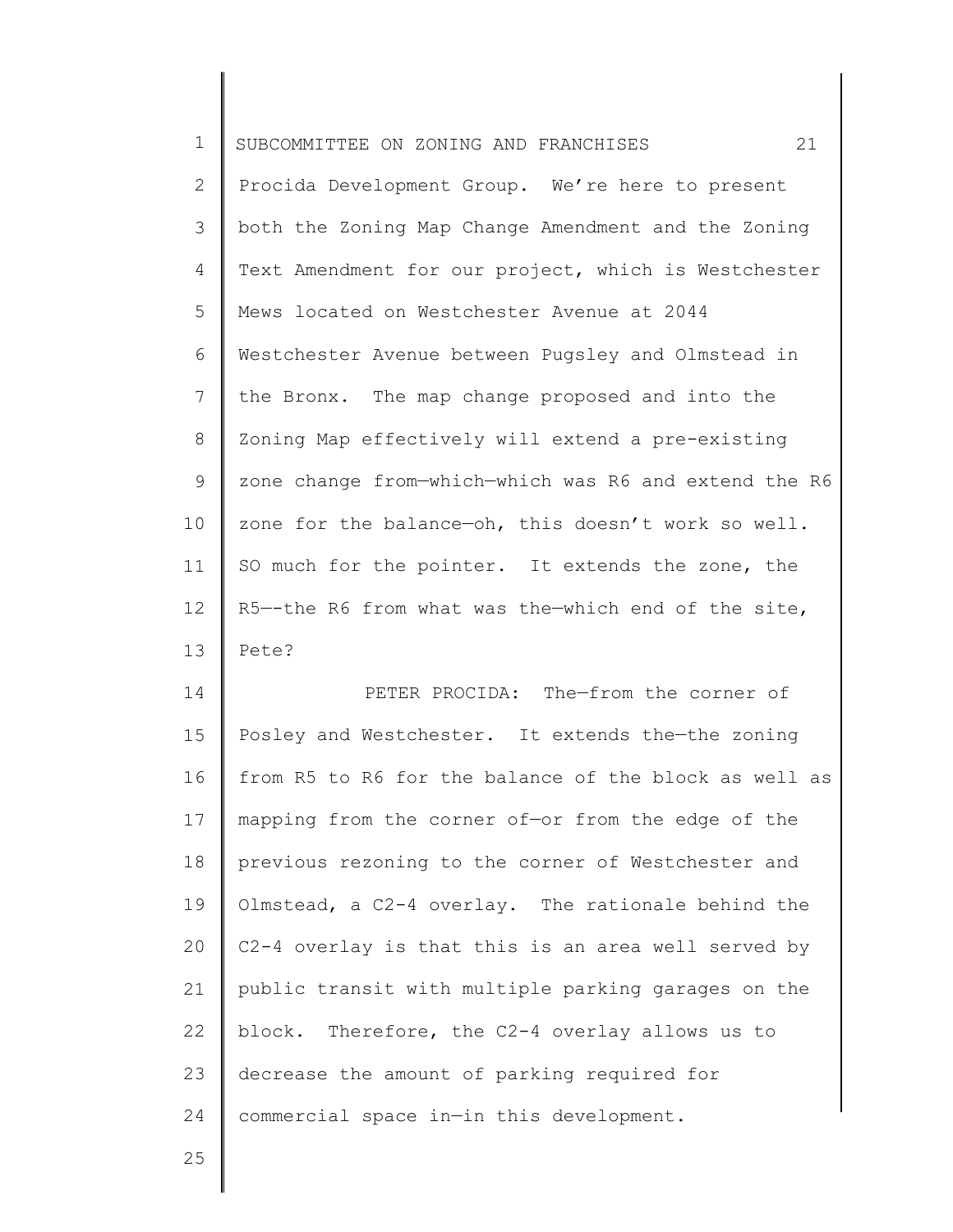| $\mathbf 1$  | 21<br>SUBCOMMITTEE ON ZONING AND FRANCHISES            |
|--------------|--------------------------------------------------------|
| $\mathbf{2}$ | Procida Development Group. We're here to present       |
| 3            | both the Zoning Map Change Amendment and the Zoning    |
| 4            | Text Amendment for our project, which is Westchester   |
| 5            | Mews located on Westchester Avenue at 2044             |
| 6            | Westchester Avenue between Pugsley and Olmstead in     |
| 7            | the Bronx. The map change proposed and into the        |
| 8            | Zoning Map effectively will extend a pre-existing      |
| 9            | zone change from-which-which was R6 and extend the R6  |
| 10           | zone for the balance-oh, this doesn't work so well.    |
| 11           | SO much for the pointer. It extends the zone, the      |
| 12           | $R5$ --the R6 from what was the-which end of the site, |
| 13           | Pete?                                                  |
| 14           | PETER PROCIDA: The-from the corner of                  |
| 15           | Posley and Westchester. It extends the-the zoning      |
| 16           | from R5 to R6 for the balance of the block as well as  |
| 17           | mapping from the corner of-or from the edge of the     |
| 18           | previous rezoning to the corner of Westchester and     |
| 19           | Olmstead, a C2-4 overlay. The rationale behind the     |
| 20           | C2-4 overlay is that this is an area well served by    |
| 21           | public transit with multiple parking garages on the    |
| 22           | block. Therefore, the C2-4 overlay allows us to        |
| 23           | decrease the amount of parking required for            |
| 24           | commercial space in-in this development.               |
| 25           |                                                        |

∥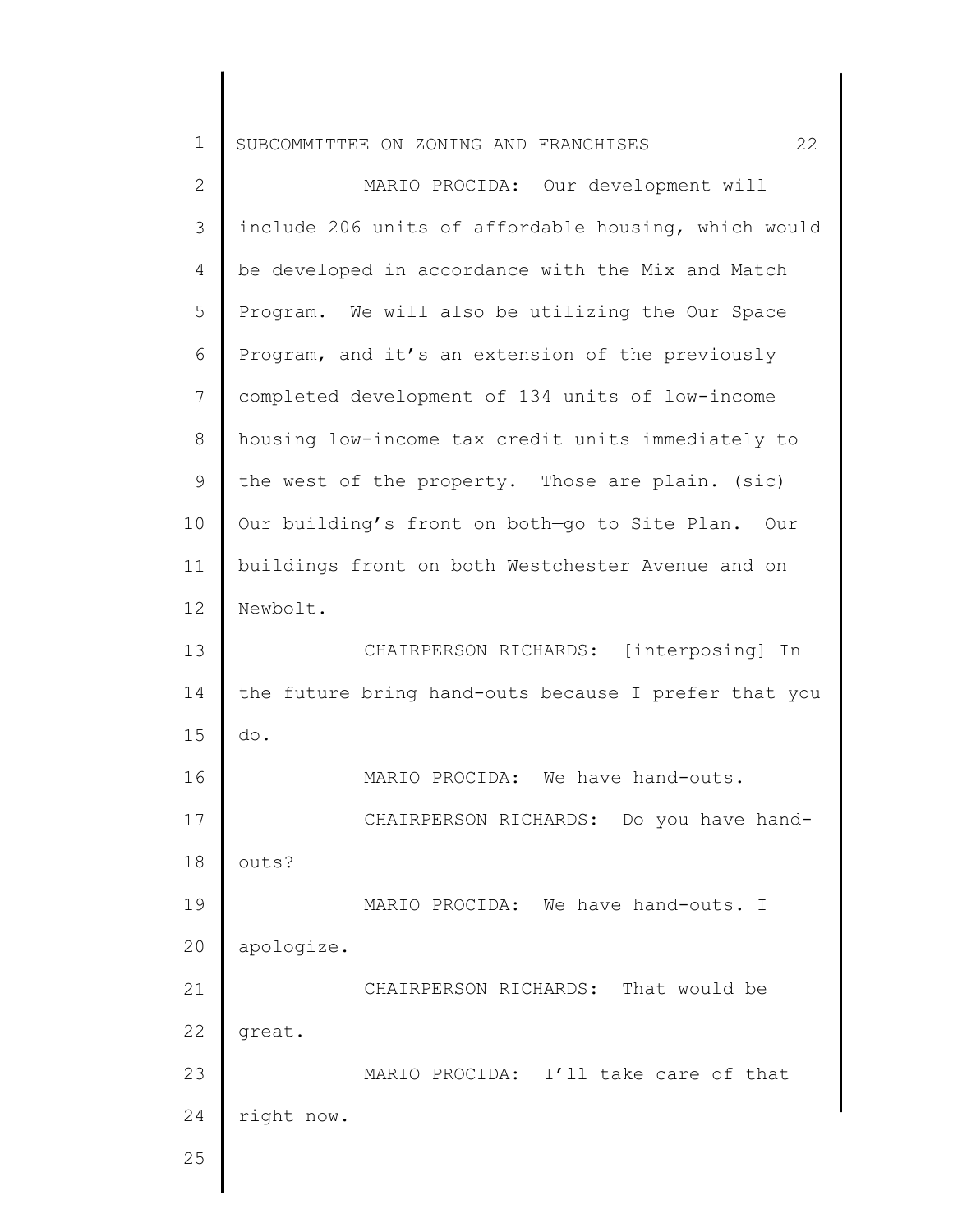2 3 4 5 6 7 8 9 10 11 12 13 14 15 16 17 18 19 20 21 22 23 24 25 MARIO PROCIDA: Our development will include 206 units of affordable housing, which would be developed in accordance with the Mix and Match Program. We will also be utilizing the Our Space Program, and it's an extension of the previously completed development of 134 units of low-income housing—low-income tax credit units immediately to the west of the property. Those are plain. (sic) Our building's front on both—go to Site Plan. Our buildings front on both Westchester Avenue and on Newbolt. CHAIRPERSON RICHARDS: [interposing] In the future bring hand-outs because I prefer that you do. MARIO PROCIDA: We have hand-outs. CHAIRPERSON RICHARDS: Do you have handouts? MARIO PROCIDA: We have hand-outs. I apologize. CHAIRPERSON RICHARDS: That would be great. MARIO PROCIDA: I'll take care of that right now.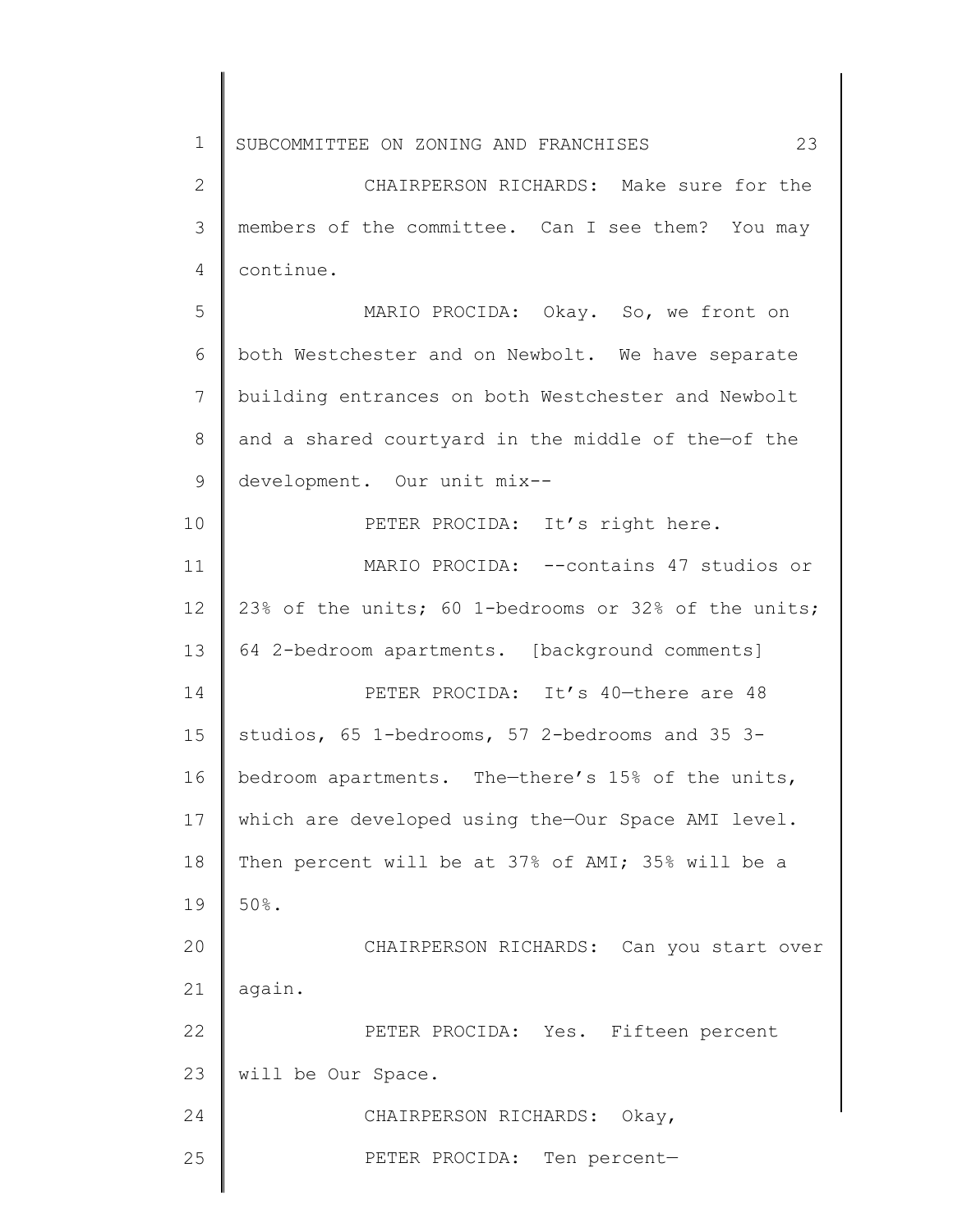10

25

2 3 4 CHAIRPERSON RICHARDS: Make sure for the members of the committee. Can I see them? You may continue.

5 6 7 8 9 MARIO PROCIDA: Okay. So, we front on both Westchester and on Newbolt. We have separate building entrances on both Westchester and Newbolt and a shared courtyard in the middle of the—of the development. Our unit mix--

PETER PROCIDA: It's right here.

11 12 13 14 15 16 17 18 19 MARIO PROCIDA: --contains 47 studios or 23% of the units; 60 1-bedrooms or 32% of the units; 64 2-bedroom apartments. [background comments] PETER PROCIDA: It's 40-there are 48 studios, 65 1-bedrooms, 57 2-bedrooms and 35 3 bedroom apartments. The—there's 15% of the units, which are developed using the—Our Space AMI level. Then percent will be at 37% of AMI; 35% will be a 50%.

20 21 CHAIRPERSON RICHARDS: Can you start over again.

22 23 24 PETER PROCIDA: Yes. Fifteen percent will be Our Space. CHAIRPERSON RICHARDS: Okay,

PETER PROCIDA: Ten percent—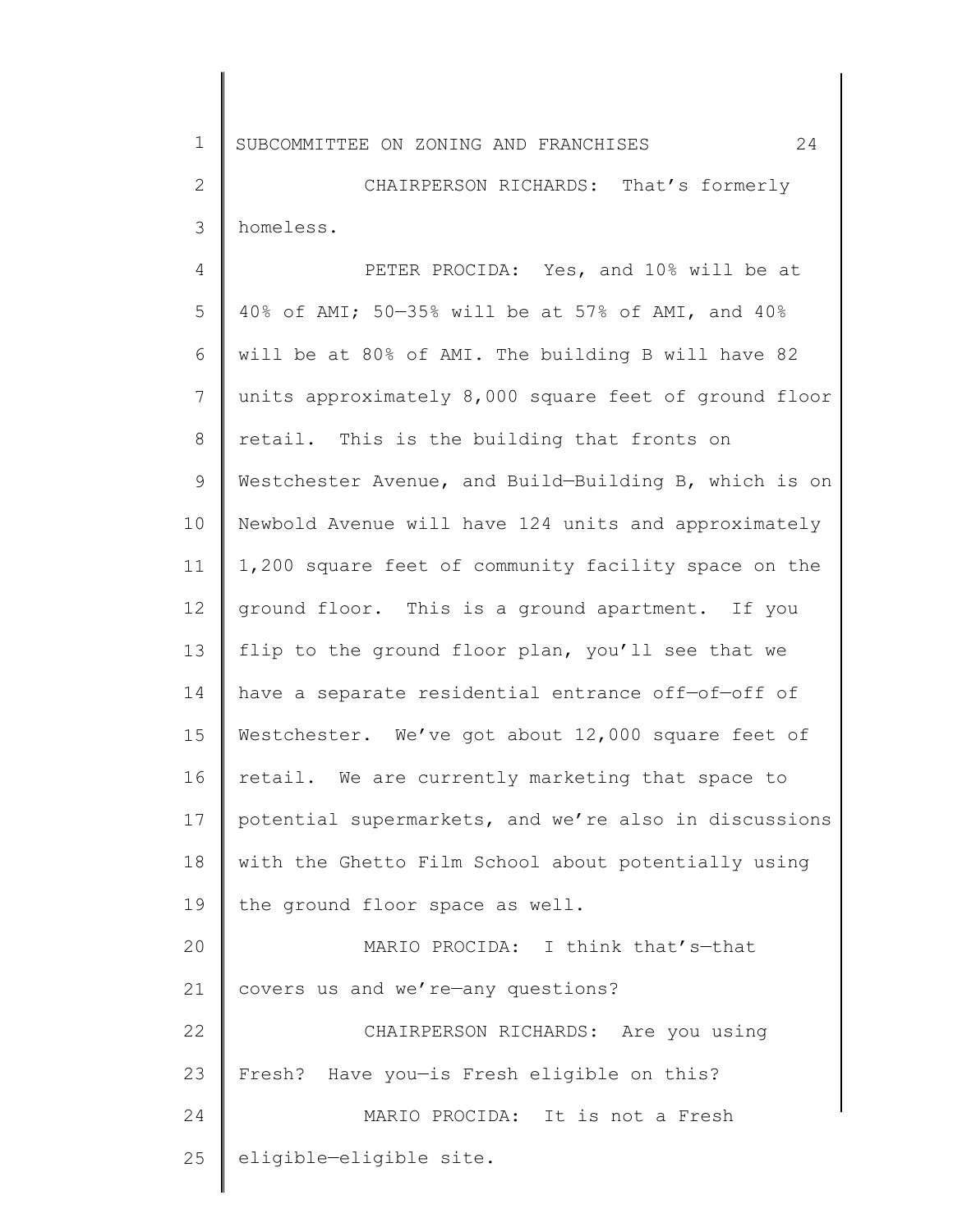2 3 CHAIRPERSON RICHARDS: That's formerly homeless.

4 5 6 7 8 9 10 11 12 13 14 15 16 17 18 19 20 21 22 23 24 25 PETER PROCIDA: Yes, and 10% will be at 40% of AMI; 50—35% will be at 57% of AMI, and 40% will be at 80% of AMI. The building B will have 82 units approximately 8,000 square feet of ground floor retail. This is the building that fronts on Westchester Avenue, and Build—Building B, which is on Newbold Avenue will have 124 units and approximately 1,200 square feet of community facility space on the ground floor. This is a ground apartment. If you flip to the ground floor plan, you'll see that we have a separate residential entrance off-of-off of Westchester. We've got about 12,000 square feet of retail. We are currently marketing that space to potential supermarkets, and we're also in discussions with the Ghetto Film School about potentially using the ground floor space as well. MARIO PROCIDA: I think that's—that covers us and we're—any questions? CHAIRPERSON RICHARDS: Are you using Fresh? Have you—is Fresh eligible on this? MARIO PROCIDA: It is not a Fresh eligible—eligible site.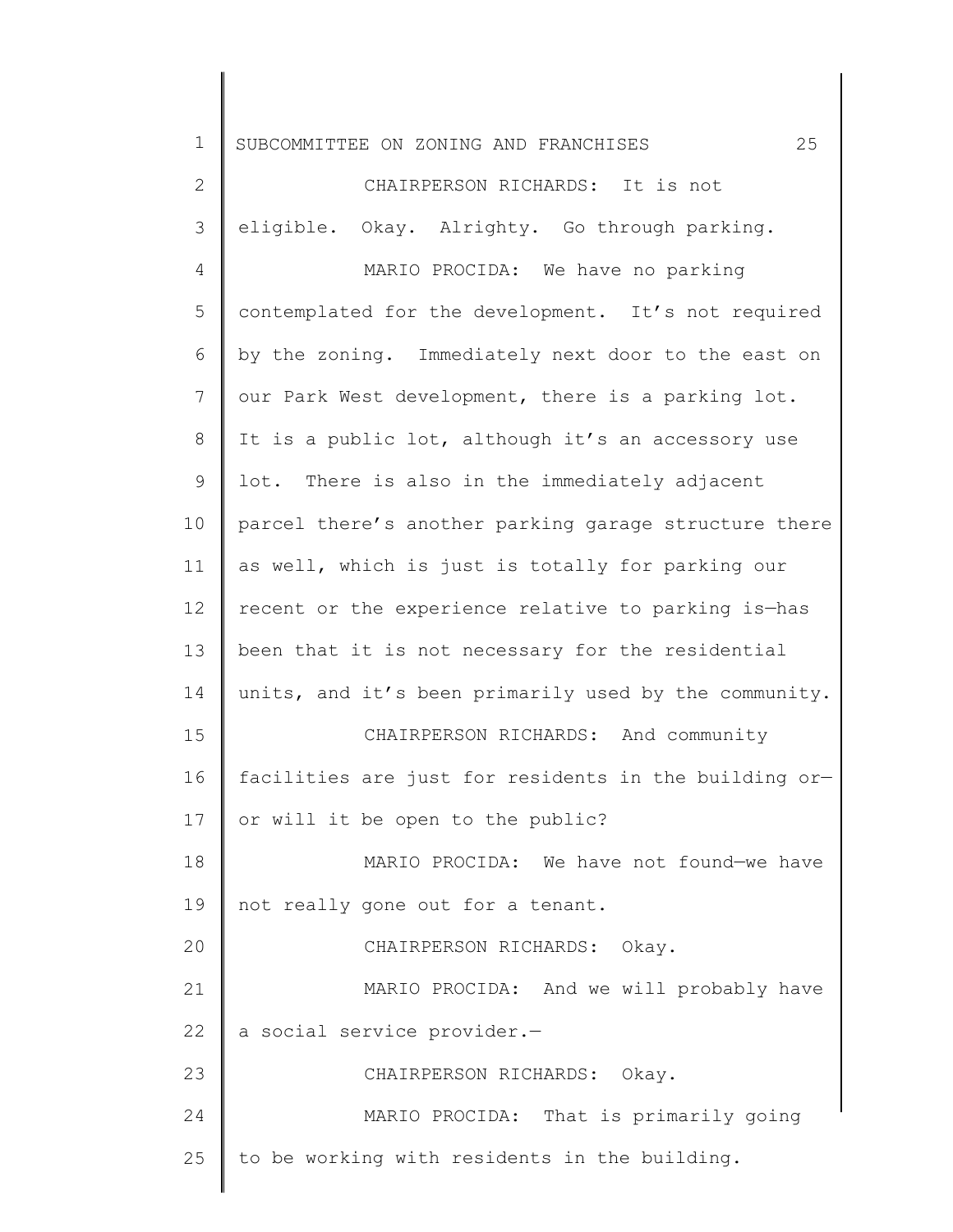| $\mathbf 1$     | 25<br>SUBCOMMITTEE ON ZONING AND FRANCHISES           |
|-----------------|-------------------------------------------------------|
| $\mathbf{2}$    | CHAIRPERSON RICHARDS: It is not                       |
| 3               | eligible. Okay. Alrighty. Go through parking.         |
| 4               | MARIO PROCIDA: We have no parking                     |
| 5               | contemplated for the development. It's not required   |
| 6               | by the zoning. Immediately next door to the east on   |
| $7\phantom{.0}$ | our Park West development, there is a parking lot.    |
| 8               | It is a public lot, although it's an accessory use    |
| 9               | lot. There is also in the immediately adjacent        |
| 10              | parcel there's another parking garage structure there |
| 11              | as well, which is just is totally for parking our     |
| 12              | recent or the experience relative to parking is-has   |
| 13              | been that it is not necessary for the residential     |
| 14              | units, and it's been primarily used by the community. |
| 15              | CHAIRPERSON RICHARDS: And community                   |
| 16              | facilities are just for residents in the building or- |
| 17              | or will it be open to the public?                     |
| 18              | MARIO PROCIDA: We have not found-we have              |
| 19              | not really gone out for a tenant.                     |
| 20              | CHAIRPERSON RICHARDS: Okay.                           |
| 21              | MARIO PROCIDA: And we will probably have              |
| 22              | a social service provider.-                           |
| 23              | CHAIRPERSON RICHARDS: Okay.                           |
| 24              | MARIO PROCIDA: That is primarily going                |
| 25              | to be working with residents in the building.         |
|                 |                                                       |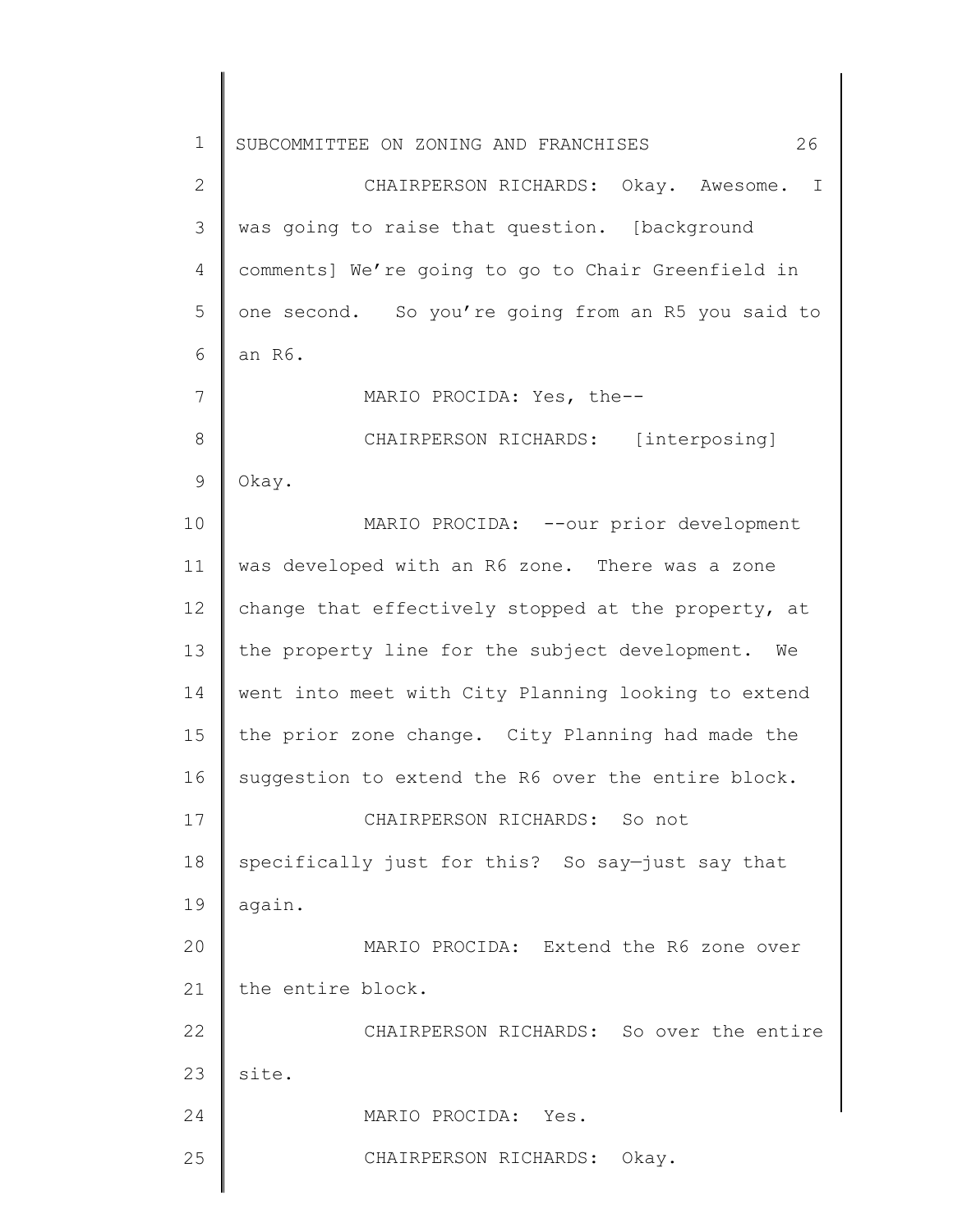1 2 3 4 5 6 7 8 9 10 11 12 13 14 15 16 17 18 19 20 21 22 23 24 25 SUBCOMMITTEE ON ZONING AND FRANCHISES 26 CHAIRPERSON RICHARDS: Okay. Awesome. I was going to raise that question. [background comments] We're going to go to Chair Greenfield in one second. So you're going from an R5 you said to an R6. MARIO PROCIDA: Yes, the-- CHAIRPERSON RICHARDS: [interposing] Okay. MARIO PROCIDA: -- our prior development was developed with an R6 zone. There was a zone change that effectively stopped at the property, at the property line for the subject development. We went into meet with City Planning looking to extend the prior zone change. City Planning had made the suggestion to extend the R6 over the entire block. CHAIRPERSON RICHARDS: So not specifically just for this? So say—just say that again. MARIO PROCIDA: Extend the R6 zone over the entire block. CHAIRPERSON RICHARDS: So over the entire site. MARIO PROCIDA: Yes. CHAIRPERSON RICHARDS: Okay.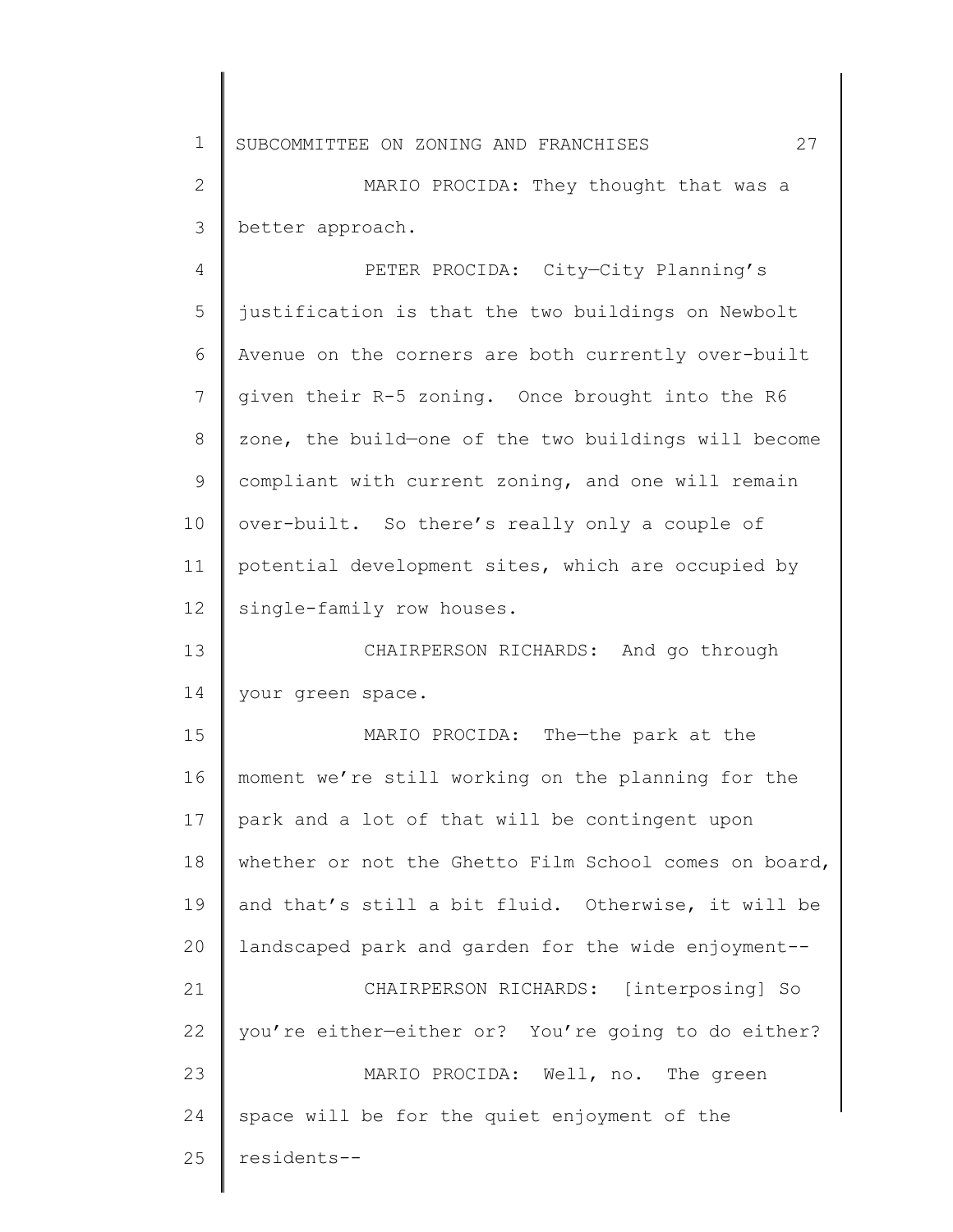2 3 MARIO PROCIDA: They thought that was a better approach.

4 5 6 7 8 9 10 11 12 PETER PROCIDA: City-City Planning's justification is that the two buildings on Newbolt Avenue on the corners are both currently over-built given their R-5 zoning. Once brought into the R6 zone, the build—one of the two buildings will become compliant with current zoning, and one will remain over-built. So there's really only a couple of potential development sites, which are occupied by single-family row houses.

13 14 CHAIRPERSON RICHARDS: And go through your green space.

15 16 17 18 19 20 21 22 23 24 25 MARIO PROCIDA: The—the park at the moment we're still working on the planning for the park and a lot of that will be contingent upon whether or not the Ghetto Film School comes on board, and that's still a bit fluid. Otherwise, it will be landscaped park and garden for the wide enjoyment-- CHAIRPERSON RICHARDS: [interposing] So you're either—either or? You're going to do either? MARIO PROCIDA: Well, no. The green space will be for the quiet enjoyment of the residents--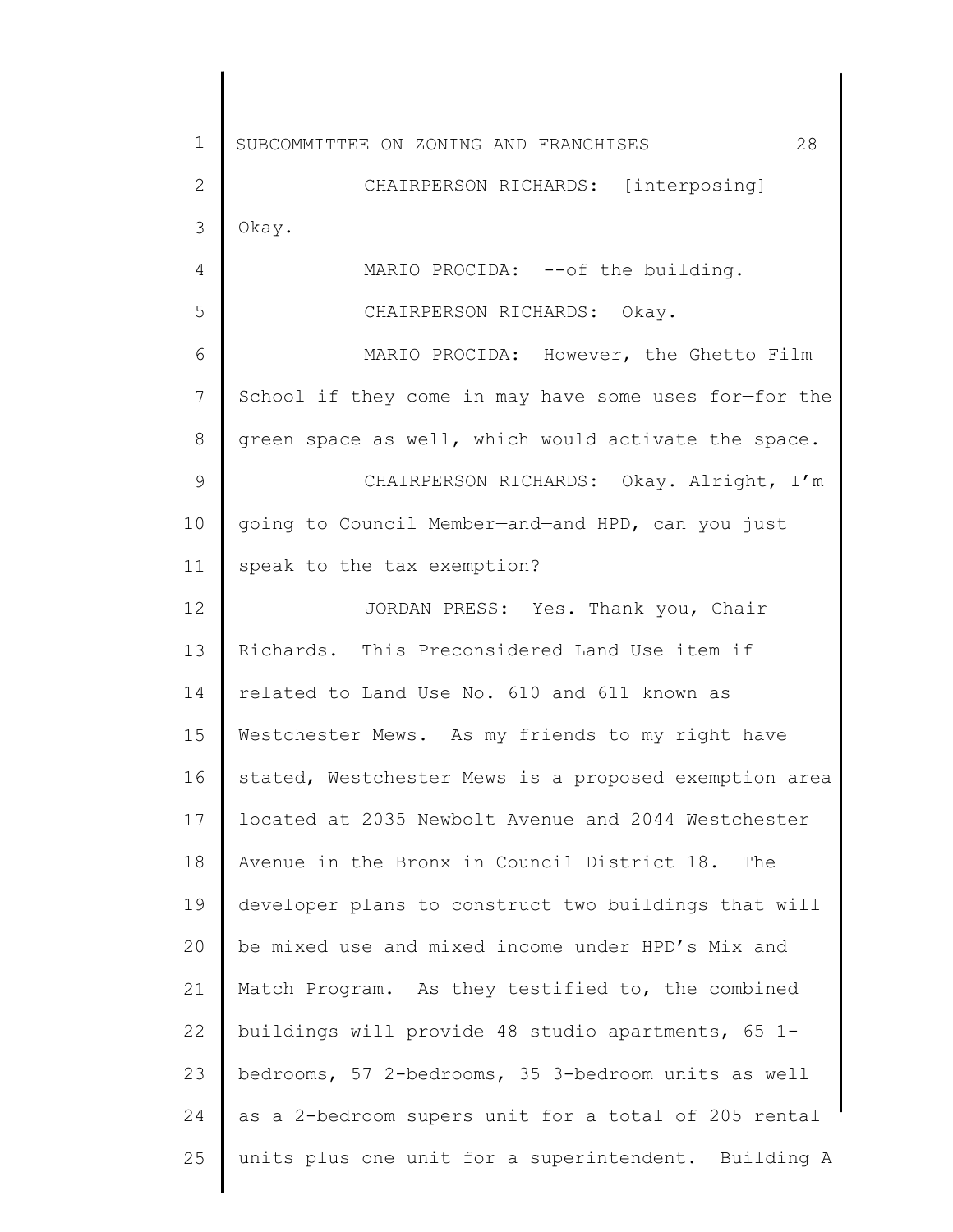1 2 3 4 5 6 7 8 9 10 11 12 13 14 15 16 17 18 19 20 21 22 23 24 25 SUBCOMMITTEE ON ZONING AND FRANCHISES 28 CHAIRPERSON RICHARDS: [interposing] Okay. MARIO PROCIDA: -- of the building. CHAIRPERSON RICHARDS: Okay. MARIO PROCIDA: However, the Ghetto Film School if they come in may have some uses for—for the green space as well, which would activate the space. CHAIRPERSON RICHARDS: Okay. Alright, I'm going to Council Member—and—and HPD, can you just speak to the tax exemption? JORDAN PRESS: Yes. Thank you, Chair Richards. This Preconsidered Land Use item if related to Land Use No. 610 and 611 known as Westchester Mews. As my friends to my right have stated, Westchester Mews is a proposed exemption area located at 2035 Newbolt Avenue and 2044 Westchester Avenue in the Bronx in Council District 18. The developer plans to construct two buildings that will be mixed use and mixed income under HPD's Mix and Match Program. As they testified to, the combined buildings will provide 48 studio apartments, 65 1 bedrooms, 57 2-bedrooms, 35 3-bedroom units as well as a 2-bedroom supers unit for a total of 205 rental units plus one unit for a superintendent. Building A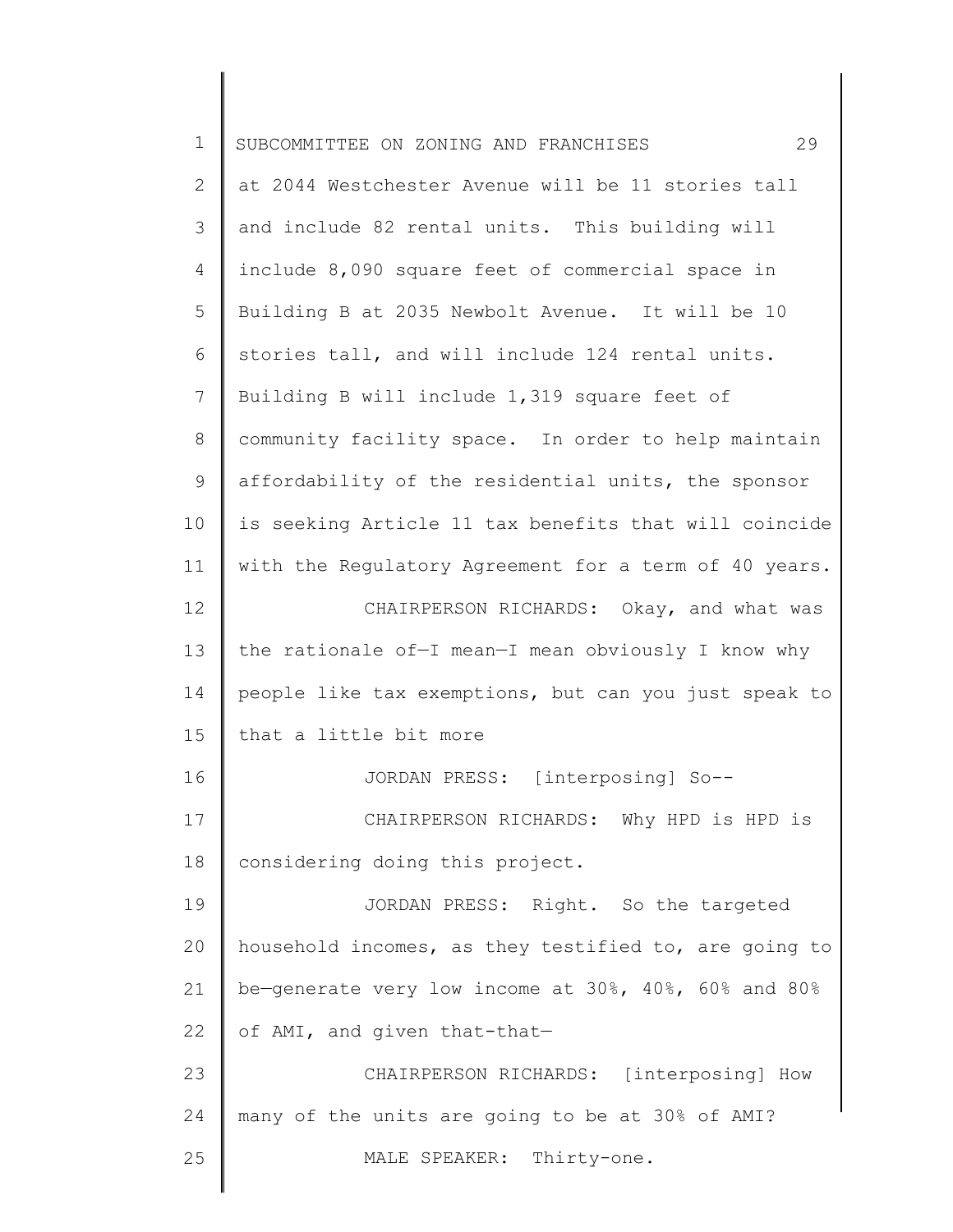| $\mathbf 1$ | 29<br>SUBCOMMITTEE ON ZONING AND FRANCHISES           |
|-------------|-------------------------------------------------------|
| 2           | at 2044 Westchester Avenue will be 11 stories tall    |
| 3           | and include 82 rental units. This building will       |
| 4           | include 8,090 square feet of commercial space in      |
| 5           | Building B at 2035 Newbolt Avenue. It will be 10      |
| 6           | stories tall, and will include 124 rental units.      |
| 7           | Building B will include 1,319 square feet of          |
| 8           | community facility space. In order to help maintain   |
| 9           | affordability of the residential units, the sponsor   |
| 10          | is seeking Article 11 tax benefits that will coincide |
| 11          | with the Regulatory Agreement for a term of 40 years. |
| 12          | CHAIRPERSON RICHARDS: Okay, and what was              |
| 13          | the rationale of-I mean-I mean obviously I know why   |
| 14          | people like tax exemptions, but can you just speak to |
| 15          | that a little bit more                                |
| 16          | JORDAN PRESS: [interposing] So--                      |
| 17          | CHAIRPERSON RICHARDS: Why HPD is HPD is               |
| 18          | considering doing this project.                       |
| 19          | JORDAN PRESS: Right. So the targeted                  |
| 20          | household incomes, as they testified to, are going to |
| 21          | be-generate very low income at 30%, 40%, 60% and 80%  |
| 22          | of AMI, and given that-that-                          |
| 23          | CHAIRPERSON RICHARDS: [interposing] How               |
| 24          | many of the units are going to be at 30% of AMI?      |
| 25          | MALE SPEAKER: Thirty-one.                             |
|             |                                                       |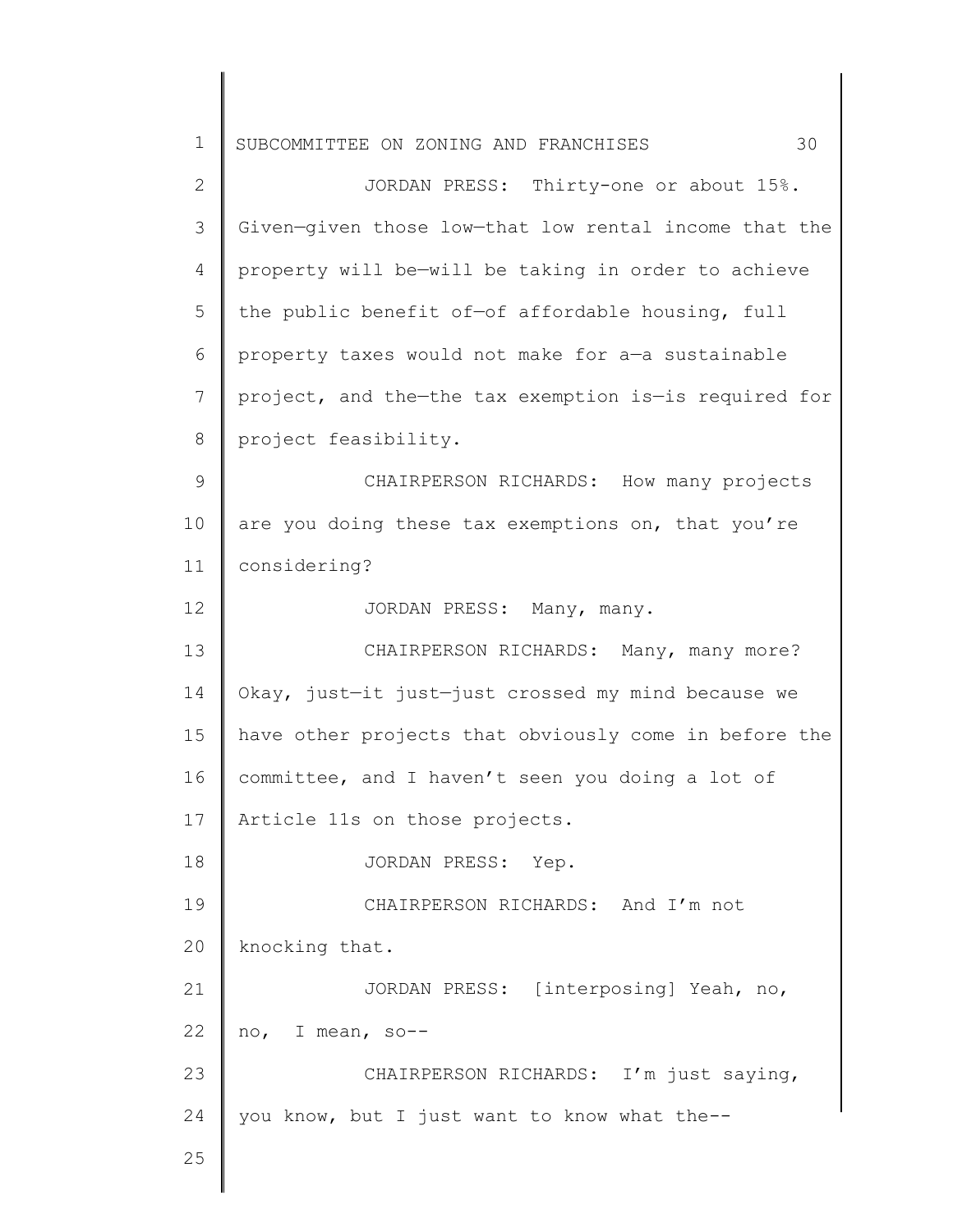1 2 3 4 5 6 7 8 9 10 11 12 13 14 15 16 17 18 19 20 21 22 23 24 25 SUBCOMMITTEE ON ZONING AND FRANCHISES 30 JORDAN PRESS: Thirty-one or about 15%. Given—given those low—that low rental income that the property will be—will be taking in order to achieve the public benefit of—of affordable housing, full property taxes would not make for a—a sustainable project, and the—the tax exemption is—is required for project feasibility. CHAIRPERSON RICHARDS: How many projects are you doing these tax exemptions on, that you're considering? JORDAN PRESS: Many, many. CHAIRPERSON RICHARDS: Many, many more? Okay, just—it just—just crossed my mind because we have other projects that obviously come in before the committee, and I haven't seen you doing a lot of Article 11s on those projects. JORDAN PRESS: Yep. CHAIRPERSON RICHARDS: And I'm not knocking that. JORDAN PRESS: [interposing] Yeah, no, no, I mean, so-- CHAIRPERSON RICHARDS: I'm just saying, you know, but I just want to know what the--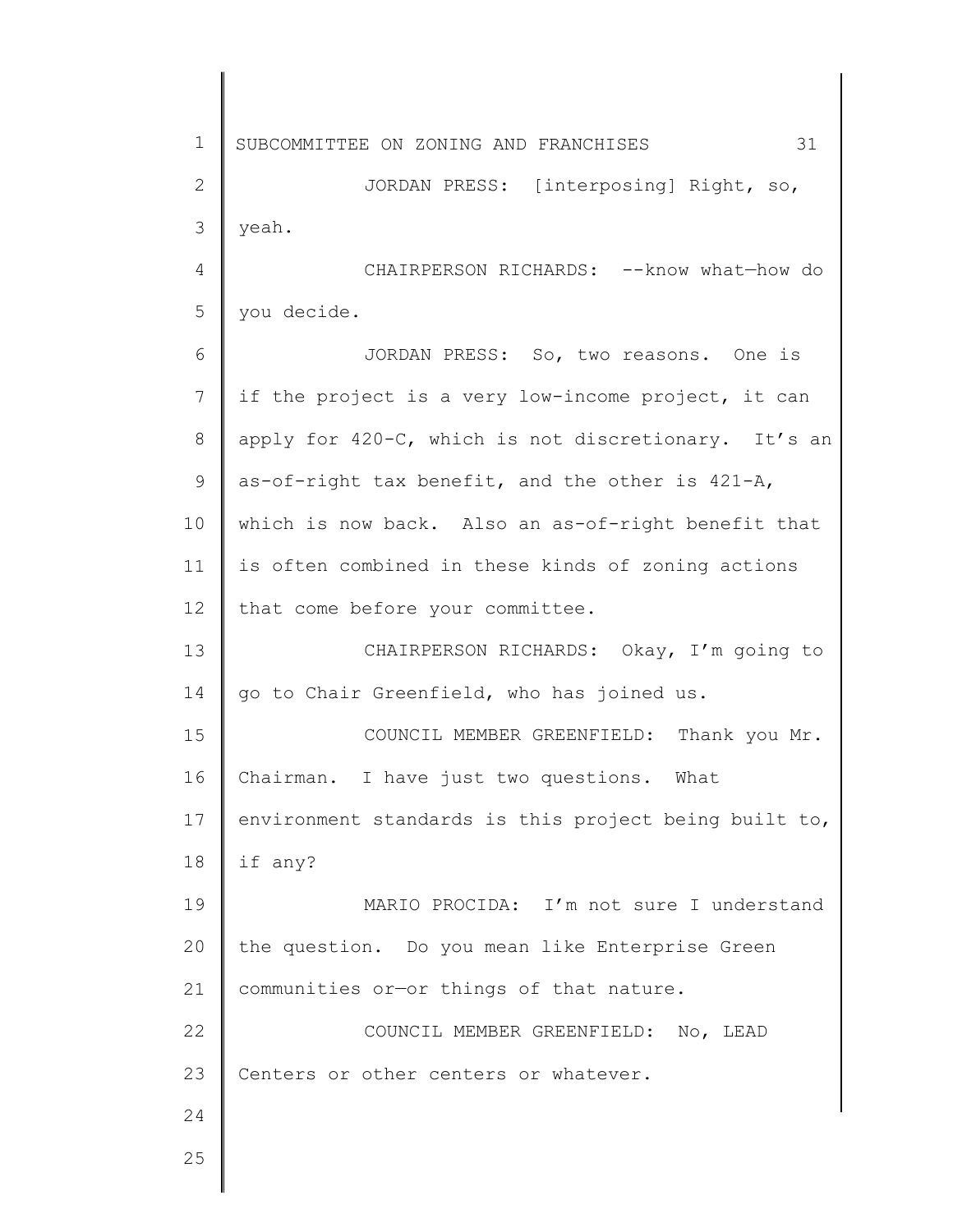1 2 3 4 5 6 7 8 9 10 11 12 13 14 15 16 17 18 19 20 21 22 23 24 25 SUBCOMMITTEE ON ZONING AND FRANCHISES 31 JORDAN PRESS: [interposing] Right, so, yeah. CHAIRPERSON RICHARDS: --know what—how do you decide. JORDAN PRESS: So, two reasons. One is if the project is a very low-income project, it can apply for 420-C, which is not discretionary. It's an as-of-right tax benefit, and the other is 421-A, which is now back. Also an as-of-right benefit that is often combined in these kinds of zoning actions that come before your committee. CHAIRPERSON RICHARDS: Okay, I'm going to go to Chair Greenfield, who has joined us. COUNCIL MEMBER GREENFIELD: Thank you Mr. Chairman. I have just two questions. What environment standards is this project being built to, if any? MARIO PROCIDA: I'm not sure I understand the question. Do you mean like Enterprise Green communities or—or things of that nature. COUNCIL MEMBER GREENFIELD: No, LEAD Centers or other centers or whatever.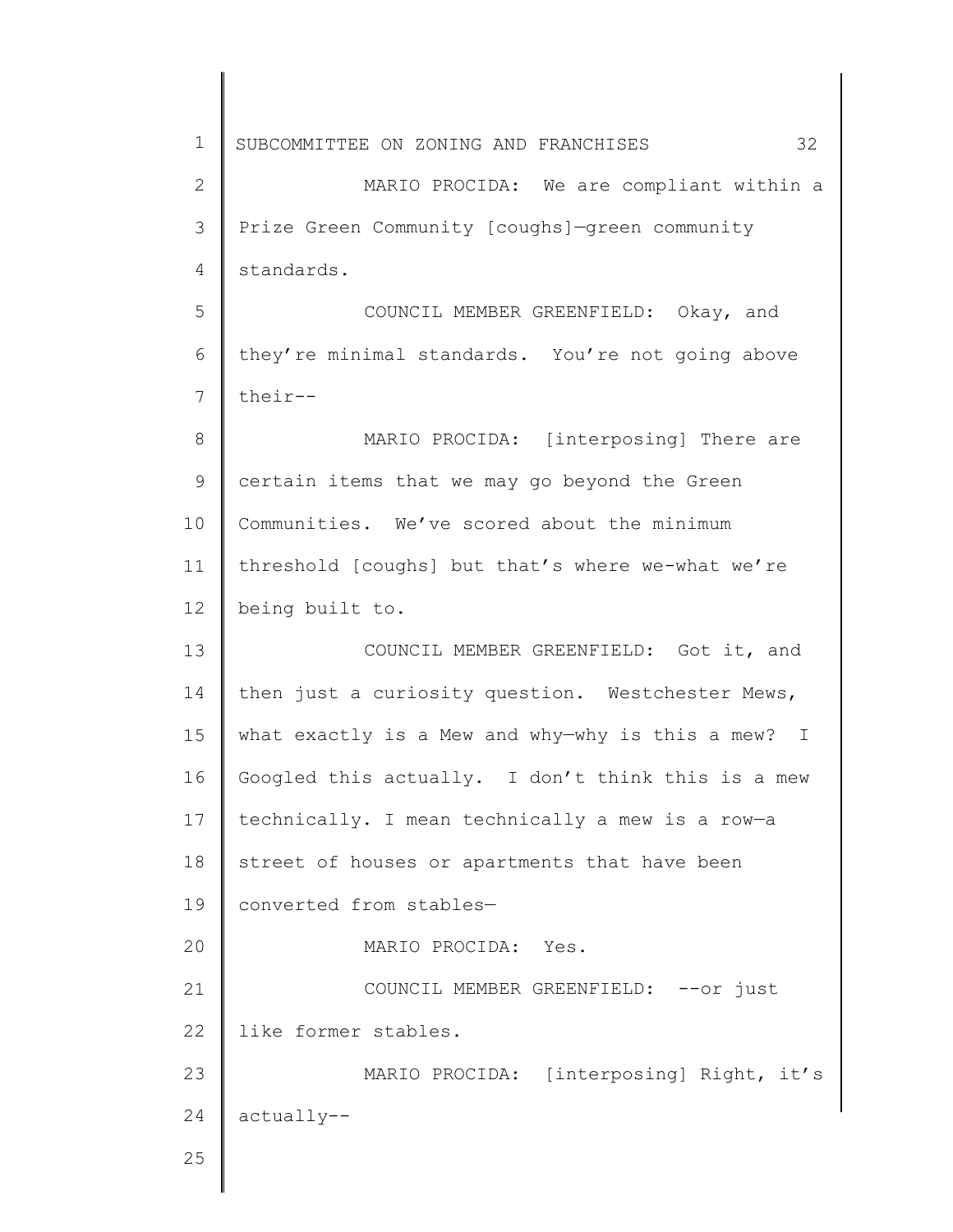1 2 3 4 5 6 7 8 9 10 11 12 13 14 15 16 17 18 19 20 21 22 23 24 25 SUBCOMMITTEE ON ZONING AND FRANCHISES 32 MARIO PROCIDA: We are compliant within a Prize Green Community [coughs]—green community standards. COUNCIL MEMBER GREENFIELD: Okay, and they're minimal standards. You're not going above their-- MARIO PROCIDA: [interposing] There are certain items that we may go beyond the Green Communities. We've scored about the minimum threshold [coughs] but that's where we-what we're being built to. COUNCIL MEMBER GREENFIELD: Got it, and then just a curiosity question. Westchester Mews, what exactly is a Mew and why—why is this a mew? I Googled this actually. I don't think this is a mew technically. I mean technically a mew is a row—a street of houses or apartments that have been converted from stables— MARIO PROCIDA: Yes. COUNCIL MEMBER GREENFIELD: --or just like former stables. MARIO PROCIDA: [interposing] Right, it's actually--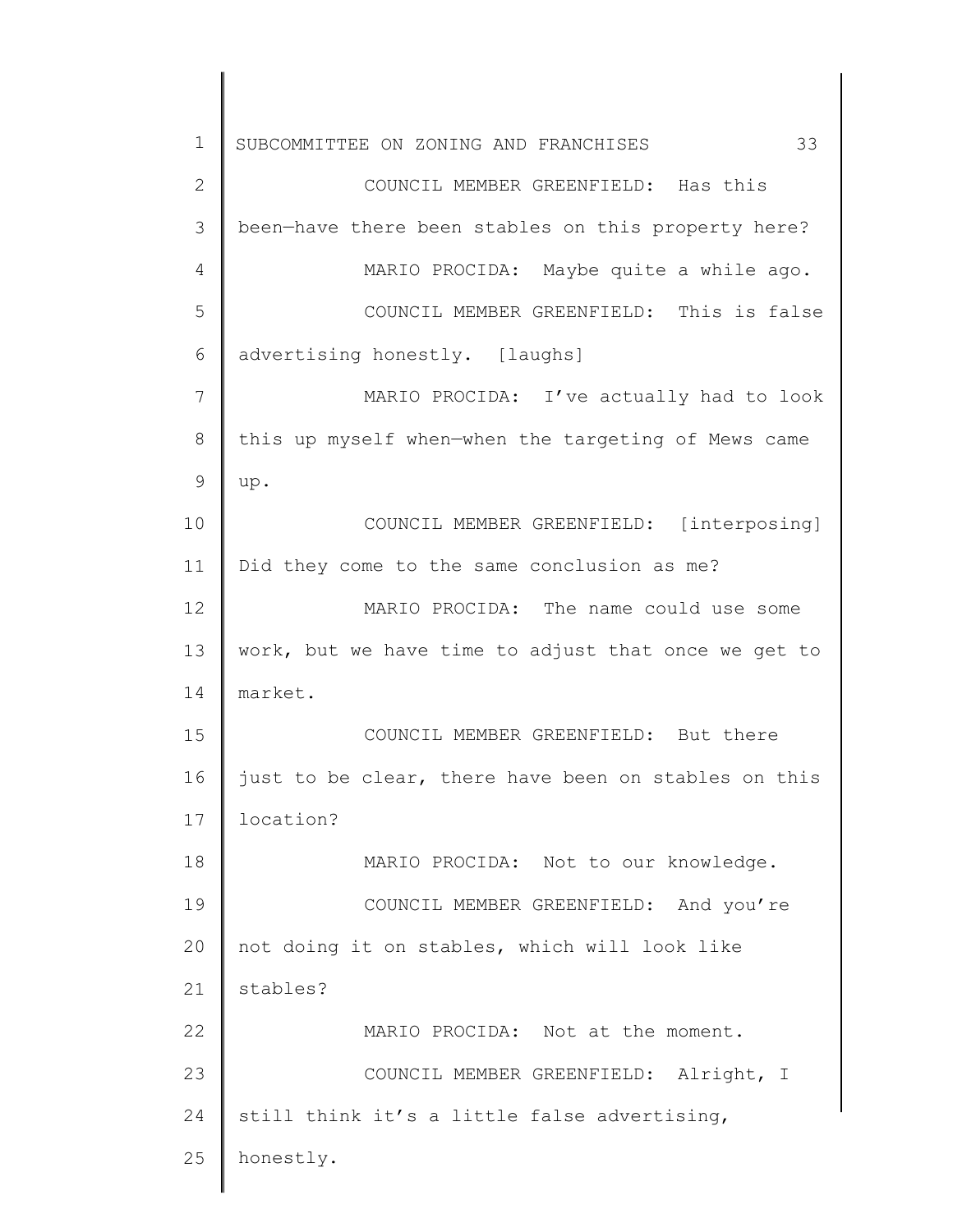1 2 3 4 5 6 7 8 9 10 11 12 13 14 15 16 17 18 19 20 21 22 23 24 25 SUBCOMMITTEE ON ZONING AND FRANCHISES 33 COUNCIL MEMBER GREENFIELD: Has this been—have there been stables on this property here? MARIO PROCIDA: Maybe quite a while ago. COUNCIL MEMBER GREENFIELD: This is false advertising honestly. [laughs] MARIO PROCIDA: I've actually had to look this up myself when—when the targeting of Mews came up. COUNCIL MEMBER GREENFIELD: [interposing] Did they come to the same conclusion as me? MARIO PROCIDA: The name could use some work, but we have time to adjust that once we get to market. COUNCIL MEMBER GREENFIELD: But there just to be clear, there have been on stables on this location? MARIO PROCIDA: Not to our knowledge. COUNCIL MEMBER GREENFIELD: And you're not doing it on stables, which will look like stables? MARIO PROCIDA: Not at the moment. COUNCIL MEMBER GREENFIELD: Alright, I still think it's a little false advertising, honestly.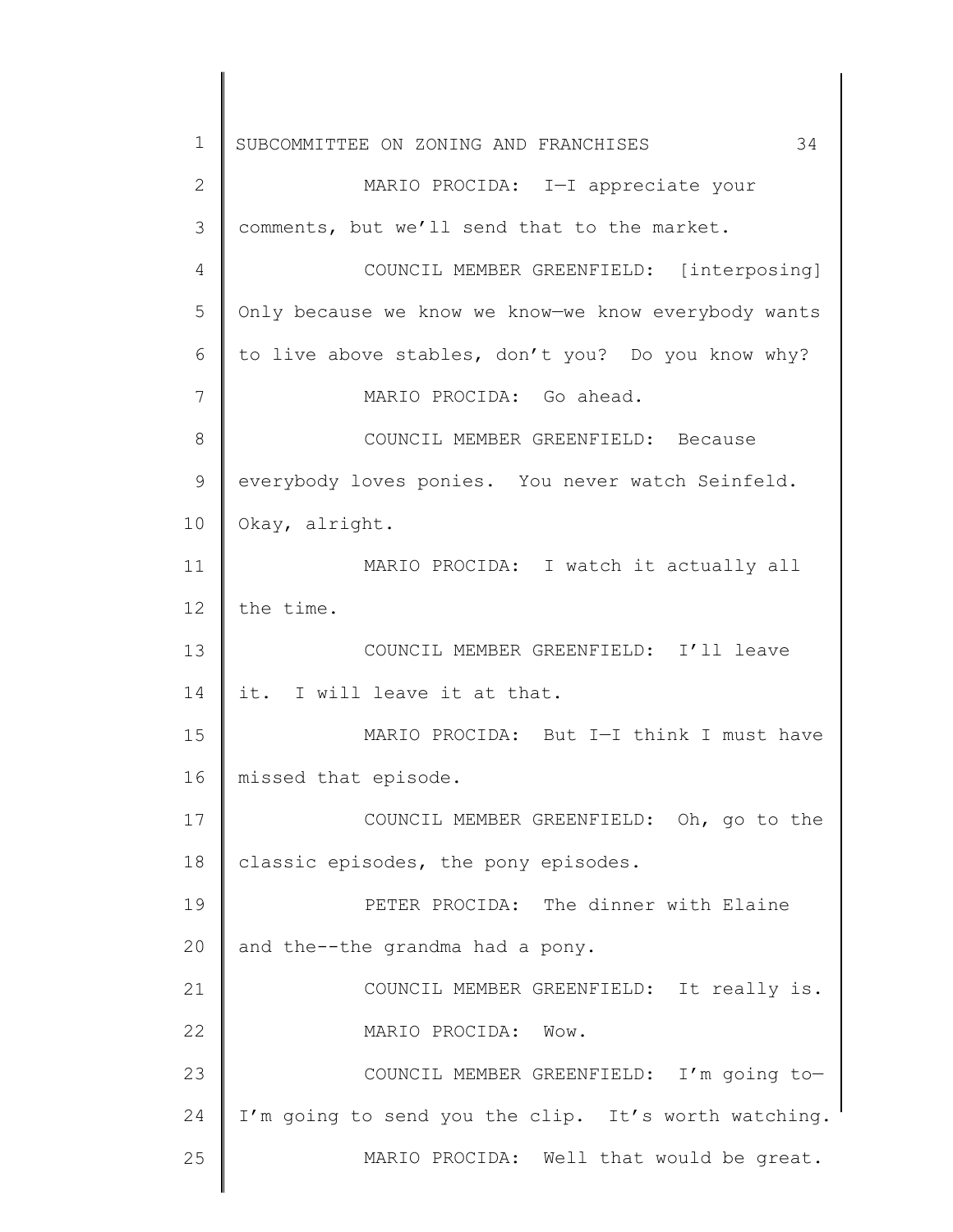1 2 3 4 5 6 7 8 9 10 11 12 13 14 15 16 17 18 19 20 21 22 23 24 25 SUBCOMMITTEE ON ZONING AND FRANCHISES 34 MARIO PROCIDA: I—I appreciate your comments, but we'll send that to the market. COUNCIL MEMBER GREENFIELD: [interposing] Only because we know we know—we know everybody wants to live above stables, don't you? Do you know why? MARIO PROCIDA: Go ahead. COUNCIL MEMBER GREENFIELD: Because everybody loves ponies. You never watch Seinfeld. Okay, alright. MARIO PROCIDA: I watch it actually all the time. COUNCIL MEMBER GREENFIELD: I'll leave it. I will leave it at that. MARIO PROCIDA: But I—I think I must have missed that episode. COUNCIL MEMBER GREENFIELD: Oh, go to the classic episodes, the pony episodes. PETER PROCIDA: The dinner with Elaine and the--the grandma had a pony. COUNCIL MEMBER GREENFIELD: It really is. MARIO PROCIDA: Wow. COUNCIL MEMBER GREENFIELD: I'm going to— I'm going to send you the clip. It's worth watching. MARIO PROCIDA: Well that would be great.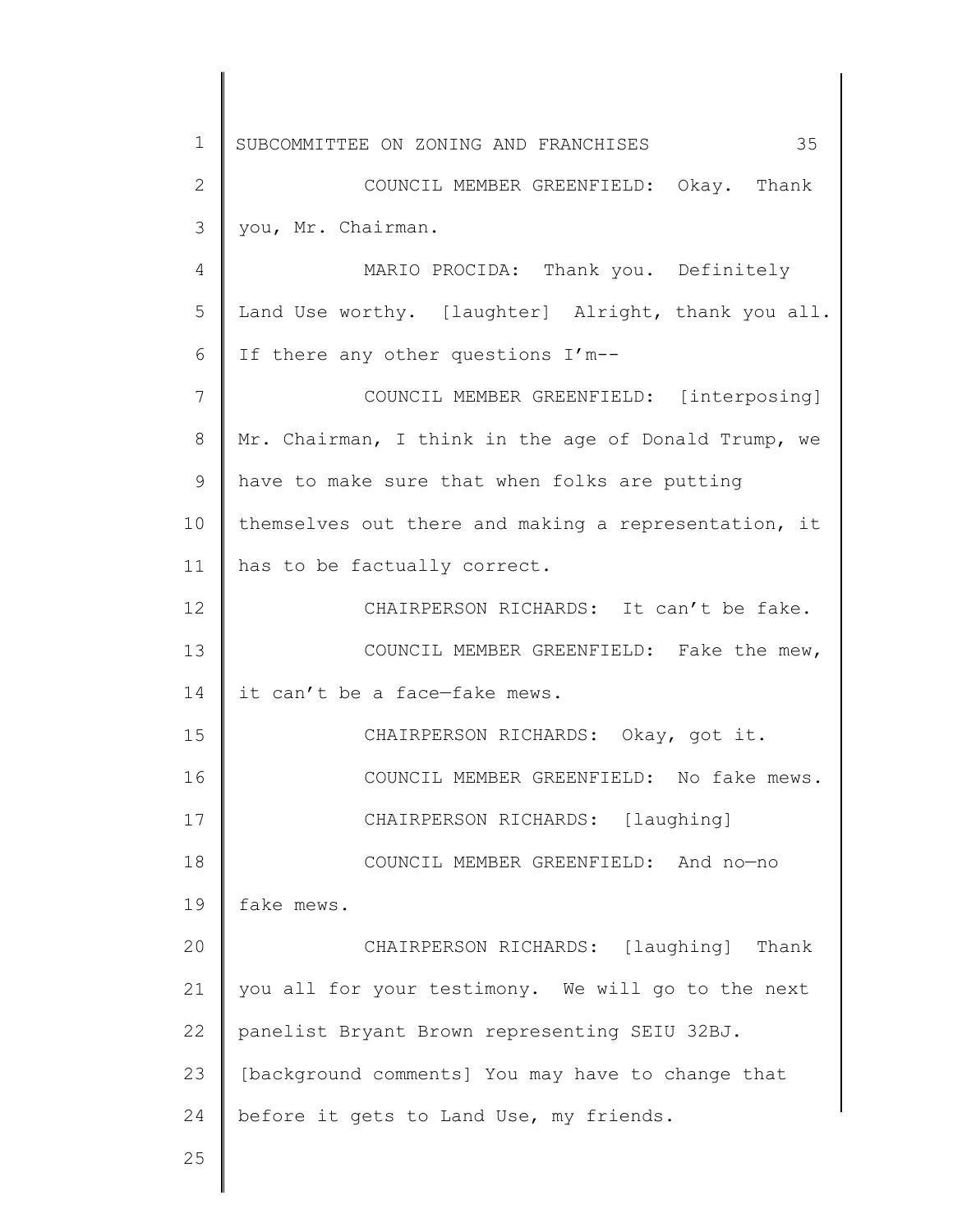1 2 3 4 5 6 7 8 9 10 11 12 13 14 15 16 17 18 19 20 21 22 23 24 25 SUBCOMMITTEE ON ZONING AND FRANCHISES 35 COUNCIL MEMBER GREENFIELD: Okay. Thank you, Mr. Chairman. MARIO PROCIDA: Thank you. Definitely Land Use worthy. [laughter] Alright, thank you all. If there any other questions I'm-- COUNCIL MEMBER GREENFIELD: [interposing] Mr. Chairman, I think in the age of Donald Trump, we have to make sure that when folks are putting themselves out there and making a representation, it has to be factually correct. CHAIRPERSON RICHARDS: It can't be fake. COUNCIL MEMBER GREENFIELD: Fake the mew, it can't be a face—fake mews. CHAIRPERSON RICHARDS: Okay, got it. COUNCIL MEMBER GREENFIELD: No fake mews. CHAIRPERSON RICHARDS: [laughing] COUNCIL MEMBER GREENFIELD: And no—no fake mews. CHAIRPERSON RICHARDS: [laughing] Thank you all for your testimony. We will go to the next panelist Bryant Brown representing SEIU 32BJ. [background comments] You may have to change that before it gets to Land Use, my friends.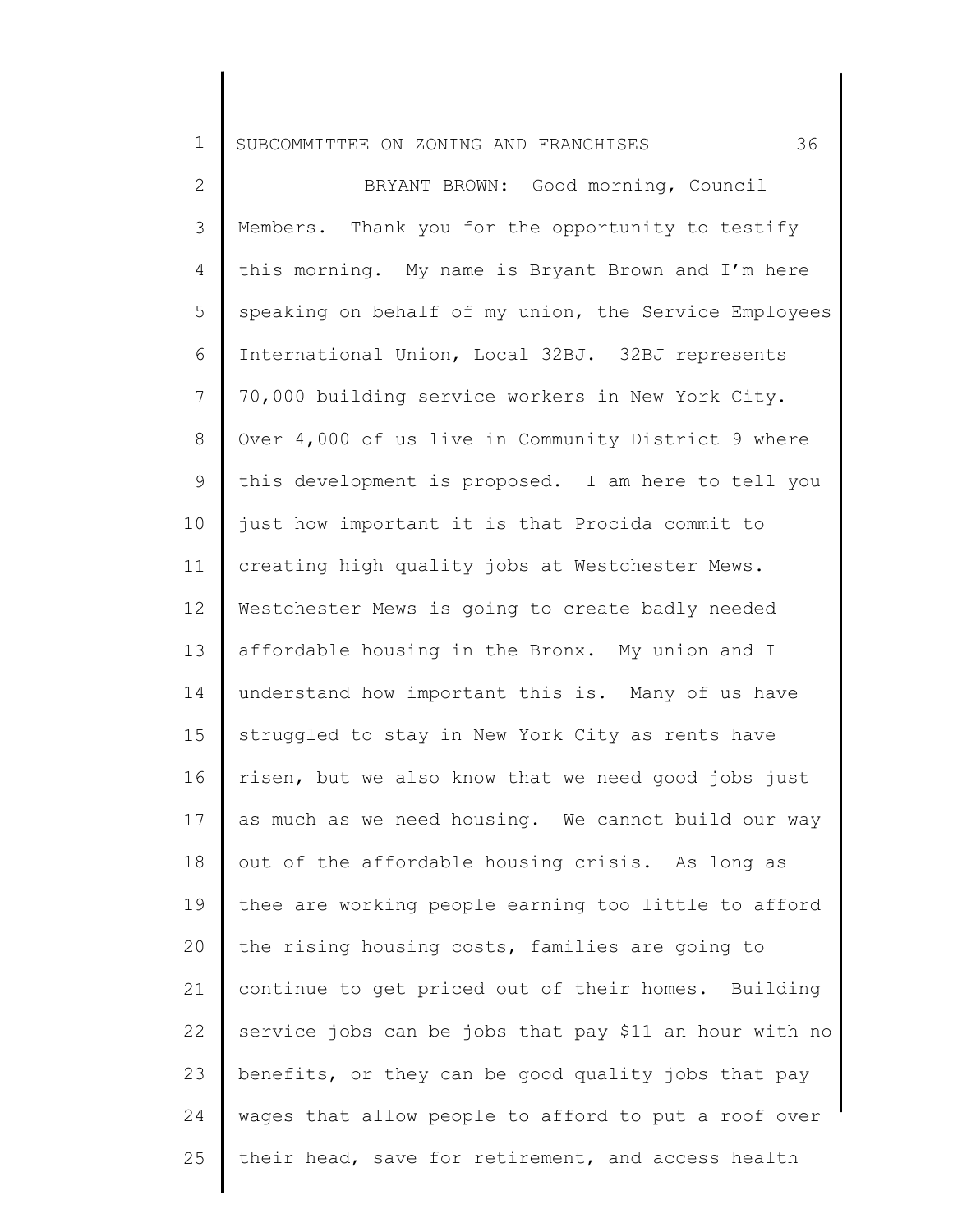2 3 4 5 6 7 8 9 10 11 12 13 14 15 16 17 18 19 20 21 22 23 24 25 BRYANT BROWN: Good morning, Council Members. Thank you for the opportunity to testify this morning. My name is Bryant Brown and I'm here speaking on behalf of my union, the Service Employees International Union, Local 32BJ. 32BJ represents 70,000 building service workers in New York City. Over 4,000 of us live in Community District 9 where this development is proposed. I am here to tell you just how important it is that Procida commit to creating high quality jobs at Westchester Mews. Westchester Mews is going to create badly needed affordable housing in the Bronx. My union and I understand how important this is. Many of us have struggled to stay in New York City as rents have risen, but we also know that we need good jobs just as much as we need housing. We cannot build our way out of the affordable housing crisis. As long as thee are working people earning too little to afford the rising housing costs, families are going to continue to get priced out of their homes. Building service jobs can be jobs that pay \$11 an hour with no benefits, or they can be good quality jobs that pay wages that allow people to afford to put a roof over their head, save for retirement, and access health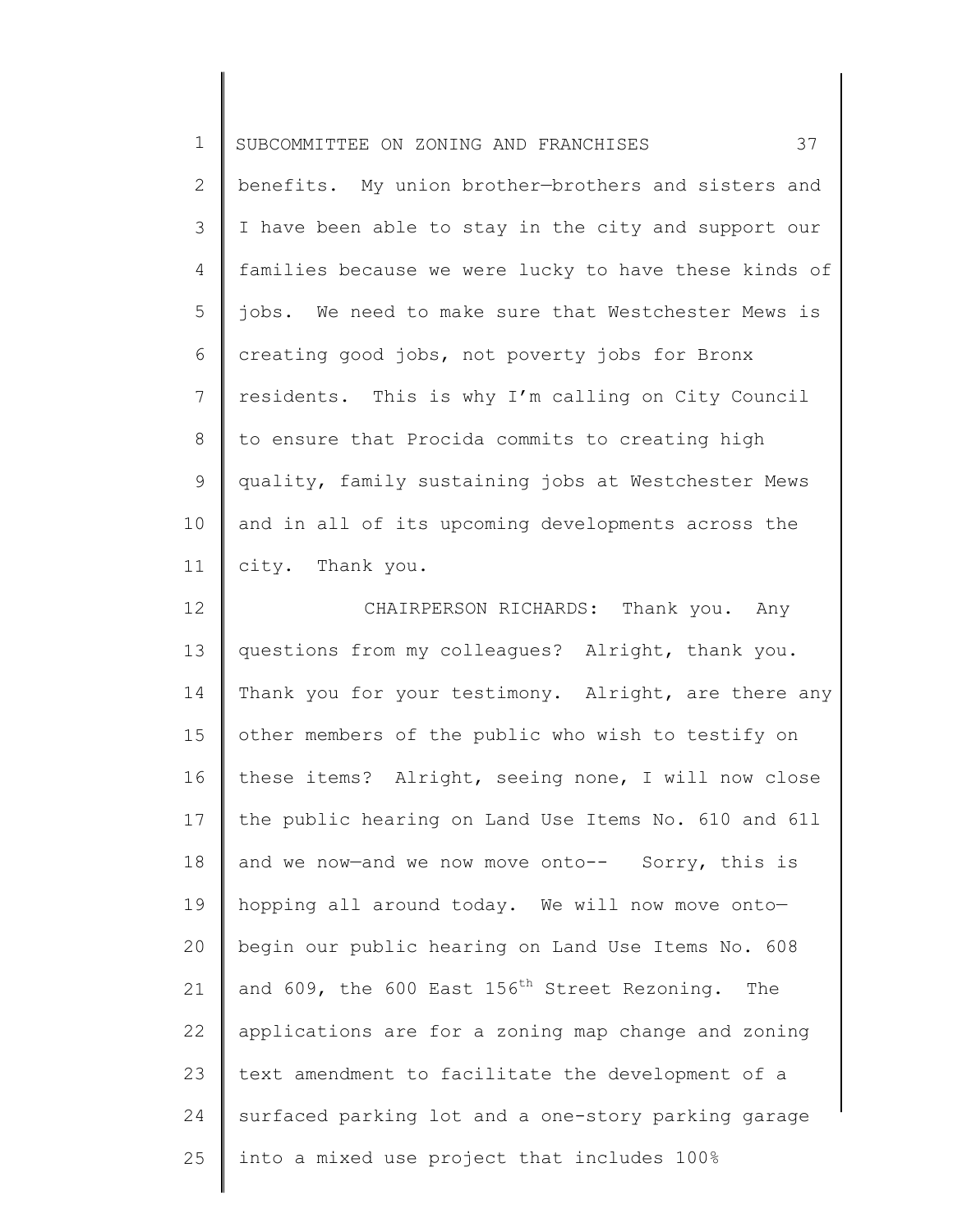| $\mathbf 1$    | 37<br>SUBCOMMITTEE ON ZONING AND FRANCHISES                     |
|----------------|-----------------------------------------------------------------|
| $\mathbf{2}$   | benefits. My union brother-brothers and sisters and             |
| $\mathcal{S}$  | I have been able to stay in the city and support our            |
| 4              | families because we were lucky to have these kinds of           |
| 5              | jobs. We need to make sure that Westchester Mews is             |
| 6              | creating good jobs, not poverty jobs for Bronx                  |
| $\overline{7}$ | residents. This is why I'm calling on City Council              |
| 8              | to ensure that Procida commits to creating high                 |
| $\mathsf 9$    | quality, family sustaining jobs at Westchester Mews             |
| 10             | and in all of its upcoming developments across the              |
| 11             | city. Thank you.                                                |
| 12             | CHAIRPERSON RICHARDS: Thank you. Any                            |
| 13             | questions from my colleagues? Alright, thank you.               |
| 14             | Thank you for your testimony. Alright, are there any            |
| 15             | other members of the public who wish to testify on              |
| 16             | these items? Alright, seeing none, I will now close             |
| 17             | the public hearing on Land Use Items No. 610 and 611            |
| 18             | and we now-and we now move onto-- Sorry, this is                |
| 19             | hopping all around today. We will now move onto-                |
| 20             | begin our public hearing on Land Use Items No. 608              |
| 21             | and 609, the 600 East 156 <sup>th</sup> Street Rezoning.<br>The |
| 22             | applications are for a zoning map change and zoning             |
| 23             | text amendment to facilitate the development of a               |
| 24             | surfaced parking lot and a one-story parking garage             |
| 25             | into a mixed use project that includes 100%                     |
|                |                                                                 |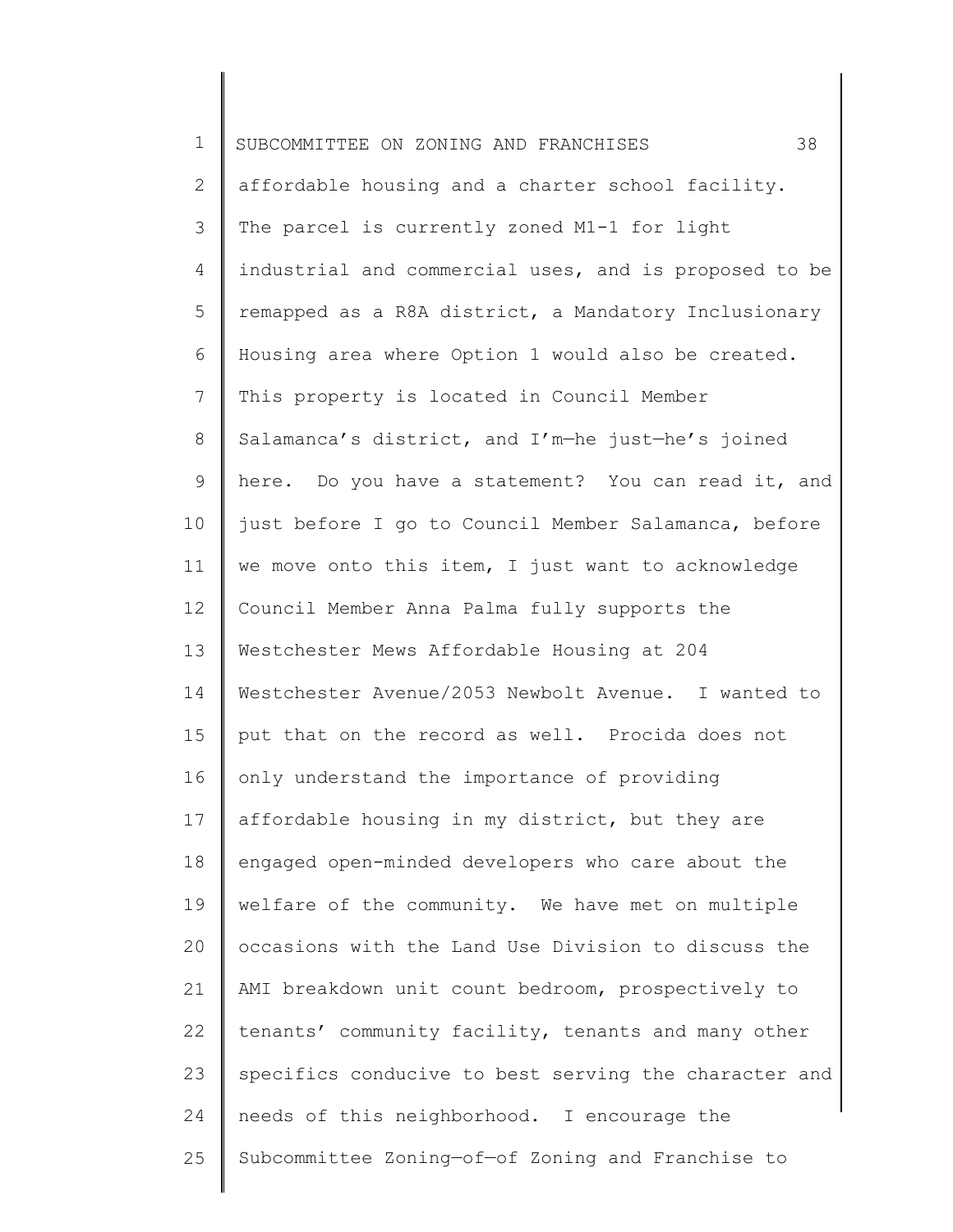| $\mathbf 1$ | 38<br>SUBCOMMITTEE ON ZONING AND FRANCHISES           |
|-------------|-------------------------------------------------------|
| 2           | affordable housing and a charter school facility.     |
| 3           | The parcel is currently zoned M1-1 for light          |
| 4           | industrial and commercial uses, and is proposed to be |
| 5           | remapped as a R8A district, a Mandatory Inclusionary  |
| 6           | Housing area where Option 1 would also be created.    |
| 7           | This property is located in Council Member            |
| $\,8\,$     | Salamanca's district, and I'm-he just-he's joined     |
| 9           | here. Do you have a statement? You can read it, and   |
| 10          | just before I go to Council Member Salamanca, before  |
| 11          | we move onto this item, I just want to acknowledge    |
| 12          | Council Member Anna Palma fully supports the          |
| 13          | Westchester Mews Affordable Housing at 204            |
| 14          | Westchester Avenue/2053 Newbolt Avenue. I wanted to   |
| 15          | put that on the record as well. Procida does not      |
| 16          | only understand the importance of providing           |
| 17          | affordable housing in my district, but they are       |
| 18          | engaged open-minded developers who care about the     |
| 19          | welfare of the community. We have met on multiple     |
| 20          | occasions with the Land Use Division to discuss the   |
| 21          | AMI breakdown unit count bedroom, prospectively to    |
| 22          | tenants' community facility, tenants and many other   |
| 23          | specifics conducive to best serving the character and |
| 24          | needs of this neighborhood. I encourage the           |
| 25          | Subcommittee Zoning-of-of Zoning and Franchise to     |
|             |                                                       |

 $\begin{array}{c} \hline \end{array}$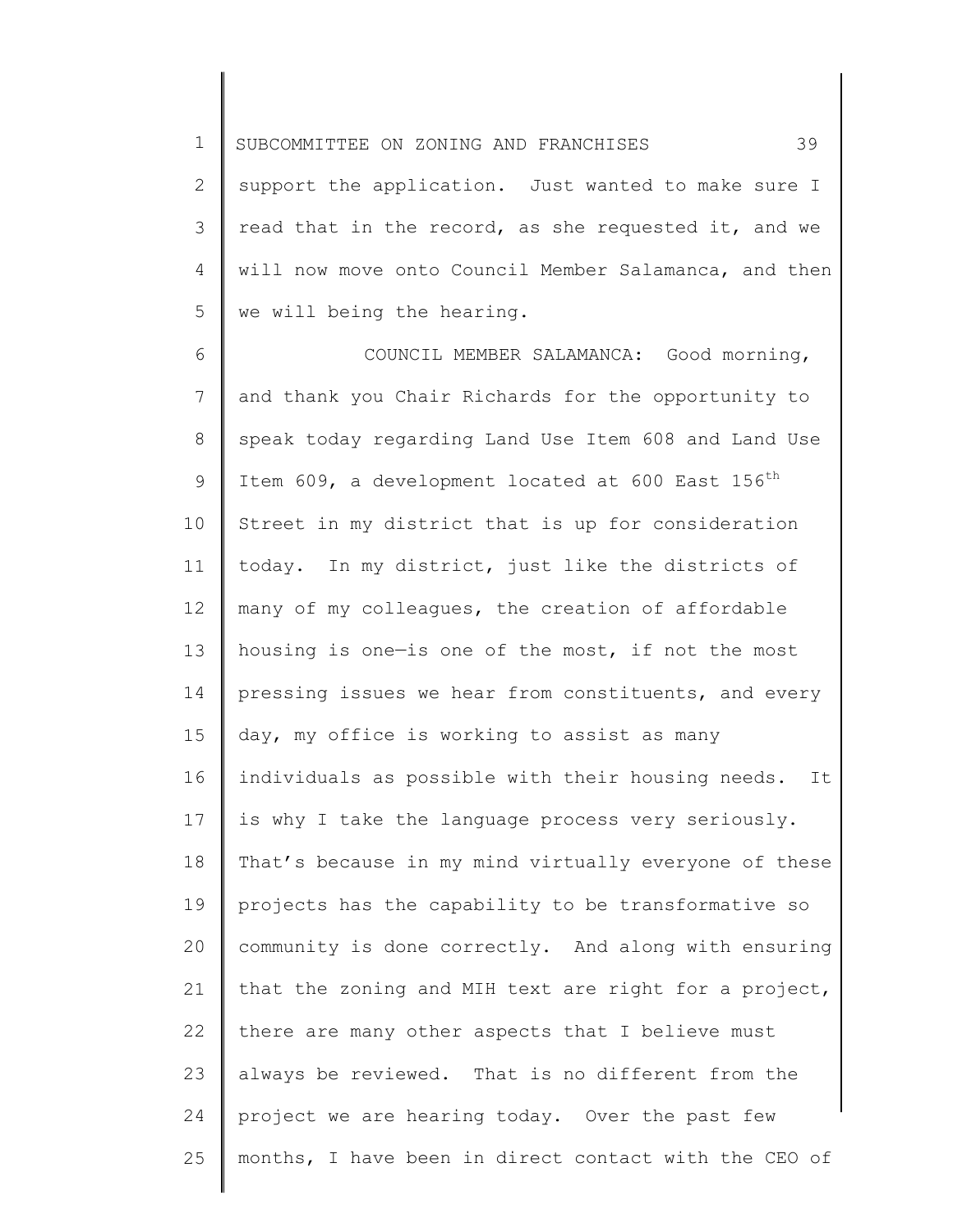1 SUBCOMMITTEE ON ZONING AND FRANCHISES 39

2 3 4 5 support the application. Just wanted to make sure I read that in the record, as she requested it, and we will now move onto Council Member Salamanca, and then we will being the hearing.

6 7 8 9 10 11 12 13 14 15 16 17 18 19 20 21 22 23 24 25 COUNCIL MEMBER SALAMANCA: Good morning, and thank you Chair Richards for the opportunity to speak today regarding Land Use Item 608 and Land Use Item 609, a development located at 600 East  $156^{th}$ Street in my district that is up for consideration today. In my district, just like the districts of many of my colleagues, the creation of affordable housing is one—is one of the most, if not the most pressing issues we hear from constituents, and every day, my office is working to assist as many individuals as possible with their housing needs. It is why I take the language process very seriously. That's because in my mind virtually everyone of these projects has the capability to be transformative so community is done correctly. And along with ensuring that the zoning and MIH text are right for a project, there are many other aspects that I believe must always be reviewed. That is no different from the project we are hearing today. Over the past few months, I have been in direct contact with the CEO of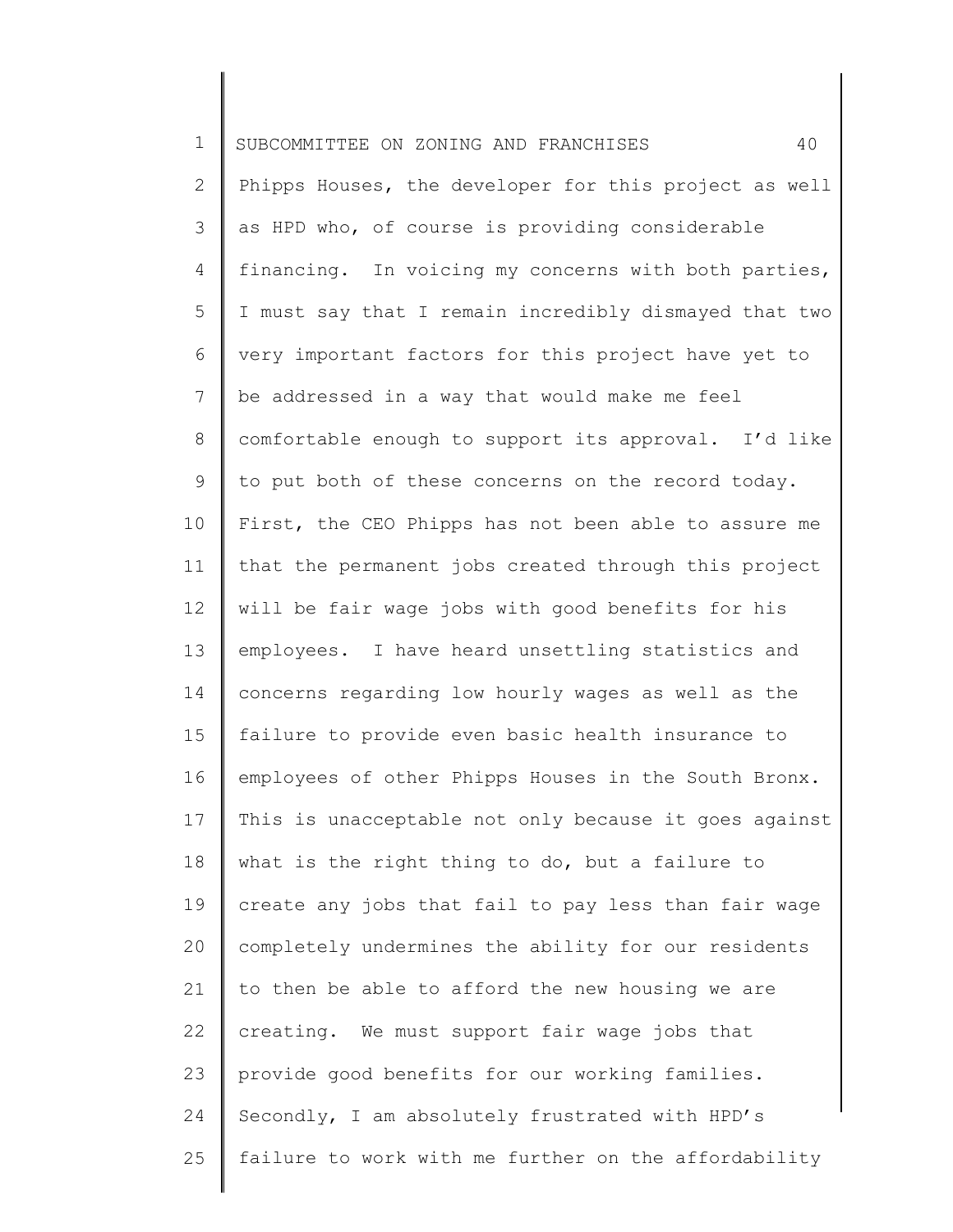| $\mathbf 1$    | 40<br>SUBCOMMITTEE ON ZONING AND FRANCHISES           |
|----------------|-------------------------------------------------------|
| $\overline{2}$ | Phipps Houses, the developer for this project as well |
| 3              | as HPD who, of course is providing considerable       |
| $\overline{4}$ | financing. In voicing my concerns with both parties,  |
| 5              | I must say that I remain incredibly dismayed that two |
| 6              | very important factors for this project have yet to   |
| 7              | be addressed in a way that would make me feel         |
| $8\,$          | comfortable enough to support its approval. I'd like  |
| 9              | to put both of these concerns on the record today.    |
| 10             | First, the CEO Phipps has not been able to assure me  |
| 11             | that the permanent jobs created through this project  |
| 12             | will be fair wage jobs with good benefits for his     |
| 13             | employees. I have heard unsettling statistics and     |
| 14             | concerns regarding low hourly wages as well as the    |
| 15             | failure to provide even basic health insurance to     |
| 16             | employees of other Phipps Houses in the South Bronx.  |
| 17             | This is unacceptable not only because it goes against |
| 18             | what is the right thing to do, but a failure to       |
| 19             | create any jobs that fail to pay less than fair wage  |
| 20             | completely undermines the ability for our residents   |
| 21             | to then be able to afford the new housing we are      |
| 22             | creating. We must support fair wage jobs that         |
| 23             | provide good benefits for our working families.       |
| 24             | Secondly, I am absolutely frustrated with HPD's       |
| 25             | failure to work with me further on the affordability  |
|                |                                                       |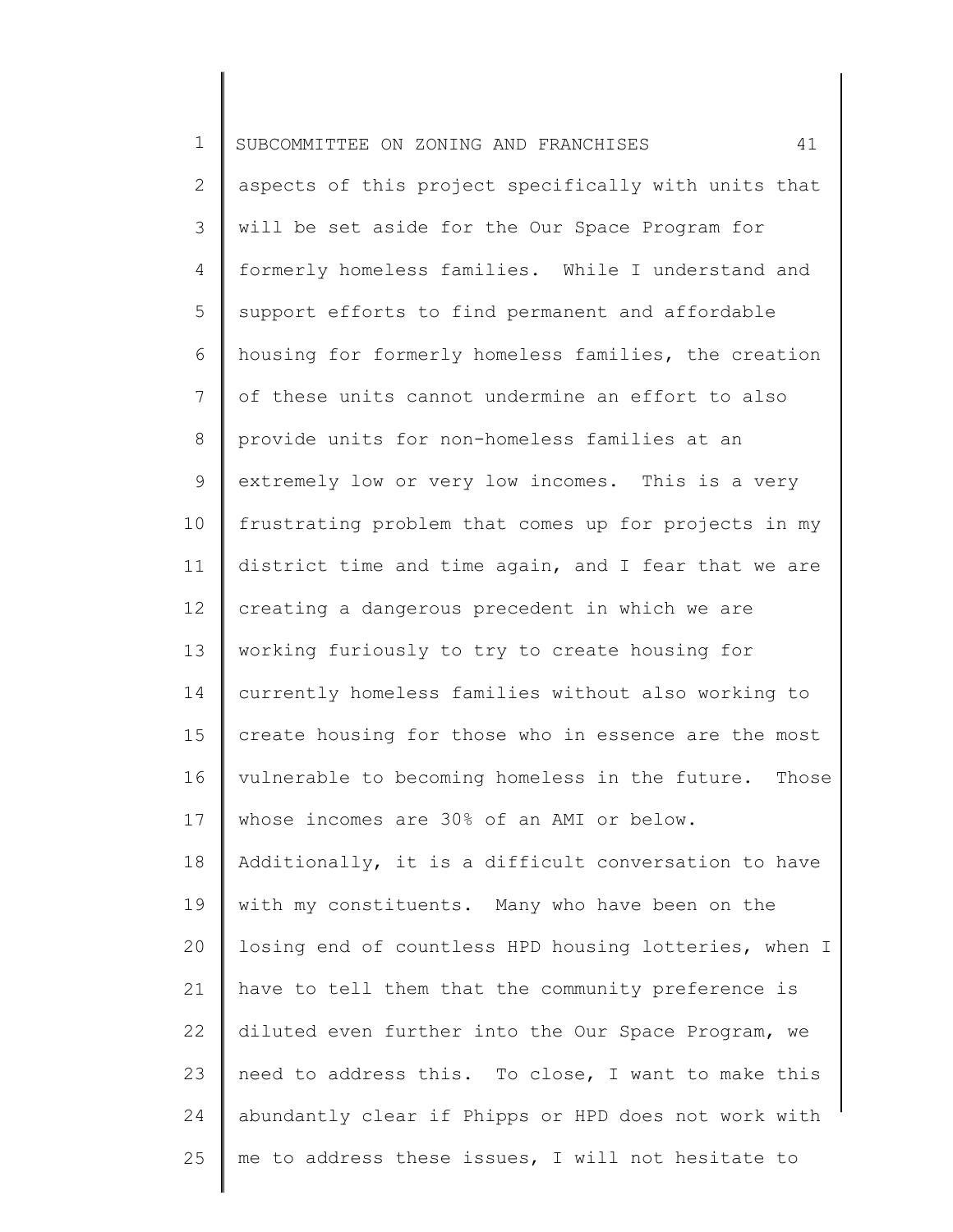| $\mathbf 1$    | SUBCOMMITTEE ON ZONING AND FRANCHISES<br>41             |
|----------------|---------------------------------------------------------|
| $\overline{2}$ | aspects of this project specifically with units that    |
| 3              | will be set aside for the Our Space Program for         |
| 4              | formerly homeless families. While I understand and      |
| 5              | support efforts to find permanent and affordable        |
| 6              | housing for formerly homeless families, the creation    |
| 7              | of these units cannot undermine an effort to also       |
| 8              | provide units for non-homeless families at an           |
| 9              | extremely low or very low incomes. This is a very       |
| 10             | frustrating problem that comes up for projects in my    |
| 11             | district time and time again, and I fear that we are    |
| 12             | creating a dangerous precedent in which we are          |
| 13             | working furiously to try to create housing for          |
| 14             | currently homeless families without also working to     |
| 15             | create housing for those who in essence are the most    |
| 16             | vulnerable to becoming homeless in the future.<br>Those |
| 17             | whose incomes are 30% of an AMI or below.               |
| 18             | Additionally, it is a difficult conversation to have    |
| 19             | with my constituents. Many who have been on the         |
| 20             | losing end of countless HPD housing lotteries, when I   |
| 21             | have to tell them that the community preference is      |
| 22             | diluted even further into the Our Space Program, we     |
| 23             | need to address this. To close, I want to make this     |
| 24             | abundantly clear if Phipps or HPD does not work with    |
| 25             | me to address these issues, I will not hesitate to      |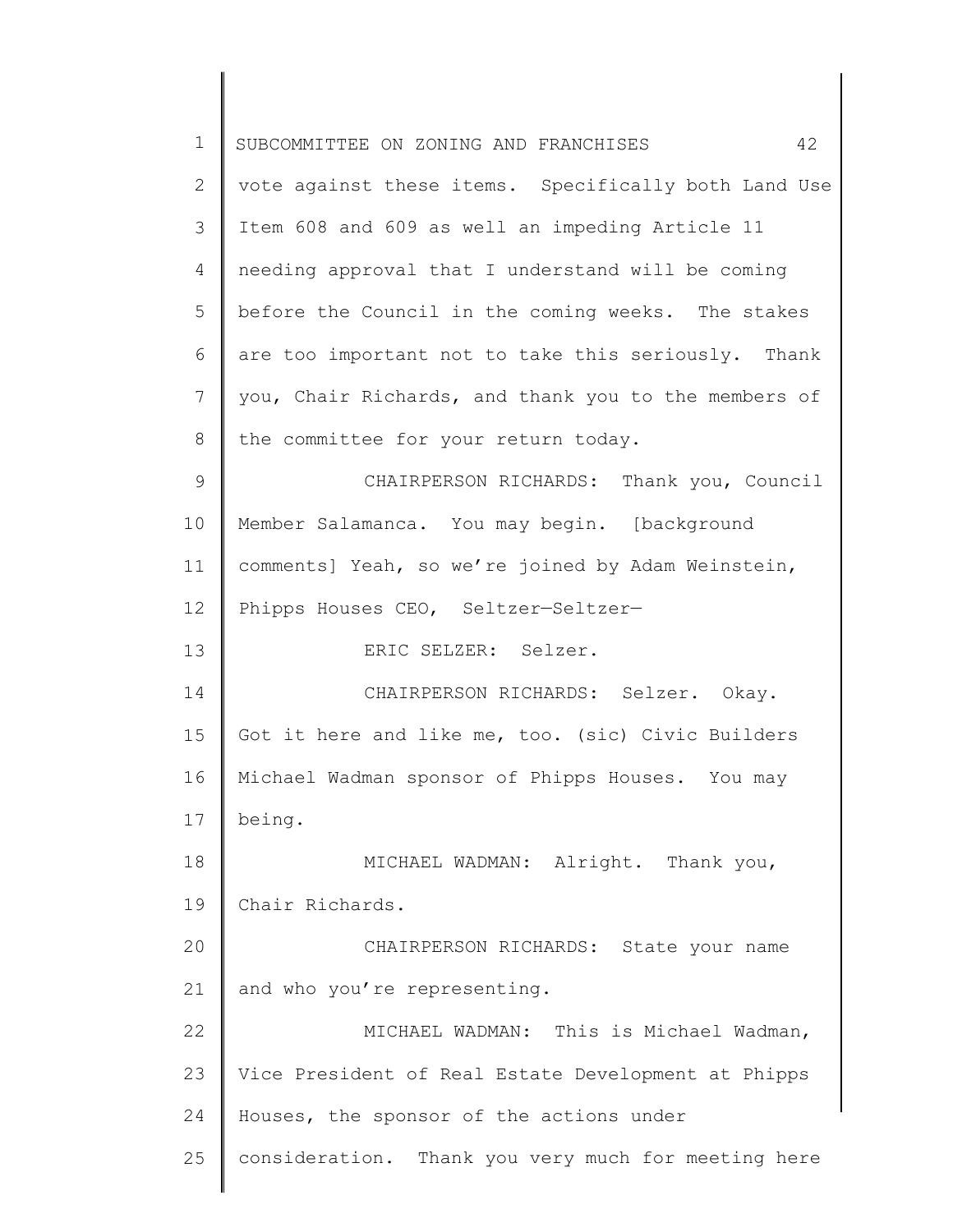| $\mathbf 1$   | 42<br>SUBCOMMITTEE ON ZONING AND FRANCHISES          |
|---------------|------------------------------------------------------|
| 2             | vote against these items. Specifically both Land Use |
| 3             | Item 608 and 609 as well an impeding Article 11      |
| 4             | needing approval that I understand will be coming    |
| 5             | before the Council in the coming weeks. The stakes   |
| 6             | are too important not to take this seriously. Thank  |
| 7             | you, Chair Richards, and thank you to the members of |
| 8             | the committee for your return today.                 |
| $\mathcal{G}$ | CHAIRPERSON RICHARDS: Thank you, Council             |
| 10            | Member Salamanca. You may begin. [background         |
| 11            | comments] Yeah, so we're joined by Adam Weinstein,   |
| 12            | Phipps Houses CEO, Seltzer-Seltzer-                  |
| 13            | ERIC SELZER: Selzer.                                 |
| 14            | CHAIRPERSON RICHARDS: Selzer. Okay.                  |
| 15            | Got it here and like me, too. (sic) Civic Builders   |
| 16            | Michael Wadman sponsor of Phipps Houses. You may     |
| 17            | being.                                               |
| 18            | MICHAEL WADMAN: Alright. Thank you,                  |
| 19            | Chair Richards.                                      |
| 20            | CHAIRPERSON RICHARDS: State your name                |
| 21            | and who you're representing.                         |
| 22            | MICHAEL WADMAN: This is Michael Wadman,              |
| 23            | Vice President of Real Estate Development at Phipps  |
| 24            | Houses, the sponsor of the actions under             |
| 25            | consideration. Thank you very much for meeting here  |
|               |                                                      |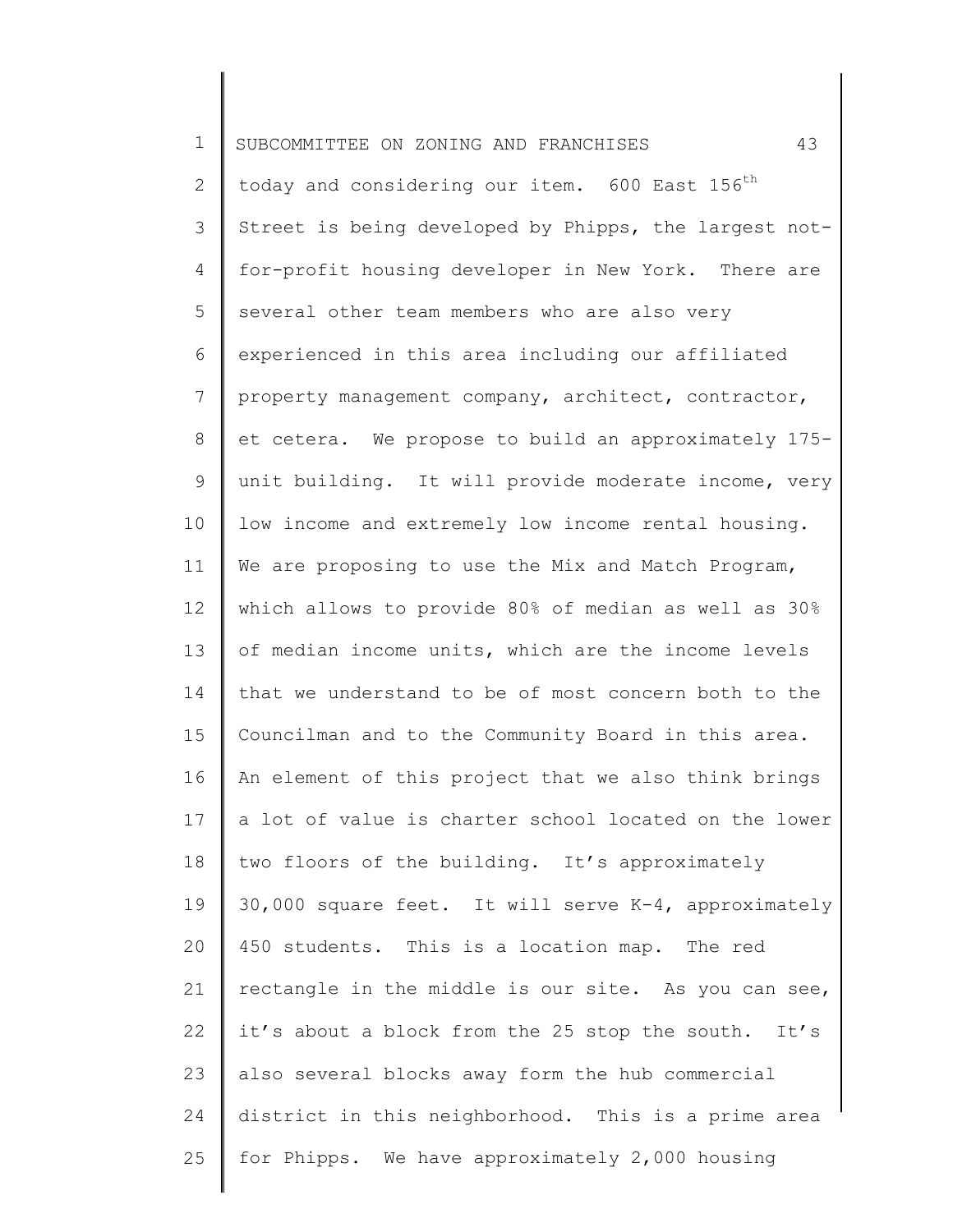| $\mathbf 1$    | 43<br>SUBCOMMITTEE ON ZONING AND FRANCHISES                |
|----------------|------------------------------------------------------------|
| 2              | today and considering our item. 600 East 156 <sup>th</sup> |
| 3              | Street is being developed by Phipps, the largest not-      |
| 4              | for-profit housing developer in New York. There are        |
| 5              | several other team members who are also very               |
| 6              | experienced in this area including our affiliated          |
| $7\phantom{.}$ | property management company, architect, contractor,        |
| $8\,$          | et cetera. We propose to build an approximately 175-       |
| 9              | unit building. It will provide moderate income, very       |
| 10             | low income and extremely low income rental housing.        |
| 11             | We are proposing to use the Mix and Match Program,         |
| 12             | which allows to provide 80% of median as well as 30%       |
| 13             | of median income units, which are the income levels        |
| 14             | that we understand to be of most concern both to the       |
| 15             | Councilman and to the Community Board in this area.        |
| 16             | An element of this project that we also think brings       |
| 17             | a lot of value is charter school located on the lower      |
| 18             | two floors of the building. It's approximately             |
| 19             | 30,000 square feet. It will serve K-4, approximately       |
| 20             | 450 students. This is a location map. The red              |
| 21             | rectangle in the middle is our site. As you can see,       |
| 22             | it's about a block from the 25 stop the south. It's        |
| 23             | also several blocks away form the hub commercial           |
| 24             | district in this neighborhood. This is a prime area        |
| 25             | for Phipps. We have approximately 2,000 housing            |

∥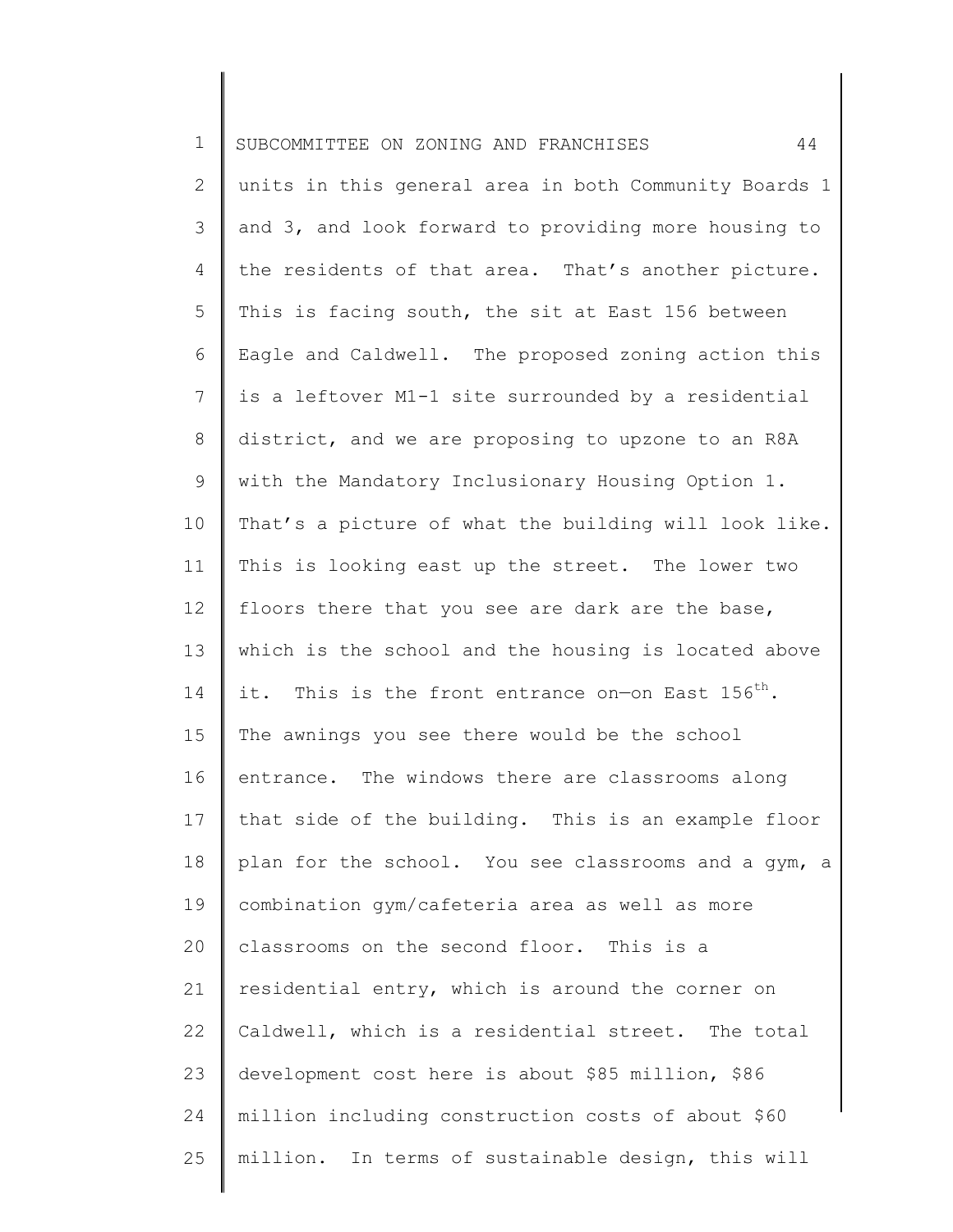| $\mathbf 1$     | 44<br>SUBCOMMITTEE ON ZONING AND FRANCHISES                   |
|-----------------|---------------------------------------------------------------|
| $\mathbf{2}$    | units in this general area in both Community Boards 1         |
| 3               | and 3, and look forward to providing more housing to          |
| $\overline{4}$  | the residents of that area. That's another picture.           |
| 5               | This is facing south, the sit at East 156 between             |
| 6               | Eagle and Caldwell. The proposed zoning action this           |
| $7\overline{ }$ | is a leftover M1-1 site surrounded by a residential           |
| $8\,$           | district, and we are proposing to upzone to an R8A            |
| $\mathsf 9$     | with the Mandatory Inclusionary Housing Option 1.             |
| 10              | That's a picture of what the building will look like.         |
| 11              | This is looking east up the street. The lower two             |
| 12 <sup>°</sup> | floors there that you see are dark are the base,              |
| 13              | which is the school and the housing is located above          |
| 14              | it. This is the front entrance on-on East 156 <sup>th</sup> . |
| 15              | The awnings you see there would be the school                 |
| 16              | entrance. The windows there are classrooms along              |
| 17              | that side of the building. This is an example floor           |
| 18              | plan for the school. You see classrooms and a gym, a          |
| 19              | combination qym/cafeteria area as well as more                |
| 20              | classrooms on the second floor. This is a                     |
| 21              | residential entry, which is around the corner on              |
| 22              | Caldwell, which is a residential street. The total            |
| 23              | development cost here is about \$85 million, \$86             |
| 24              | million including construction costs of about \$60            |
| 25              | million. In terms of sustainable design, this will            |
|                 |                                                               |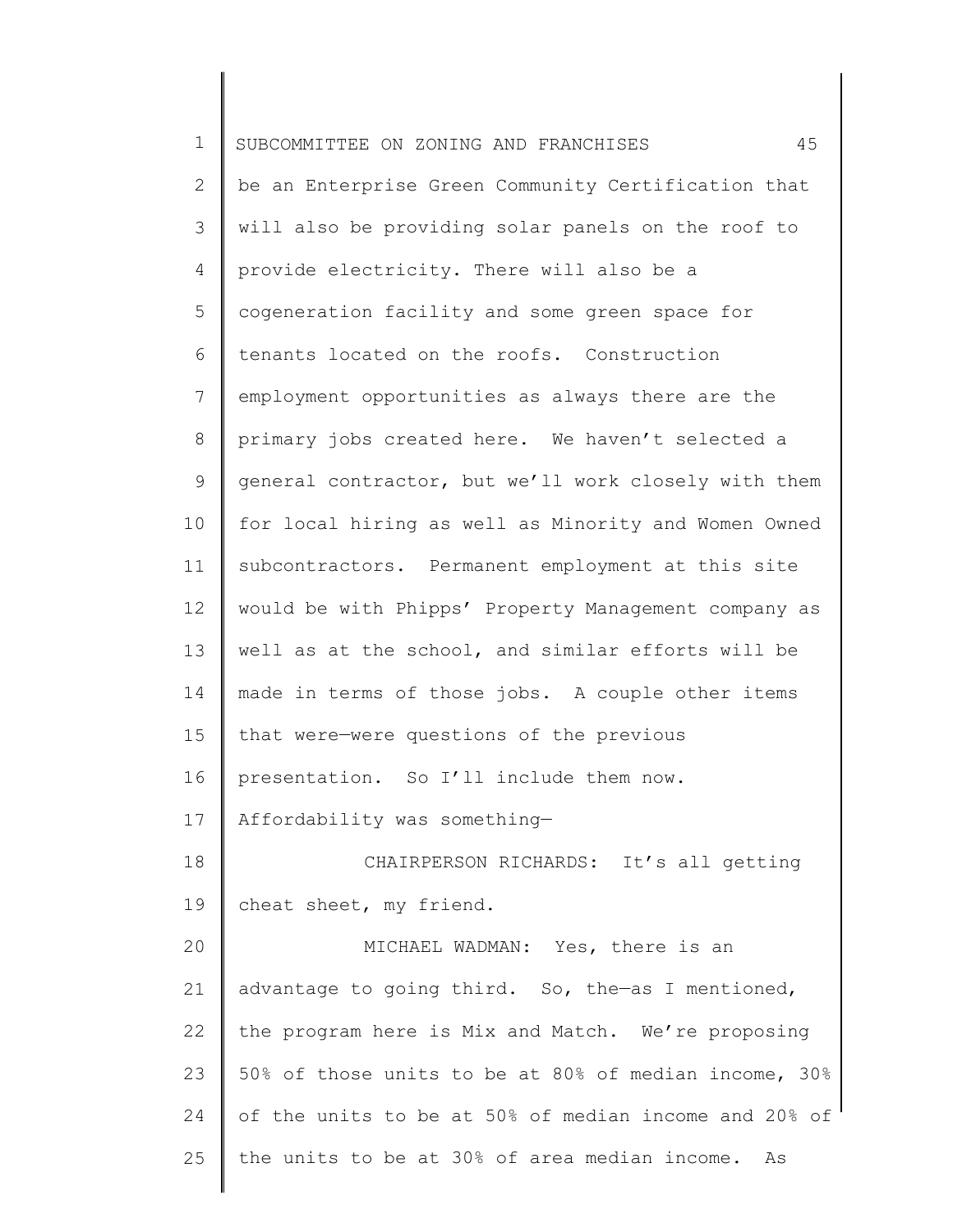1 2 3 4 5 6 7 8 9 10 11 12 13 14 15 16 17 18 19 20 21 22 23 24 25 SUBCOMMITTEE ON ZONING AND FRANCHISES 45 be an Enterprise Green Community Certification that will also be providing solar panels on the roof to provide electricity. There will also be a cogeneration facility and some green space for tenants located on the roofs. Construction employment opportunities as always there are the primary jobs created here. We haven't selected a general contractor, but we'll work closely with them for local hiring as well as Minority and Women Owned subcontractors. Permanent employment at this site would be with Phipps' Property Management company as well as at the school, and similar efforts will be made in terms of those jobs. A couple other items that were—were questions of the previous presentation. So I'll include them now. Affordability was something— CHAIRPERSON RICHARDS: It's all getting cheat sheet, my friend. MICHAEL WADMAN: Yes, there is an advantage to going third. So, the—as I mentioned, the program here is Mix and Match. We're proposing 50% of those units to be at 80% of median income, 30% of the units to be at 50% of median income and 20% of the units to be at 30% of area median income. As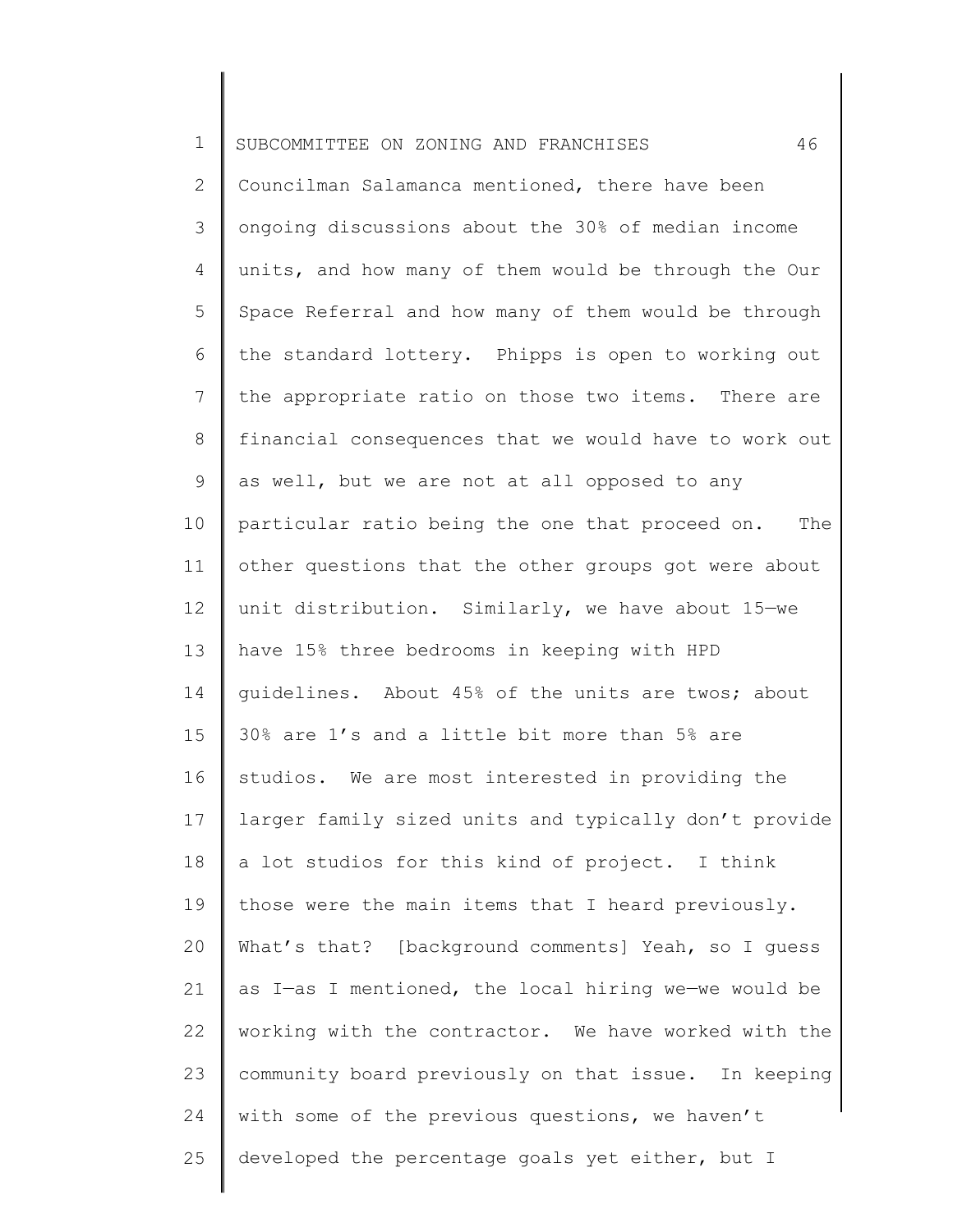| $\mathbf 1$     | 46<br>SUBCOMMITTEE ON ZONING AND FRANCHISES            |
|-----------------|--------------------------------------------------------|
| 2               | Councilman Salamanca mentioned, there have been        |
| 3               | ongoing discussions about the 30% of median income     |
| 4               | units, and how many of them would be through the Our   |
| 5               | Space Referral and how many of them would be through   |
| 6               | the standard lottery. Phipps is open to working out    |
| $7\phantom{.0}$ | the appropriate ratio on those two items. There are    |
| $8\,$           | financial consequences that we would have to work out  |
| 9               | as well, but we are not at all opposed to any          |
| 10              | particular ratio being the one that proceed on.<br>The |
| 11              | other questions that the other groups got were about   |
| 12              | unit distribution. Similarly, we have about 15-we      |
| 13              | have 15% three bedrooms in keeping with HPD            |
| 14              | guidelines. About 45% of the units are twos; about     |
| 15              | 30% are 1's and a little bit more than 5% are          |
| 16              | studios. We are most interested in providing the       |
| 17              | larger family sized units and typically don't provide  |
| 18              | a lot studios for this kind of project. I think        |
| 19              | those were the main items that I heard previously.     |
| 20              | What's that? [background comments] Yeah, so I guess    |
| 21              | as I-as I mentioned, the local hiring we-we would be   |
| 22              | working with the contractor. We have worked with the   |
| 23              | community board previously on that issue. In keeping   |
| 24              | with some of the previous questions, we haven't        |
| 25              | developed the percentage goals yet either, but I       |
|                 |                                                        |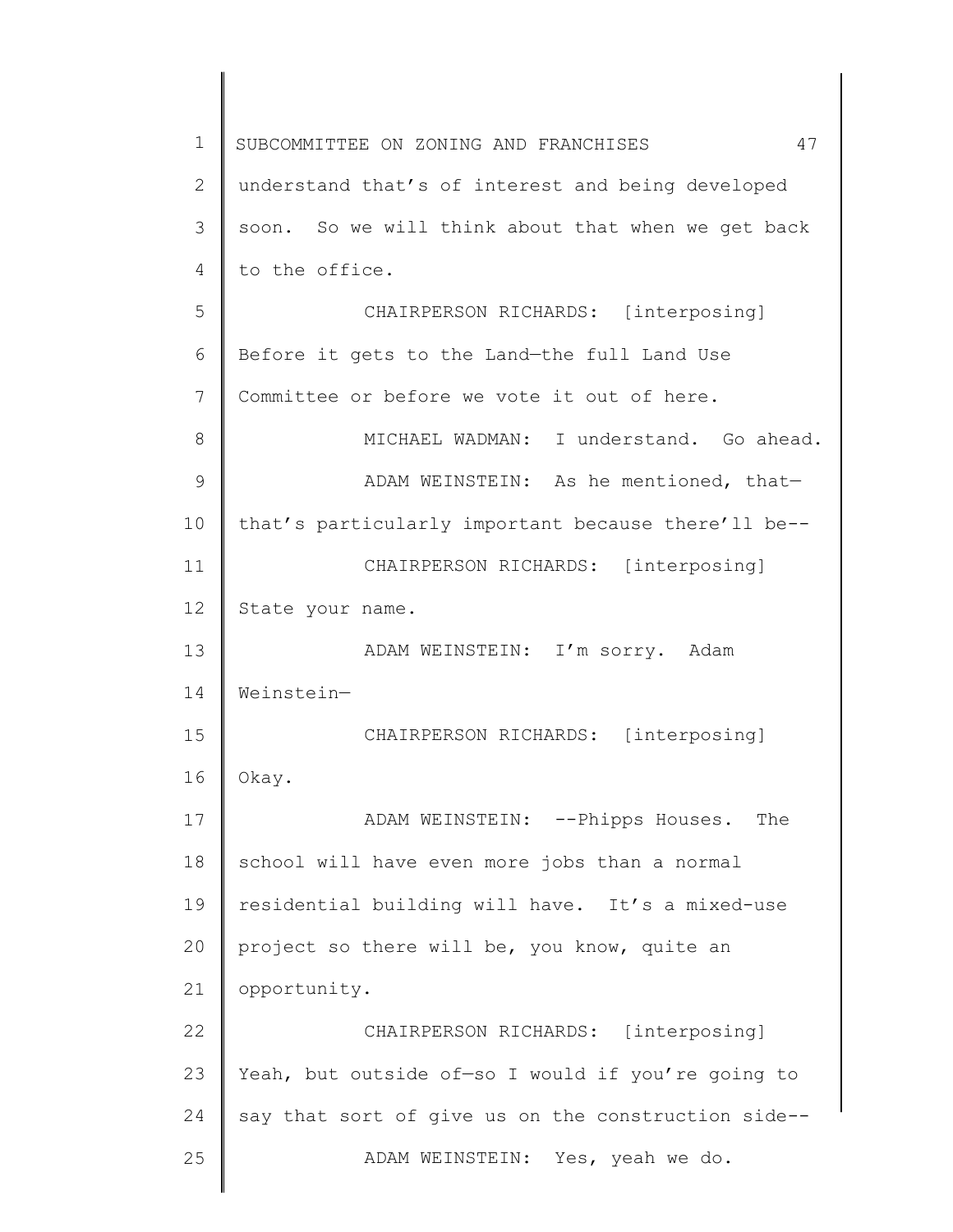| 1  | SUBCOMMITTEE ON ZONING AND FRANCHISES<br>47         |
|----|-----------------------------------------------------|
| 2  | understand that's of interest and being developed   |
| 3  | soon. So we will think about that when we get back  |
| 4  | to the office.                                      |
| 5  | CHAIRPERSON RICHARDS: [interposing]                 |
| 6  | Before it gets to the Land-the full Land Use        |
| 7  | Committee or before we vote it out of here.         |
| 8  | MICHAEL WADMAN: I understand. Go ahead.             |
| 9  | ADAM WEINSTEIN: As he mentioned, that-              |
| 10 | that's particularly important because there'll be-- |
| 11 | CHAIRPERSON RICHARDS: [interposing]                 |
| 12 | State your name.                                    |
| 13 | ADAM WEINSTEIN: I'm sorry. Adam                     |
| 14 | Weinstein-                                          |
| 15 | CHAIRPERSON RICHARDS: [interposing]                 |
| 16 | Okay.                                               |
| 17 | ADAM WEINSTEIN: -- Phipps Houses. The               |
| 18 | school will have even more jobs than a normal       |
| 19 | residential building will have. It's a mixed-use    |
| 20 | project so there will be, you know, quite an        |
| 21 | opportunity.                                        |
| 22 | CHAIRPERSON RICHARDS: [interposing]                 |
| 23 | Yeah, but outside of-so I would if you're going to  |
| 24 | say that sort of give us on the construction side-- |
| 25 | ADAM WEINSTEIN: Yes, yeah we do.                    |
|    |                                                     |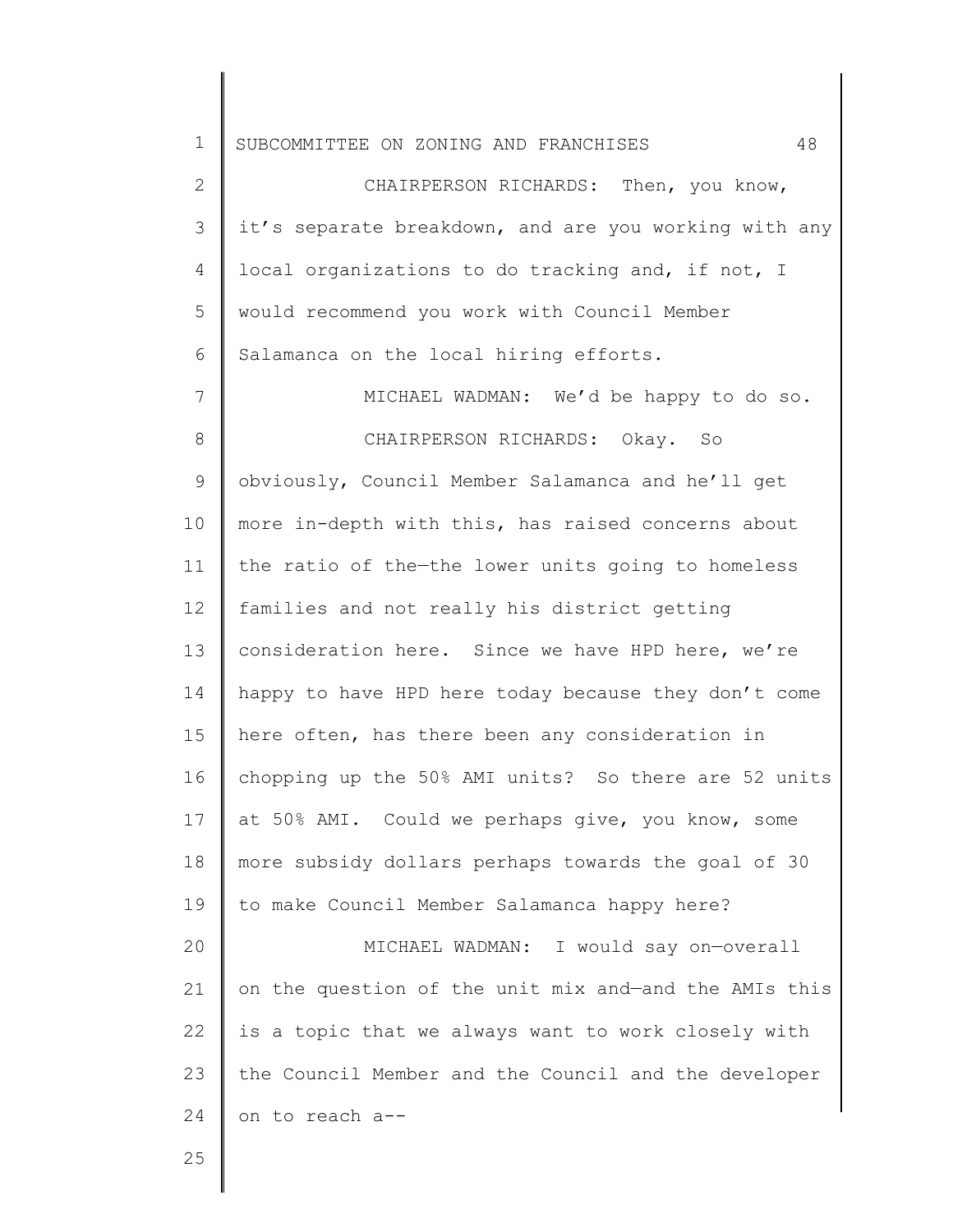1 SUBCOMMITTEE ON ZONING AND FRANCHISES 48

2 3 4 5 6 CHAIRPERSON RICHARDS: Then, you know, it's separate breakdown, and are you working with any local organizations to do tracking and, if not, I would recommend you work with Council Member Salamanca on the local hiring efforts.

7 8 9 10 11 12 13 14 15 16 17 18 19 20 21 22 23 24 MICHAEL WADMAN: We'd be happy to do so. CHAIRPERSON RICHARDS: Okay. So obviously, Council Member Salamanca and he'll get more in-depth with this, has raised concerns about the ratio of the—the lower units going to homeless families and not really his district getting consideration here. Since we have HPD here, we're happy to have HPD here today because they don't come here often, has there been any consideration in chopping up the 50% AMI units? So there are 52 units at 50% AMI. Could we perhaps give, you know, some more subsidy dollars perhaps towards the goal of 30 to make Council Member Salamanca happy here? MICHAEL WADMAN: I would say on—overall on the question of the unit mix and—and the AMIs this is a topic that we always want to work closely with the Council Member and the Council and the developer on to reach a--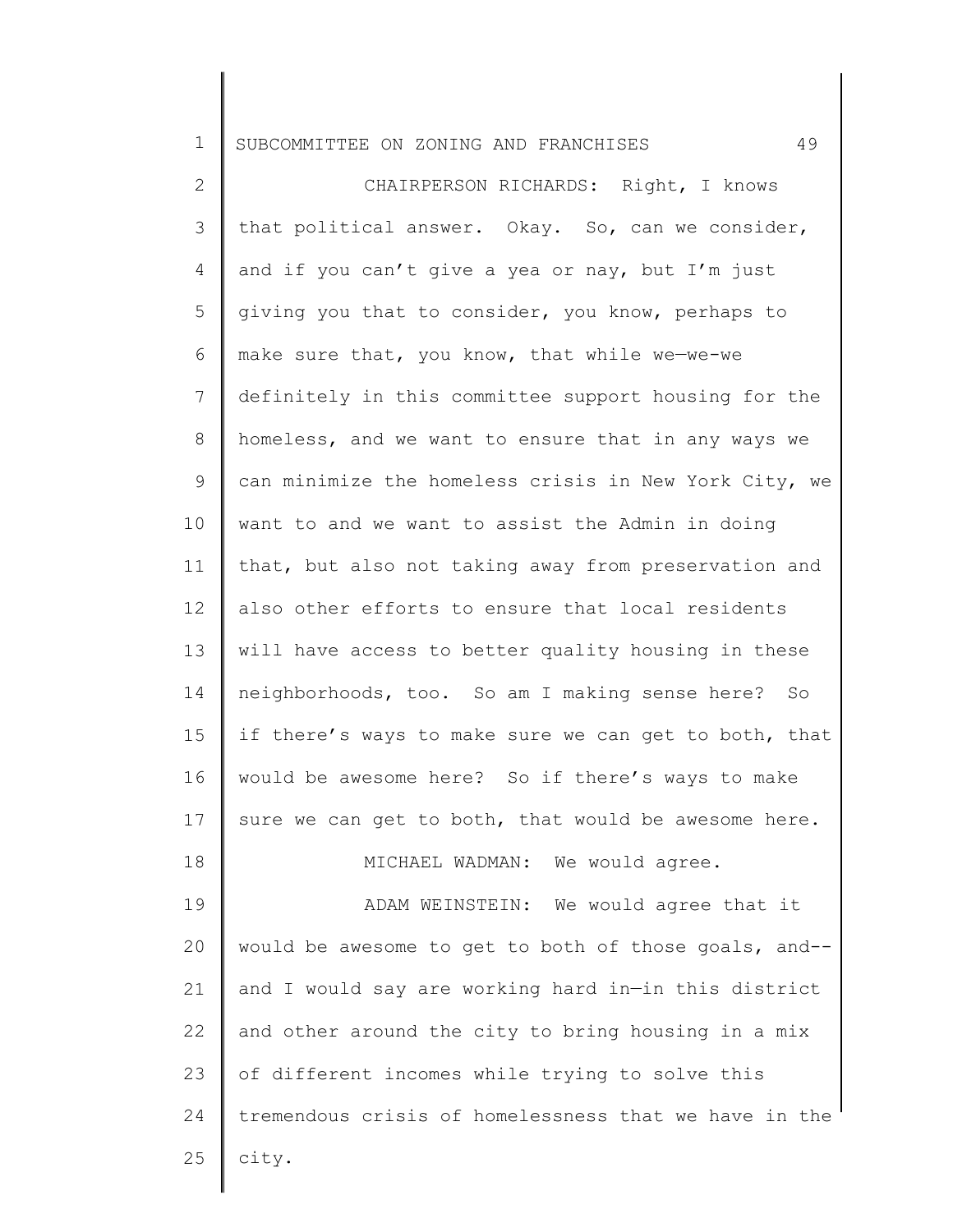1 SUBCOMMITTEE ON ZONING AND FRANCHISES 49

2 3 4 5 6 7 8 9 10 11 12 13 14 15 16 17 18 19 20 21 22 23 24 25 CHAIRPERSON RICHARDS: Right, I knows that political answer. Okay. So, can we consider, and if you can't give a yea or nay, but I'm just giving you that to consider, you know, perhaps to make sure that, you know, that while we—we-we definitely in this committee support housing for the homeless, and we want to ensure that in any ways we can minimize the homeless crisis in New York City, we want to and we want to assist the Admin in doing that, but also not taking away from preservation and also other efforts to ensure that local residents will have access to better quality housing in these neighborhoods, too. So am I making sense here? So if there's ways to make sure we can get to both, that would be awesome here? So if there's ways to make sure we can get to both, that would be awesome here. MICHAEL WADMAN: We would agree. ADAM WEINSTEIN: We would agree that it would be awesome to get to both of those goals, and- and I would say are working hard in—in this district and other around the city to bring housing in a mix of different incomes while trying to solve this tremendous crisis of homelessness that we have in the city.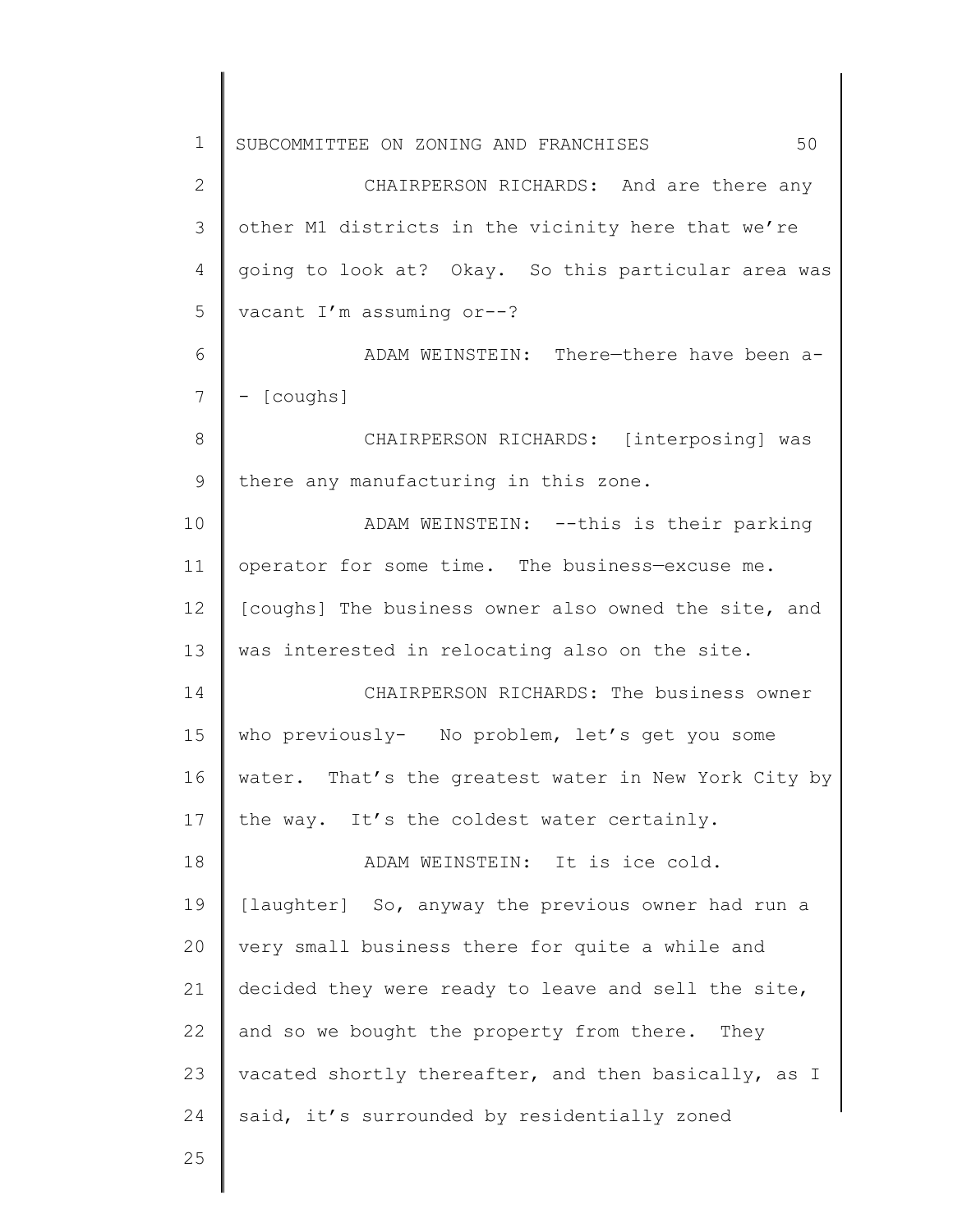1 2 3 4 5 6 7 8 9 10 11 12 13 14 15 16 17 18 19 20 21 22 23 24 25 SUBCOMMITTEE ON ZONING AND FRANCHISES 50 CHAIRPERSON RICHARDS: And are there any other M1 districts in the vicinity here that we're going to look at? Okay. So this particular area was vacant I'm assuming or--? ADAM WEINSTEIN: There—there have been a- - [coughs] CHAIRPERSON RICHARDS: [interposing] was there any manufacturing in this zone. ADAM WEINSTEIN: --this is their parking operator for some time. The business—excuse me. [coughs] The business owner also owned the site, and was interested in relocating also on the site. CHAIRPERSON RICHARDS: The business owner who previously- No problem, let's get you some water. That's the greatest water in New York City by the way. It's the coldest water certainly. ADAM WEINSTEIN: It is ice cold. [laughter] So, anyway the previous owner had run a very small business there for quite a while and decided they were ready to leave and sell the site, and so we bought the property from there. They vacated shortly thereafter, and then basically, as I said, it's surrounded by residentially zoned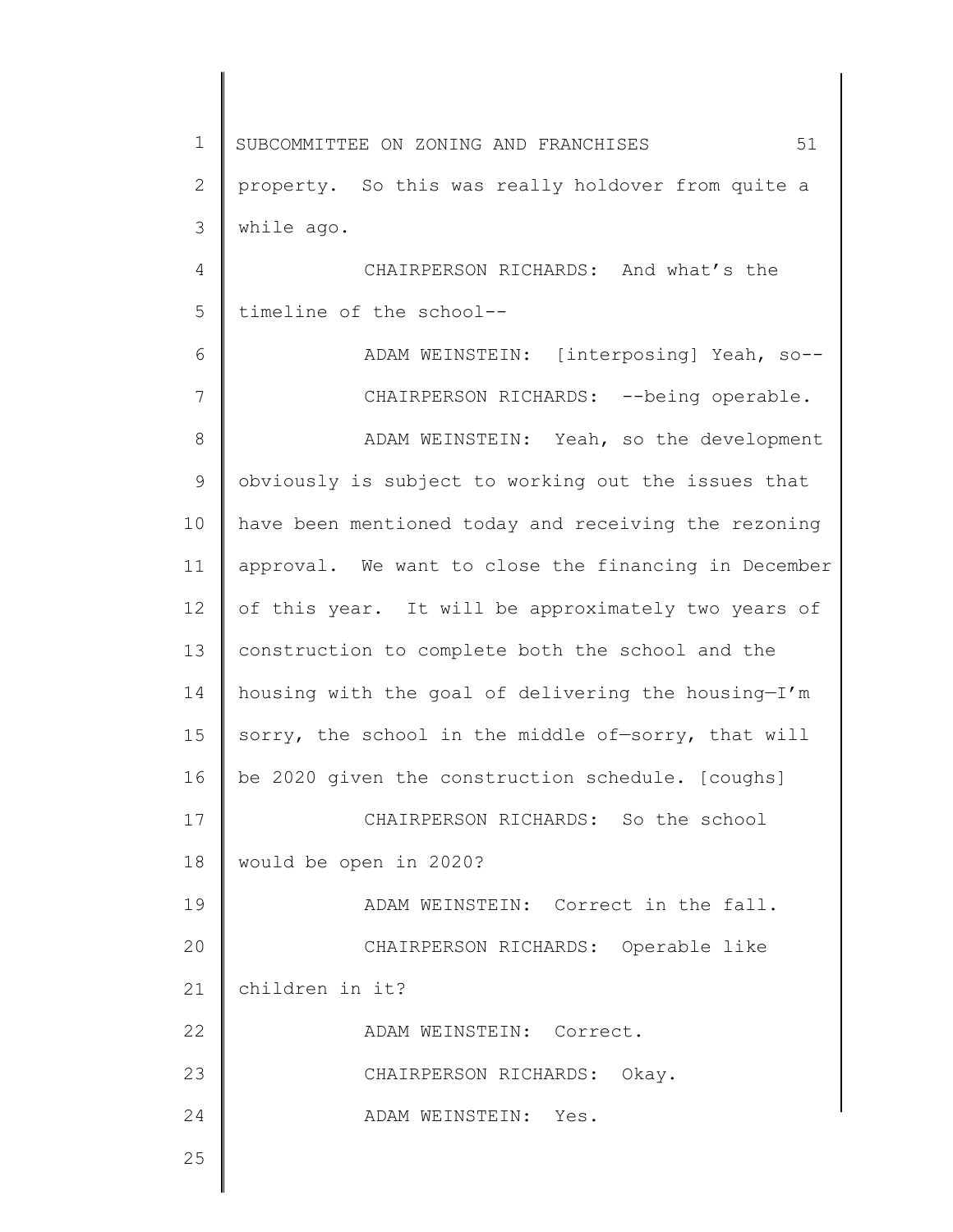1 2 3 4 5 6 7 8 9 10 11 12 13 14 15 16 17 18 19 20 21 22 23 24 25 SUBCOMMITTEE ON ZONING AND FRANCHISES 51 property. So this was really holdover from quite a while ago. CHAIRPERSON RICHARDS: And what's the timeline of the school-- ADAM WEINSTEIN: [interposing] Yeah, so-- CHAIRPERSON RICHARDS: --being operable. ADAM WEINSTEIN: Yeah, so the development obviously is subject to working out the issues that have been mentioned today and receiving the rezoning approval. We want to close the financing in December of this year. It will be approximately two years of construction to complete both the school and the housing with the goal of delivering the housing—I'm sorry, the school in the middle of-sorry, that will be 2020 given the construction schedule. [coughs] CHAIRPERSON RICHARDS: So the school would be open in 2020? ADAM WEINSTEIN: Correct in the fall. CHAIRPERSON RICHARDS: Operable like children in it? ADAM WEINSTEIN: Correct. CHAIRPERSON RICHARDS: Okay. ADAM WEINSTEIN: Yes.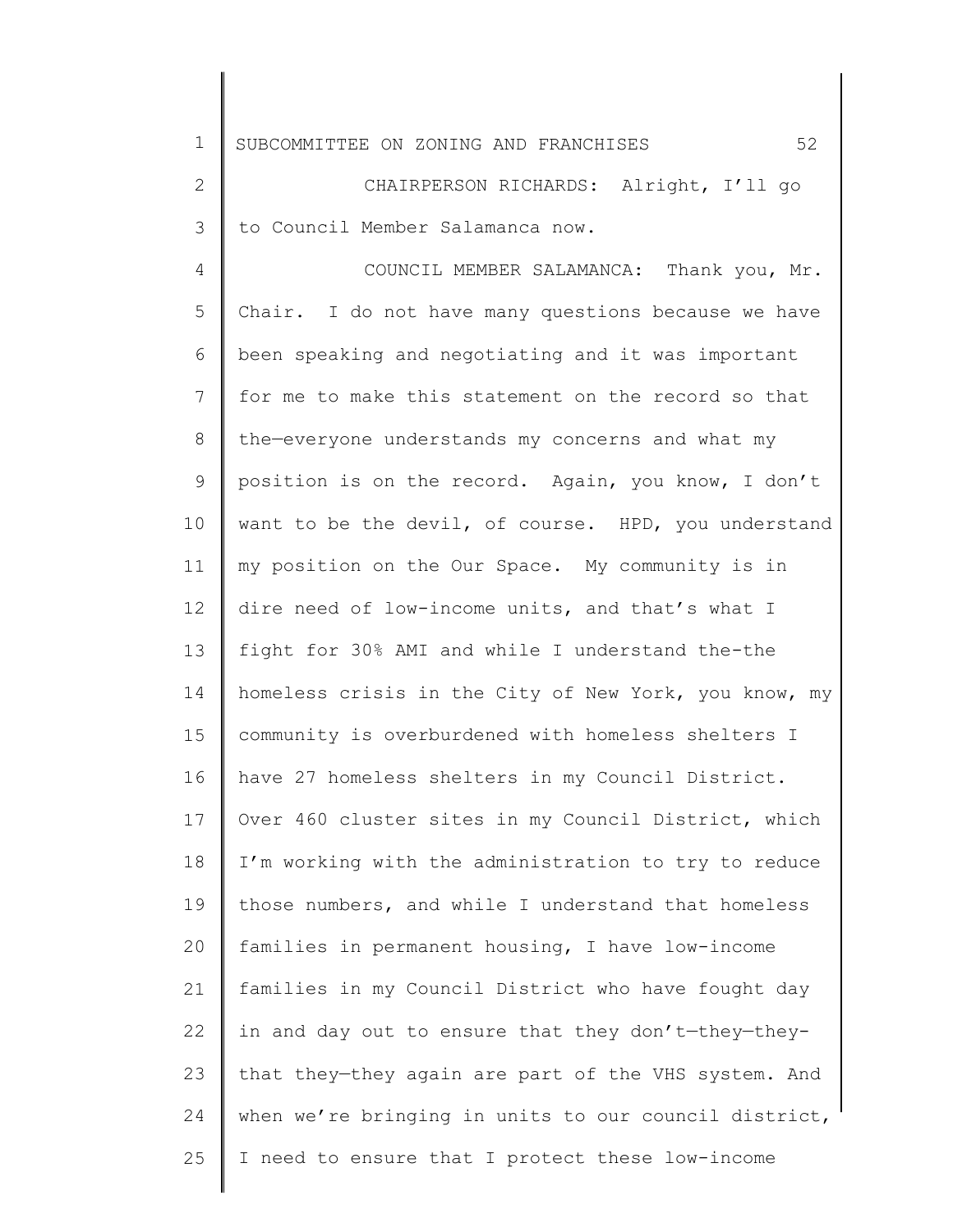1 SUBCOMMITTEE ON ZONING AND FRANCHISES 52

2 3 CHAIRPERSON RICHARDS: Alright, I'll go to Council Member Salamanca now.

4 5 6 7 8 9 10 11 12 13 14 15 16 17 18 19 20 21 22 23 24 25 COUNCIL MEMBER SALAMANCA: Thank you, Mr. Chair. I do not have many questions because we have been speaking and negotiating and it was important for me to make this statement on the record so that the—everyone understands my concerns and what my position is on the record. Again, you know, I don't want to be the devil, of course. HPD, you understand my position on the Our Space. My community is in dire need of low-income units, and that's what I fight for 30% AMI and while I understand the-the homeless crisis in the City of New York, you know, my community is overburdened with homeless shelters I have 27 homeless shelters in my Council District. Over 460 cluster sites in my Council District, which I'm working with the administration to try to reduce those numbers, and while I understand that homeless families in permanent housing, I have low-income families in my Council District who have fought day in and day out to ensure that they don't—they—theythat they—they again are part of the VHS system. And when we're bringing in units to our council district, I need to ensure that I protect these low-income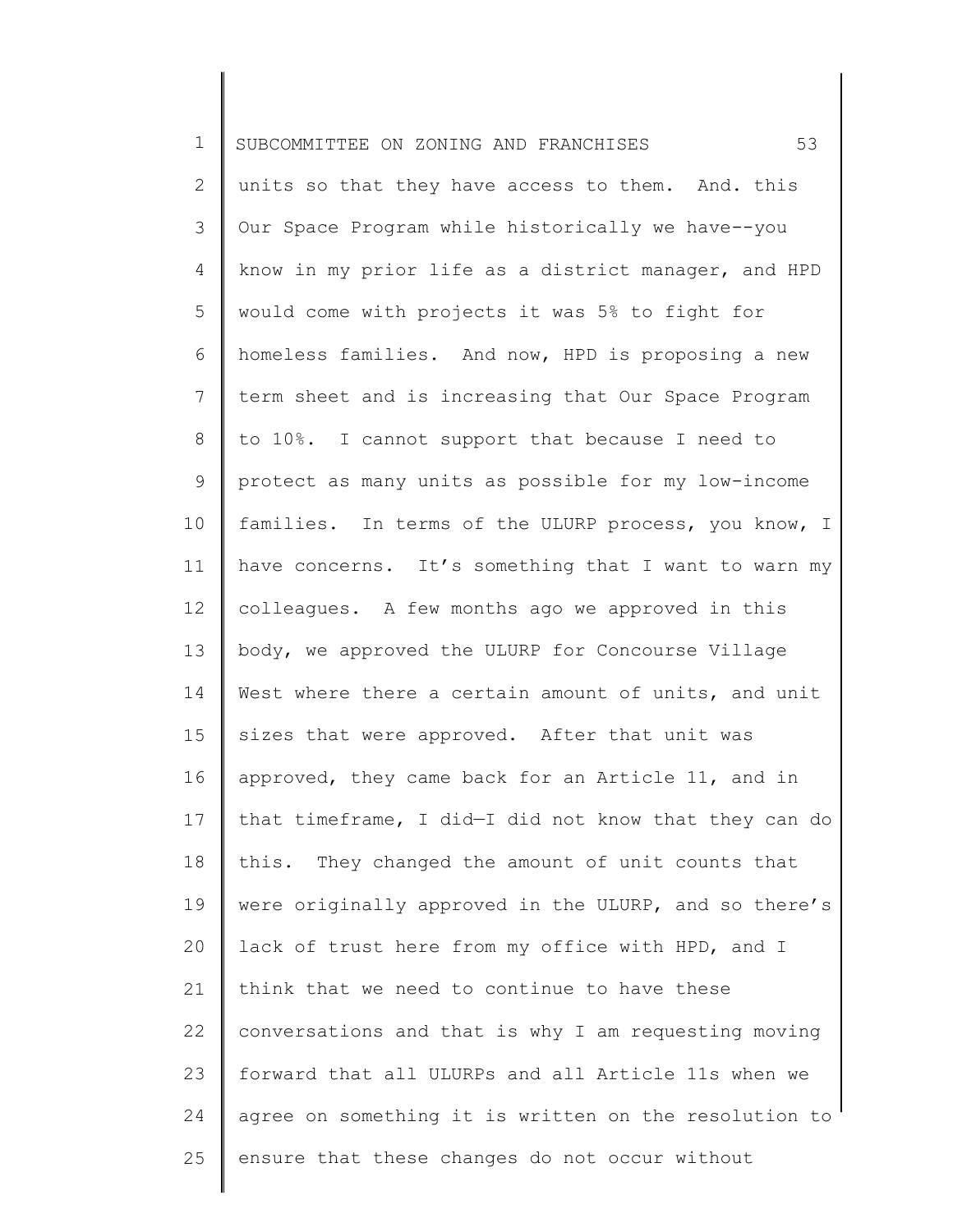| $\mathbf 1$     | 53<br>SUBCOMMITTEE ON ZONING AND FRANCHISES           |
|-----------------|-------------------------------------------------------|
| $\overline{2}$  | units so that they have access to them. And. this     |
| 3               | Our Space Program while historically we have--you     |
| $\overline{4}$  | know in my prior life as a district manager, and HPD  |
| 5               | would come with projects it was 5% to fight for       |
| 6               | homeless families. And now, HPD is proposing a new    |
| 7               | term sheet and is increasing that Our Space Program   |
| $8\,$           | to 10%. I cannot support that because I need to       |
| 9               | protect as many units as possible for my low-income   |
| 10              | families. In terms of the ULURP process, you know, I  |
| 11              | have concerns. It's something that I want to warn my  |
| 12 <sup>°</sup> | colleagues. A few months ago we approved in this      |
| 13              | body, we approved the ULURP for Concourse Village     |
| 14              | West where there a certain amount of units, and unit  |
| 15              | sizes that were approved. After that unit was         |
| 16              | approved, they came back for an Article 11, and in    |
| 17              | that timeframe, I did-I did not know that they can do |
| 18              | this. They changed the amount of unit counts that     |
| 19              | were originally approved in the ULURP, and so there's |
| 20              | lack of trust here from my office with HPD, and I     |
| 21              | think that we need to continue to have these          |
| 22              | conversations and that is why I am requesting moving  |
| 23              | forward that all ULURPs and all Article 11s when we   |
| 24              | agree on something it is written on the resolution to |
| 25              | ensure that these changes do not occur without        |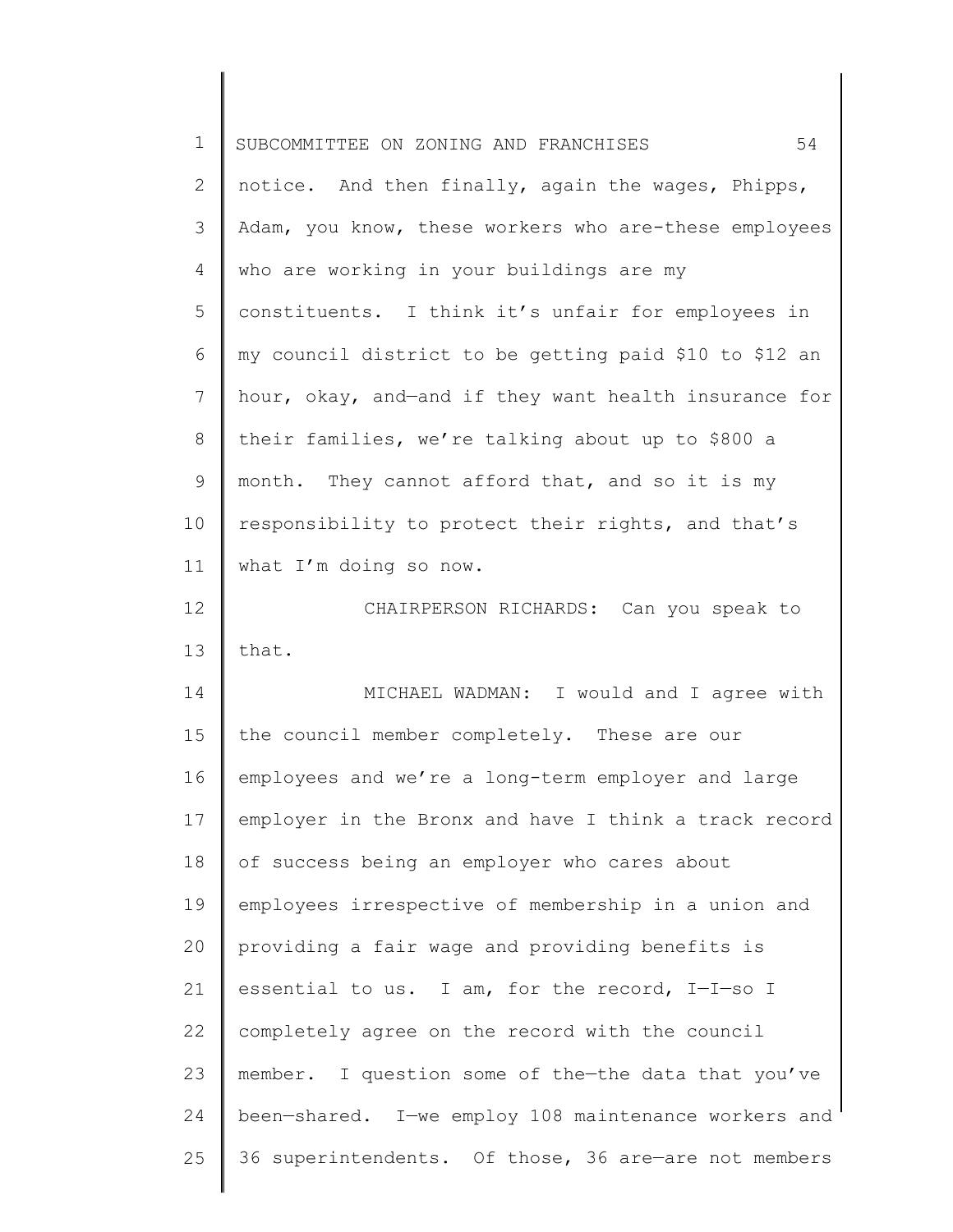| $\mathbf 1$ | 54<br>SUBCOMMITTEE ON ZONING AND FRANCHISES            |
|-------------|--------------------------------------------------------|
| 2           | notice. And then finally, again the wages, Phipps,     |
| 3           | Adam, you know, these workers who are-these employees  |
| 4           | who are working in your buildings are my               |
| 5           | constituents. I think it's unfair for employees in     |
| 6           | my council district to be getting paid \$10 to \$12 an |
| 7           | hour, okay, and-and if they want health insurance for  |
| 8           | their families, we're talking about up to \$800 a      |
| 9           | month. They cannot afford that, and so it is my        |
| 10          | responsibility to protect their rights, and that's     |
| 11          | what I'm doing so now.                                 |
| 12          | CHAIRPERSON RICHARDS: Can you speak to                 |
| 13          | that.                                                  |
| 14          | MICHAEL WADMAN: I would and I agree with               |
| 15          | the council member completely. These are our           |
| 16          | employees and we're a long-term employer and large     |
| 17          | employer in the Bronx and have I think a track record  |
| 18          | of success being an employer who cares about           |
| 19          | employees irrespective of membership in a union and    |
| 20          | providing a fair wage and providing benefits is        |
| 21          | essential to us. I am, for the record, I-I-so I        |
| 22          | completely agree on the record with the council        |
| 23          | member. I question some of the-the data that you've    |
| 24          | been-shared. I-we employ 108 maintenance workers and   |
| 25          | 36 superintendents. Of those, 36 are-are not members   |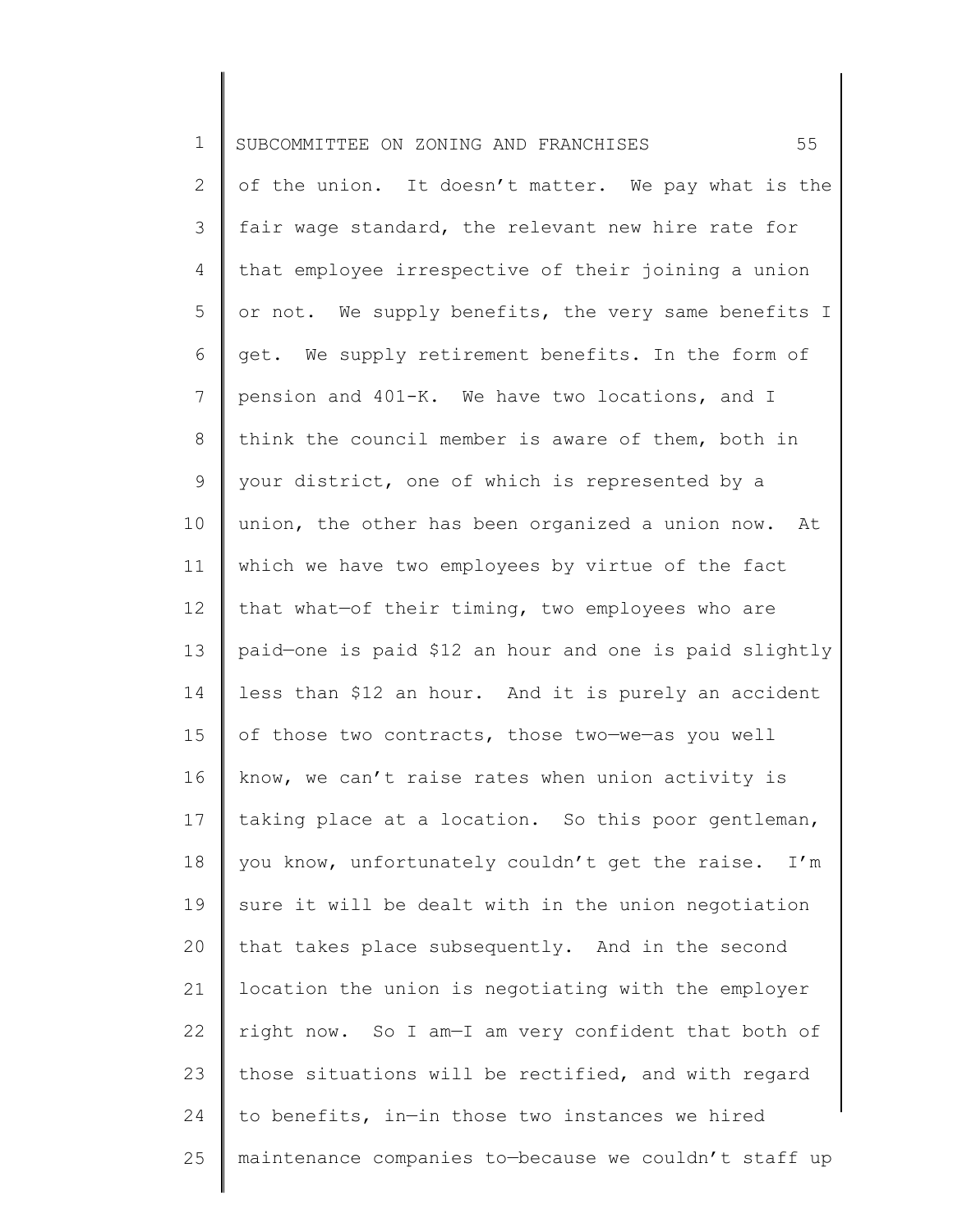| $\mathbf 1$    | 55<br>SUBCOMMITTEE ON ZONING AND FRANCHISES            |
|----------------|--------------------------------------------------------|
| $\overline{2}$ | of the union. It doesn't matter. We pay what is the    |
| 3              | fair wage standard, the relevant new hire rate for     |
| 4              | that employee irrespective of their joining a union    |
| 5              | or not. We supply benefits, the very same benefits I   |
| 6              | get. We supply retirement benefits. In the form of     |
| 7              | pension and 401-K. We have two locations, and I        |
| 8              | think the council member is aware of them, both in     |
| $\mathsf 9$    | your district, one of which is represented by a        |
| 10             | union, the other has been organized a union now. At    |
| 11             | which we have two employees by virtue of the fact      |
| 12             | that what-of their timing, two employees who are       |
| 13             | paid-one is paid \$12 an hour and one is paid slightly |
| 14             | less than \$12 an hour. And it is purely an accident   |
| 15             | of those two contracts, those two-we-as you well       |
| 16             | know, we can't raise rates when union activity is      |
| 17             | taking place at a location. So this poor gentleman,    |
| 18             | you know, unfortunately couldn't get the raise. I'm    |
| 19             | sure it will be dealt with in the union negotiation    |
| 20             | that takes place subsequently. And in the second       |
| 21             | location the union is negotiating with the employer    |
| 22             | right now. So I am-I am very confident that both of    |
| 23             | those situations will be rectified, and with regard    |
| 24             | to benefits, in-in those two instances we hired        |
| 25             | maintenance companies to-because we couldn't staff up  |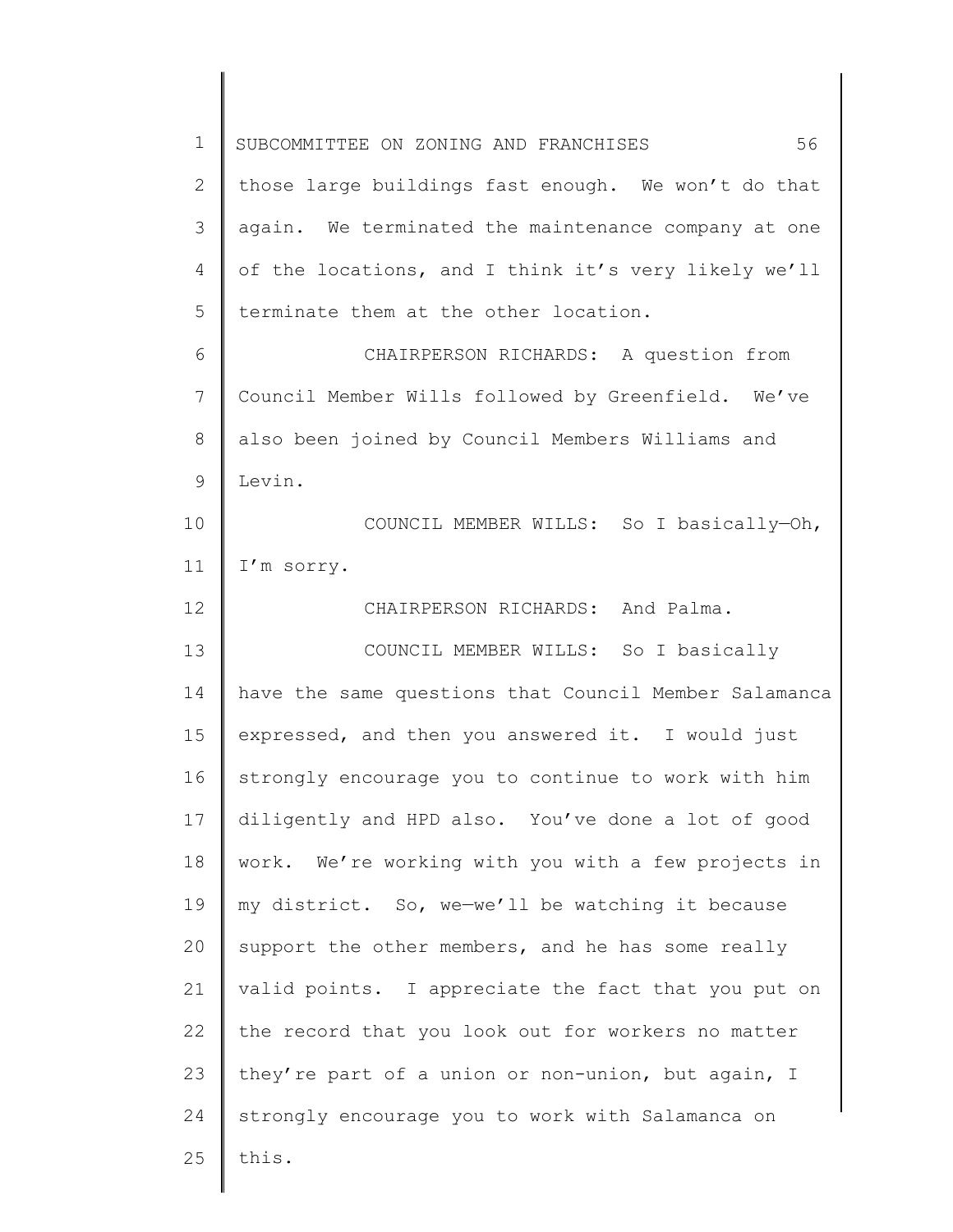| $\mathbf 1$ | 56<br>SUBCOMMITTEE ON ZONING AND FRANCHISES           |
|-------------|-------------------------------------------------------|
| 2           | those large buildings fast enough. We won't do that   |
| 3           | again. We terminated the maintenance company at one   |
| 4           | of the locations, and I think it's very likely we'll  |
| 5           | terminate them at the other location.                 |
| 6           | CHAIRPERSON RICHARDS: A question from                 |
| 7           | Council Member Wills followed by Greenfield. We've    |
| 8           | also been joined by Council Members Williams and      |
| 9           | Levin.                                                |
| 10          | COUNCIL MEMBER WILLS: So I basically-Oh,              |
| 11          | I'm sorry.                                            |
| 12          | CHAIRPERSON RICHARDS: And Palma.                      |
| 13          | COUNCIL MEMBER WILLS: So I basically                  |
| 14          | have the same questions that Council Member Salamanca |
| 15          | expressed, and then you answered it. I would just     |
| 16          | strongly encourage you to continue to work with him   |
| 17          | diligently and HPD also. You've done a lot of good    |
| 18          | work. We're working with you with a few projects in   |
| 19          | my district. So, we-we'll be watching it because      |
| 20          | support the other members, and he has some really     |
| 21          | valid points. I appreciate the fact that you put on   |
| 22          | the record that you look out for workers no matter    |
| 23          | they're part of a union or non-union, but again, I    |
| 24          | strongly encourage you to work with Salamanca on      |
| 25          | this.                                                 |
|             |                                                       |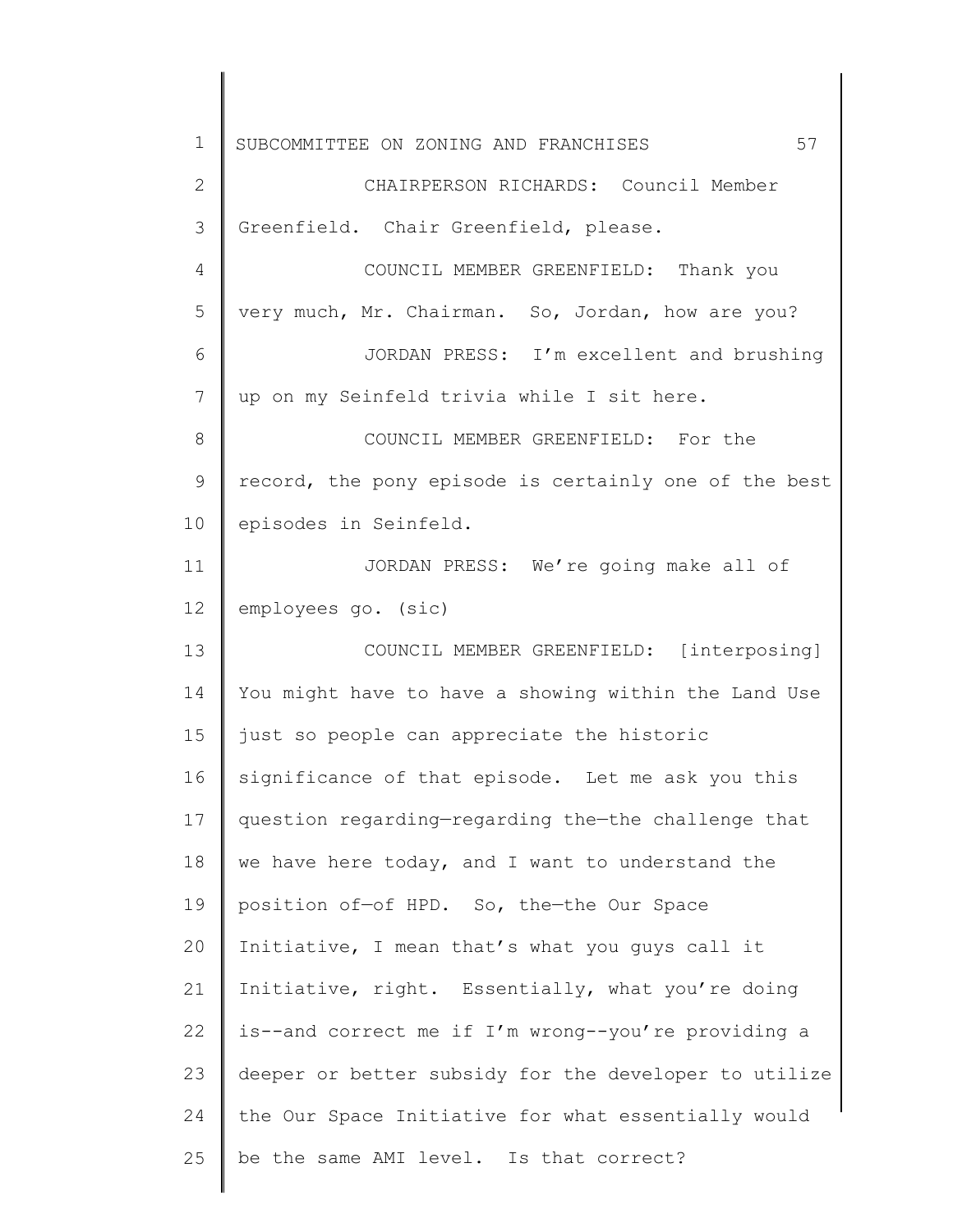1 2 3 4 5 6 7 8 9 10 11 12 13 14 15 16 17 18 19 20 21 22 23 24 25 SUBCOMMITTEE ON ZONING AND FRANCHISES 57 CHAIRPERSON RICHARDS: Council Member Greenfield. Chair Greenfield, please. COUNCIL MEMBER GREENFIELD: Thank you very much, Mr. Chairman. So, Jordan, how are you? JORDAN PRESS: I'm excellent and brushing up on my Seinfeld trivia while I sit here. COUNCIL MEMBER GREENFIELD: For the record, the pony episode is certainly one of the best episodes in Seinfeld. JORDAN PRESS: We're going make all of employees go. (sic) COUNCIL MEMBER GREENFIELD: [interposing] You might have to have a showing within the Land Use just so people can appreciate the historic significance of that episode. Let me ask you this question regarding—regarding the—the challenge that we have here today, and I want to understand the position of—of HPD. So, the—the Our Space Initiative, I mean that's what you guys call it Initiative, right. Essentially, what you're doing is--and correct me if I'm wrong--you're providing a deeper or better subsidy for the developer to utilize the Our Space Initiative for what essentially would be the same AMI level. Is that correct?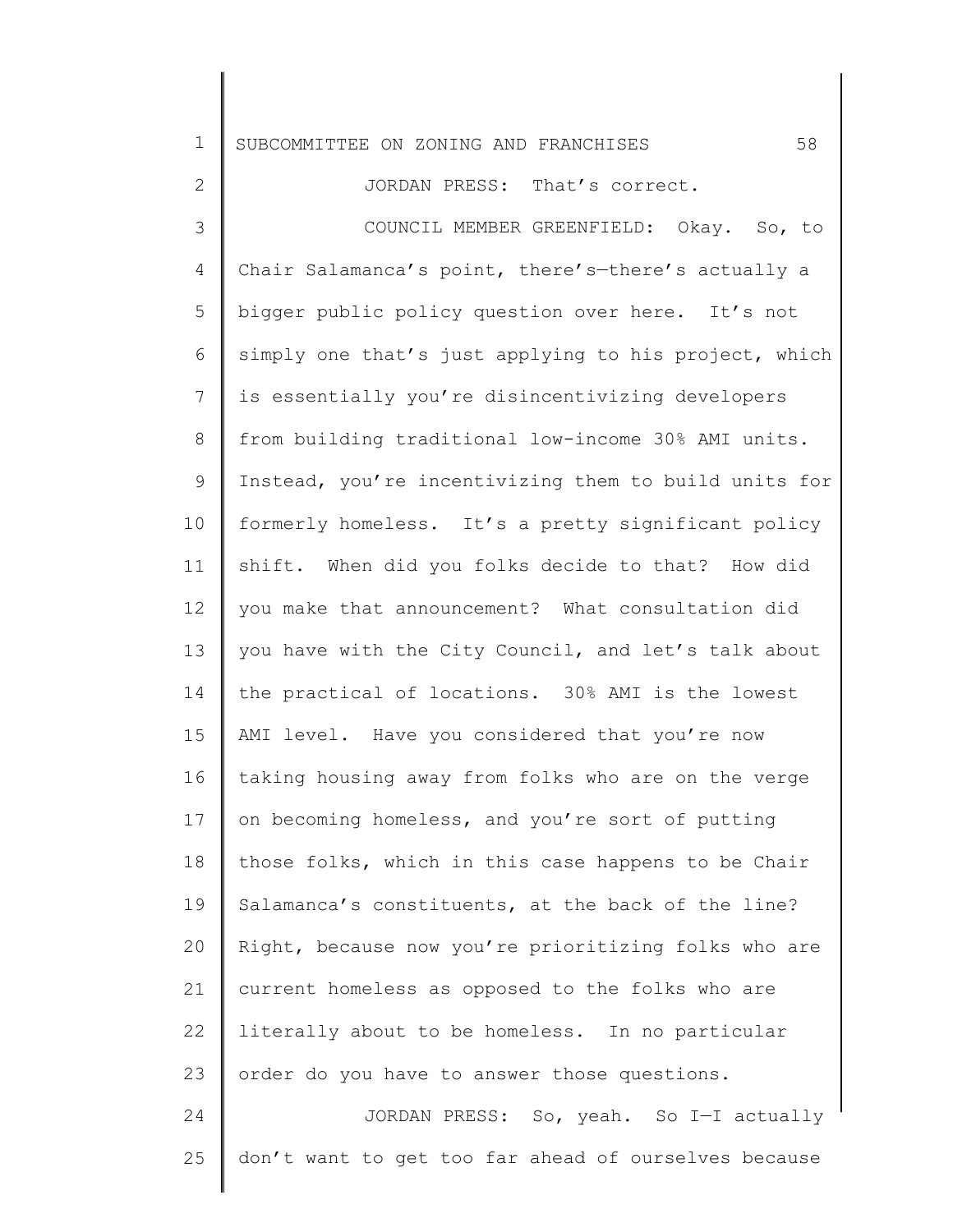1 SUBCOMMITTEE ON ZONING AND FRANCHISES 58

2

JORDAN PRESS: That's correct.

3 4 5 6 7 8 9 10 11 12 13 14 15 16 17 18 19 20 21 22 23 24 25 COUNCIL MEMBER GREENFIELD: Okay. So, to Chair Salamanca's point, there's—there's actually a bigger public policy question over here. It's not simply one that's just applying to his project, which is essentially you're disincentivizing developers from building traditional low-income 30% AMI units. Instead, you're incentivizing them to build units for formerly homeless. It's a pretty significant policy shift. When did you folks decide to that? How did you make that announcement? What consultation did you have with the City Council, and let's talk about the practical of locations. 30% AMI is the lowest AMI level. Have you considered that you're now taking housing away from folks who are on the verge on becoming homeless, and you're sort of putting those folks, which in this case happens to be Chair Salamanca's constituents, at the back of the line? Right, because now you're prioritizing folks who are current homeless as opposed to the folks who are literally about to be homeless. In no particular order do you have to answer those questions. JORDAN PRESS: So, yeah. So I—I actually don't want to get too far ahead of ourselves because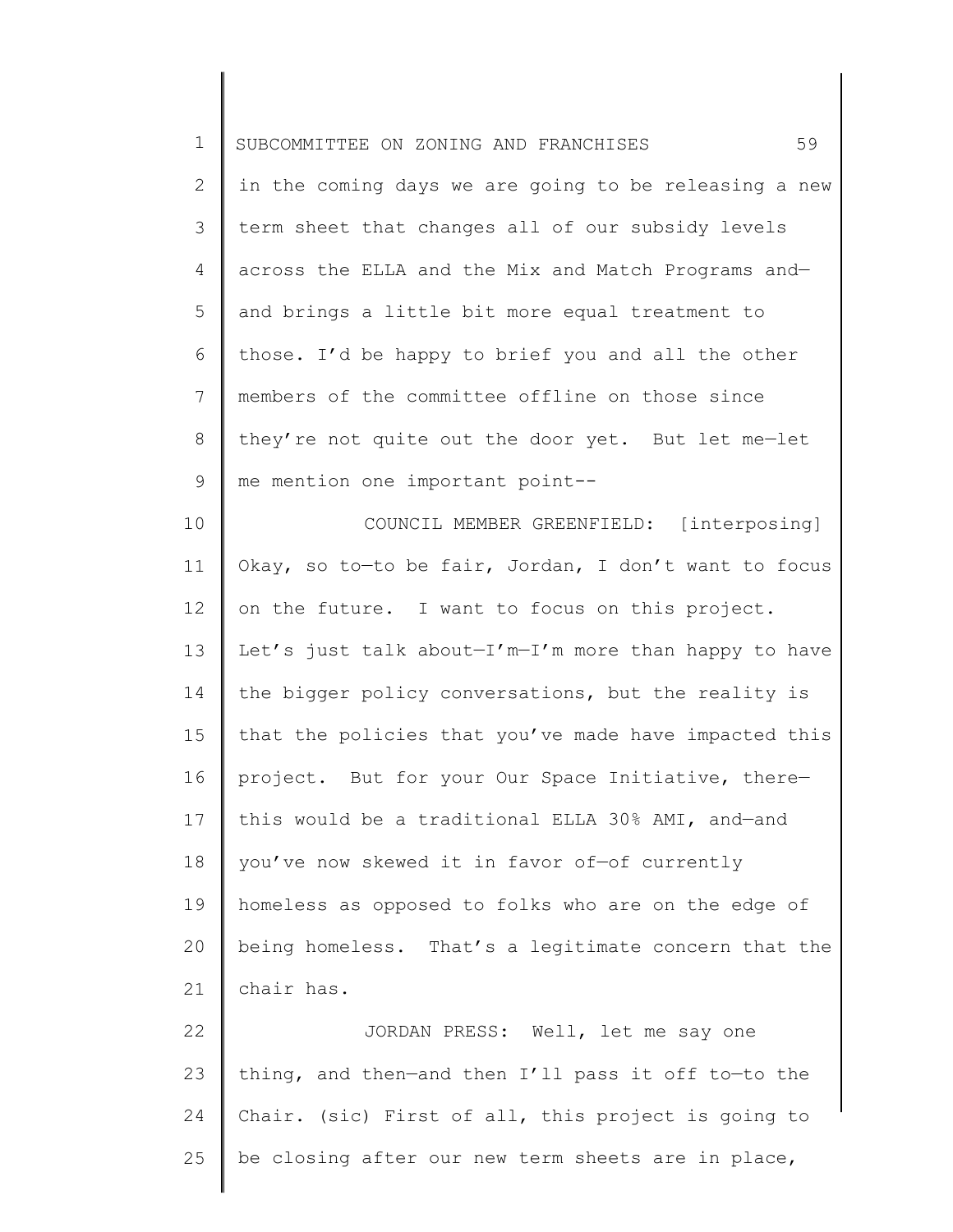| $\mathbf{1}$    | 59<br>SUBCOMMITTEE ON ZONING AND FRANCHISES           |
|-----------------|-------------------------------------------------------|
| $\mathbf{2}$    | in the coming days we are going to be releasing a new |
| 3               | term sheet that changes all of our subsidy levels     |
| 4               | across the ELLA and the Mix and Match Programs and-   |
| 5               | and brings a little bit more equal treatment to       |
| 6               | those. I'd be happy to brief you and all the other    |
| $7\phantom{.0}$ | members of the committee offline on those since       |
| $\,8\,$         | they're not quite out the door yet. But let me-let    |
| $\mathsf 9$     | me mention one important point--                      |
| 10              | COUNCIL MEMBER GREENFIELD: [interposing]              |
| 11              | Okay, so to-to be fair, Jordan, I don't want to focus |
| 12              | on the future. I want to focus on this project.       |
| 13              | Let's just talk about-I'm-I'm more than happy to have |
| 14              | the bigger policy conversations, but the reality is   |
| 15              | that the policies that you've made have impacted this |
| 16              | project. But for your Our Space Initiative, there-    |
| 17              | this would be a traditional ELLA 30% AMI, and-and     |
| 18              | you've now skewed it in favor of-of currently         |
| 19              | homeless as opposed to folks who are on the edge of   |
| 20              | being homeless. That's a legitimate concern that the  |
| 21              | chair has.                                            |
| 22              | JORDAN PRESS: Well, let me say one                    |
| 23              | thing, and then-and then I'll pass it off to-to the   |
| 24              | Chair. (sic) First of all, this project is going to   |
| 25              | be closing after our new term sheets are in place,    |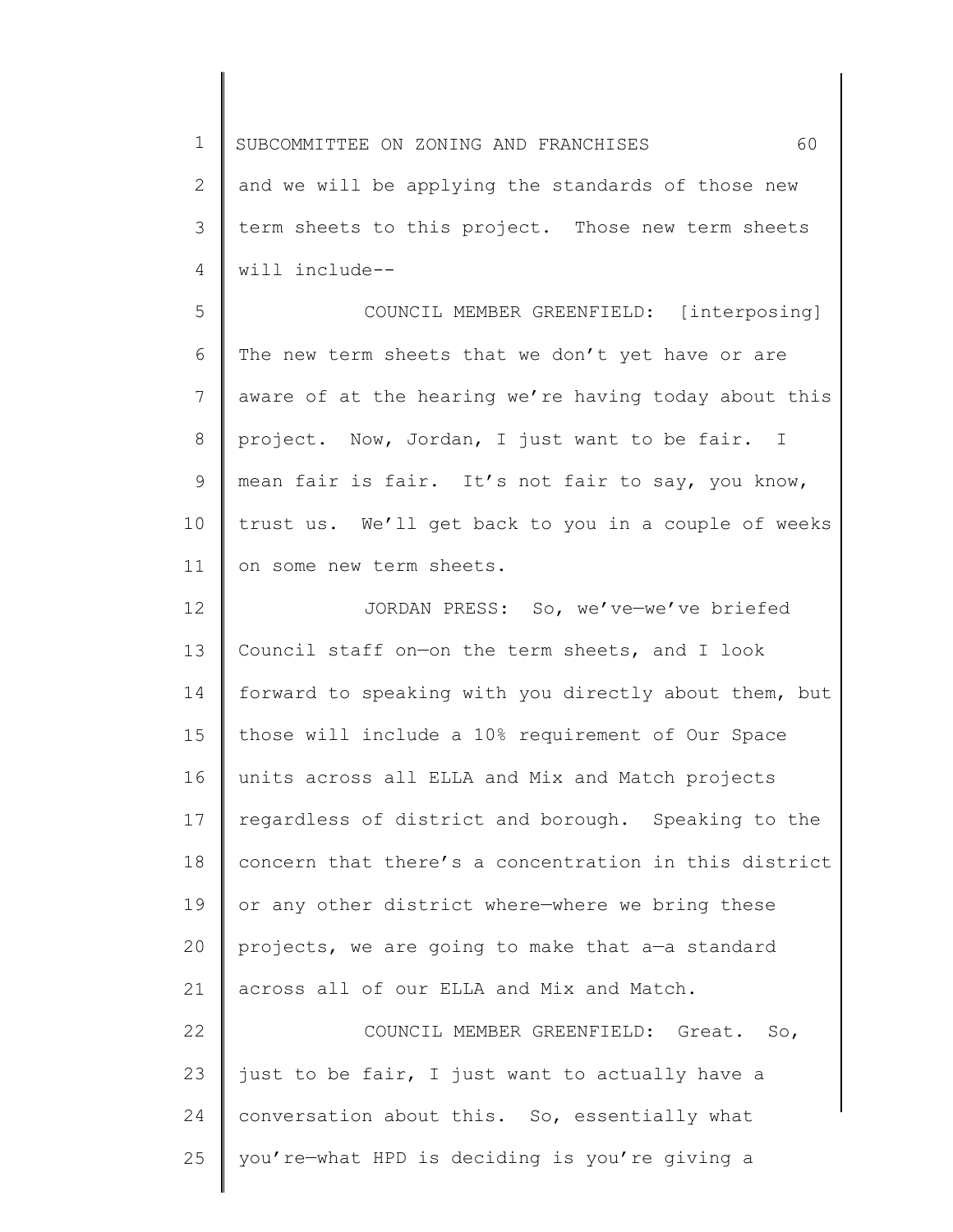1 2 3 4 SUBCOMMITTEE ON ZONING AND FRANCHISES 60 and we will be applying the standards of those new term sheets to this project. Those new term sheets will include--

5 6 7 8 9 10 11 COUNCIL MEMBER GREENFIELD: [interposing] The new term sheets that we don't yet have or are aware of at the hearing we're having today about this project. Now, Jordan, I just want to be fair. I mean fair is fair. It's not fair to say, you know, trust us. We'll get back to you in a couple of weeks on some new term sheets.

12 13 14 15 16 17 18 19 20 21 22 JORDAN PRESS: So, we've—we've briefed Council staff on—on the term sheets, and I look forward to speaking with you directly about them, but those will include a 10% requirement of Our Space units across all ELLA and Mix and Match projects regardless of district and borough. Speaking to the concern that there's a concentration in this district or any other district where—where we bring these projects, we are going to make that a—a standard across all of our ELLA and Mix and Match. COUNCIL MEMBER GREENFIELD: Great. So,

23 24 25 just to be fair, I just want to actually have a conversation about this. So, essentially what you're—what HPD is deciding is you're giving a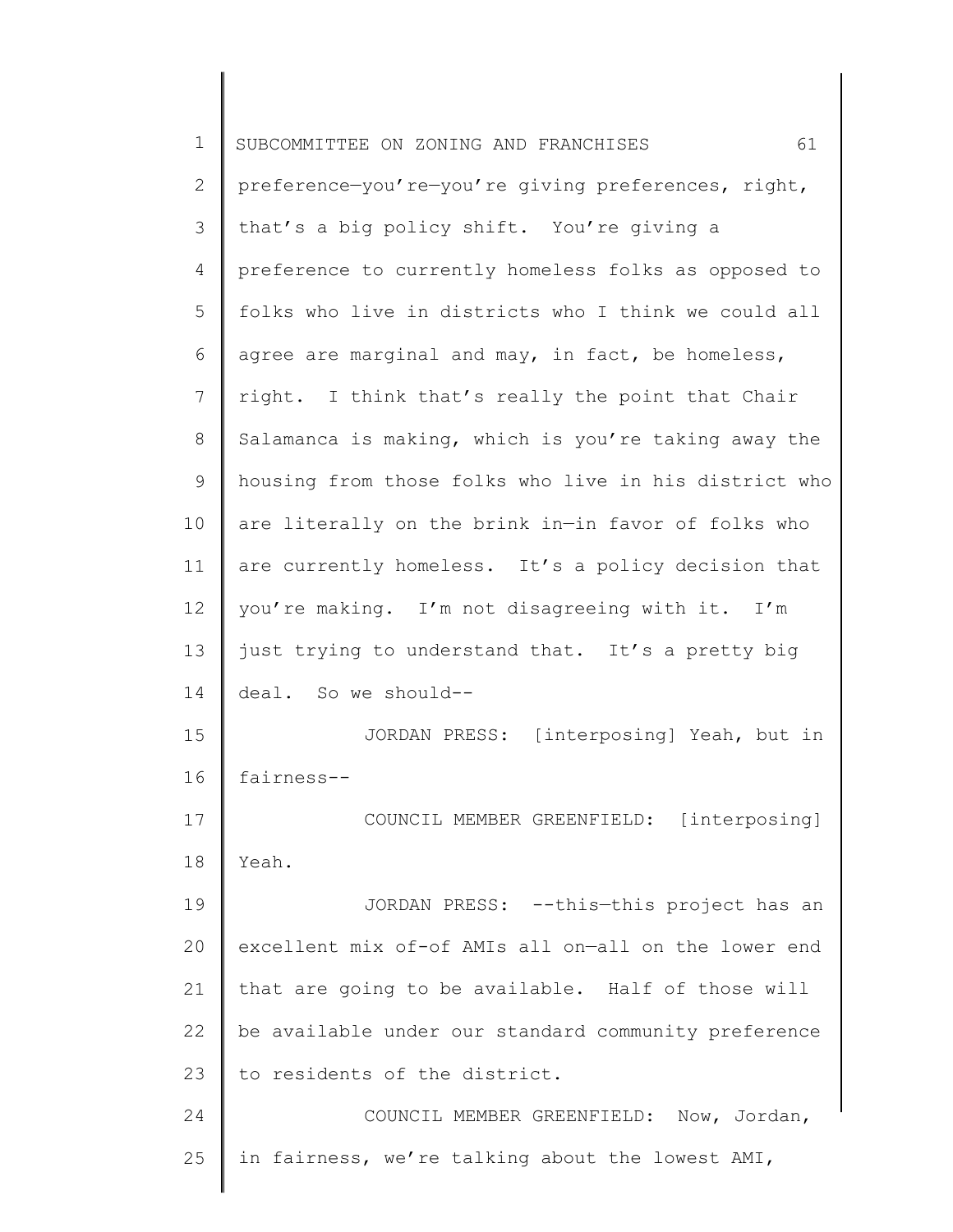| $\mathbf 1$ | 61<br>SUBCOMMITTEE ON ZONING AND FRANCHISES           |
|-------------|-------------------------------------------------------|
| 2           | preference-you're-you're giving preferences, right,   |
| 3           | that's a big policy shift. You're giving a            |
| 4           | preference to currently homeless folks as opposed to  |
| 5           | folks who live in districts who I think we could all  |
| 6           | agree are marginal and may, in fact, be homeless,     |
| 7           | right. I think that's really the point that Chair     |
| 8           | Salamanca is making, which is you're taking away the  |
| 9           | housing from those folks who live in his district who |
| 10          | are literally on the brink in-in favor of folks who   |
| 11          | are currently homeless. It's a policy decision that   |
| 12          | you're making. I'm not disagreeing with it. I'm       |
| 13          | just trying to understand that. It's a pretty big     |
| 14          | deal. So we should--                                  |
| 15          | JORDAN PRESS: [interposing] Yeah, but in              |
| 16          | fairness--                                            |
| 17          | COUNCIL MEMBER GREENFIELD: [interposing]              |
| 18          | Yeah.                                                 |
| 19          | JORDAN PRESS: --this-this project has an              |
| 20          | excellent mix of-of AMIs all on-all on the lower end  |
| 21          | that are going to be available. Half of those will    |
| 22          | be available under our standard community preference  |
| 23          | to residents of the district.                         |
| 24          | COUNCIL MEMBER GREENFIELD: Now, Jordan,               |
| 25          | in fairness, we're talking about the lowest AMI,      |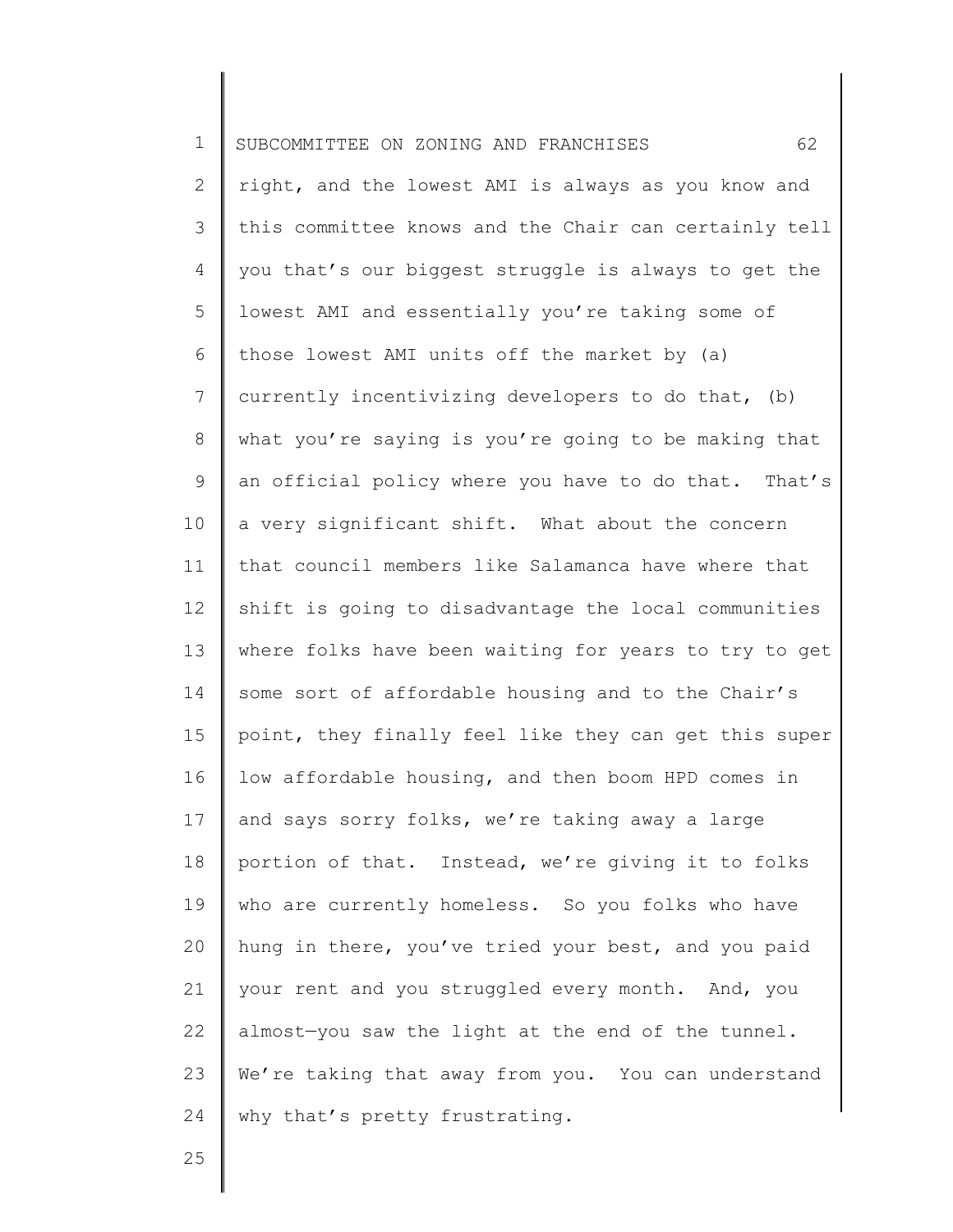| $\mathbf 1$     | 62<br>SUBCOMMITTEE ON ZONING AND FRANCHISES           |
|-----------------|-------------------------------------------------------|
| 2               | right, and the lowest AMI is always as you know and   |
| 3               | this committee knows and the Chair can certainly tell |
| 4               | you that's our biggest struggle is always to get the  |
| 5               | lowest AMI and essentially you're taking some of      |
| 6               | those lowest AMI units off the market by (a)          |
| $7\phantom{.0}$ | currently incentivizing developers to do that, (b)    |
| 8               | what you're saying is you're going to be making that  |
| $\mathsf 9$     | an official policy where you have to do that. That's  |
| 10              | a very significant shift. What about the concern      |
| 11              | that council members like Salamanca have where that   |
| 12              | shift is going to disadvantage the local communities  |
| 13              | where folks have been waiting for years to try to get |
| 14              | some sort of affordable housing and to the Chair's    |
| 15              | point, they finally feel like they can get this super |
| 16              | low affordable housing, and then boom HPD comes in    |
| 17              | and says sorry folks, we're taking away a large       |
| 18              | portion of that. Instead, we're giving it to folks    |
| 19              | who are currently homeless. So you folks who have     |
| 20              | hung in there, you've tried your best, and you paid   |
| 21              | your rent and you struggled every month. And, you     |
| 22              | almost-you saw the light at the end of the tunnel.    |
| 23              | We're taking that away from you. You can understand   |
| 24              | why that's pretty frustrating.                        |
|                 |                                                       |

25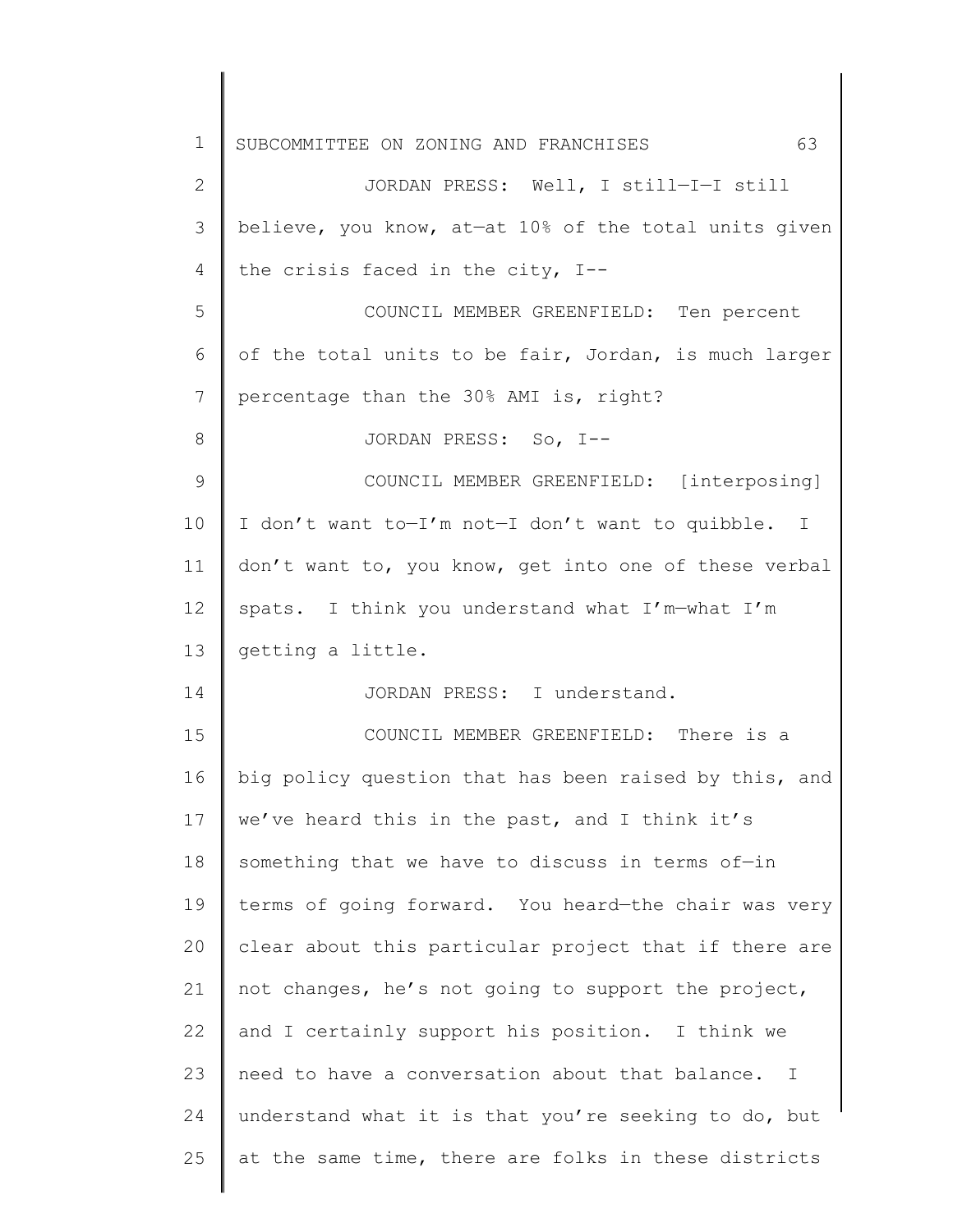1 2 3 4 5 6 7 8 9 10 11 12 13 14 15 16 17 18 19 20 21 22 23 24 25 SUBCOMMITTEE ON ZONING AND FRANCHISES 63 JORDAN PRESS: Well, I still—I—I still believe, you know, at—at 10% of the total units given the crisis faced in the city, I-- COUNCIL MEMBER GREENFIELD: Ten percent of the total units to be fair, Jordan, is much larger percentage than the 30% AMI is, right? JORDAN PRESS: So, I-- COUNCIL MEMBER GREENFIELD: [interposing] I don't want to—I'm not—I don't want to quibble. I don't want to, you know, get into one of these verbal spats. I think you understand what I'm—what I'm getting a little. JORDAN PRESS: I understand. COUNCIL MEMBER GREENFIELD: There is a big policy question that has been raised by this, and we've heard this in the past, and I think it's something that we have to discuss in terms of—in terms of going forward. You heard—the chair was very clear about this particular project that if there are not changes, he's not going to support the project, and I certainly support his position. I think we need to have a conversation about that balance. I understand what it is that you're seeking to do, but at the same time, there are folks in these districts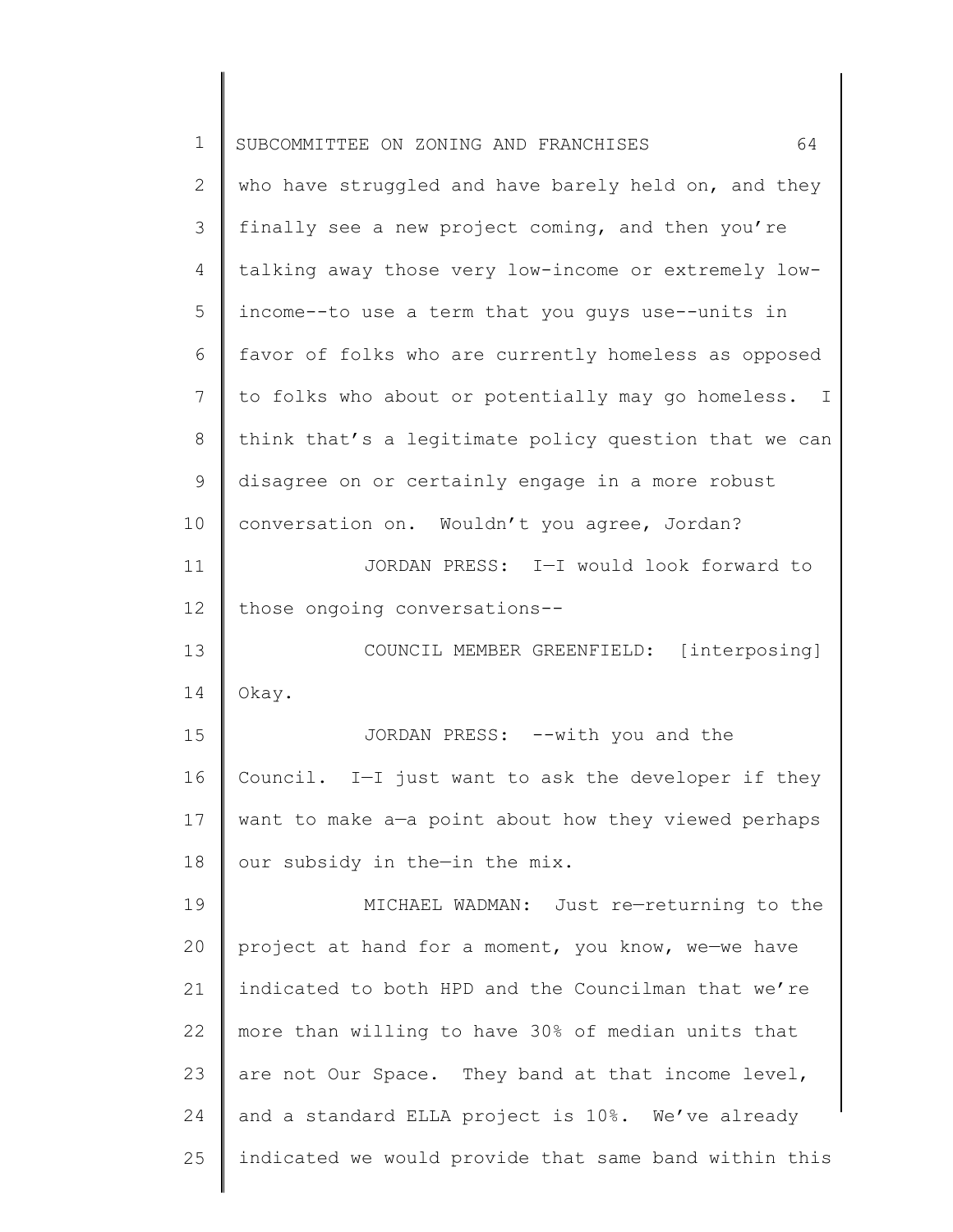| $\mathbf 1$ | 64<br>SUBCOMMITTEE ON ZONING AND FRANCHISES           |
|-------------|-------------------------------------------------------|
| 2           | who have struggled and have barely held on, and they  |
| 3           | finally see a new project coming, and then you're     |
| 4           | talking away those very low-income or extremely low-  |
| 5           | income--to use a term that you guys use--units in     |
| 6           | favor of folks who are currently homeless as opposed  |
| 7           | to folks who about or potentially may go homeless. I  |
| 8           | think that's a legitimate policy question that we can |
| 9           | disagree on or certainly engage in a more robust      |
| 10          | conversation on. Wouldn't you agree, Jordan?          |
| 11          | JORDAN PRESS: I-I would look forward to               |
| 12          | those ongoing conversations--                         |
| 13          | COUNCIL MEMBER GREENFIELD: [interposing]              |
| 14          | Okay.                                                 |
| 15          | JORDAN PRESS: -- with you and the                     |
| 16          | Council. I-I just want to ask the developer if they   |
| 17          | want to make a-a point about how they viewed perhaps  |
| 18          | our subsidy in the-in the mix.                        |
| 19          | MICHAEL WADMAN: Just re-returning to the              |
| 20          | project at hand for a moment, you know, we-we have    |
| 21          | indicated to both HPD and the Councilman that we're   |
| 22          | more than willing to have 30% of median units that    |
| 23          | are not Our Space. They band at that income level,    |
| 24          | and a standard ELLA project is 10%. We've already     |
| 25          | indicated we would provide that same band within this |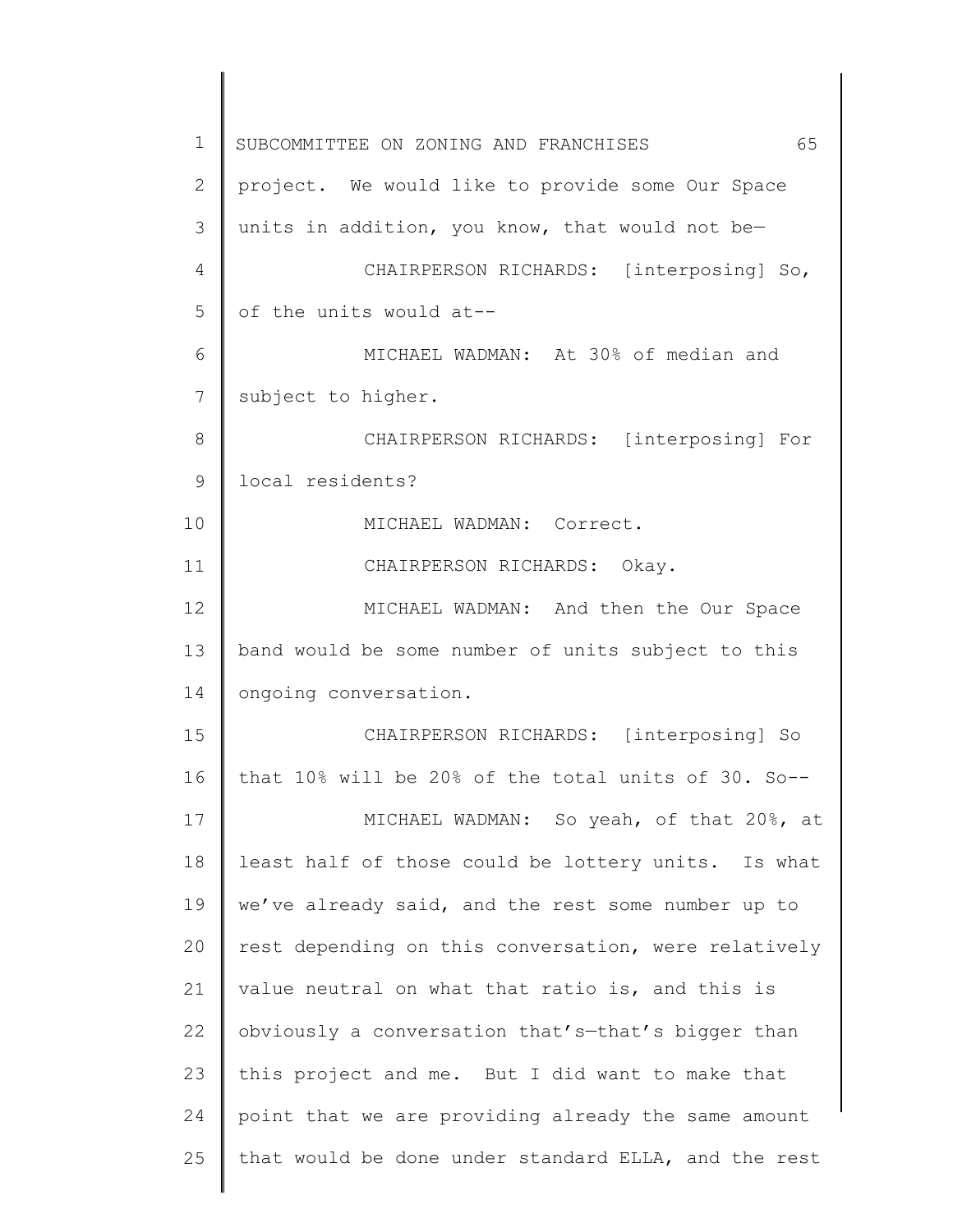1 2 3 4 5 6 7 8 9 10 11 12 13 14 15 16 17 18 19 20 21 22 23 24 25 SUBCOMMITTEE ON ZONING AND FRANCHISES 65 project. We would like to provide some Our Space units in addition, you know, that would not be— CHAIRPERSON RICHARDS: [interposing] So, of the units would at-- MICHAEL WADMAN: At 30% of median and subject to higher. CHAIRPERSON RICHARDS: [interposing] For local residents? MICHAEL WADMAN: Correct. CHAIRPERSON RICHARDS: Okay. MICHAEL WADMAN: And then the Our Space band would be some number of units subject to this ongoing conversation. CHAIRPERSON RICHARDS: [interposing] So that 10% will be 20% of the total units of 30. So-- MICHAEL WADMAN: So yeah, of that 20%, at least half of those could be lottery units. Is what we've already said, and the rest some number up to rest depending on this conversation, were relatively value neutral on what that ratio is, and this is obviously a conversation that's—that's bigger than this project and me. But I did want to make that point that we are providing already the same amount that would be done under standard ELLA, and the rest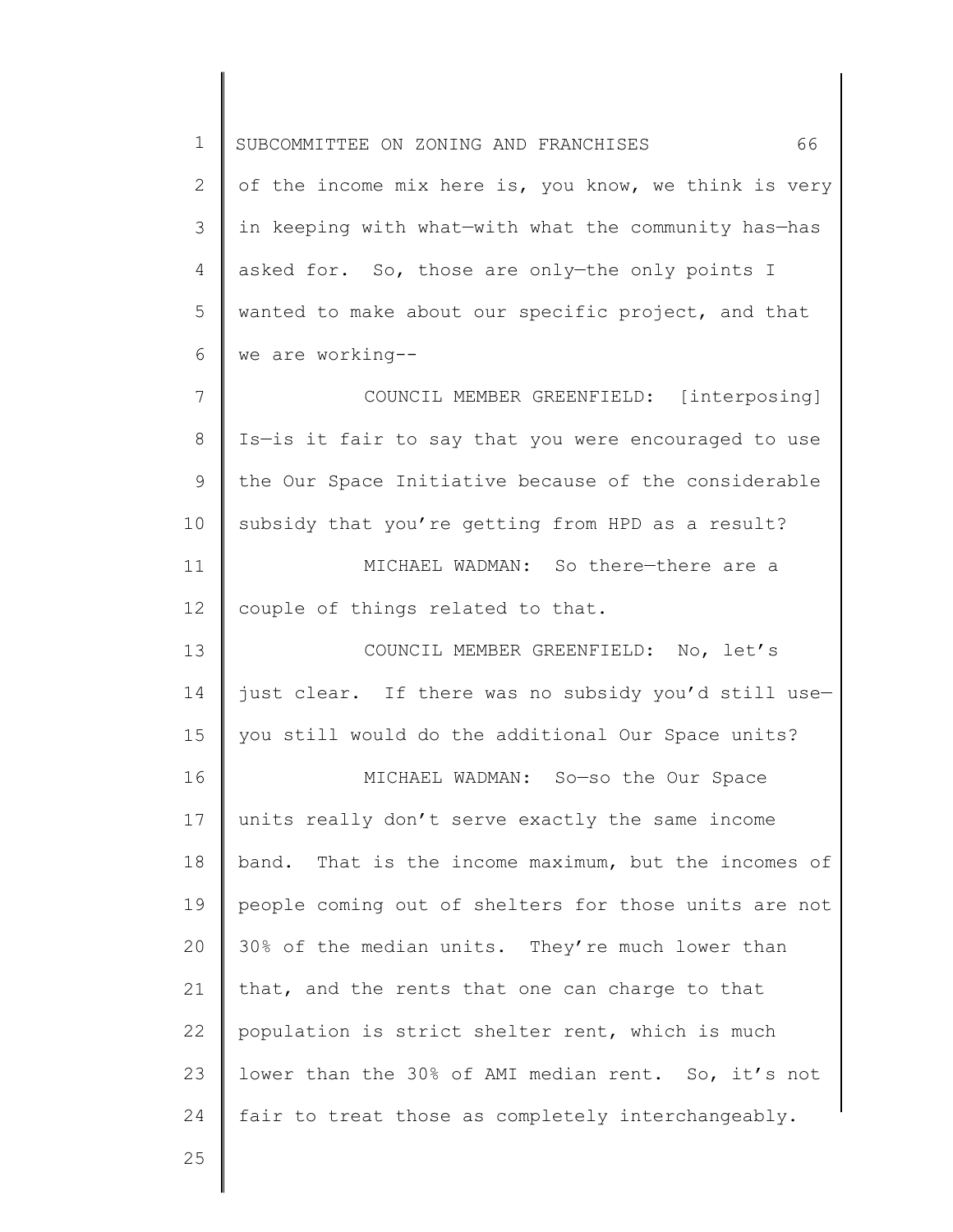1 2 3 4 5 6 7 8 9 10 11 12 13 14 15 16 17 18 19 20 21 22 23 24 SUBCOMMITTEE ON ZONING AND FRANCHISES 66 of the income mix here is, you know, we think is very in keeping with what—with what the community has—has asked for. So, those are only—the only points I wanted to make about our specific project, and that we are working-- COUNCIL MEMBER GREENFIELD: [interposing] Is—is it fair to say that you were encouraged to use the Our Space Initiative because of the considerable subsidy that you're getting from HPD as a result? MICHAEL WADMAN: So there—there are a couple of things related to that. COUNCIL MEMBER GREENFIELD: No, let's just clear. If there was no subsidy you'd still use you still would do the additional Our Space units? MICHAEL WADMAN: So—so the Our Space units really don't serve exactly the same income band. That is the income maximum, but the incomes of people coming out of shelters for those units are not 30% of the median units. They're much lower than that, and the rents that one can charge to that population is strict shelter rent, which is much lower than the 30% of AMI median rent. So, it's not fair to treat those as completely interchangeably.

25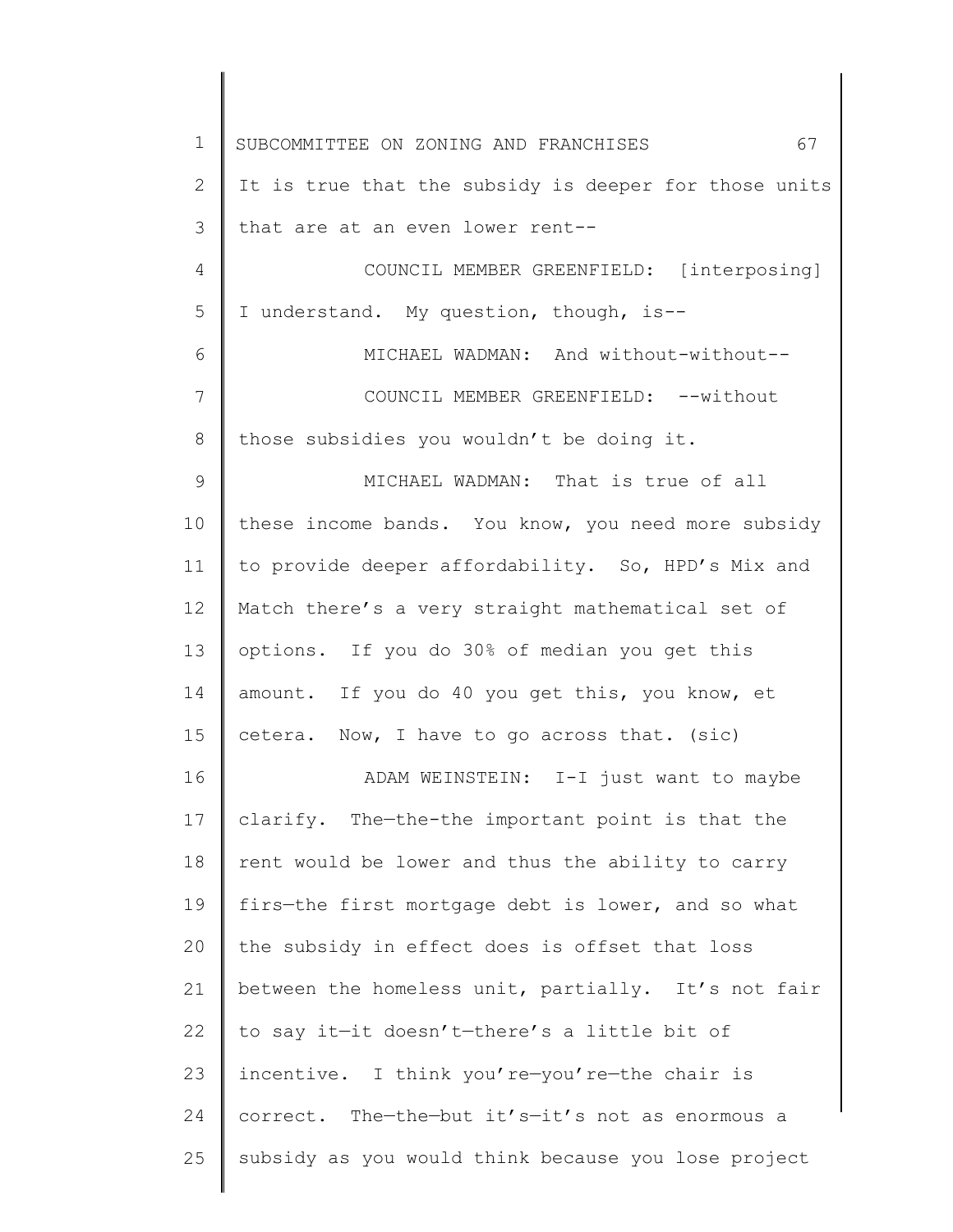1 2 3 4 5 6 7 8 9 10 11 12 13 14 15 16 17 18 19 20 21 22 23 24 25 SUBCOMMITTEE ON ZONING AND FRANCHISES 67 It is true that the subsidy is deeper for those units that are at an even lower rent-- COUNCIL MEMBER GREENFIELD: [interposing] I understand. My question, though, is-- MICHAEL WADMAN: And without-without-- COUNCIL MEMBER GREENFIELD: --without those subsidies you wouldn't be doing it. MICHAEL WADMAN: That is true of all these income bands. You know, you need more subsidy to provide deeper affordability. So, HPD's Mix and Match there's a very straight mathematical set of options. If you do 30% of median you get this amount. If you do 40 you get this, you know, et cetera. Now, I have to go across that. (sic) ADAM WEINSTEIN: I-I just want to maybe clarify. The—the-the important point is that the rent would be lower and thus the ability to carry firs—the first mortgage debt is lower, and so what the subsidy in effect does is offset that loss between the homeless unit, partially. It's not fair to say it—it doesn't—there's a little bit of incentive. I think you're—you're—the chair is correct. The—the—but it's—it's not as enormous a subsidy as you would think because you lose project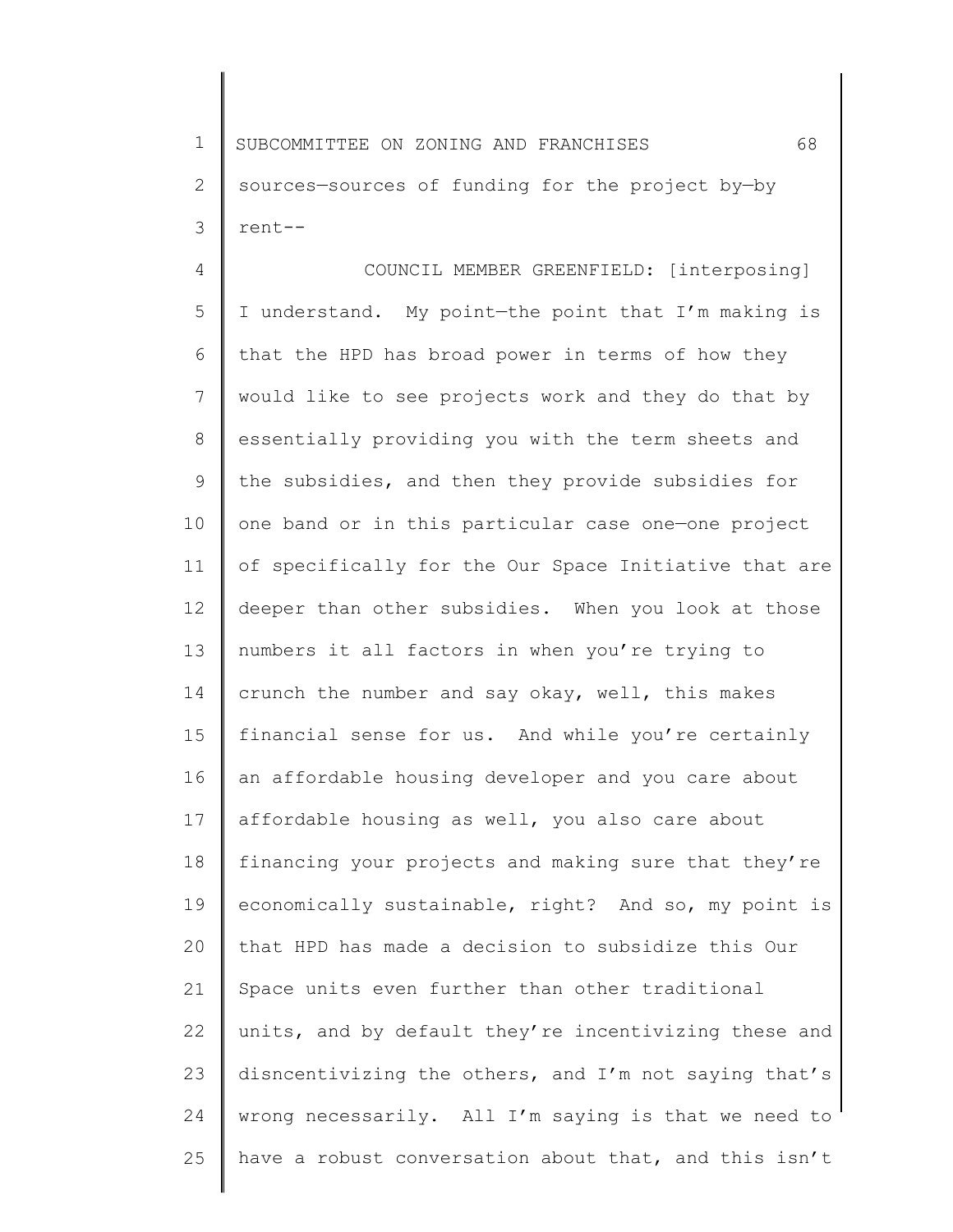1 2 3 SUBCOMMITTEE ON ZONING AND FRANCHISES 68 sources—sources of funding for the project by—by rent--

4 5 6 7 8 9 10 11 12 13 14 15 16 17 18 19 20 21 22 23 24 25 COUNCIL MEMBER GREENFIELD: [interposing] I understand. My point—the point that I'm making is that the HPD has broad power in terms of how they would like to see projects work and they do that by essentially providing you with the term sheets and the subsidies, and then they provide subsidies for one band or in this particular case one—one project of specifically for the Our Space Initiative that are deeper than other subsidies. When you look at those numbers it all factors in when you're trying to crunch the number and say okay, well, this makes financial sense for us. And while you're certainly an affordable housing developer and you care about affordable housing as well, you also care about financing your projects and making sure that they're economically sustainable, right? And so, my point is that HPD has made a decision to subsidize this Our Space units even further than other traditional units, and by default they're incentivizing these and disncentivizing the others, and I'm not saying that's wrong necessarily. All I'm saying is that we need to have a robust conversation about that, and this isn't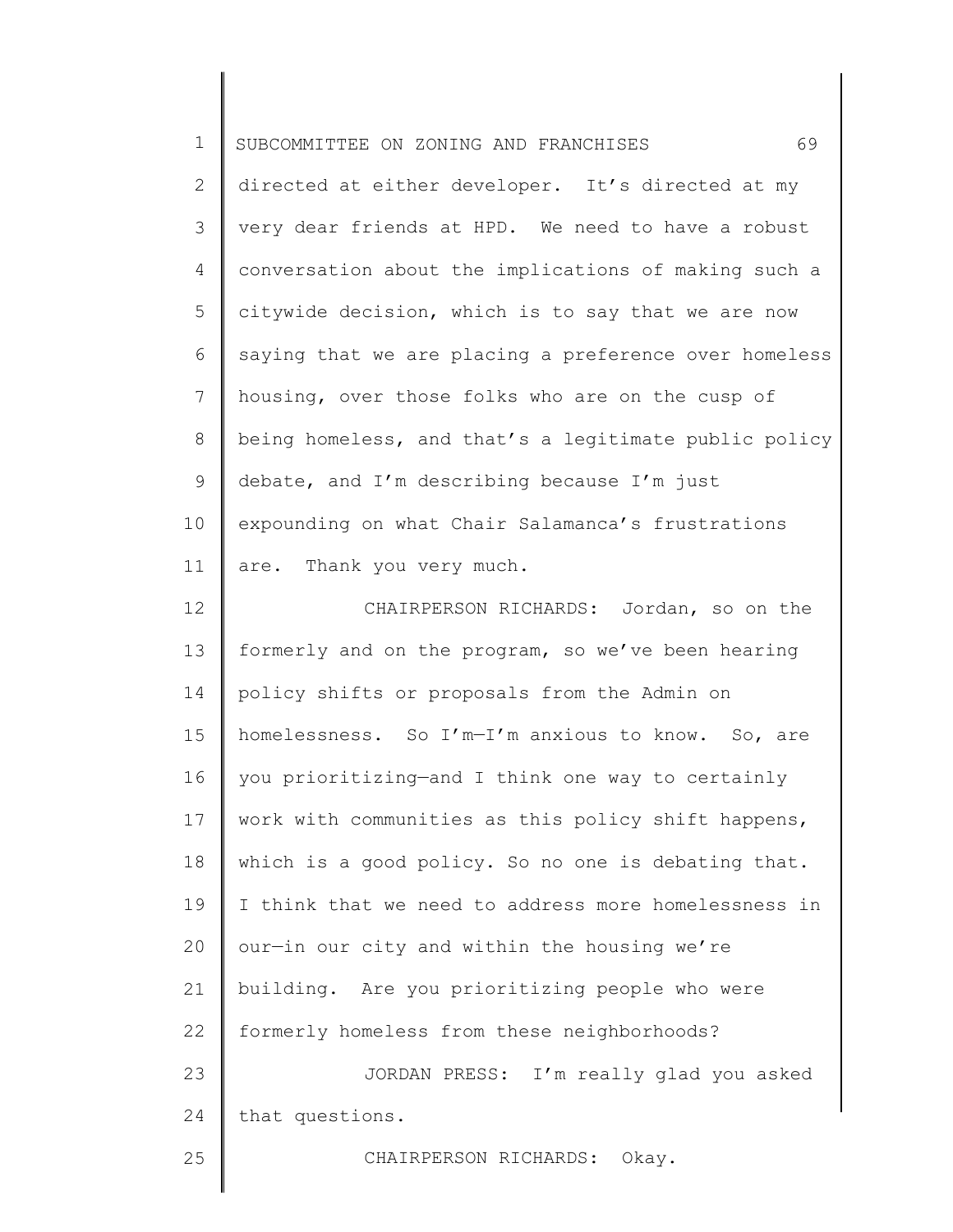| $\mathbf 1$    | 69<br>SUBCOMMITTEE ON ZONING AND FRANCHISES           |
|----------------|-------------------------------------------------------|
| $\mathbf{2}$   | directed at either developer. It's directed at my     |
| 3              | very dear friends at HPD. We need to have a robust    |
| 4              | conversation about the implications of making such a  |
| 5              | citywide decision, which is to say that we are now    |
| 6              | saying that we are placing a preference over homeless |
| $\overline{7}$ | housing, over those folks who are on the cusp of      |
| $\,8\,$        | being homeless, and that's a legitimate public policy |
| $\mathsf 9$    | debate, and I'm describing because I'm just           |
| 10             | expounding on what Chair Salamanca's frustrations     |
| 11             | are. Thank you very much.                             |
| 12             | CHAIRPERSON RICHARDS: Jordan, so on the               |
| 13             | formerly and on the program, so we've been hearing    |
| 14             | policy shifts or proposals from the Admin on          |
| 15             | homelessness. So I'm-I'm anxious to know. So, are     |
| 16             | you prioritizing-and I think one way to certainly     |
| 17             | work with communities as this policy shift happens,   |
| 18             | which is a good policy. So no one is debating that.   |
| 19             | I think that we need to address more homelessness in  |
| 20             | our-in our city and within the housing we're          |
| 21             | building. Are you prioritizing people who were        |
| 22             | formerly homeless from these neighborhoods?           |
| 23             | JORDAN PRESS: I'm really glad you asked               |
| 24             | that questions.                                       |
| 25             | CHAIRPERSON RICHARDS:<br>Okay.                        |
|                |                                                       |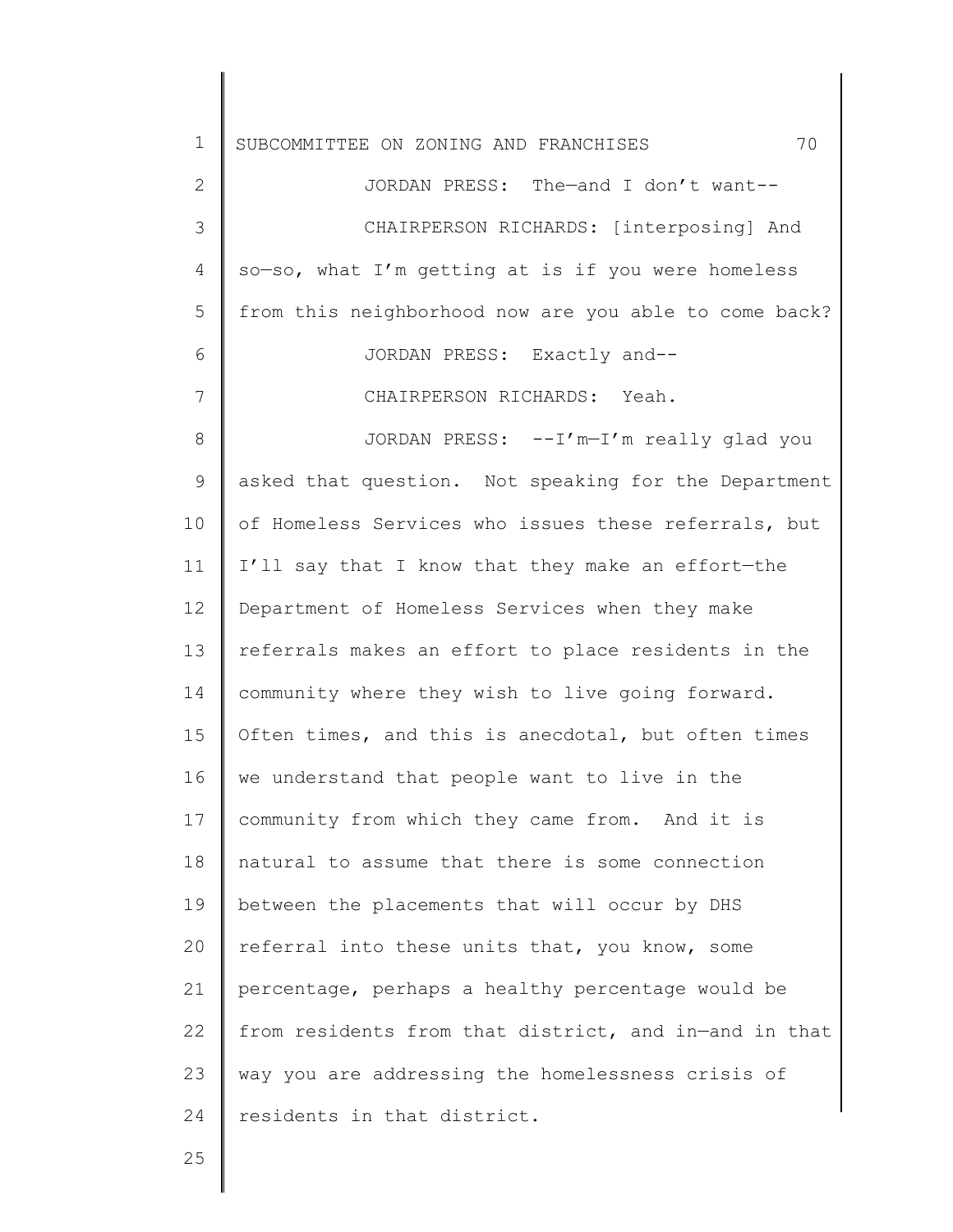| $\mathbf 1$    | 70<br>SUBCOMMITTEE ON ZONING AND FRANCHISES           |
|----------------|-------------------------------------------------------|
| $\mathbf{2}$   | JORDAN PRESS: The-and I don't want--                  |
| $\mathcal{S}$  | CHAIRPERSON RICHARDS: [interposing] And               |
| $\overline{4}$ | so-so, what I'm getting at is if you were homeless    |
| 5              | from this neighborhood now are you able to come back? |
| 6              | JORDAN PRESS: Exactly and--                           |
| 7              | CHAIRPERSON RICHARDS: Yeah.                           |
| $8\,$          | JORDAN PRESS: --I'm-I'm really glad you               |
| 9              | asked that question. Not speaking for the Department  |
| 10             | of Homeless Services who issues these referrals, but  |
| 11             | I'll say that I know that they make an effort-the     |
| 12             | Department of Homeless Services when they make        |
| 13             | referrals makes an effort to place residents in the   |
| 14             | community where they wish to live going forward.      |
| 15             | Often times, and this is anecdotal, but often times   |
| 16             | we understand that people want to live in the         |
| 17             | community from which they came from. And it is        |
| 18             | natural to assume that there is some connection       |
| 19             | between the placements that will occur by DHS         |
| 20             | referral into these units that, you know, some        |
| 21             | percentage, perhaps a healthy percentage would be     |
| 22             | from residents from that district, and in-and in that |
| 23             | way you are addressing the homelessness crisis of     |
| 24             | residents in that district.                           |
|                |                                                       |

25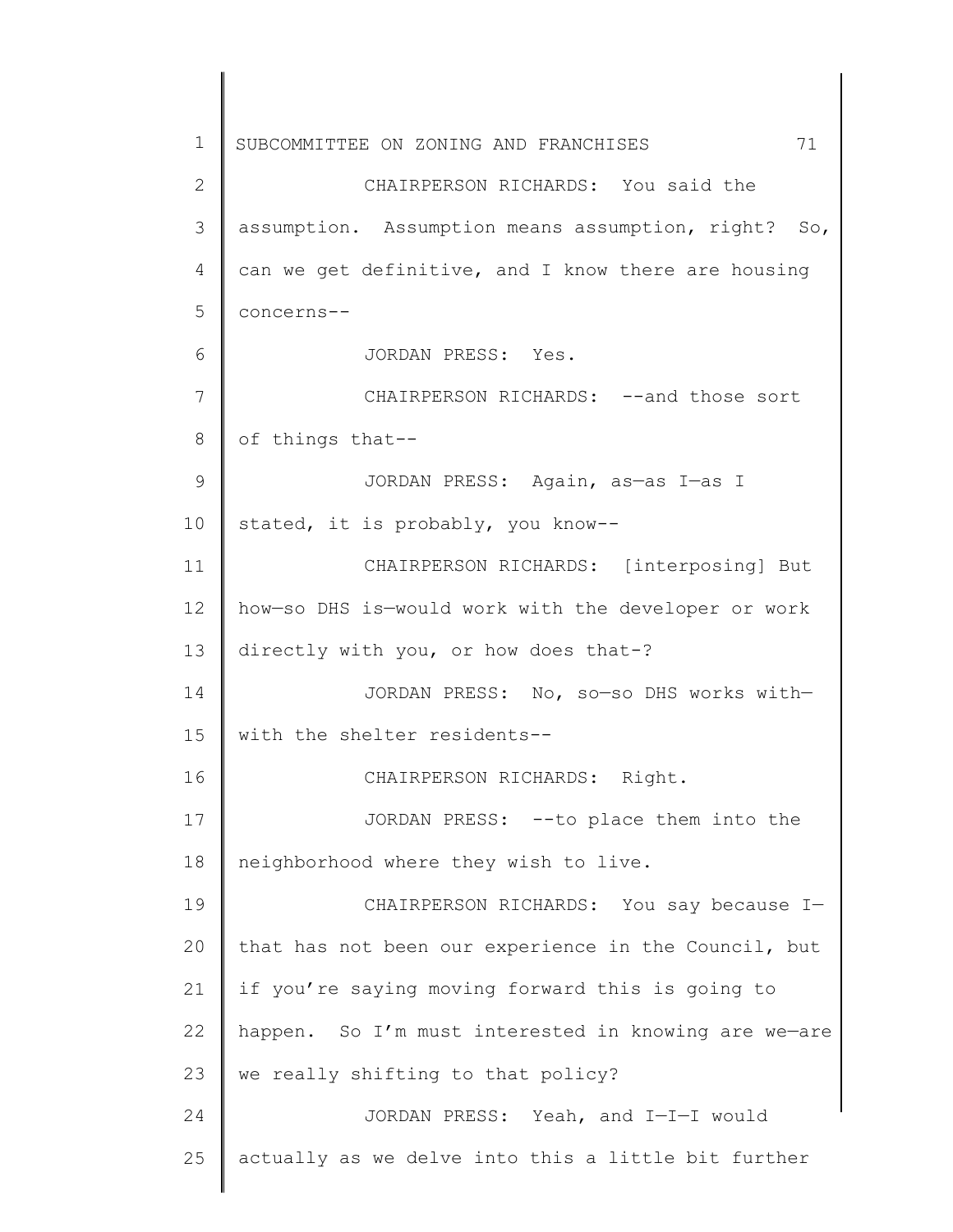1 2 3 4 5 6 7 8 9 10 11 12 13 14 15 16 17 18 19 20 21 22 23 24 25 SUBCOMMITTEE ON ZONING AND FRANCHISES 71 CHAIRPERSON RICHARDS: You said the assumption. Assumption means assumption, right? So, can we get definitive, and I know there are housing concerns-- JORDAN PRESS: Yes. CHAIRPERSON RICHARDS: -- and those sort of things that-- JORDAN PRESS: Again, as—as I—as I stated, it is probably, you know-- CHAIRPERSON RICHARDS: [interposing] But how—so DHS is—would work with the developer or work directly with you, or how does that-? JORDAN PRESS: No, so—so DHS works with with the shelter residents-- CHAIRPERSON RICHARDS: Right. JORDAN PRESS: --to place them into the neighborhood where they wish to live. CHAIRPERSON RICHARDS: You say because I that has not been our experience in the Council, but if you're saying moving forward this is going to happen. So I'm must interested in knowing are we-are we really shifting to that policy? JORDAN PRESS: Yeah, and I—I—I would actually as we delve into this a little bit further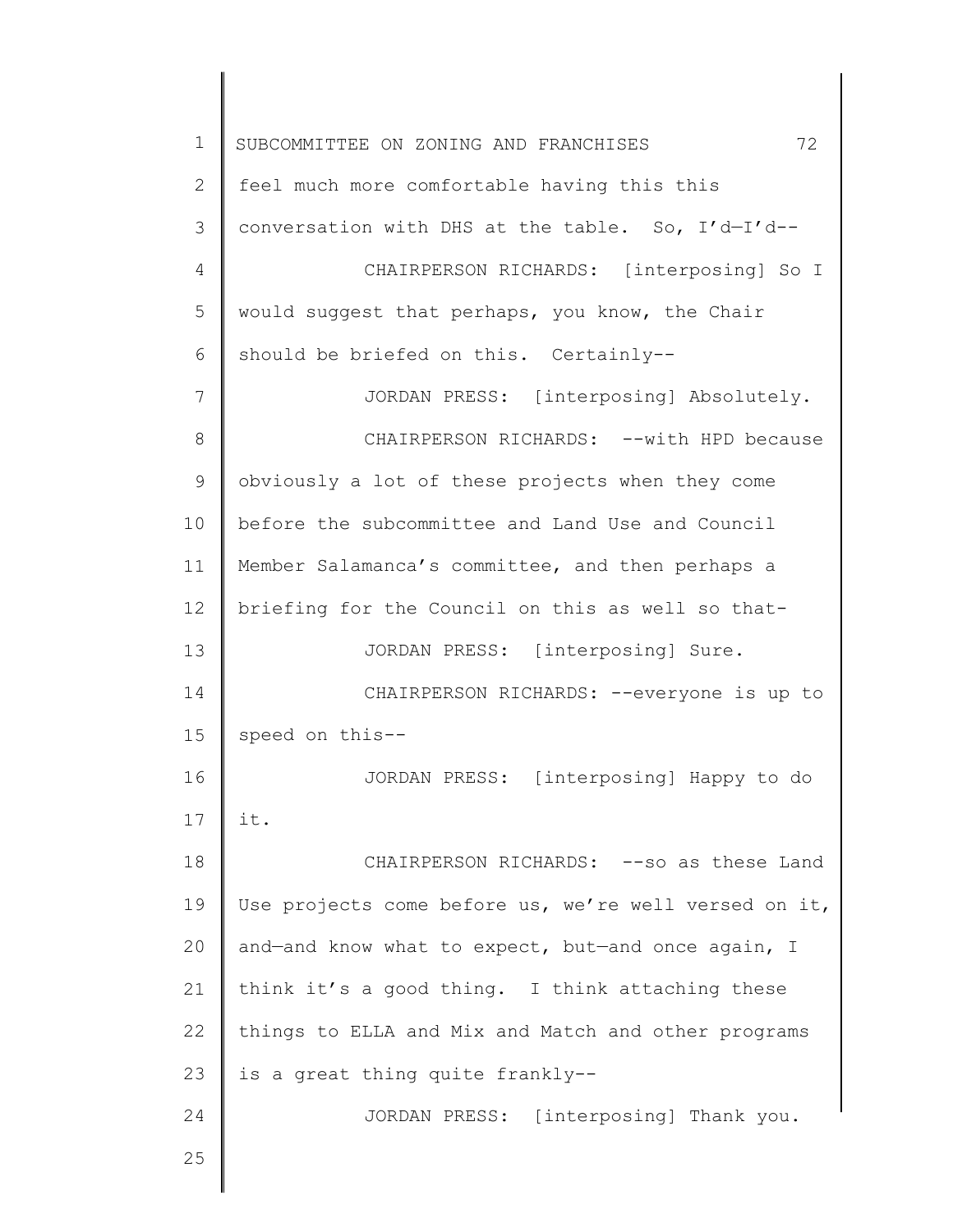1 2 3 4 5 6 7 8 9 10 11 12 13 14 15 16 17 18 19 20 21 22 23 24 25 SUBCOMMITTEE ON ZONING AND FRANCHISES 72 feel much more comfortable having this this conversation with DHS at the table. So, I'd—I'd-- CHAIRPERSON RICHARDS: [interposing] So I would suggest that perhaps, you know, the Chair should be briefed on this. Certainly-- JORDAN PRESS: [interposing] Absolutely. CHAIRPERSON RICHARDS: -- with HPD because obviously a lot of these projects when they come before the subcommittee and Land Use and Council Member Salamanca's committee, and then perhaps a briefing for the Council on this as well so that-JORDAN PRESS: [interposing] Sure. CHAIRPERSON RICHARDS: --everyone is up to speed on this-- JORDAN PRESS: [interposing] Happy to do it. CHAIRPERSON RICHARDS: -- so as these Land Use projects come before us, we're well versed on it, and—and know what to expect, but—and once again, I think it's a good thing. I think attaching these things to ELLA and Mix and Match and other programs is a great thing quite frankly-- JORDAN PRESS: [interposing] Thank you.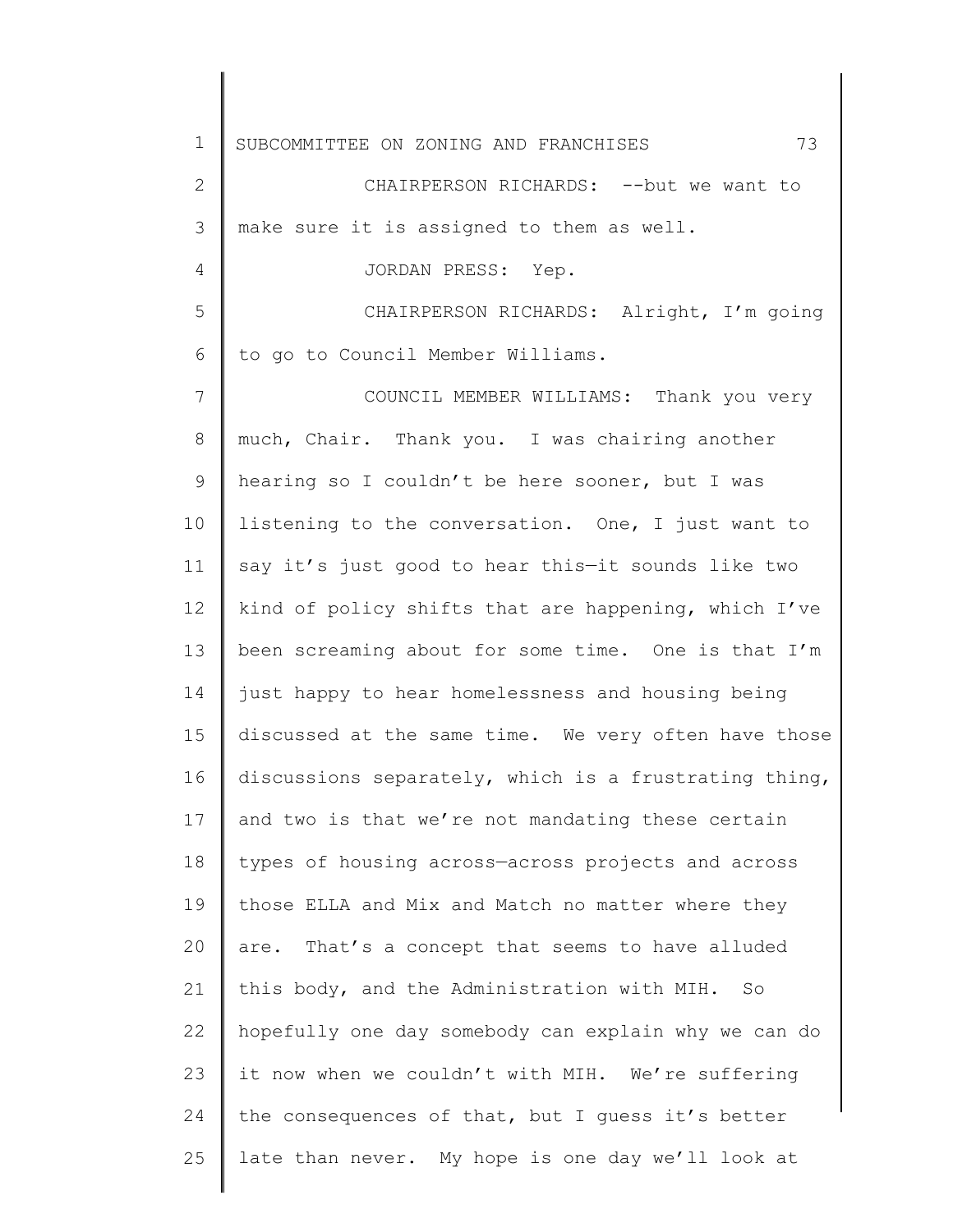| 1            | 73<br>SUBCOMMITTEE ON ZONING AND FRANCHISES           |
|--------------|-------------------------------------------------------|
| $\mathbf{2}$ | CHAIRPERSON RICHARDS: -- but we want to               |
| 3            | make sure it is assigned to them as well.             |
| 4            | JORDAN PRESS: Yep.                                    |
| 5            | CHAIRPERSON RICHARDS: Alright, I'm going              |
| 6            | to go to Council Member Williams.                     |
| 7            | COUNCIL MEMBER WILLIAMS: Thank you very               |
| 8            | much, Chair. Thank you. I was chairing another        |
| 9            | hearing so I couldn't be here sooner, but I was       |
| 10           | listening to the conversation. One, I just want to    |
| 11           | say it's just good to hear this-it sounds like two    |
| 12           | kind of policy shifts that are happening, which I've  |
| 13           | been screaming about for some time. One is that I'm   |
| 14           | just happy to hear homelessness and housing being     |
| 15           | discussed at the same time. We very often have those  |
| 16           | discussions separately, which is a frustrating thing, |
| 17           | and two is that we're not mandating these certain     |
| 18           | types of housing across-across projects and across    |
| 19           | those ELLA and Mix and Match no matter where they     |
| 20           | are. That's a concept that seems to have alluded      |
| 21           | this body, and the Administration with MIH.<br>So     |
| 22           | hopefully one day somebody can explain why we can do  |
| 23           | it now when we couldn't with MIH. We're suffering     |
| 24           | the consequences of that, but I guess it's better     |
| 25           | late than never. My hope is one day we'll look at     |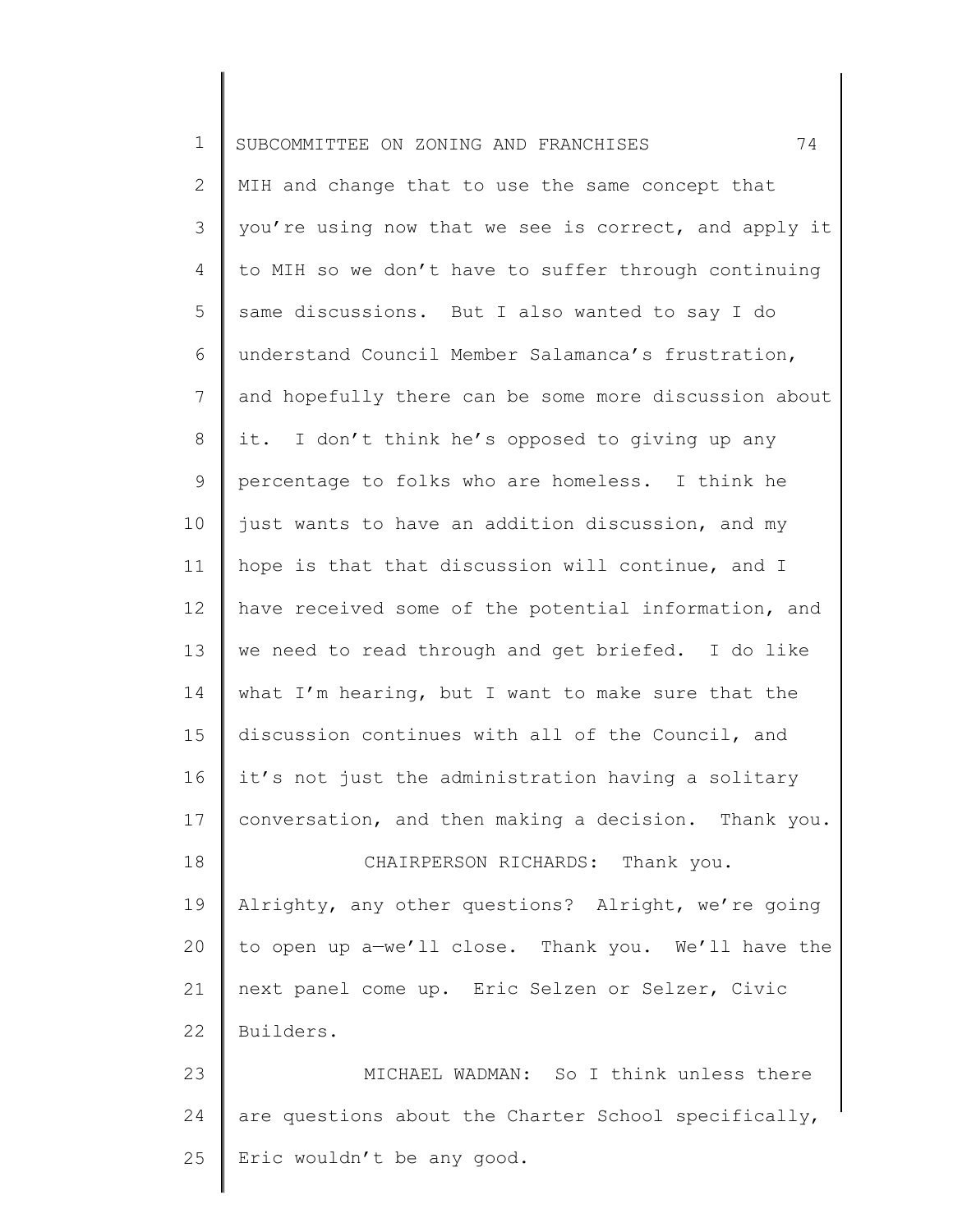| $\mathbf 1$    | 74<br>SUBCOMMITTEE ON ZONING AND FRANCHISES           |
|----------------|-------------------------------------------------------|
| $\mathbf{2}$   | MIH and change that to use the same concept that      |
| 3              | you're using now that we see is correct, and apply it |
| 4              | to MIH so we don't have to suffer through continuing  |
| 5              | same discussions. But I also wanted to say I do       |
| 6              | understand Council Member Salamanca's frustration,    |
| $7\phantom{.}$ | and hopefully there can be some more discussion about |
| 8              | it. I don't think he's opposed to giving up any       |
| 9              | percentage to folks who are homeless. I think he      |
| 10             | just wants to have an addition discussion, and my     |
| 11             | hope is that that discussion will continue, and I     |
| 12             | have received some of the potential information, and  |
| 13             | we need to read through and get briefed. I do like    |
| 14             | what I'm hearing, but I want to make sure that the    |
| 15             | discussion continues with all of the Council, and     |
| 16             | it's not just the administration having a solitary    |
| 17             | conversation, and then making a decision. Thank you.  |
| 18             | CHAIRPERSON RICHARDS: Thank you.                      |
| 19             | Alrighty, any other questions? Alright, we're going   |
| 20             | to open up a-we'll close. Thank you. We'll have the   |
| 21             | next panel come up. Eric Selzen or Selzer, Civic      |
| 22             | Builders.                                             |
| 23             | MICHAEL WADMAN: So I think unless there               |
| 24             | are questions about the Charter School specifically,  |
| 25             | Eric wouldn't be any good.                            |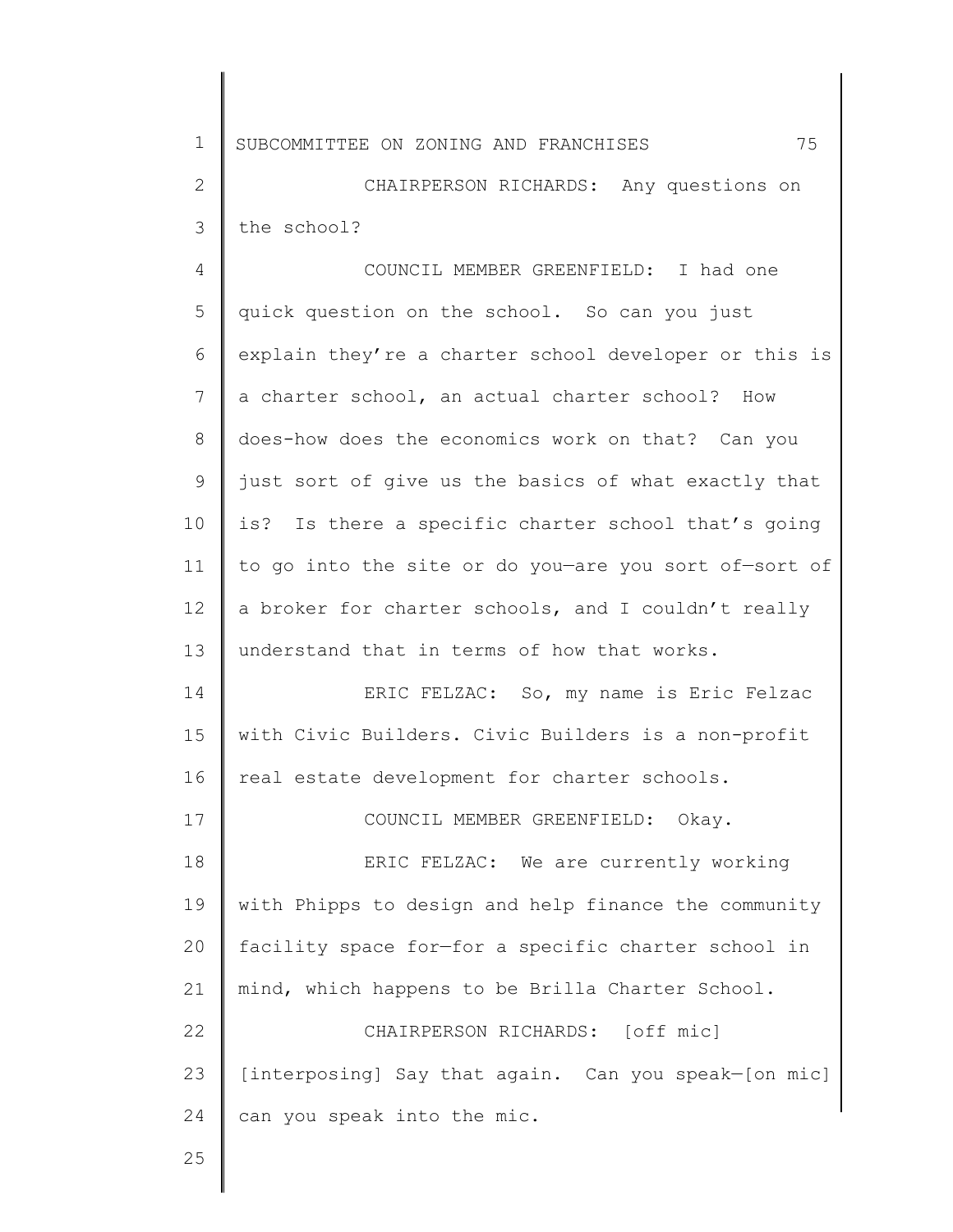1 SUBCOMMITTEE ON ZONING AND FRANCHISES 75

2 3 CHAIRPERSON RICHARDS: Any questions on the school?

4 5 6 7 8 9 10 11 12 13 COUNCIL MEMBER GREENFIELD: I had one quick question on the school. So can you just explain they're a charter school developer or this is a charter school, an actual charter school? How does-how does the economics work on that? Can you just sort of give us the basics of what exactly that is? Is there a specific charter school that's going to go into the site or do you—are you sort of—sort of a broker for charter schools, and I couldn't really understand that in terms of how that works.

14 15 16 ERIC FELZAC: So, my name is Eric Felzac with Civic Builders. Civic Builders is a non-profit real estate development for charter schools.

COUNCIL MEMBER GREENFIELD: Okay.

18 19 20 21 22 23 ERIC FELZAC: We are currently working with Phipps to design and help finance the community facility space for—for a specific charter school in mind, which happens to be Brilla Charter School. CHAIRPERSON RICHARDS: [off mic] [interposing] Say that again. Can you speak—[on mic]

can you speak into the mic.

25

24

17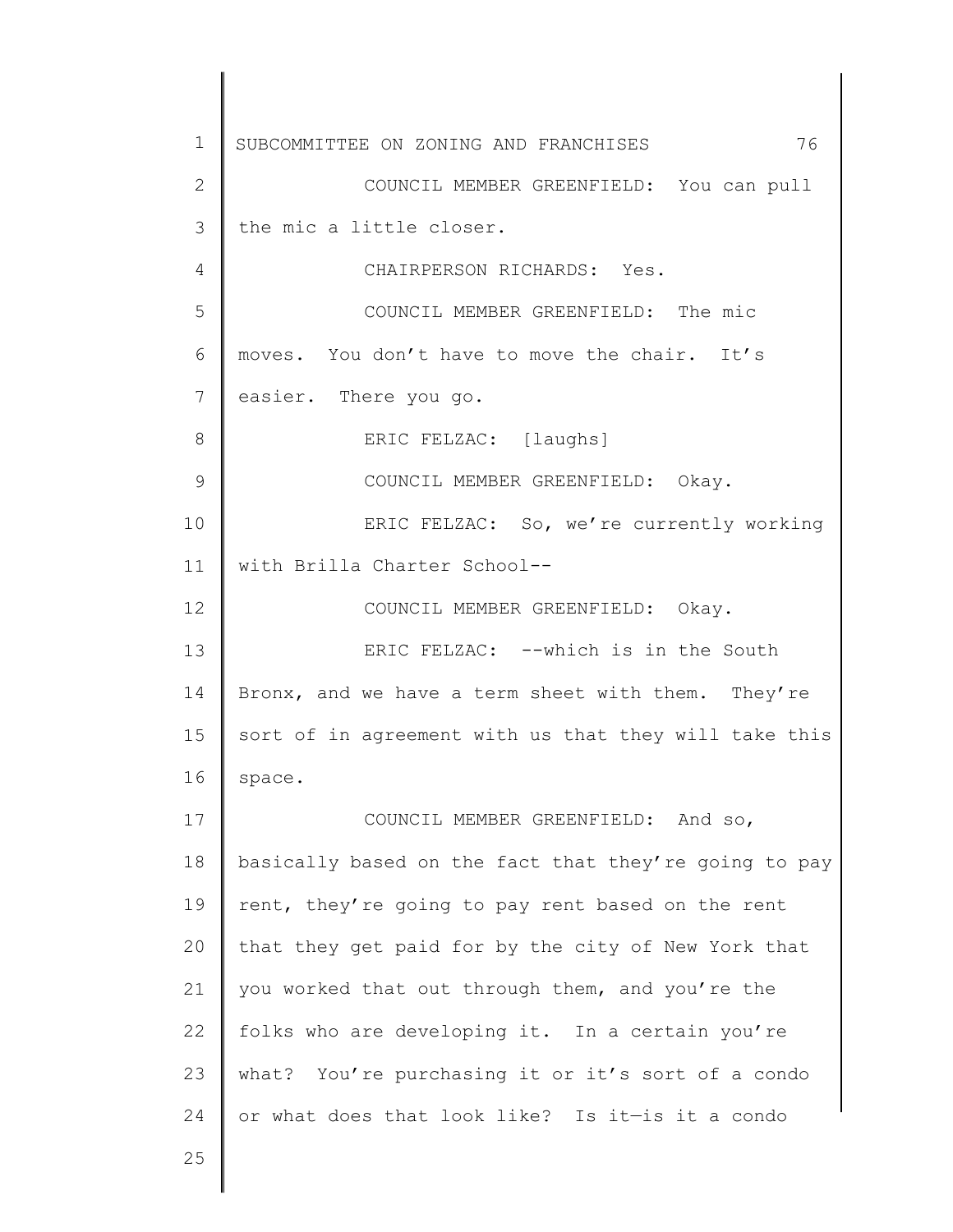1 2 3 4 5 6 7 8 9 10 11 12 13 14 15 16 17 18 19 20 21 22 23 24 25 SUBCOMMITTEE ON ZONING AND FRANCHISES 76 COUNCIL MEMBER GREENFIELD: You can pull the mic a little closer. CHAIRPERSON RICHARDS: Yes. COUNCIL MEMBER GREENFIELD: The mic moves. You don't have to move the chair. It's easier. There you go. ERIC FELZAC: [laughs] COUNCIL MEMBER GREENFIELD: Okay. ERIC FELZAC: So, we're currently working with Brilla Charter School-- COUNCIL MEMBER GREENFIELD: Okay. ERIC FELZAC: --which is in the South Bronx, and we have a term sheet with them. They're sort of in agreement with us that they will take this space. COUNCIL MEMBER GREENFIELD: And so, basically based on the fact that they're going to pay rent, they're going to pay rent based on the rent that they get paid for by the city of New York that you worked that out through them, and you're the folks who are developing it. In a certain you're what? You're purchasing it or it's sort of a condo or what does that look like? Is it—is it a condo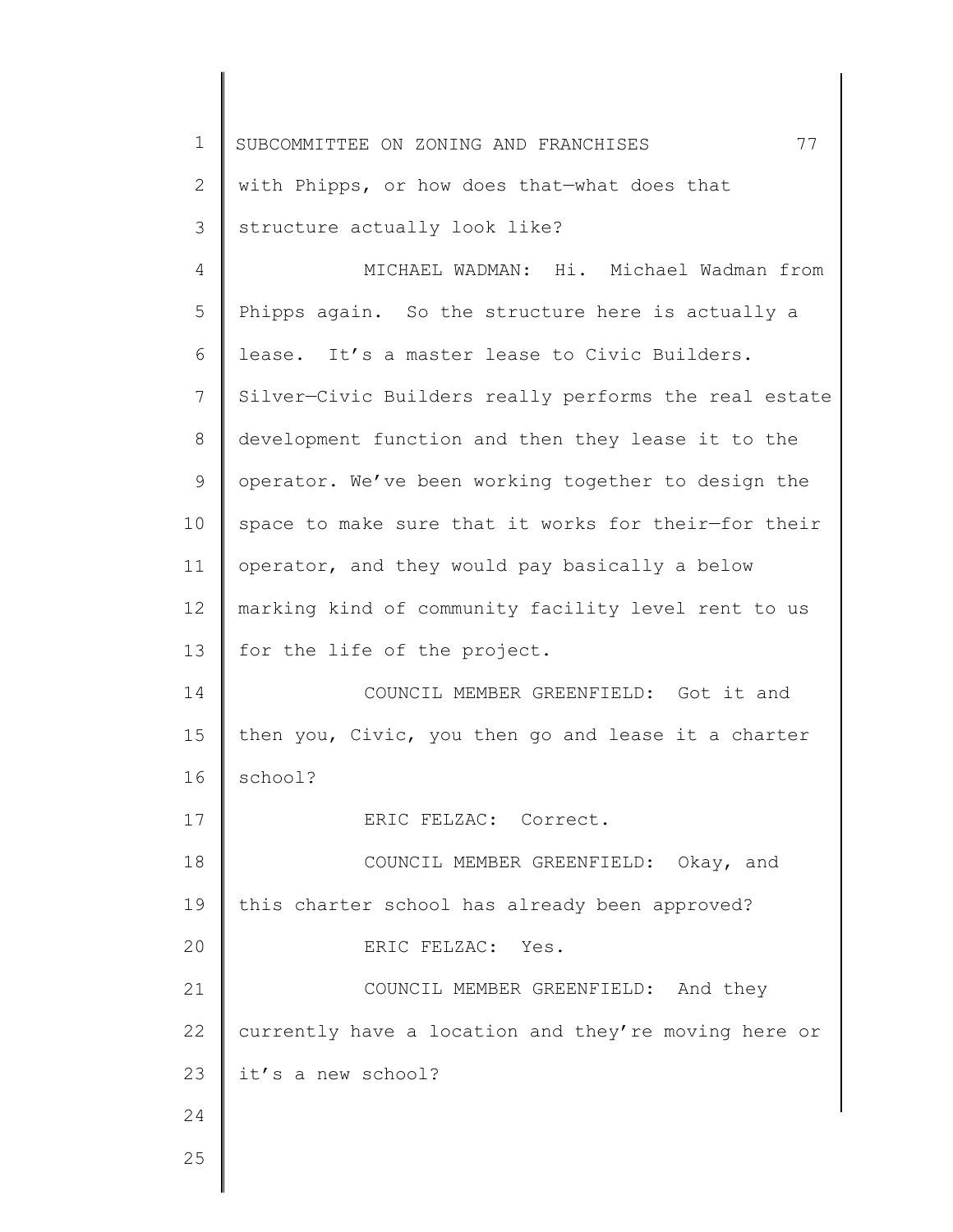1 2 3 4 5 6 7 8 9 10 11 12 13 14 15 16 17 18 19 20 21 22 23 24 25 SUBCOMMITTEE ON ZONING AND FRANCHISES 77 with Phipps, or how does that—what does that structure actually look like? MICHAEL WADMAN: Hi. Michael Wadman from Phipps again. So the structure here is actually a lease. It's a master lease to Civic Builders. Silver—Civic Builders really performs the real estate development function and then they lease it to the operator. We've been working together to design the space to make sure that it works for their—for their operator, and they would pay basically a below marking kind of community facility level rent to us for the life of the project. COUNCIL MEMBER GREENFIELD: Got it and then you, Civic, you then go and lease it a charter school? ERIC FELZAC: Correct. COUNCIL MEMBER GREENFIELD: Okay, and this charter school has already been approved? ERIC FELZAC: Yes. COUNCIL MEMBER GREENFIELD: And they currently have a location and they're moving here or it's a new school?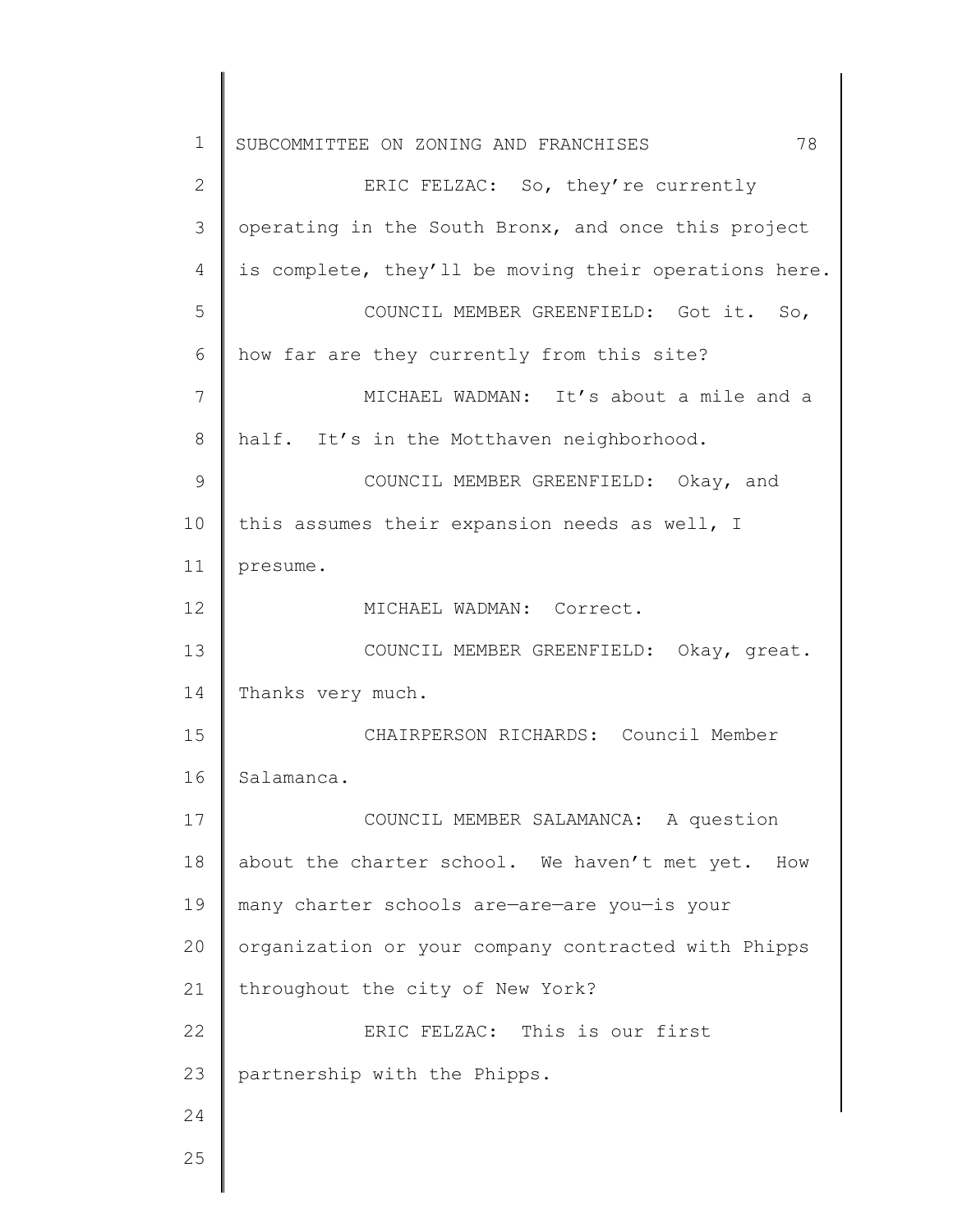1 2 3 4 5 6 7 8 9 10 11 12 13 14 15 16 17 18 19 20 21 22 23 24 25 SUBCOMMITTEE ON ZONING AND FRANCHISES 78 ERIC FELZAC: So, they're currently operating in the South Bronx, and once this project is complete, they'll be moving their operations here. COUNCIL MEMBER GREENFIELD: Got it. So, how far are they currently from this site? MICHAEL WADMAN: It's about a mile and a half. It's in the Motthaven neighborhood. COUNCIL MEMBER GREENFIELD: Okay, and this assumes their expansion needs as well, I presume. MICHAEL WADMAN: Correct. COUNCIL MEMBER GREENFIELD: Okay, great. Thanks very much. CHAIRPERSON RICHARDS: Council Member Salamanca. COUNCIL MEMBER SALAMANCA: A question about the charter school. We haven't met yet. How many charter schools are—are—are you—is your organization or your company contracted with Phipps throughout the city of New York? ERIC FELZAC: This is our first partnership with the Phipps.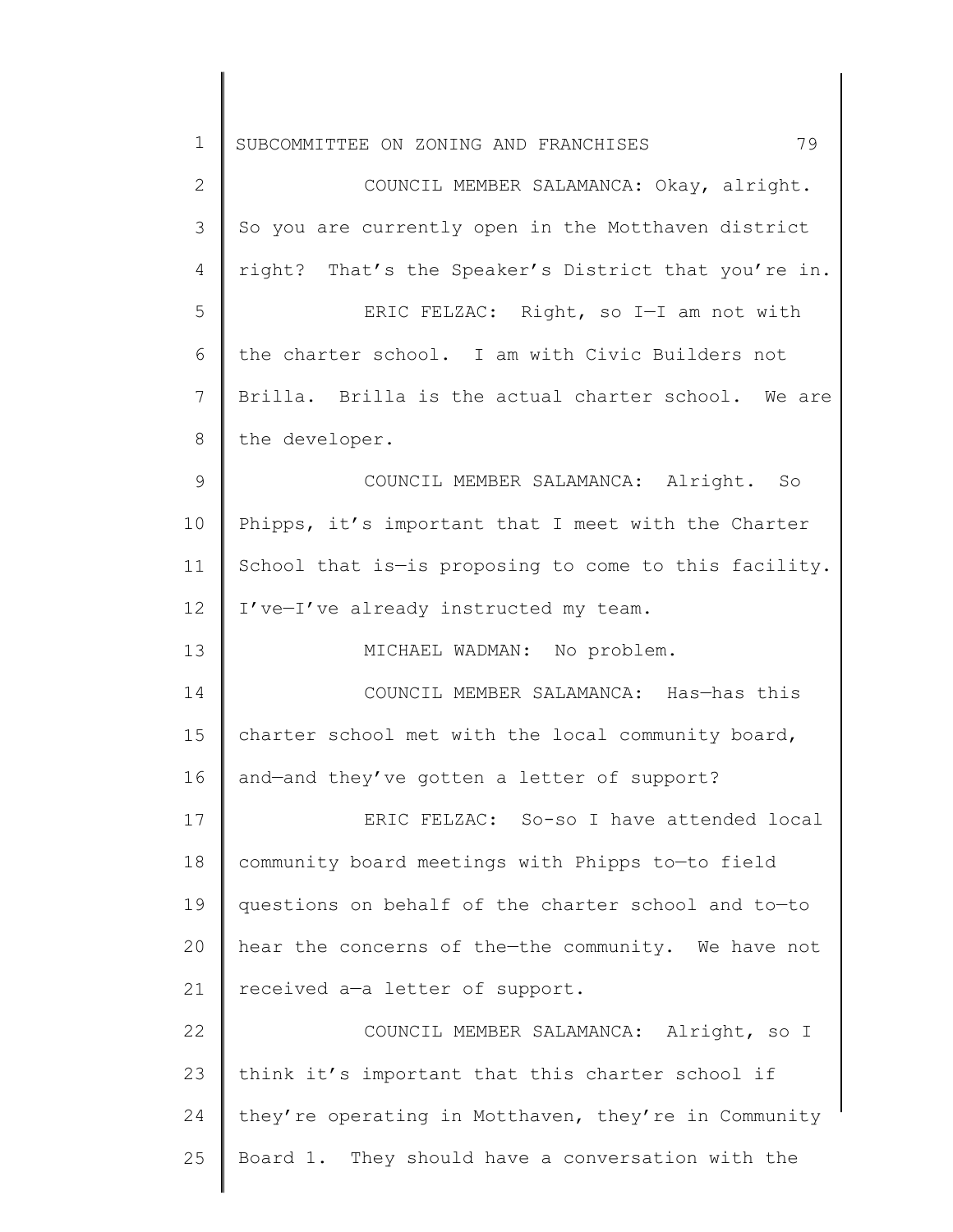1 2 3 4 5 6 7 8 9 10 11 12 13 14 15 16 17 18 19 20 21 22 23 24 25 SUBCOMMITTEE ON ZONING AND FRANCHISES 79 COUNCIL MEMBER SALAMANCA: Okay, alright. So you are currently open in the Motthaven district right? That's the Speaker's District that you're in. ERIC FELZAC: Right, so I—I am not with the charter school. I am with Civic Builders not Brilla. Brilla is the actual charter school. We are the developer. COUNCIL MEMBER SALAMANCA: Alright. So Phipps, it's important that I meet with the Charter School that is-is proposing to come to this facility. I've—I've already instructed my team. MICHAEL WADMAN: No problem. COUNCIL MEMBER SALAMANCA: Has—has this charter school met with the local community board, and—and they've gotten a letter of support? ERIC FELZAC: So-so I have attended local community board meetings with Phipps to—to field questions on behalf of the charter school and to—to hear the concerns of the—the community. We have not received a—a letter of support. COUNCIL MEMBER SALAMANCA: Alright, so I think it's important that this charter school if they're operating in Motthaven, they're in Community Board 1. They should have a conversation with the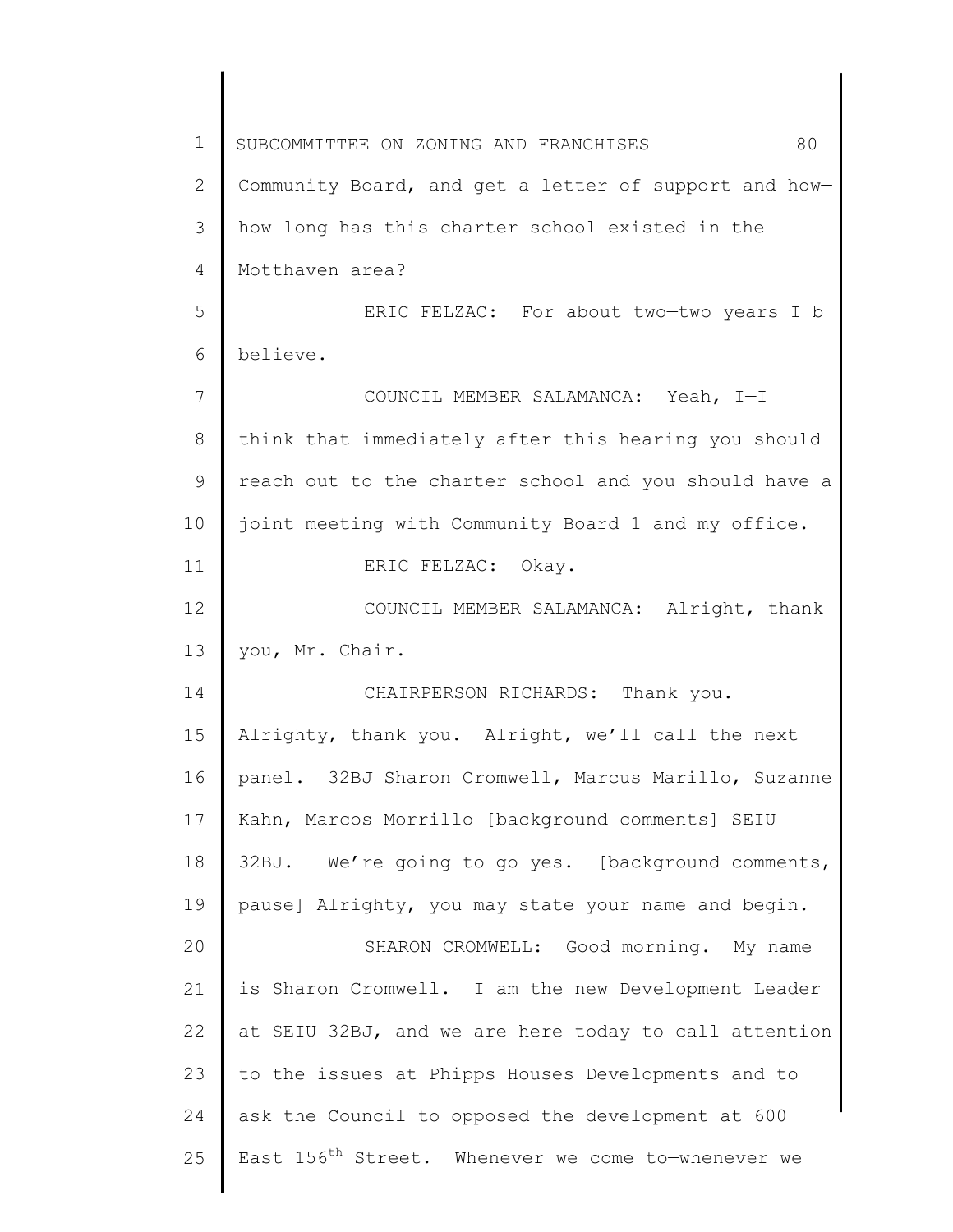1 2 3 4 5 6 7 8 9 10 11 12 13 14 15 16 17 18 19 20 21 22 23 24 25 SUBCOMMITTEE ON ZONING AND FRANCHISES 80 Community Board, and get a letter of support and how how long has this charter school existed in the Motthaven area? ERIC FELZAC: For about two—two years I b believe. COUNCIL MEMBER SALAMANCA: Yeah, I—I think that immediately after this hearing you should reach out to the charter school and you should have a joint meeting with Community Board 1 and my office. ERIC FELZAC: Okay. COUNCIL MEMBER SALAMANCA: Alright, thank you, Mr. Chair. CHAIRPERSON RICHARDS: Thank you. Alrighty, thank you. Alright, we'll call the next panel. 32BJ Sharon Cromwell, Marcus Marillo, Suzanne Kahn, Marcos Morrillo [background comments] SEIU 32BJ. We're going to go—yes. [background comments, pause] Alrighty, you may state your name and begin. SHARON CROMWELL: Good morning. My name is Sharon Cromwell. I am the new Development Leader at SEIU 32BJ, and we are here today to call attention to the issues at Phipps Houses Developments and to ask the Council to opposed the development at 600 East 156<sup>th</sup> Street. Whenever we come to-whenever we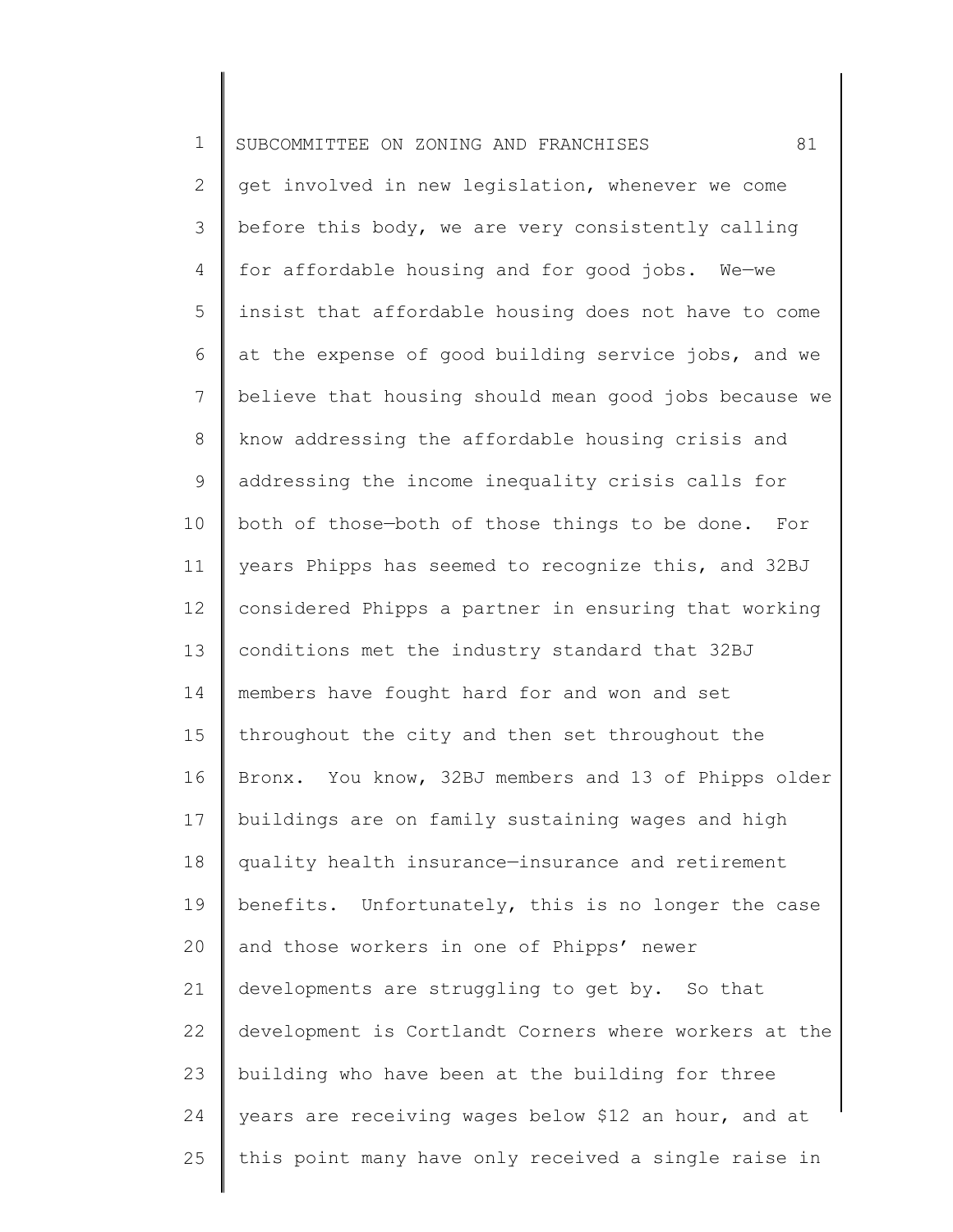| $\mathbf 1$    | 81<br>SUBCOMMITTEE ON ZONING AND FRANCHISES           |
|----------------|-------------------------------------------------------|
| $\mathbf{2}$   | get involved in new legislation, whenever we come     |
| 3              | before this body, we are very consistently calling    |
| 4              | for affordable housing and for good jobs. We-we       |
| 5              | insist that affordable housing does not have to come  |
| 6              | at the expense of good building service jobs, and we  |
| $7\phantom{.}$ | believe that housing should mean good jobs because we |
| $8\,$          | know addressing the affordable housing crisis and     |
| 9              | addressing the income inequality crisis calls for     |
| 10             | both of those-both of those things to be done. For    |
| 11             | years Phipps has seemed to recognize this, and 32BJ   |
| 12             | considered Phipps a partner in ensuring that working  |
| 13             | conditions met the industry standard that 32BJ        |
| 14             | members have fought hard for and won and set          |
| 15             | throughout the city and then set throughout the       |
| 16             | Bronx. You know, 32BJ members and 13 of Phipps older  |
| 17             | buildings are on family sustaining wages and high     |
| 18             | quality health insurance-insurance and retirement     |
| 19             | benefits. Unfortunately, this is no longer the case   |
| 20             | and those workers in one of Phipps' newer             |
| 21             | developments are struggling to get by. So that        |
| 22             | development is Cortlandt Corners where workers at the |
| 23             | building who have been at the building for three      |
| 24             | years are receiving wages below \$12 an hour, and at  |
| 25             | this point many have only received a single raise in  |
|                |                                                       |

║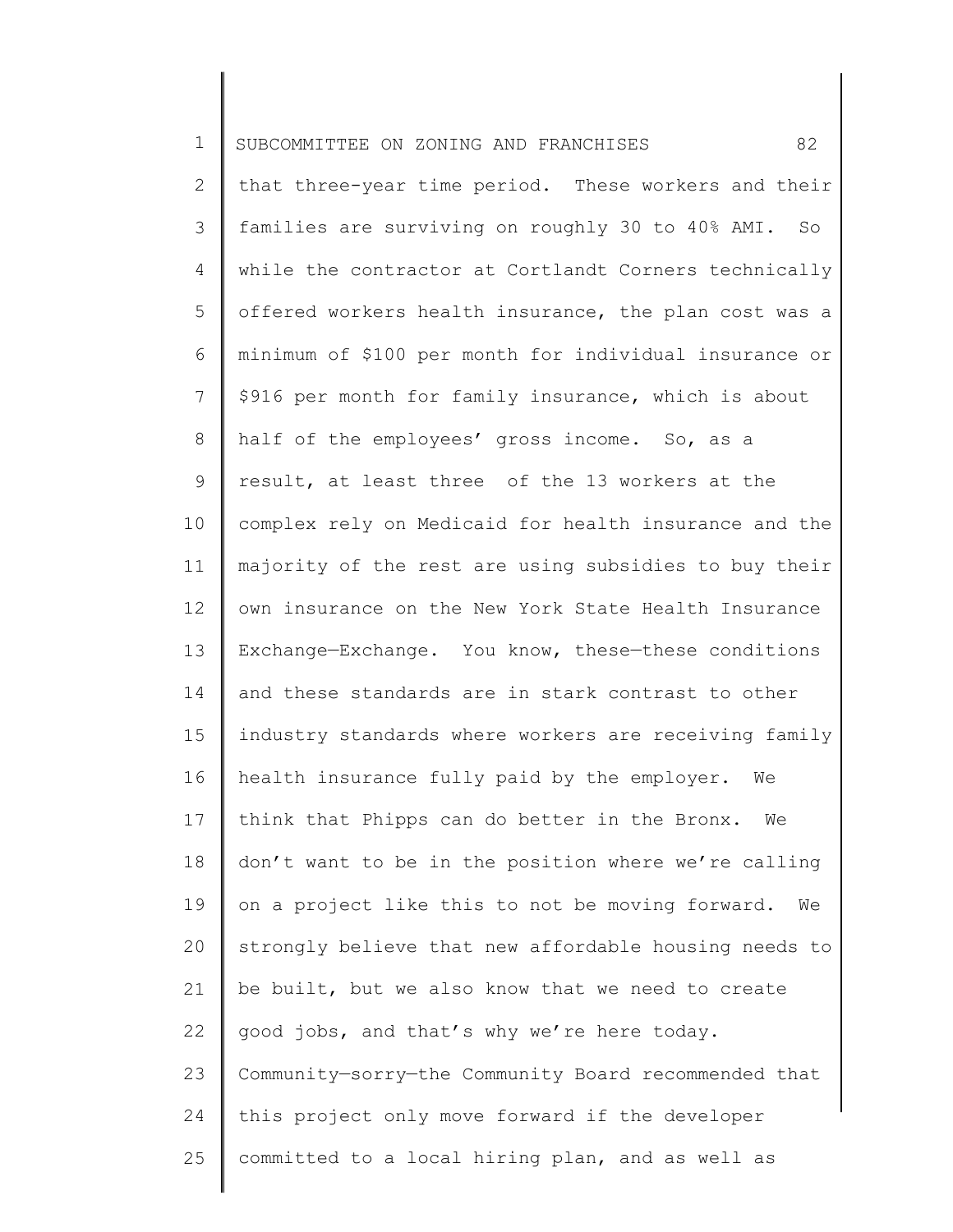1 2 3 4 5 6 7 8 9 10 11 12 13 14 15 16 17 18 19 20 21 22 23 24 25 SUBCOMMITTEE ON ZONING AND FRANCHISES 82 that three-year time period. These workers and their families are surviving on roughly 30 to 40% AMI. So while the contractor at Cortlandt Corners technically offered workers health insurance, the plan cost was a minimum of \$100 per month for individual insurance or \$916 per month for family insurance, which is about half of the employees' gross income. So, as a result, at least three of the 13 workers at the complex rely on Medicaid for health insurance and the majority of the rest are using subsidies to buy their own insurance on the New York State Health Insurance Exchange—Exchange. You know, these—these conditions and these standards are in stark contrast to other industry standards where workers are receiving family health insurance fully paid by the employer. We think that Phipps can do better in the Bronx. We don't want to be in the position where we're calling on a project like this to not be moving forward. We strongly believe that new affordable housing needs to be built, but we also know that we need to create good jobs, and that's why we're here today. Community—sorry—the Community Board recommended that this project only move forward if the developer committed to a local hiring plan, and as well as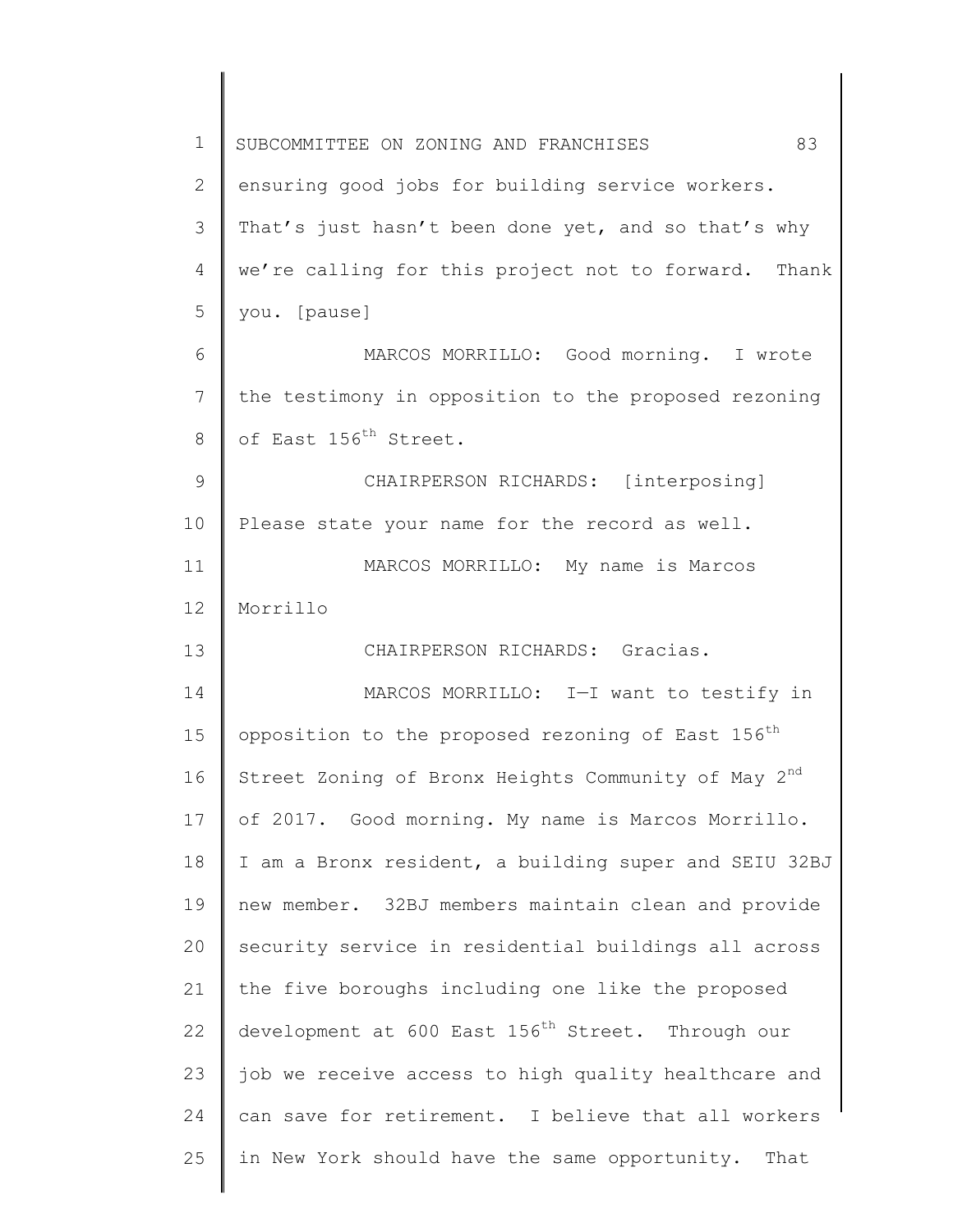| 1             | 83<br>SUBCOMMITTEE ON ZONING AND FRANCHISES                   |
|---------------|---------------------------------------------------------------|
| 2             | ensuring good jobs for building service workers.              |
| 3             | That's just hasn't been done yet, and so that's why           |
| 4             | we're calling for this project not to forward. Thank          |
| 5             | you. [pause]                                                  |
| 6             | MARCOS MORRILLO: Good morning. I wrote                        |
| 7             | the testimony in opposition to the proposed rezoning          |
| 8             | of East 156 <sup>th</sup> Street.                             |
| $\mathcal{G}$ | CHAIRPERSON RICHARDS: [interposing]                           |
| 10            | Please state your name for the record as well.                |
| 11            | MARCOS MORRILLO: My name is Marcos                            |
| 12            | Morrillo                                                      |
| 13            | CHAIRPERSON RICHARDS: Gracias.                                |
| 14            | MARCOS MORRILLO: I-I want to testify in                       |
| 15            | opposition to the proposed rezoning of East 156 <sup>th</sup> |
| 16            | Street Zoning of Bronx Heights Community of May 2nd           |
| 17            | of 2017. Good morning. My name is Marcos Morrillo.            |
| 18            | I am a Bronx resident, a building super and SEIU 32BJ         |
| 19            | new member. 32BJ members maintain clean and provide           |
| 20            | security service in residential buildings all across          |
| 21            | the five boroughs including one like the proposed             |
| 22            | development at 600 East 156 <sup>th</sup> Street. Through our |
| 23            | job we receive access to high quality healthcare and          |
| 24            | can save for retirement. I believe that all workers           |
| 25            | in New York should have the same opportunity. That            |
|               |                                                               |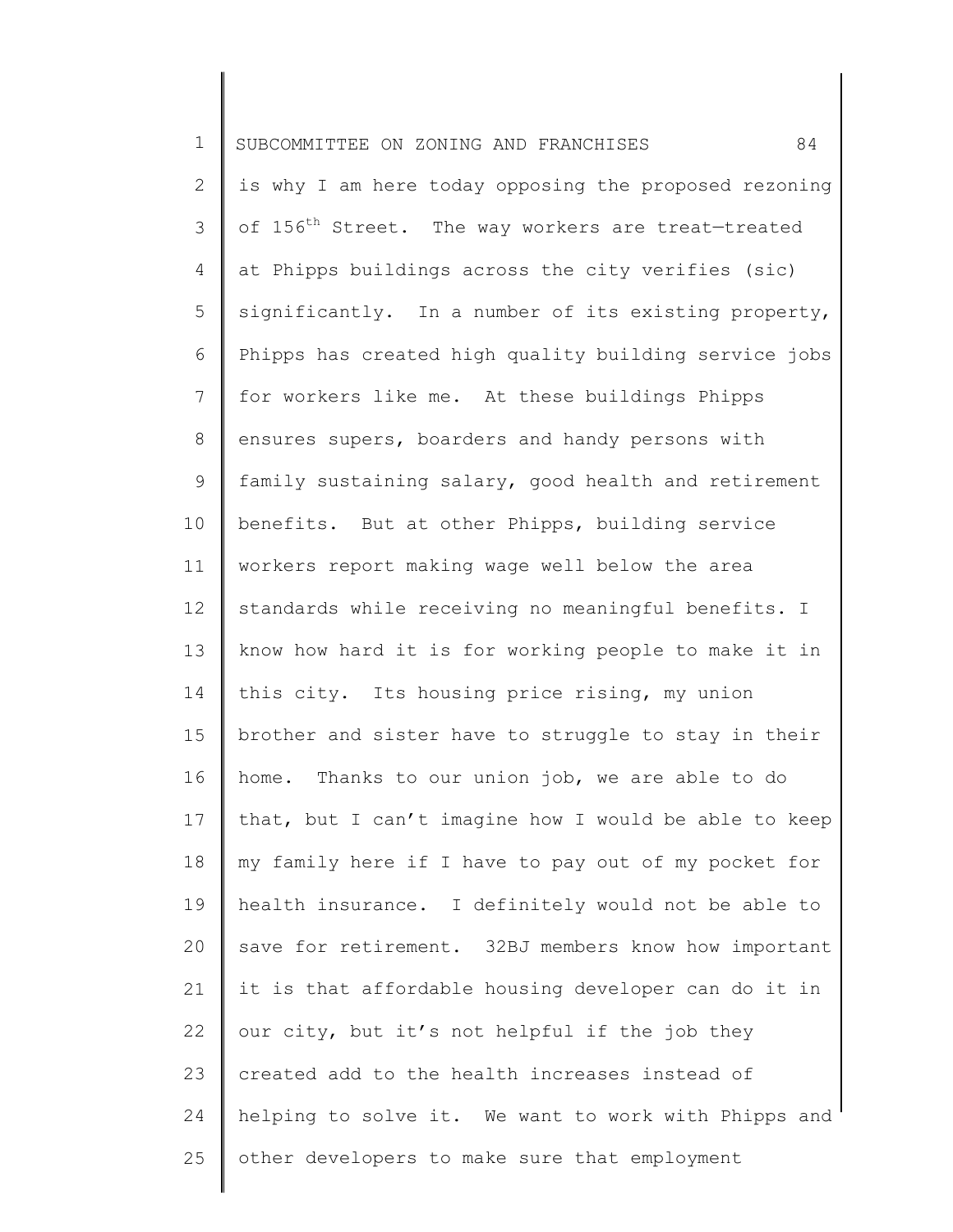| $\mathbf 1$    | 84<br>SUBCOMMITTEE ON ZONING AND FRANCHISES                    |
|----------------|----------------------------------------------------------------|
| $\mathbf{2}$   | is why I am here today opposing the proposed rezoning          |
| 3              | of 156 <sup>th</sup> Street. The way workers are treat-treated |
| 4              | at Phipps buildings across the city verifies (sic)             |
| 5              | significantly. In a number of its existing property,           |
| 6              | Phipps has created high quality building service jobs          |
| $\overline{7}$ | for workers like me. At these buildings Phipps                 |
| $8\,$          | ensures supers, boarders and handy persons with                |
| 9              | family sustaining salary, good health and retirement           |
| 10             | benefits. But at other Phipps, building service                |
| 11             | workers report making wage well below the area                 |
| 12             | standards while receiving no meaningful benefits. I            |
| 13             | know how hard it is for working people to make it in           |
| 14             | this city. Its housing price rising, my union                  |
| 15             | brother and sister have to struggle to stay in their           |
| 16             | home. Thanks to our union job, we are able to do               |
| 17             | that, but I can't imagine how I would be able to keep          |
| 18             | my family here if I have to pay out of my pocket for           |
| 19             | health insurance. I definitely would not be able to            |
| 20             | save for retirement. 32BJ members know how important           |
| 21             | it is that affordable housing developer can do it in           |
| 22             | our city, but it's not helpful if the job they                 |
| 23             | created add to the health increases instead of                 |
| 24             | helping to solve it. We want to work with Phipps and           |
| 25             | other developers to make sure that employment                  |

║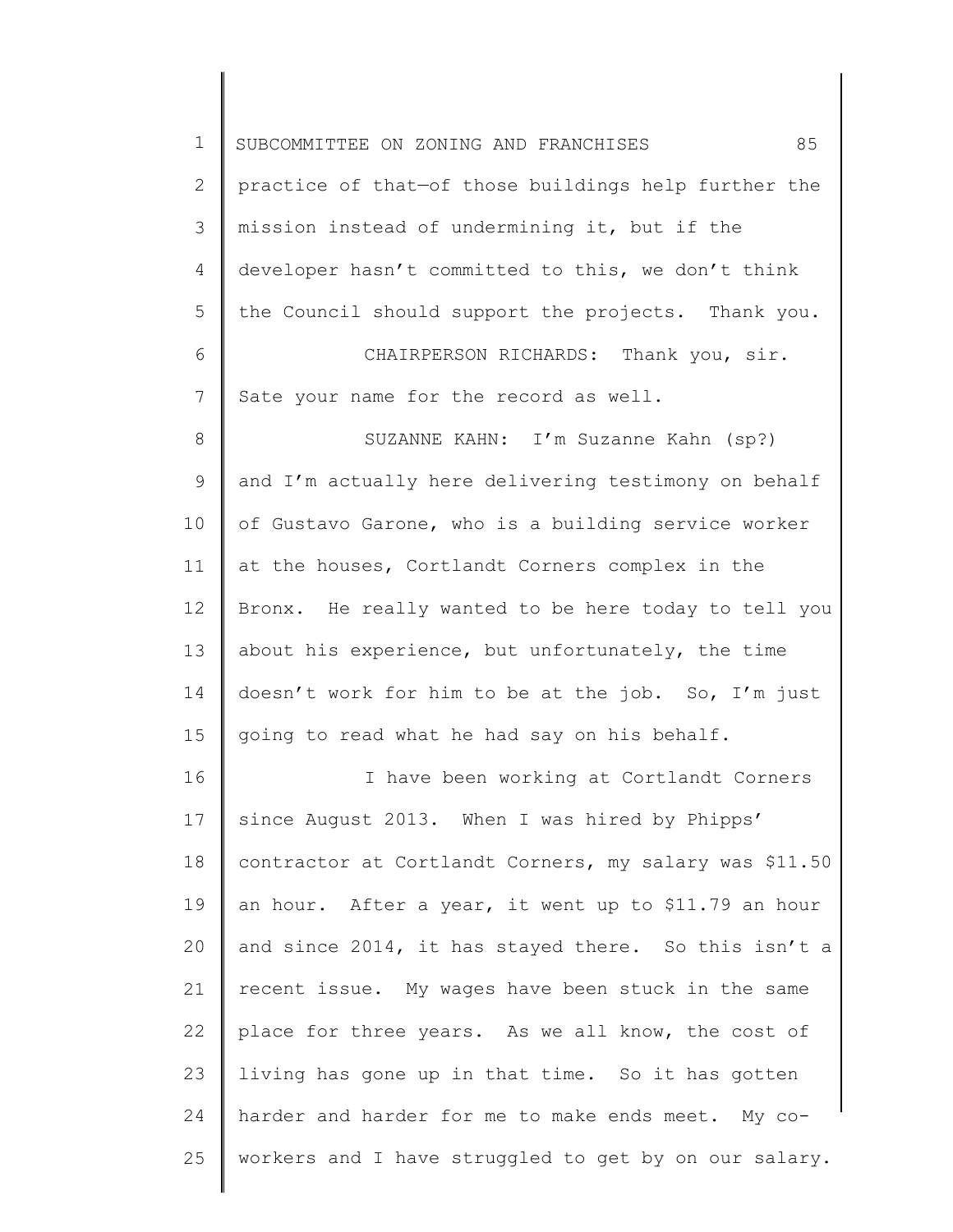| $\mathbf 1$  | 85<br>SUBCOMMITTEE ON ZONING AND FRANCHISES            |  |  |  |  |  |  |  |  |
|--------------|--------------------------------------------------------|--|--|--|--|--|--|--|--|
| $\mathbf{2}$ | practice of that-of those buildings help further the   |  |  |  |  |  |  |  |  |
| 3            | mission instead of undermining it, but if the          |  |  |  |  |  |  |  |  |
| 4            | developer hasn't committed to this, we don't think     |  |  |  |  |  |  |  |  |
| 5            | the Council should support the projects. Thank you.    |  |  |  |  |  |  |  |  |
| 6            | CHAIRPERSON RICHARDS: Thank you, sir.                  |  |  |  |  |  |  |  |  |
| 7            | Sate your name for the record as well.                 |  |  |  |  |  |  |  |  |
| $8\,$        | SUZANNE KAHN: I'm Suzanne Kahn (sp?)                   |  |  |  |  |  |  |  |  |
| $\mathsf 9$  | and I'm actually here delivering testimony on behalf   |  |  |  |  |  |  |  |  |
| 10           | of Gustavo Garone, who is a building service worker    |  |  |  |  |  |  |  |  |
| 11           | at the houses, Cortlandt Corners complex in the        |  |  |  |  |  |  |  |  |
| 12           | Bronx. He really wanted to be here today to tell you   |  |  |  |  |  |  |  |  |
| 13           | about his experience, but unfortunately, the time      |  |  |  |  |  |  |  |  |
| 14           | doesn't work for him to be at the job. So, I'm just    |  |  |  |  |  |  |  |  |
| 15           | going to read what he had say on his behalf.           |  |  |  |  |  |  |  |  |
| 16           | I have been working at Cortlandt Corners               |  |  |  |  |  |  |  |  |
| 17           | since August 2013. When I was hired by Phipps'         |  |  |  |  |  |  |  |  |
| 18           | contractor at Cortlandt Corners, my salary was \$11.50 |  |  |  |  |  |  |  |  |
| 19           | an hour. After a year, it went up to \$11.79 an hour   |  |  |  |  |  |  |  |  |
| 20           | and since 2014, it has stayed there. So this isn't a   |  |  |  |  |  |  |  |  |
| 21           | recent issue. My wages have been stuck in the same     |  |  |  |  |  |  |  |  |
| 22           | place for three years. As we all know, the cost of     |  |  |  |  |  |  |  |  |
| 23           | living has gone up in that time. So it has gotten      |  |  |  |  |  |  |  |  |
| 24           | harder and harder for me to make ends meet. My co-     |  |  |  |  |  |  |  |  |
| 25           | workers and I have struggled to get by on our salary.  |  |  |  |  |  |  |  |  |
|              |                                                        |  |  |  |  |  |  |  |  |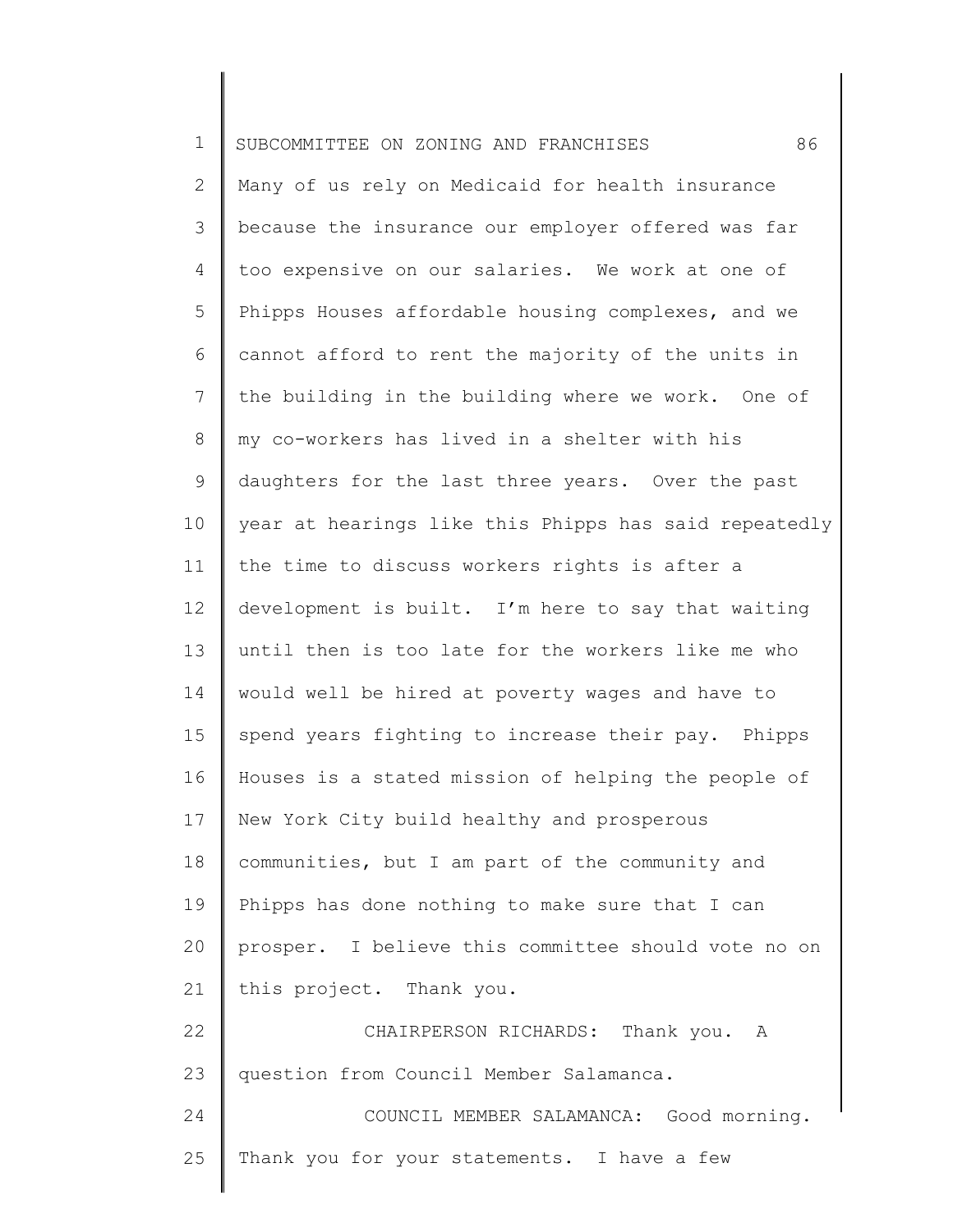| $\mathbf 1$ | 86<br>SUBCOMMITTEE ON ZONING AND FRANCHISES           |
|-------------|-------------------------------------------------------|
| 2           | Many of us rely on Medicaid for health insurance      |
| 3           | because the insurance our employer offered was far    |
| 4           | too expensive on our salaries. We work at one of      |
| 5           | Phipps Houses affordable housing complexes, and we    |
| 6           | cannot afford to rent the majority of the units in    |
| 7           | the building in the building where we work. One of    |
| 8           | my co-workers has lived in a shelter with his         |
| 9           | daughters for the last three years. Over the past     |
| 10          | year at hearings like this Phipps has said repeatedly |
| 11          | the time to discuss workers rights is after a         |
| 12          | development is built. I'm here to say that waiting    |
| 13          | until then is too late for the workers like me who    |
| 14          | would well be hired at poverty wages and have to      |
| 15          | spend years fighting to increase their pay. Phipps    |
| 16          | Houses is a stated mission of helping the people of   |
| 17          | New York City build healthy and prosperous            |
| 18          | communities, but I am part of the community and       |
| 19          | Phipps has done nothing to make sure that I can       |
| 20          | prosper. I believe this committee should vote no on   |
| 21          | this project. Thank you.                              |
| 22          | CHAIRPERSON RICHARDS: Thank you. A                    |
| 23          | question from Council Member Salamanca.               |
| 24          | COUNCIL MEMBER SALAMANCA: Good morning.               |
| 25          | Thank you for your statements. I have a few           |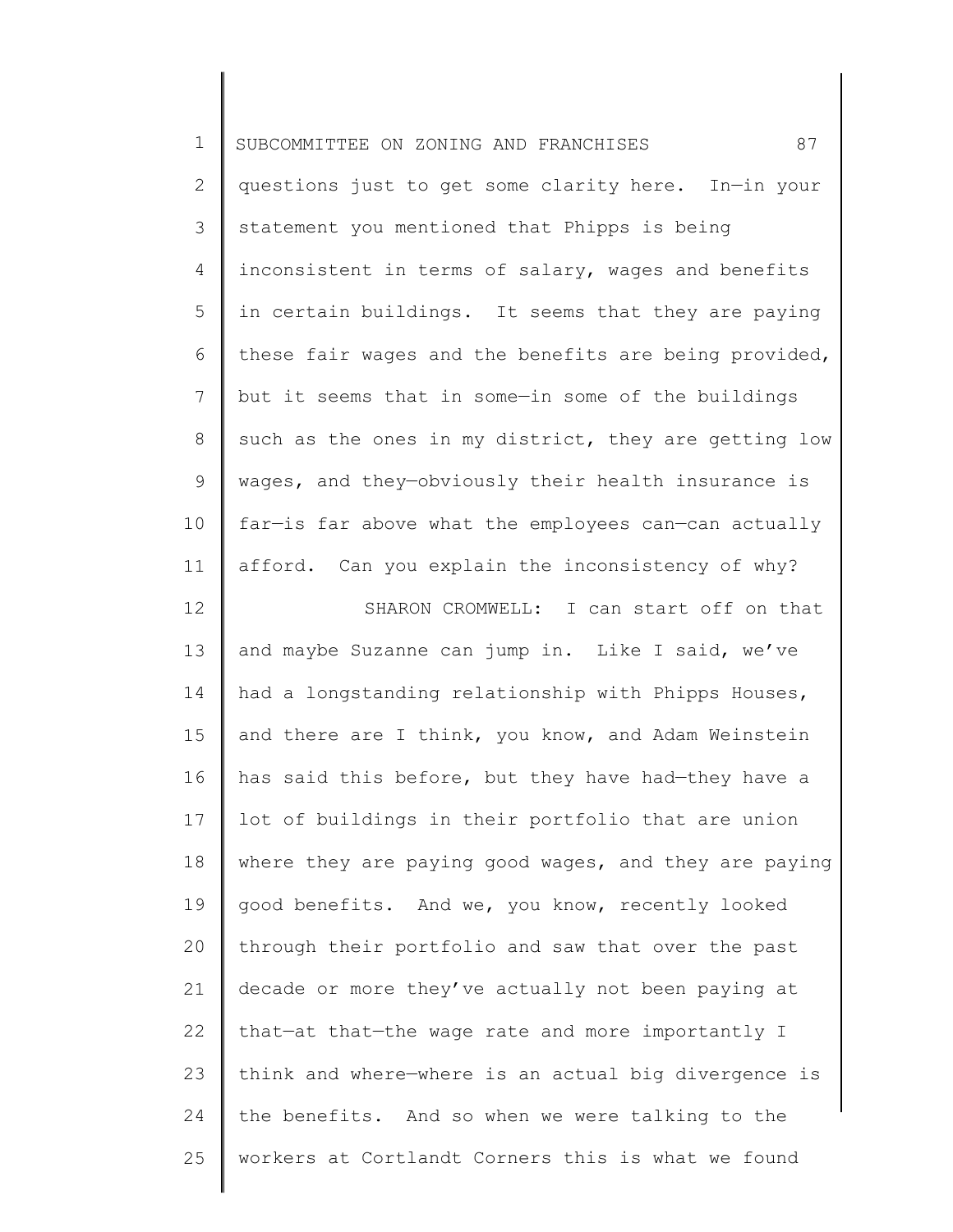| $\mathbf 1$  | 87<br>SUBCOMMITTEE ON ZONING AND FRANCHISES           |  |  |  |  |  |  |  |  |
|--------------|-------------------------------------------------------|--|--|--|--|--|--|--|--|
| $\mathbf{2}$ | questions just to get some clarity here. In-in your   |  |  |  |  |  |  |  |  |
| 3            | statement you mentioned that Phipps is being          |  |  |  |  |  |  |  |  |
| 4            | inconsistent in terms of salary, wages and benefits   |  |  |  |  |  |  |  |  |
| 5            | in certain buildings. It seems that they are paying   |  |  |  |  |  |  |  |  |
| 6            | these fair wages and the benefits are being provided, |  |  |  |  |  |  |  |  |
| 7            | but it seems that in some-in some of the buildings    |  |  |  |  |  |  |  |  |
| 8            | such as the ones in my district, they are getting low |  |  |  |  |  |  |  |  |
| 9            | wages, and they-obviously their health insurance is   |  |  |  |  |  |  |  |  |
| 10           | far-is far above what the employees can-can actually  |  |  |  |  |  |  |  |  |
| 11           | afford. Can you explain the inconsistency of why?     |  |  |  |  |  |  |  |  |
| 12           | SHARON CROMWELL: I can start off on that              |  |  |  |  |  |  |  |  |
| 13           | and maybe Suzanne can jump in. Like I said, we've     |  |  |  |  |  |  |  |  |
| 14           | had a longstanding relationship with Phipps Houses,   |  |  |  |  |  |  |  |  |
| 15           | and there are I think, you know, and Adam Weinstein   |  |  |  |  |  |  |  |  |
| 16           | has said this before, but they have had-they have a   |  |  |  |  |  |  |  |  |
| 17           | lot of buildings in their portfolio that are union    |  |  |  |  |  |  |  |  |
| 18           | where they are paying good wages, and they are paying |  |  |  |  |  |  |  |  |
| 19           | good benefits. And we, you know, recently looked      |  |  |  |  |  |  |  |  |
| 20           | through their portfolio and saw that over the past    |  |  |  |  |  |  |  |  |
| 21           | decade or more they've actually not been paying at    |  |  |  |  |  |  |  |  |
| 22           | that-at that-the wage rate and more importantly I     |  |  |  |  |  |  |  |  |
| 23           | think and where-where is an actual big divergence is  |  |  |  |  |  |  |  |  |
| 24           | the benefits. And so when we were talking to the      |  |  |  |  |  |  |  |  |
| 25           | workers at Cortlandt Corners this is what we found    |  |  |  |  |  |  |  |  |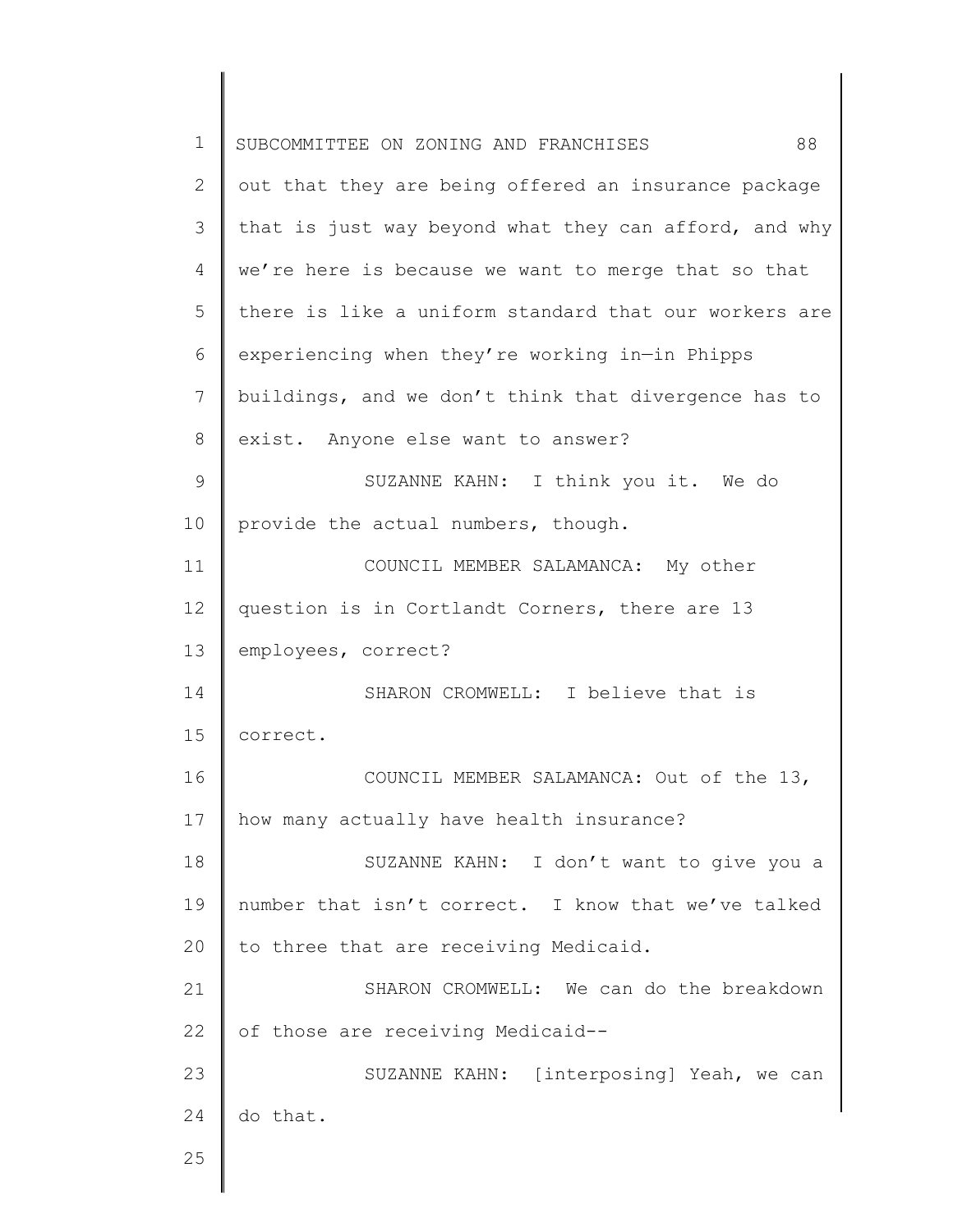| $\mathbf 1$   | 88<br>SUBCOMMITTEE ON ZONING AND FRANCHISES           |  |  |  |  |  |  |  |  |  |
|---------------|-------------------------------------------------------|--|--|--|--|--|--|--|--|--|
| 2             | out that they are being offered an insurance package  |  |  |  |  |  |  |  |  |  |
| 3             | that is just way beyond what they can afford, and why |  |  |  |  |  |  |  |  |  |
| 4             | we're here is because we want to merge that so that   |  |  |  |  |  |  |  |  |  |
| 5             | there is like a uniform standard that our workers are |  |  |  |  |  |  |  |  |  |
| 6             | experiencing when they're working in-in Phipps        |  |  |  |  |  |  |  |  |  |
| 7             | buildings, and we don't think that divergence has to  |  |  |  |  |  |  |  |  |  |
| 8             | exist. Anyone else want to answer?                    |  |  |  |  |  |  |  |  |  |
| $\mathcal{G}$ | SUZANNE KAHN: I think you it. We do                   |  |  |  |  |  |  |  |  |  |
| 10            | provide the actual numbers, though.                   |  |  |  |  |  |  |  |  |  |
| 11            | COUNCIL MEMBER SALAMANCA: My other                    |  |  |  |  |  |  |  |  |  |
| 12            | question is in Cortlandt Corners, there are 13        |  |  |  |  |  |  |  |  |  |
| 13            | employees, correct?                                   |  |  |  |  |  |  |  |  |  |
| 14            | SHARON CROMWELL: I believe that is                    |  |  |  |  |  |  |  |  |  |
| 15            | correct.                                              |  |  |  |  |  |  |  |  |  |
| 16            | COUNCIL MEMBER SALAMANCA: Out of the 13,              |  |  |  |  |  |  |  |  |  |
| 17            | how many actually have health insurance?              |  |  |  |  |  |  |  |  |  |
| 18            | SUZANNE KAHN: I don't want to give you a              |  |  |  |  |  |  |  |  |  |
| 19            | number that isn't correct. I know that we've talked   |  |  |  |  |  |  |  |  |  |
| 20            | to three that are receiving Medicaid.                 |  |  |  |  |  |  |  |  |  |
| 21            | SHARON CROMWELL: We can do the breakdown              |  |  |  |  |  |  |  |  |  |
| 22            | of those are receiving Medicaid--                     |  |  |  |  |  |  |  |  |  |
| 23            | SUZANNE KAHN: [interposing] Yeah, we can              |  |  |  |  |  |  |  |  |  |
| 24            | do that.                                              |  |  |  |  |  |  |  |  |  |
| 25            |                                                       |  |  |  |  |  |  |  |  |  |
|               |                                                       |  |  |  |  |  |  |  |  |  |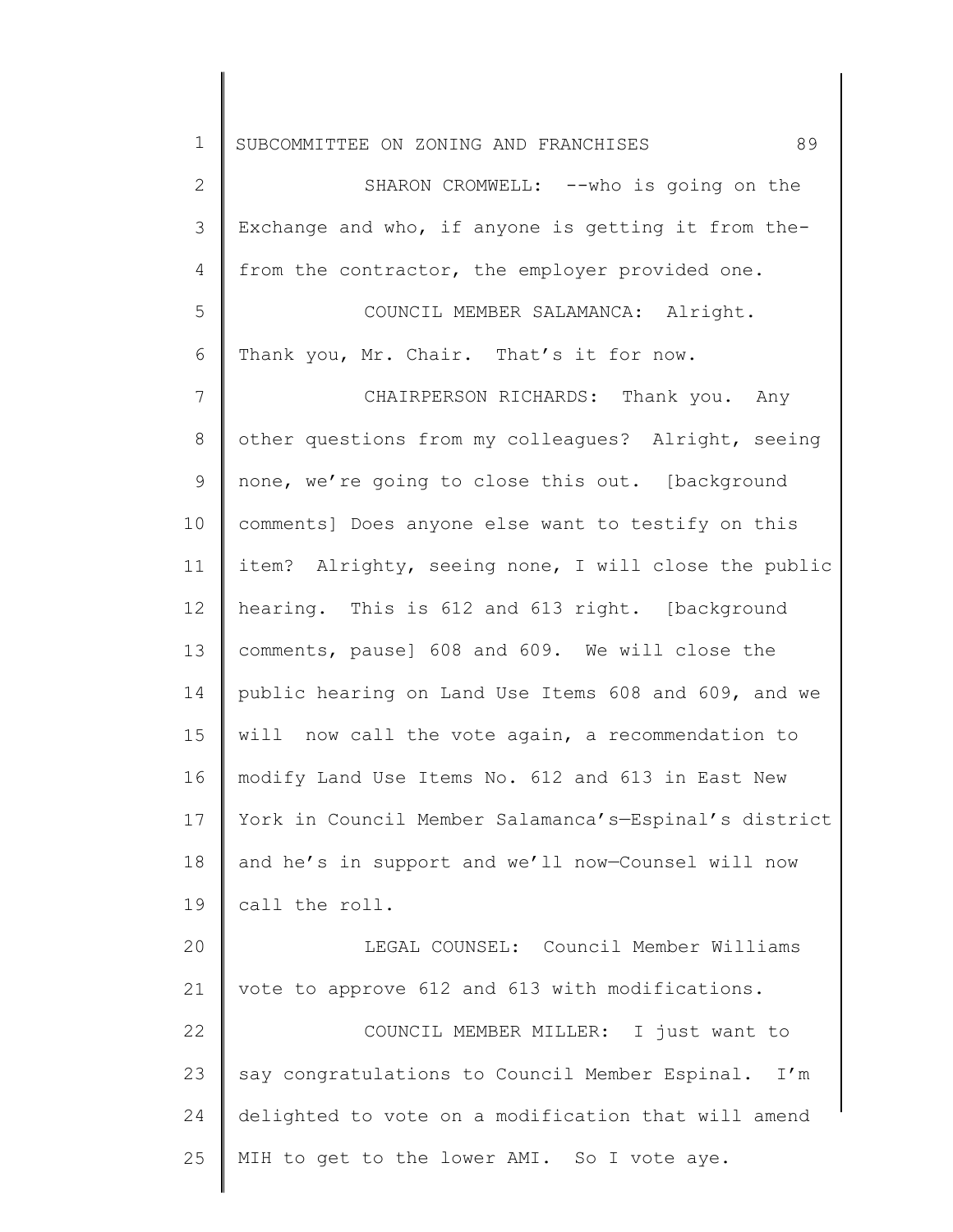1 SUBCOMMITTEE ON ZONING AND FRANCHISES 89

2 3 4 5 6 7 8 9 10 11 12 13 14 15 16 17 18 19 20 21 22 23 24 25 SHARON CROMWELL: --who is going on the Exchange and who, if anyone is getting it from thefrom the contractor, the employer provided one. COUNCIL MEMBER SALAMANCA: Alright. Thank you, Mr. Chair. That's it for now. CHAIRPERSON RICHARDS: Thank you. Any other questions from my colleagues? Alright, seeing none, we're going to close this out. [background comments] Does anyone else want to testify on this item? Alrighty, seeing none, I will close the public hearing. This is 612 and 613 right. [background comments, pause] 608 and 609. We will close the public hearing on Land Use Items 608 and 609, and we will now call the vote again, a recommendation to modify Land Use Items No. 612 and 613 in East New York in Council Member Salamanca's—Espinal's district and he's in support and we'll now—Counsel will now call the roll. LEGAL COUNSEL: Council Member Williams vote to approve 612 and 613 with modifications. COUNCIL MEMBER MILLER: I just want to say congratulations to Council Member Espinal. I'm delighted to vote on a modification that will amend MIH to get to the lower AMI. So I vote aye.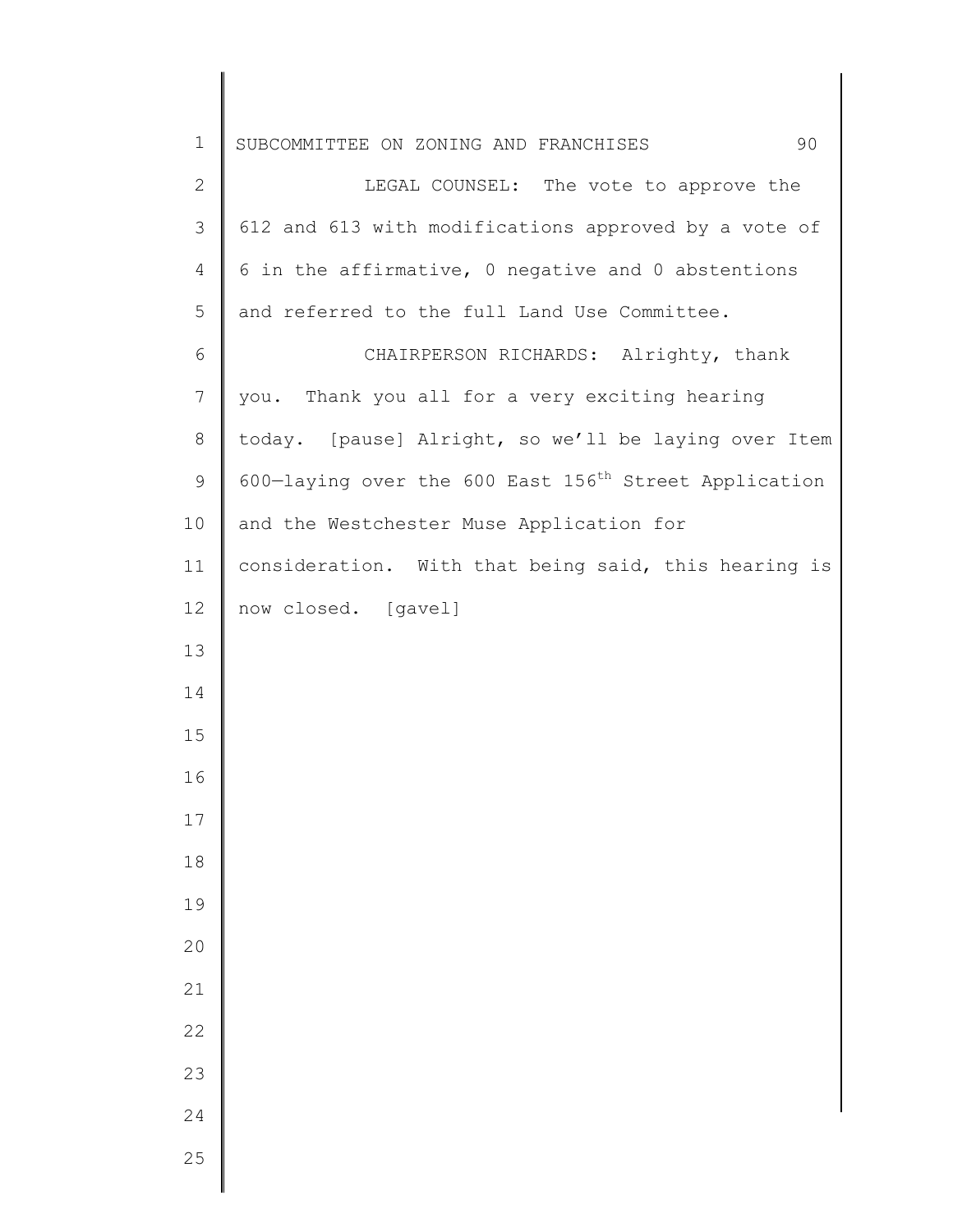| $\mathbf 1$    | 90<br>SUBCOMMITTEE ON ZONING AND FRANCHISES                       |
|----------------|-------------------------------------------------------------------|
| $\overline{2}$ | LEGAL COUNSEL: The vote to approve the                            |
| 3              | 612 and 613 with modifications approved by a vote of              |
| $\overline{4}$ | 6 in the affirmative, 0 negative and 0 abstentions                |
| 5              | and referred to the full Land Use Committee.                      |
| 6              | CHAIRPERSON RICHARDS: Alrighty, thank                             |
| $\overline{7}$ | you. Thank you all for a very exciting hearing                    |
| $\,8\,$        | today. [pause] Alright, so we'll be laying over Item              |
| $\mathsf 9$    | 600-laying over the 600 East 156 <sup>th</sup> Street Application |
| 10             | and the Westchester Muse Application for                          |
| 11             | consideration. With that being said, this hearing is              |
| 12             | now closed. [gavel]                                               |
| 13             |                                                                   |
| 14             |                                                                   |
| 15             |                                                                   |
| 16             |                                                                   |
| $17\,$         |                                                                   |
| $18\,$         |                                                                   |
| 19             |                                                                   |
| 20             |                                                                   |
| 21             |                                                                   |
| 22             |                                                                   |
| 23             |                                                                   |
| 24             |                                                                   |
| 25             |                                                                   |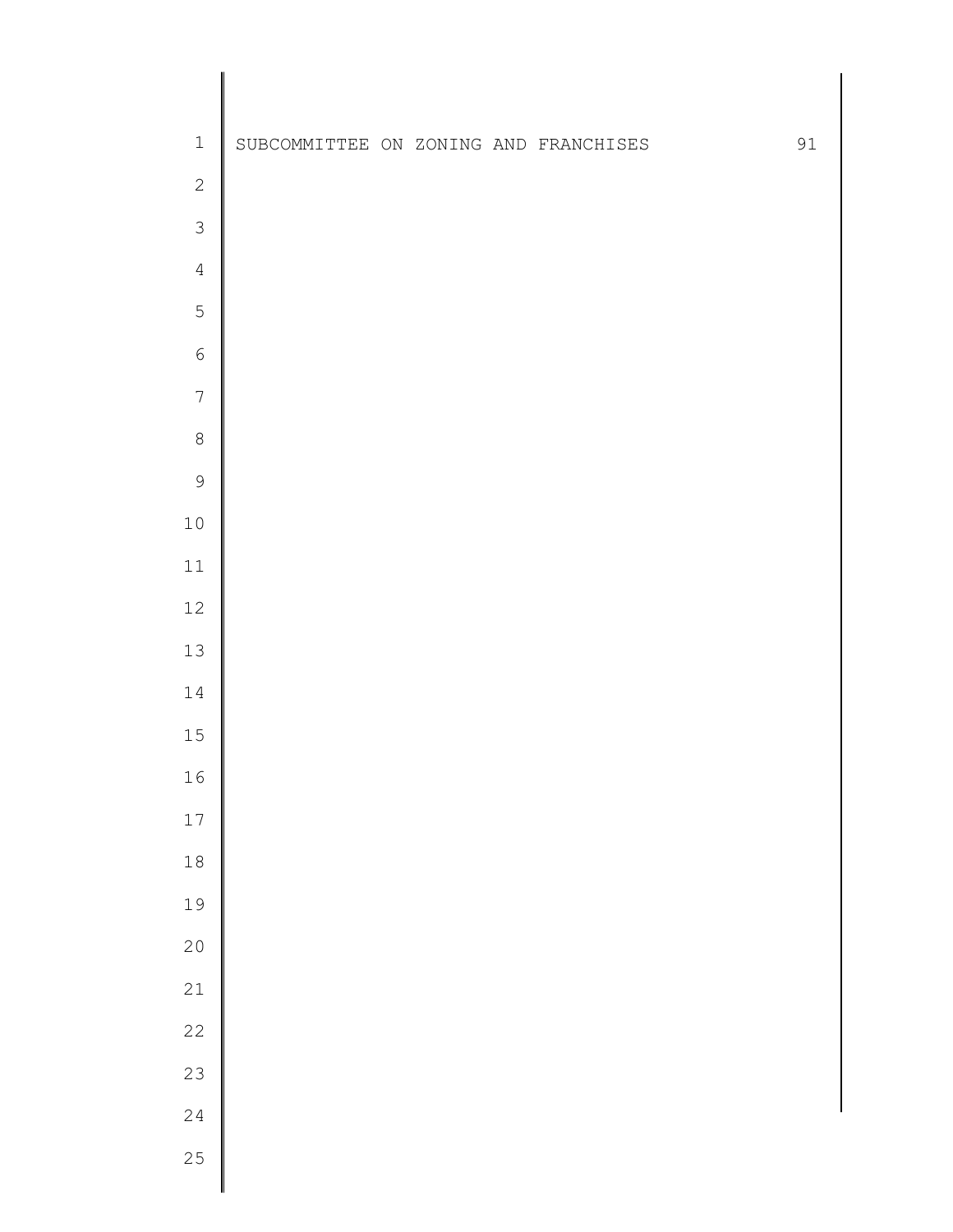| $\mathbf 1$    | SUBCOMMITTEE ON ZONING AND FRANCHISES |  |  | $91$ |
|----------------|---------------------------------------|--|--|------|
| $\sqrt{2}$     |                                       |  |  |      |
| $\mathfrak{Z}$ |                                       |  |  |      |
| $\sqrt{4}$     |                                       |  |  |      |
| $\overline{5}$ |                                       |  |  |      |
| $\sqrt{6}$     |                                       |  |  |      |
| $\overline{7}$ |                                       |  |  |      |
| $\,8\,$        |                                       |  |  |      |
| $\mathcal{G}$  |                                       |  |  |      |
| $10$           |                                       |  |  |      |
| $11\,$         |                                       |  |  |      |
| $12\,$         |                                       |  |  |      |
| $13\,$         |                                       |  |  |      |
| $1\,4$         |                                       |  |  |      |
| $15\,$         |                                       |  |  |      |
| 16             |                                       |  |  |      |
| 17             |                                       |  |  |      |
| $18\,$         |                                       |  |  |      |
| 19             |                                       |  |  |      |
| 20             |                                       |  |  |      |
| 21             |                                       |  |  |      |
| 22             |                                       |  |  |      |
| 23             |                                       |  |  |      |
| 24             |                                       |  |  |      |
| 25             |                                       |  |  |      |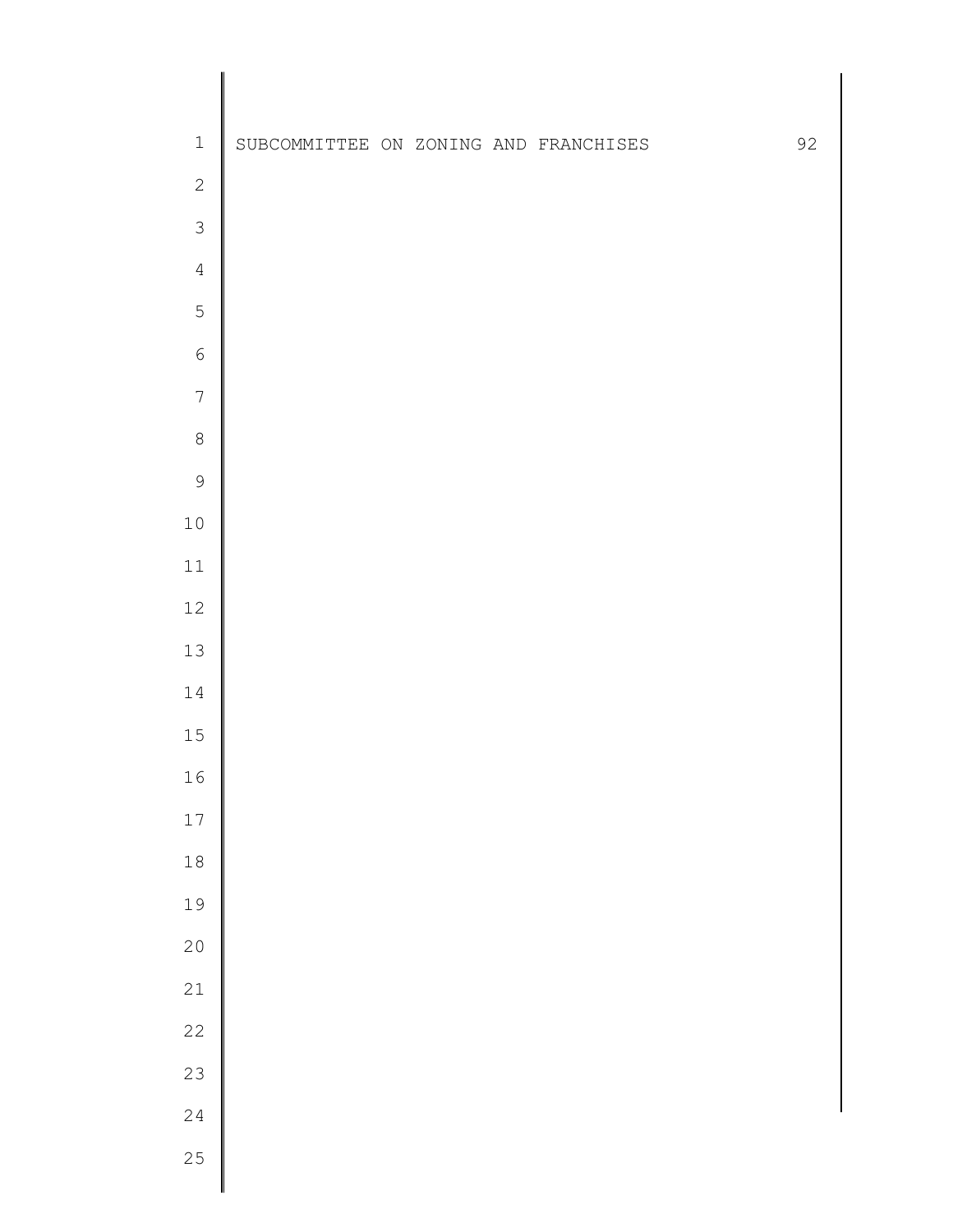| $\mathbf 1$      | SUBCOMMITTEE ON ZONING AND FRANCHISES |  |  | 92 |
|------------------|---------------------------------------|--|--|----|
| $\mathbf{2}$     |                                       |  |  |    |
| $\mathcal{S}$    |                                       |  |  |    |
| $\overline{4}$   |                                       |  |  |    |
| 5                |                                       |  |  |    |
| $\sqrt{6}$       |                                       |  |  |    |
| $\boldsymbol{7}$ |                                       |  |  |    |
| $\,8\,$          |                                       |  |  |    |
| $\mathcal{G}$    |                                       |  |  |    |
| $10$             |                                       |  |  |    |
| $11\,$           |                                       |  |  |    |
| $12\,$           |                                       |  |  |    |
| $13\,$           |                                       |  |  |    |
| $1\,4$           |                                       |  |  |    |
| $15\,$           |                                       |  |  |    |
| 16               |                                       |  |  |    |
| 17               |                                       |  |  |    |
| $18\,$           |                                       |  |  |    |
| 19               |                                       |  |  |    |
| 20               |                                       |  |  |    |
| 21               |                                       |  |  |    |
| 22               |                                       |  |  |    |
| 23               |                                       |  |  |    |
| 24               |                                       |  |  |    |
| 25               |                                       |  |  |    |